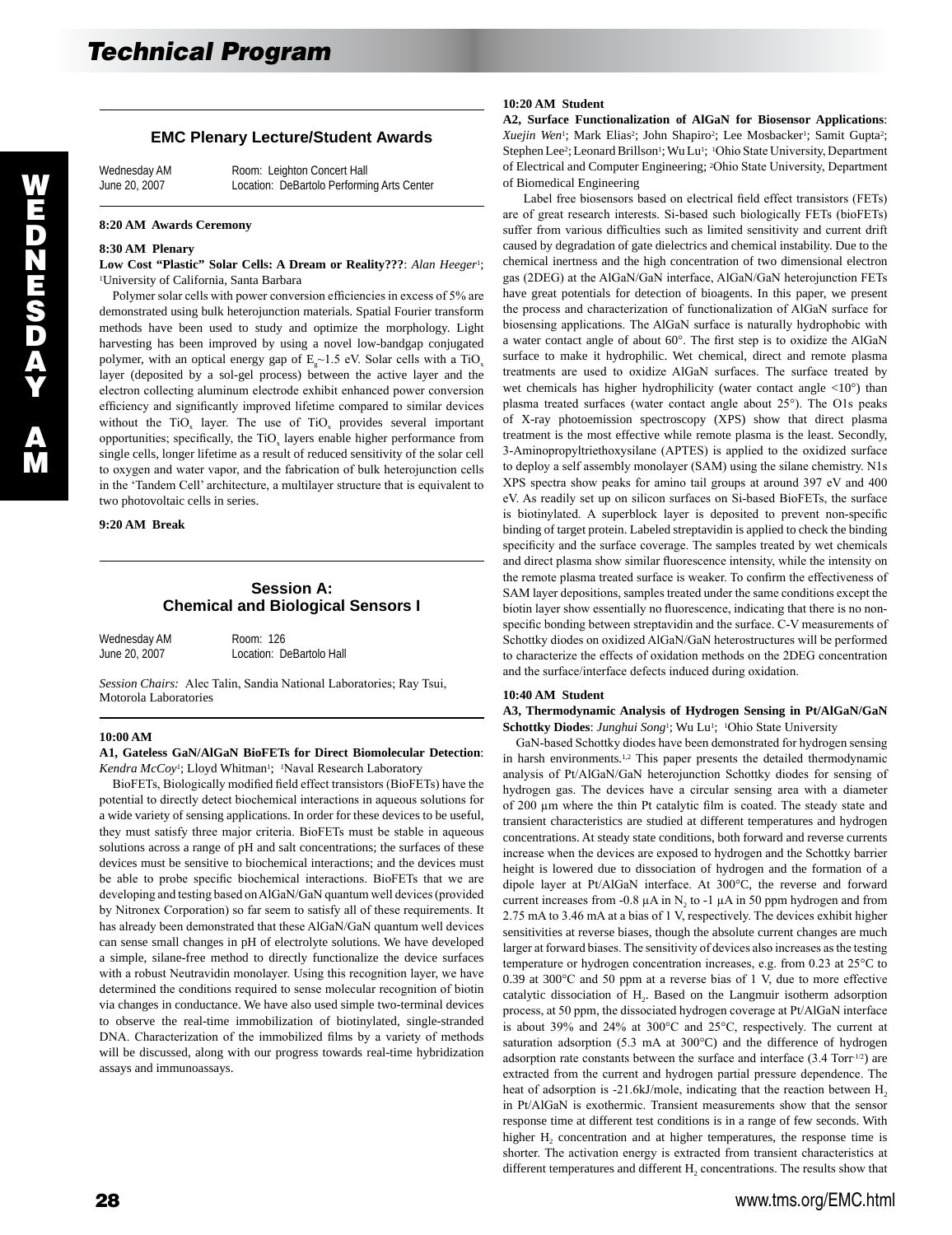## **EMC Plenary Lecture/Student Awards**

Wednesday AM Room: Leighton Concert Hall<br>
June 20, 2007 Location: DeBartolo Performi Location: DeBartolo Performing Arts Center

#### **8:20 AM Awards Ceremony**

#### **8:30 AM Plenary**

**Low Cost "Plastic" Solar Cells: A Dream or Reality???**: *Alan Heeger*1; 1University of California, Santa Barbara

 Polymer solar cells with power conversion efficiencies in excess of 5% are demonstrated using bulk heterojunction materials. Spatial Fourier transform methods have been used to study and optimize the morphology. Light harvesting has been improved by using a novel low-bandgap conjugated polymer, with an optical energy gap of  $E_{\gamma}$  = 1.5 eV. Solar cells with a TiO<sub>x</sub> layer (deposited by a sol-gel process) between the active layer and the electron collecting aluminum electrode exhibit enhanced power conversion efficiency and significantly improved lifetime compared to similar devices without the TiO<sub>x</sub> layer. The use of TiO<sub>x</sub> provides several important opportunities; specifically, the  $TiO<sub>x</sub>$  layers enable higher performance from single cells, longer lifetime as a result of reduced sensitivity of the solar cell to oxygen and water vapor, and the fabrication of bulk heterojunction cells in the 'Tandem Cell' architecture, a multilayer structure that is equivalent to two photovoltaic cells in series.

**9:20 AM Break** 

## **Session A: Chemical and Biological Sensors I**

| Wednesday AM  | Room: 126                |
|---------------|--------------------------|
| June 20, 2007 | Location: DeBartolo Hall |

*Session Chairs:* Alec Talin, Sandia National Laboratories; Ray Tsui, Motorola Laboratories

#### **10:00 AM**

### **A1, Gateless GaN/AlGaN BioFETs for Direct Biomolecular Detection**: Kendra McCoy<sup>1</sup>; Lloyd Whitman<sup>1</sup>; <sup>1</sup>Naval Research Laboratory

 BioFETs, Biologically modified field effect transistors (BioFETs) have the potential to directly detect biochemical interactions in aqueous solutions for a wide variety of sensing applications. In order for these devices to be useful, they must satisfy three major criteria. BioFETs must be stable in aqueous solutions across a range of pH and salt concentrations; the surfaces of these devices must be sensitive to biochemical interactions; and the devices must be able to probe specific biochemical interactions. BioFETs that we are developing and testing based on AlGaN/GaN quantum well devices (provided by Nitronex Corporation) so far seem to satisfy all of these requirements. It has already been demonstrated that these AlGaN/GaN quantum well devices can sense small changes in pH of electrolyte solutions. We have developed a simple, silane-free method to directly functionalize the device surfaces with a robust Neutravidin monolayer. Using this recognition layer, we have determined the conditions required to sense molecular recognition of biotin via changes in conductance. We have also used simple two-terminal devices to observe the real-time immobilization of biotinylated, single-stranded DNA. Characterization of the immobilized films by a variety of methods will be discussed, along with our progress towards real-time hybridization assays and immunoassays.

## **10:20 AM Student**

**A2, Surface Functionalization of AlGaN for Biosensor Applications**: Xuejin Wen<sup>1</sup>; Mark Elias<sup>2</sup>; John Shapiro<sup>2</sup>; Lee Mosbacker<sup>1</sup>; Samit Gupta<sup>2</sup>; Stephen Lee<sup>2</sup>; Leonard Brillson<sup>1</sup>; Wu Lu<sup>1</sup>; <sup>1</sup>Ohio State University, Department of Electrical and Computer Engineering; 2Ohio State University, Department of Biomedical Engineering

 Label free biosensors based on electrical field effect transistors (FETs) are of great research interests. Si-based such biologically FETs (bioFETs) suffer from various difficulties such as limited sensitivity and current drift caused by degradation of gate dielectrics and chemical instability. Due to the chemical inertness and the high concentration of two dimensional electron gas (2DEG) at the AlGaN/GaN interface, AlGaN/GaN heterojunction FETs have great potentials for detection of bioagents. In this paper, we present the process and characterization of functionalization of AlGaN surface for biosensing applications. The AlGaN surface is naturally hydrophobic with a water contact angle of about 60°. The first step is to oxidize the AlGaN surface to make it hydrophilic. Wet chemical, direct and remote plasma treatments are used to oxidize AlGaN surfaces. The surface treated by wet chemicals has higher hydrophilicity (water contact angle  $\langle 10^{\circ} \rangle$  than plasma treated surfaces (water contact angle about 25°). The O1s peaks of X-ray photoemission spectroscopy (XPS) show that direct plasma treatment is the most effective while remote plasma is the least. Secondly, 3-Aminopropyltriethoxysilane (APTES) is applied to the oxidized surface to deploy a self assembly monolayer (SAM) using the silane chemistry. N1s XPS spectra show peaks for amino tail groups at around 397 eV and 400 eV. As readily set up on silicon surfaces on Si-based BioFETs, the surface is biotinylated. A superblock layer is deposited to prevent non-specific binding of target protein. Labeled streptavidin is applied to check the binding specificity and the surface coverage. The samples treated by wet chemicals and direct plasma show similar fluorescence intensity, while the intensity on the remote plasma treated surface is weaker. To confirm the effectiveness of SAM layer depositions, samples treated under the same conditions except the biotin layer show essentially no fluorescence, indicating that there is no nonspecific bonding between streptavidin and the surface. C-V measurements of Schottky diodes on oxidized AlGaN/GaN heterostructures will be performed to characterize the effects of oxidation methods on the 2DEG concentration and the surface/interface defects induced during oxidation.

## **10:40 AM Student**

**A3, Thermodynamic Analysis of Hydrogen Sensing in Pt/AlGaN/GaN**  Schottky Diodes: *Junghui Song*<sup>1</sup>; Wu Lu<sup>1</sup>; <sup>1</sup>Ohio State University

 GaN-based Schottky diodes have been demonstrated for hydrogen sensing in harsh environments.1,2 This paper presents the detailed thermodynamic analysis of Pt/AlGaN/GaN heterojunction Schottky diodes for sensing of hydrogen gas. The devices have a circular sensing area with a diameter of 200 µm where the thin Pt catalytic film is coated. The steady state and transient characteristics are studied at different temperatures and hydrogen concentrations. At steady state conditions, both forward and reverse currents increase when the devices are exposed to hydrogen and the Schottky barrier height is lowered due to dissociation of hydrogen and the formation of a dipole layer at Pt/AlGaN interface. At 300°C, the reverse and forward current increases from -0.8  $\mu$ A in N<sub>2</sub> to -1  $\mu$ A in 50 ppm hydrogen and from 2.75 mA to 3.46 mA at a bias of 1 V, respectively. The devices exhibit higher sensitivities at reverse biases, though the absolute current changes are much larger at forward biases. The sensitivity of devices also increases as the testing temperature or hydrogen concentration increases, e.g. from 0.23 at 25°C to 0.39 at 300°C and 50 ppm at a reverse bias of 1 V, due to more effective catalytic dissociation of  $H<sub>2</sub>$ . Based on the Langmuir isotherm adsorption process, at 50 ppm, the dissociated hydrogen coverage at Pt/AlGaN interface is about 39% and 24% at 300°C and 25°C, respectively. The current at saturation adsorption (5.3 mA at 300°C) and the difference of hydrogen adsorption rate constants between the surface and interface (3.4 Torr-1/2) are extracted from the current and hydrogen partial pressure dependence. The heat of adsorption is -21.6kJ/mole, indicating that the reaction between  $H<sub>2</sub>$ in Pt/AlGaN is exothermic. Transient measurements show that the sensor response time at different test conditions is in a range of few seconds. With higher H<sub>2</sub> concentration and at higher temperatures, the response time is shorter. The activation energy is extracted from transient characteristics at different temperatures and different H<sub>2</sub> concentrations. The results show that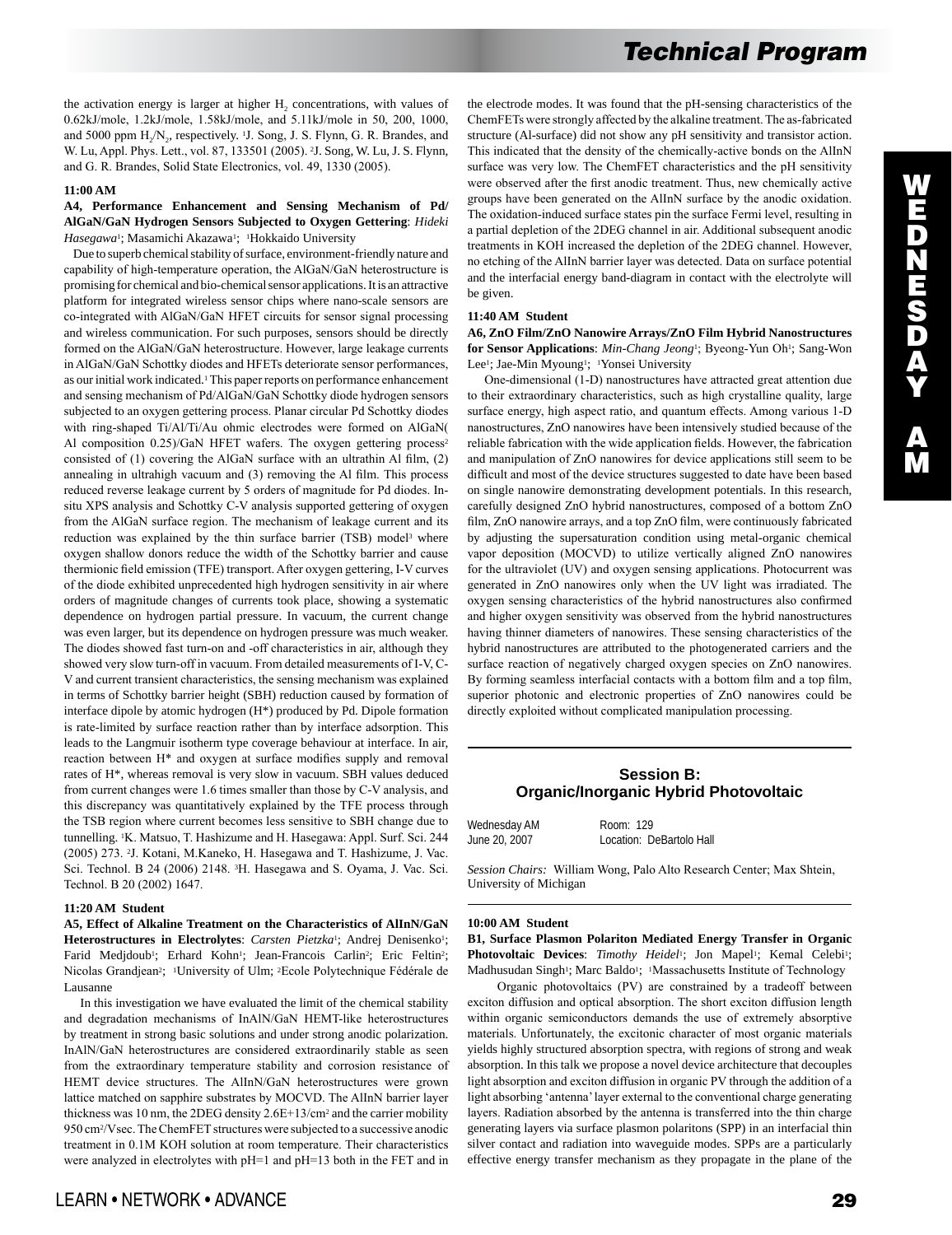W E D N E S D A Y A M

# *Technical Program*

the activation energy is larger at higher H<sub>2</sub> concentrations, with values of 0.62kJ/mole, 1.2kJ/mole, 1.58kJ/mole, and 5.11kJ/mole in 50, 200, 1000, and 5000 ppm H<sub>2</sub>/N<sub>2</sub>, respectively. <sup>1</sup>J. Song, J. S. Flynn, G. R. Brandes, and W. Lu, Appl. Phys. Lett., vol. 87, 133501 (2005). 2J. Song, W. Lu, J. S. Flynn, and G. R. Brandes, Solid State Electronics, vol. 49, 1330 (2005).

#### **11:00 AM**

## **A4, Performance Enhancement and Sensing Mechanism of Pd/ AlGaN/GaN Hydrogen Sensors Subjected to Oxygen Gettering**: *Hideki*  Hasegawa<sup>1</sup>; Masamichi Akazawa<sup>1</sup>; <sup>1</sup>Hokkaido University

 Due to superb chemical stability of surface, environment-friendly nature and capability of high-temperature operation, the AlGaN/GaN heterostructure is promising for chemical and bio-chemical sensor applications. It is an attractive platform for integrated wireless sensor chips where nano-scale sensors are co-integrated with AlGaN/GaN HFET circuits for sensor signal processing and wireless communication. For such purposes, sensors should be directly formed on the AlGaN/GaN heterostructure. However, large leakage currents in AlGaN/GaN Schottky diodes and HFETs deteriorate sensor performances, as our initial work indicated.1 This paper reports on performance enhancement and sensing mechanism of Pd/AlGaN/GaN Schottky diode hydrogen sensors subjected to an oxygen gettering process. Planar circular Pd Schottky diodes with ring-shaped Ti/Al/Ti/Au ohmic electrodes were formed on AlGaN( Al composition 0.25)/GaN HFET wafers. The oxygen gettering process<sup>2</sup> consisted of (1) covering the AlGaN surface with an ultrathin Al film, (2) annealing in ultrahigh vacuum and (3) removing the Al film. This process reduced reverse leakage current by 5 orders of magnitude for Pd diodes. Insitu XPS analysis and Schottky C-V analysis supported gettering of oxygen from the AlGaN surface region. The mechanism of leakage current and its reduction was explained by the thin surface barrier (TSB) model<sup>3</sup> where oxygen shallow donors reduce the width of the Schottky barrier and cause thermionic field emission (TFE) transport. After oxygen gettering, I-V curves of the diode exhibited unprecedented high hydrogen sensitivity in air where orders of magnitude changes of currents took place, showing a systematic dependence on hydrogen partial pressure. In vacuum, the current change was even larger, but its dependence on hydrogen pressure was much weaker. The diodes showed fast turn-on and -off characteristics in air, although they showed very slow turn-off in vacuum. From detailed measurements of I-V, C-V and current transient characteristics, the sensing mechanism was explained in terms of Schottky barrier height (SBH) reduction caused by formation of interface dipole by atomic hydrogen (H\*) produced by Pd. Dipole formation is rate-limited by surface reaction rather than by interface adsorption. This leads to the Langmuir isotherm type coverage behaviour at interface. In air, reaction between H\* and oxygen at surface modifies supply and removal rates of H\*, whereas removal is very slow in vacuum. SBH values deduced from current changes were 1.6 times smaller than those by C-V analysis, and this discrepancy was quantitatively explained by the TFE process through the TSB region where current becomes less sensitive to SBH change due to tunnelling. 1K. Matsuo, T. Hashizume and H. Hasegawa: Appl. Surf. Sci. 244 (2005) 273. 2J. Kotani, M.Kaneko, H. Hasegawa and T. Hashizume, J. Vac. Sci. Technol. B 24 (2006) 2148. 3H. Hasegawa and S. Oyama, J. Vac. Sci. Technol. B 20 (2002) 1647.

#### **11:20 AM Student**

**A5, Effect of Alkaline Treatment on the Characteristics of AlInN/GaN**  Heterostructures in Electrolytes: Carsten Pietzka<sup>1</sup>; Andrej Denisenko<sup>1</sup>; Farid Medjdoub<sup>1</sup>; Erhard Kohn<sup>1</sup>; Jean-Francois Carlin<sup>2</sup>; Eric Feltin<sup>2</sup>; Nicolas Grandjean2; 1University of Ulm; 2Ecole Polytechnique Fédérale de Lausanne

 In this investigation we have evaluated the limit of the chemical stability and degradation mechanisms of InAlN/GaN HEMT-like heterostructures by treatment in strong basic solutions and under strong anodic polarization. InAlN/GaN heterostructures are considered extraordinarily stable as seen from the extraordinary temperature stability and corrosion resistance of HEMT device structures. The AlInN/GaN heterostructures were grown lattice matched on sapphire substrates by MOCVD. The AlInN barrier layer thickness was 10 nm, the 2DEG density 2.6E+13/cm2 and the carrier mobility 950 cm2/Vsec. The ChemFET structures were subjected to a successive anodic treatment in 0.1M KOH solution at room temperature. Their characteristics were analyzed in electrolytes with pH=1 and pH=13 both in the FET and in the electrode modes. It was found that the pH-sensing characteristics of the ChemFETs were strongly affected by the alkaline treatment. The as-fabricated structure (Al-surface) did not show any pH sensitivity and transistor action. This indicated that the density of the chemically-active bonds on the AlInN surface was very low. The ChemFET characteristics and the pH sensitivity were observed after the first anodic treatment. Thus, new chemically active groups have been generated on the AlInN surface by the anodic oxidation. The oxidation-induced surface states pin the surface Fermi level, resulting in a partial depletion of the 2DEG channel in air. Additional subsequent anodic treatments in KOH increased the depletion of the 2DEG channel. However, no etching of the AlInN barrier layer was detected. Data on surface potential and the interfacial energy band-diagram in contact with the electrolyte will be given.

### **11:40 AM Student**

**A6, ZnO Film/ZnO Nanowire Arrays/ZnO Film Hybrid Nanostructures for Sensor Applications**: *Min-Chang Jeong*1; Byeong-Yun Oh1; Sang-Won Lee<sup>1</sup>; Jae-Min Myoung<sup>1</sup>; <sup>1</sup>Yonsei University

 One-dimensional (1-D) nanostructures have attracted great attention due to their extraordinary characteristics, such as high crystalline quality, large surface energy, high aspect ratio, and quantum effects. Among various 1-D nanostructures, ZnO nanowires have been intensively studied because of the reliable fabrication with the wide application fields. However, the fabrication and manipulation of ZnO nanowires for device applications still seem to be difficult and most of the device structures suggested to date have been based on single nanowire demonstrating development potentials. In this research, carefully designed ZnO hybrid nanostructures, composed of a bottom ZnO film, ZnO nanowire arrays, and a top ZnO film, were continuously fabricated by adjusting the supersaturation condition using metal-organic chemical vapor deposition (MOCVD) to utilize vertically aligned ZnO nanowires for the ultraviolet (UV) and oxygen sensing applications. Photocurrent was generated in ZnO nanowires only when the UV light was irradiated. The oxygen sensing characteristics of the hybrid nanostructures also confirmed and higher oxygen sensitivity was observed from the hybrid nanostructures having thinner diameters of nanowires. These sensing characteristics of the hybrid nanostructures are attributed to the photogenerated carriers and the surface reaction of negatively charged oxygen species on ZnO nanowires. By forming seamless interfacial contacts with a bottom film and a top film, superior photonic and electronic properties of ZnO nanowires could be directly exploited without complicated manipulation processing.

## **Session B: Organic/Inorganic Hybrid Photovoltaic**

Wednesday AM Room: 129

June 20, 2007 Location: DeBartolo Hall

*Session Chairs:* William Wong, Palo Alto Research Center; Max Shtein, University of Michigan

#### **10:00 AM Student**

**B1, Surface Plasmon Polariton Mediated Energy Transfer in Organic**  Photovoltaic Devices: Timothy Heidel<sup>1</sup>; Jon Mapel<sup>1</sup>; Kemal Celebi<sup>1</sup>; Madhusudan Singh<sup>1</sup>; Marc Baldo<sup>1</sup>; <sup>1</sup>Massachusetts Institute of Technology

 Organic photovoltaics (PV) are constrained by a tradeoff between exciton diffusion and optical absorption. The short exciton diffusion length within organic semiconductors demands the use of extremely absorptive materials. Unfortunately, the excitonic character of most organic materials yields highly structured absorption spectra, with regions of strong and weak absorption. In this talk we propose a novel device architecture that decouples light absorption and exciton diffusion in organic PV through the addition of a light absorbing 'antenna' layer external to the conventional charge generating layers. Radiation absorbed by the antenna is transferred into the thin charge generating layers via surface plasmon polaritons (SPP) in an interfacial thin silver contact and radiation into waveguide modes. SPPs are a particularly effective energy transfer mechanism as they propagate in the plane of the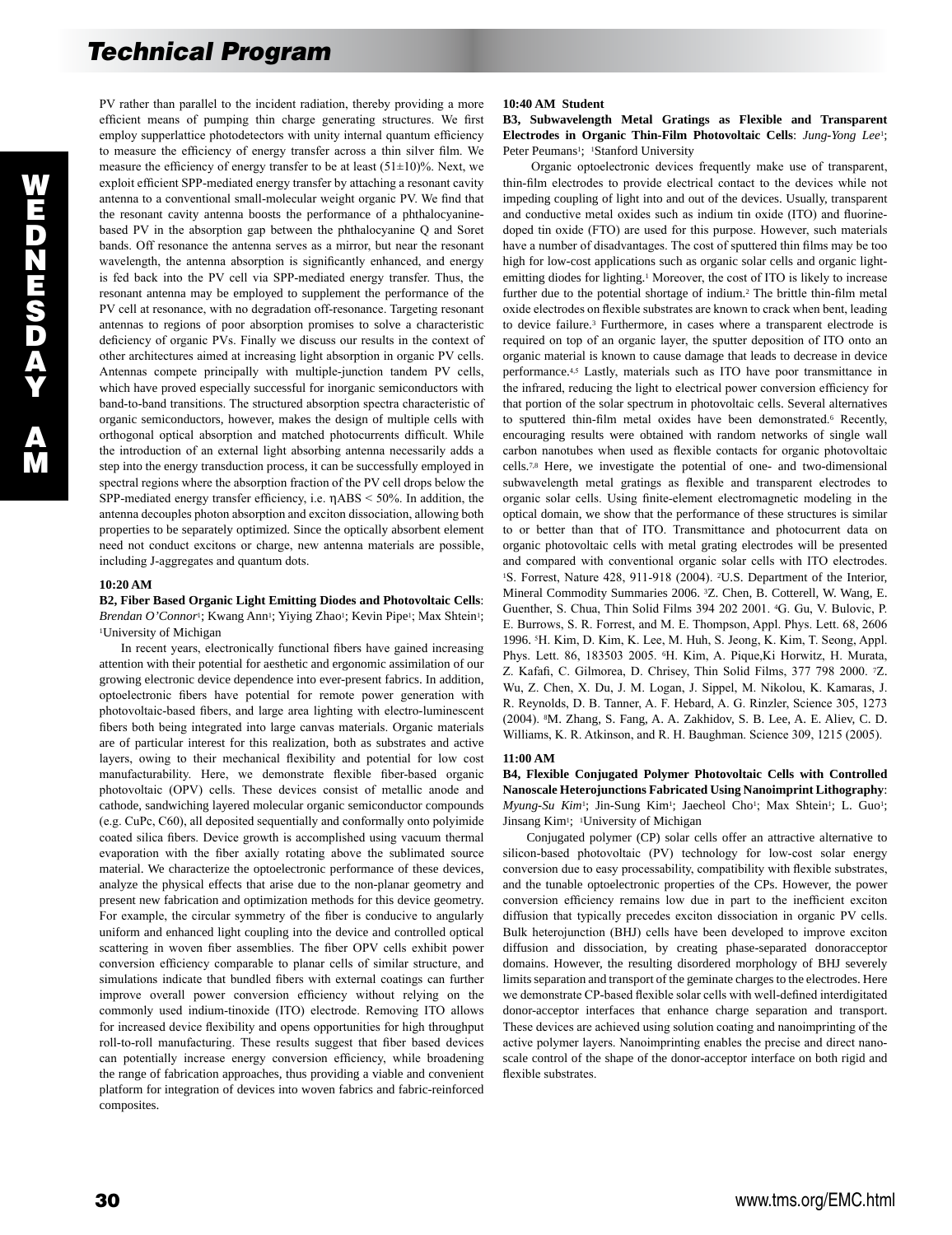PV rather than parallel to the incident radiation, thereby providing a more efficient means of pumping thin charge generating structures. We first employ supperlattice photodetectors with unity internal quantum efficiency to measure the efficiency of energy transfer across a thin silver film. We measure the efficiency of energy transfer to be at least  $(51\pm10)\%$ . Next, we exploit efficient SPP-mediated energy transfer by attaching a resonant cavity antenna to a conventional small-molecular weight organic PV. We find that the resonant cavity antenna boosts the performance of a phthalocyaninebased PV in the absorption gap between the phthalocyanine Q and Soret bands. Off resonance the antenna serves as a mirror, but near the resonant wavelength, the antenna absorption is significantly enhanced, and energy is fed back into the PV cell via SPP-mediated energy transfer. Thus, the resonant antenna may be employed to supplement the performance of the PV cell at resonance, with no degradation off-resonance. Targeting resonant antennas to regions of poor absorption promises to solve a characteristic deficiency of organic PVs. Finally we discuss our results in the context of other architectures aimed at increasing light absorption in organic PV cells. Antennas compete principally with multiple-junction tandem PV cells, which have proved especially successful for inorganic semiconductors with band-to-band transitions. The structured absorption spectra characteristic of organic semiconductors, however, makes the design of multiple cells with orthogonal optical absorption and matched photocurrents difficult. While the introduction of an external light absorbing antenna necessarily adds a step into the energy transduction process, it can be successfully employed in spectral regions where the absorption fraction of the PV cell drops below the SPP-mediated energy transfer efficiency, i.e. ηABS < 50%. In addition, the antenna decouples photon absorption and exciton dissociation, allowing both properties to be separately optimized. Since the optically absorbent element need not conduct excitons or charge, new antenna materials are possible, including J-aggregates and quantum dots.

#### **10:20 AM**

## **B2, Fiber Based Organic Light Emitting Diodes and Photovoltaic Cells**: Brendan O'Connor<sup>1</sup>; Kwang Ann<sup>1</sup>; Yiying Zhao<sup>1</sup>; Kevin Pipe<sup>1</sup>; Max Shtein<sup>1</sup>; 1University of Michigan

 In recent years, electronically functional fibers have gained increasing attention with their potential for aesthetic and ergonomic assimilation of our growing electronic device dependence into ever-present fabrics. In addition, optoelectronic fibers have potential for remote power generation with photovoltaic-based fibers, and large area lighting with electro-luminescent fibers both being integrated into large canvas materials. Organic materials are of particular interest for this realization, both as substrates and active layers, owing to their mechanical flexibility and potential for low cost manufacturability. Here, we demonstrate flexible fiber-based organic photovoltaic (OPV) cells. These devices consist of metallic anode and cathode, sandwiching layered molecular organic semiconductor compounds (e.g. CuPc, C60), all deposited sequentially and conformally onto polyimide coated silica fibers. Device growth is accomplished using vacuum thermal evaporation with the fiber axially rotating above the sublimated source material. We characterize the optoelectronic performance of these devices, analyze the physical effects that arise due to the non-planar geometry and present new fabrication and optimization methods for this device geometry. For example, the circular symmetry of the fiber is conducive to angularly uniform and enhanced light coupling into the device and controlled optical scattering in woven fiber assemblies. The fiber OPV cells exhibit power conversion efficiency comparable to planar cells of similar structure, and simulations indicate that bundled fibers with external coatings can further improve overall power conversion efficiency without relying on the commonly used indium-tinoxide (ITO) electrode. Removing ITO allows for increased device flexibility and opens opportunities for high throughput roll-to-roll manufacturing. These results suggest that fiber based devices can potentially increase energy conversion efficiency, while broadening the range of fabrication approaches, thus providing a viable and convenient platform for integration of devices into woven fabrics and fabric-reinforced composites.

## **10:40 AM Student**

**B3, Subwavelength Metal Gratings as Flexible and Transparent Electrodes in Organic Thin-Film Photovoltaic Cells**: *Jung-Yong Lee*1; Peter Peumans<sup>1</sup>; <sup>1</sup>Stanford University

 Organic optoelectronic devices frequently make use of transparent, thin-film electrodes to provide electrical contact to the devices while not impeding coupling of light into and out of the devices. Usually, transparent and conductive metal oxides such as indium tin oxide (ITO) and fluorinedoped tin oxide (FTO) are used for this purpose. However, such materials have a number of disadvantages. The cost of sputtered thin films may be too high for low-cost applications such as organic solar cells and organic lightemitting diodes for lighting.1 Moreover, the cost of ITO is likely to increase further due to the potential shortage of indium.2 The brittle thin-film metal oxide electrodes on flexible substrates are known to crack when bent, leading to device failure.3 Furthermore, in cases where a transparent electrode is required on top of an organic layer, the sputter deposition of ITO onto an organic material is known to cause damage that leads to decrease in device performance.4,5 Lastly, materials such as ITO have poor transmittance in the infrared, reducing the light to electrical power conversion efficiency for that portion of the solar spectrum in photovoltaic cells. Several alternatives to sputtered thin-film metal oxides have been demonstrated.6 Recently, encouraging results were obtained with random networks of single wall carbon nanotubes when used as flexible contacts for organic photovoltaic cells.7,8 Here, we investigate the potential of one- and two-dimensional subwavelength metal gratings as flexible and transparent electrodes to organic solar cells. Using finite-element electromagnetic modeling in the optical domain, we show that the performance of these structures is similar to or better than that of ITO. Transmittance and photocurrent data on organic photovoltaic cells with metal grating electrodes will be presented and compared with conventional organic solar cells with ITO electrodes. <sup>1</sup>S. Forrest, Nature 428, 911-918 (2004). <sup>2</sup>U.S. Department of the Interior, Mineral Commodity Summaries 2006. 3Z. Chen, B. Cotterell, W. Wang, E. Guenther, S. Chua, Thin Solid Films 394 202 2001. 4G. Gu, V. Bulovic, P. E. Burrows, S. R. Forrest, and M. E. Thompson, Appl. Phys. Lett. 68, 2606 1996. 5H. Kim, D. Kim, K. Lee, M. Huh, S. Jeong, K. Kim, T. Seong, Appl. Phys. Lett. 86, 183503 2005. 6H. Kim, A. Pique,Ki Horwitz, H. Murata, Z. Kafafi, C. Gilmorea, D. Chrisey, Thin Solid Films, 377 798 2000. 7Z. Wu, Z. Chen, X. Du, J. M. Logan, J. Sippel, M. Nikolou, K. Kamaras, J. R. Reynolds, D. B. Tanner, A. F. Hebard, A. G. Rinzler, Science 305, 1273 (2004). 8M. Zhang, S. Fang, A. A. Zakhidov, S. B. Lee, A. E. Aliev, C. D. Williams, K. R. Atkinson, and R. H. Baughman. Science 309, 1215 (2005).

#### **11:00 AM**

**B4, Flexible Conjugated Polymer Photovoltaic Cells with Controlled Nanoscale Heterojunctions Fabricated Using Nanoimprint Lithography**: *Myung-Su Kim<sup>1</sup>*; Jin-Sung Kim<sup>1</sup>; Jaecheol Cho<sup>1</sup>; Max Shtein<sup>1</sup>; L. Guo<sup>1</sup>; Jinsang Kim<sup>1</sup>; <sup>1</sup>University of Michigan

 Conjugated polymer (CP) solar cells offer an attractive alternative to silicon-based photovoltaic (PV) technology for low-cost solar energy conversion due to easy processability, compatibility with flexible substrates, and the tunable optoelectronic properties of the CPs. However, the power conversion efficiency remains low due in part to the inefficient exciton diffusion that typically precedes exciton dissociation in organic PV cells. Bulk heterojunction (BHJ) cells have been developed to improve exciton diffusion and dissociation, by creating phase-separated donoracceptor domains. However, the resulting disordered morphology of BHJ severely limits separation and transport of the geminate charges to the electrodes. Here we demonstrate CP-based flexible solar cells with well-defined interdigitated donor-acceptor interfaces that enhance charge separation and transport. These devices are achieved using solution coating and nanoimprinting of the active polymer layers. Nanoimprinting enables the precise and direct nanoscale control of the shape of the donor-acceptor interface on both rigid and flexible substrates.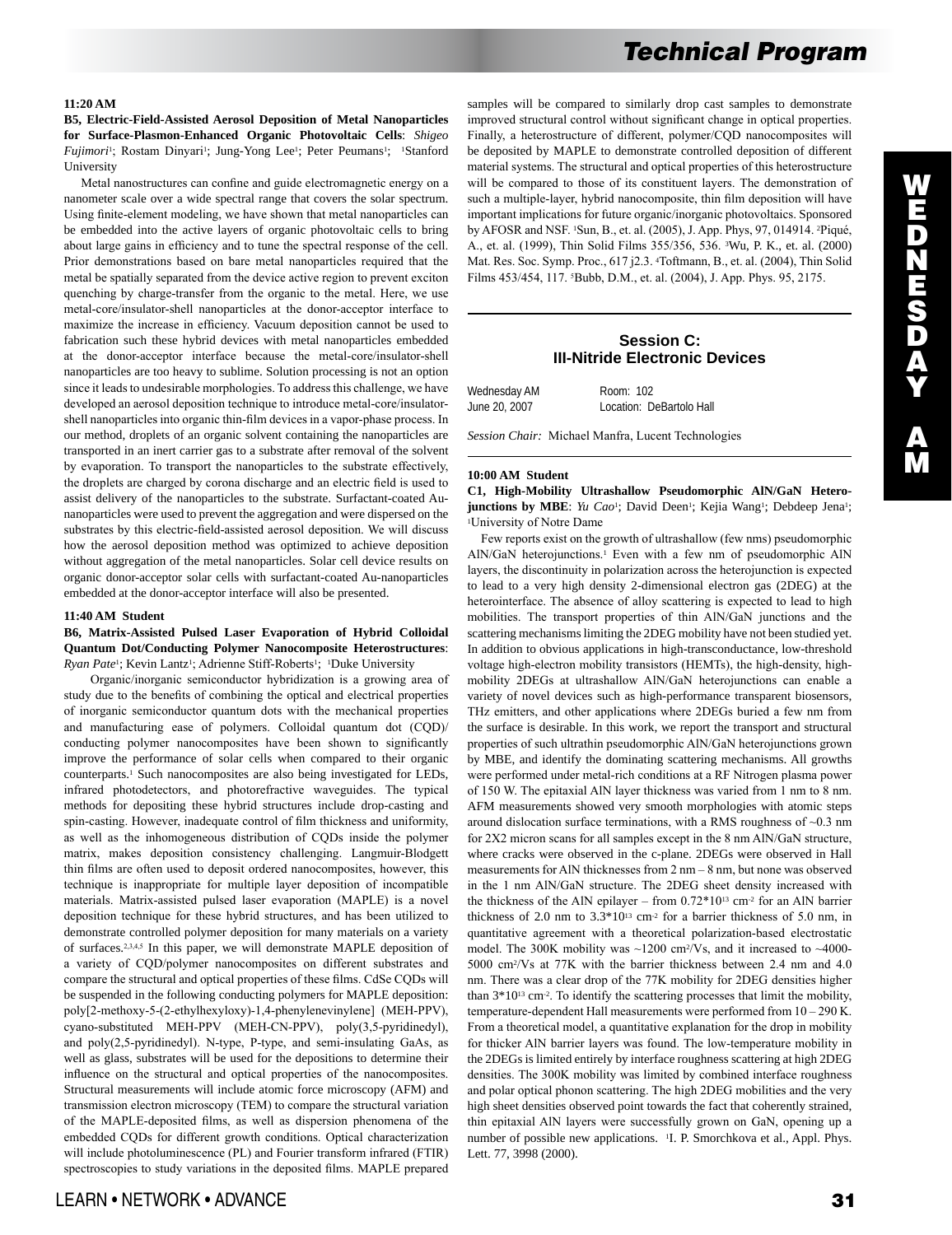## **11:20 AM**

**B5, Electric-Field-Assisted Aerosol Deposition of Metal Nanoparticles for Surface-Plasmon-Enhanced Organic Photovoltaic Cells**: *Shigeo Fujimori*<sup>1</sup>; Rostam Dinyari<sup>1</sup>; Jung-Yong Lee<sup>1</sup>; Peter Peumans<sup>1</sup>; <sup>1</sup>Stanford University

 Metal nanostructures can confine and guide electromagnetic energy on a nanometer scale over a wide spectral range that covers the solar spectrum. Using finite-element modeling, we have shown that metal nanoparticles can be embedded into the active layers of organic photovoltaic cells to bring about large gains in efficiency and to tune the spectral response of the cell. Prior demonstrations based on bare metal nanoparticles required that the metal be spatially separated from the device active region to prevent exciton quenching by charge-transfer from the organic to the metal. Here, we use metal-core/insulator-shell nanoparticles at the donor-acceptor interface to maximize the increase in efficiency. Vacuum deposition cannot be used to fabrication such these hybrid devices with metal nanoparticles embedded at the donor-acceptor interface because the metal-core/insulator-shell nanoparticles are too heavy to sublime. Solution processing is not an option since it leads to undesirable morphologies. To address this challenge, we have developed an aerosol deposition technique to introduce metal-core/insulatorshell nanoparticles into organic thin-film devices in a vapor-phase process. In our method, droplets of an organic solvent containing the nanoparticles are transported in an inert carrier gas to a substrate after removal of the solvent by evaporation. To transport the nanoparticles to the substrate effectively, the droplets are charged by corona discharge and an electric field is used to assist delivery of the nanoparticles to the substrate. Surfactant-coated Aunanoparticles were used to prevent the aggregation and were dispersed on the substrates by this electric-field-assisted aerosol deposition. We will discuss how the aerosol deposition method was optimized to achieve deposition without aggregation of the metal nanoparticles. Solar cell device results on organic donor-acceptor solar cells with surfactant-coated Au-nanoparticles embedded at the donor-acceptor interface will also be presented.

#### **11:40 AM Student**

## **B6, Matrix-Assisted Pulsed Laser Evaporation of Hybrid Colloidal Quantum Dot/Conducting Polymer Nanocomposite Heterostructures**: *Ryan Pate<sup>1</sup>*; Kevin Lantz<sup>1</sup>; Adrienne Stiff-Roberts<sup>1</sup>; <sup>1</sup>Duke University

 Organic/inorganic semiconductor hybridization is a growing area of study due to the benefits of combining the optical and electrical properties of inorganic semiconductor quantum dots with the mechanical properties and manufacturing ease of polymers. Colloidal quantum dot (CQD)/ conducting polymer nanocomposites have been shown to significantly improve the performance of solar cells when compared to their organic counterparts.1 Such nanocomposites are also being investigated for LEDs, infrared photodetectors, and photorefractive waveguides. The typical methods for depositing these hybrid structures include drop-casting and spin-casting. However, inadequate control of film thickness and uniformity, as well as the inhomogeneous distribution of CQDs inside the polymer matrix, makes deposition consistency challenging. Langmuir-Blodgett thin films are often used to deposit ordered nanocomposites, however, this technique is inappropriate for multiple layer deposition of incompatible materials. Matrix-assisted pulsed laser evaporation (MAPLE) is a novel deposition technique for these hybrid structures, and has been utilized to demonstrate controlled polymer deposition for many materials on a variety of surfaces.2,3,4,5 In this paper, we will demonstrate MAPLE deposition of a variety of CQD/polymer nanocomposites on different substrates and compare the structural and optical properties of these films. CdSe CQDs will be suspended in the following conducting polymers for MAPLE deposition: poly[2-methoxy-5-(2-ethylhexyloxy)-1,4-phenylenevinylene] (MEH-PPV), cyano-substituted MEH-PPV (MEH-CN-PPV), poly(3,5-pyridinedyl), and poly(2,5-pyridinedyl). N-type, P-type, and semi-insulating GaAs, as well as glass, substrates will be used for the depositions to determine their influence on the structural and optical properties of the nanocomposites. Structural measurements will include atomic force microscopy (AFM) and transmission electron microscopy (TEM) to compare the structural variation of the MAPLE-deposited films, as well as dispersion phenomena of the embedded CQDs for different growth conditions. Optical characterization will include photoluminescence (PL) and Fourier transform infrared (FTIR) spectroscopies to study variations in the deposited films. MAPLE prepared samples will be compared to similarly drop cast samples to demonstrate improved structural control without significant change in optical properties. Finally, a heterostructure of different, polymer/CQD nanocomposites will be deposited by MAPLE to demonstrate controlled deposition of different material systems. The structural and optical properties of this heterostructure will be compared to those of its constituent layers. The demonstration of such a multiple-layer, hybrid nanocomposite, thin film deposition will have important implications for future organic/inorganic photovoltaics. Sponsored by AFOSR and NSF. 1Sun, B., et. al. (2005), J. App. Phys, 97, 014914. 2Piqué, A., et. al. (1999), Thin Solid Films 355/356, 536. 3Wu, P. K., et. al. (2000) Mat. Res. Soc. Symp. Proc., 617 j2.3. 4Toftmann, B., et. al. (2004), Thin Solid Films 453/454, 117. 5Bubb, D.M., et. al. (2004), J. App. Phys. 95, 2175.

# **Session C: III-Nitride Electronic Devices**

| Wednesday AM  | Room: 102                |
|---------------|--------------------------|
| June 20, 2007 | Location: DeBartolo Hall |
|               |                          |

*Session Chair:* Michael Manfra, Lucent Technologies

## **10:00 AM Student**

**C1, High-Mobility Ultrashallow Pseudomorphic AlN/GaN Heterojunctions by MBE**: *Yu Cao*<sup>1</sup>; David Deen<sup>1</sup>; Kejia Wang<sup>1</sup>; Debdeep Jena<sup>1</sup>; <sup>1</sup>University of Notre Dame

 Few reports exist on the growth of ultrashallow (few nms) pseudomorphic AlN/GaN heterojunctions.1 Even with a few nm of pseudomorphic AlN layers, the discontinuity in polarization across the heterojunction is expected to lead to a very high density 2-dimensional electron gas (2DEG) at the heterointerface. The absence of alloy scattering is expected to lead to high mobilities. The transport properties of thin AlN/GaN junctions and the scattering mechanisms limiting the 2DEG mobility have not been studied yet. In addition to obvious applications in high-transconductance, low-threshold voltage high-electron mobility transistors (HEMTs), the high-density, highmobility 2DEGs at ultrashallow AlN/GaN heterojunctions can enable a variety of novel devices such as high-performance transparent biosensors, THz emitters, and other applications where 2DEGs buried a few nm from the surface is desirable. In this work, we report the transport and structural properties of such ultrathin pseudomorphic AlN/GaN heterojunctions grown by MBE, and identify the dominating scattering mechanisms. All growths were performed under metal-rich conditions at a RF Nitrogen plasma power of 150 W. The epitaxial AlN layer thickness was varied from 1 nm to 8 nm. AFM measurements showed very smooth morphologies with atomic steps around dislocation surface terminations, with a RMS roughness of ~0.3 nm for 2X2 micron scans for all samples except in the 8 nm AlN/GaN structure, where cracks were observed in the c-plane. 2DEGs were observed in Hall measurements for AlN thicknesses from 2 nm – 8 nm, but none was observed in the 1 nm AlN/GaN structure. The 2DEG sheet density increased with the thickness of the AlN epilayer – from  $0.72*10^{13}$  cm<sup>-2</sup> for an AlN barrier thickness of 2.0 nm to  $3.3*10^{13}$  cm<sup>-2</sup> for a barrier thickness of 5.0 nm, in quantitative agreement with a theoretical polarization-based electrostatic model. The 300K mobility was  $\sim$ 1200 cm<sup>2</sup>/Vs, and it increased to  $\sim$ 4000-5000 cm2/Vs at 77K with the barrier thickness between 2.4 nm and 4.0 nm. There was a clear drop of the 77K mobility for 2DEG densities higher than  $3*10^{13}$  cm<sup>-2</sup>. To identify the scattering processes that limit the mobility, temperature-dependent Hall measurements were performed from 10 – 290 K. From a theoretical model, a quantitative explanation for the drop in mobility for thicker AlN barrier layers was found. The low-temperature mobility in the 2DEGs is limited entirely by interface roughness scattering at high 2DEG densities. The 300K mobility was limited by combined interface roughness and polar optical phonon scattering. The high 2DEG mobilities and the very high sheet densities observed point towards the fact that coherently strained, thin epitaxial AlN layers were successfully grown on GaN, opening up a number of possible new applications. <sup>1</sup>I. P. Smorchkova et al., Appl. Phys. Lett. 77, 3998 (2000).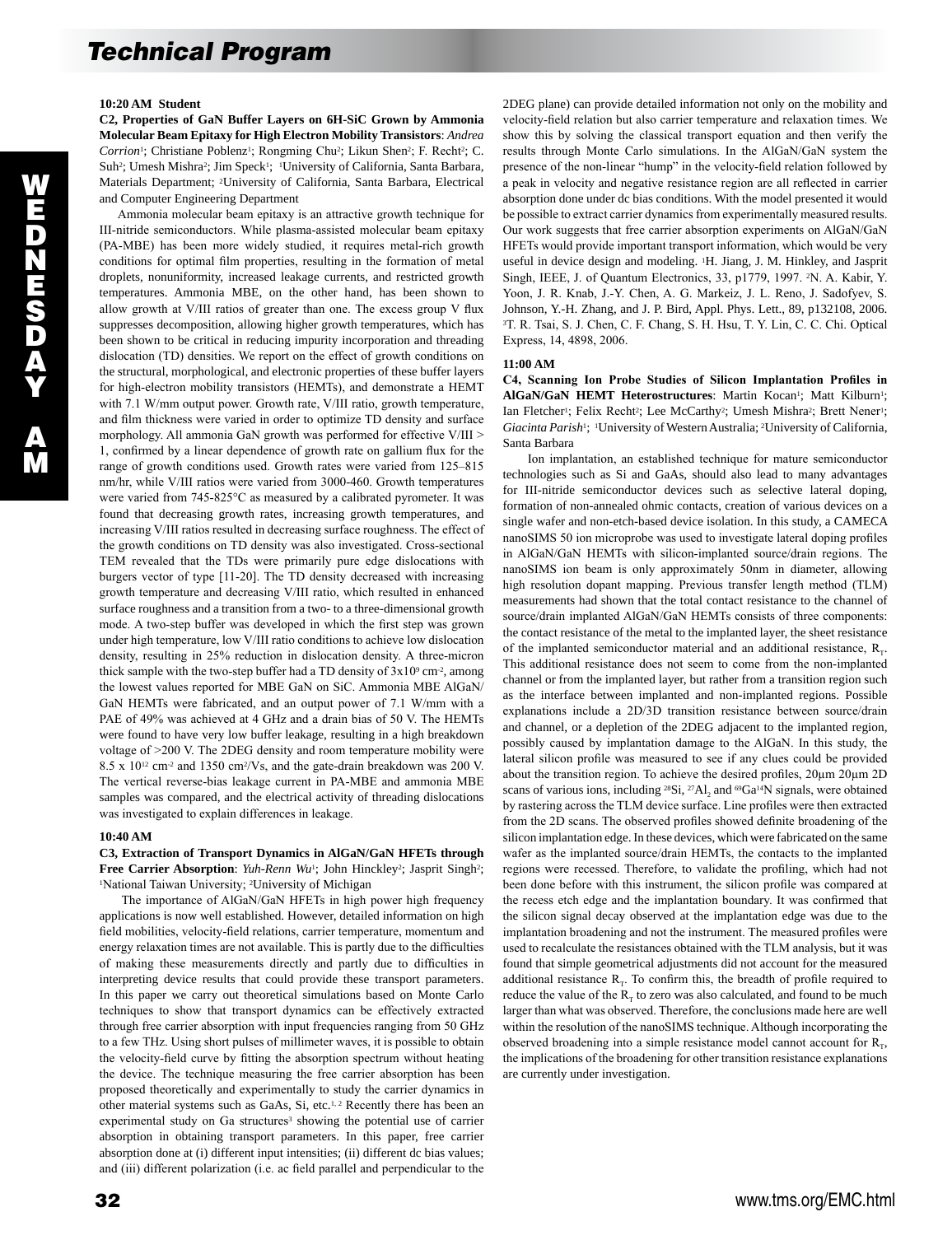## **10:20 AM Student**

**C2, Properties of GaN Buffer Layers on 6H-SiC Grown by Ammonia Molecular Beam Epitaxy for High Electron Mobility Transistors**: *Andrea Corrion*<sup>1</sup>; Christiane Poblenz<sup>1</sup>; Rongming Chu<sup>2</sup>; Likun Shen<sup>2</sup>; F. Recht<sup>2</sup>; C. Suh<sup>2</sup>; Umesh Mishra<sup>2</sup>; Jim Speck<sup>1</sup>; <sup>1</sup>University of California, Santa Barbara, Materials Department; 2University of California, Santa Barbara, Electrical and Computer Engineering Department

 Ammonia molecular beam epitaxy is an attractive growth technique for III-nitride semiconductors. While plasma-assisted molecular beam epitaxy (PA-MBE) has been more widely studied, it requires metal-rich growth conditions for optimal film properties, resulting in the formation of metal droplets, nonuniformity, increased leakage currents, and restricted growth temperatures. Ammonia MBE, on the other hand, has been shown to allow growth at V/III ratios of greater than one. The excess group V flux suppresses decomposition, allowing higher growth temperatures, which has been shown to be critical in reducing impurity incorporation and threading dislocation (TD) densities. We report on the effect of growth conditions on the structural, morphological, and electronic properties of these buffer layers for high-electron mobility transistors (HEMTs), and demonstrate a HEMT with 7.1 W/mm output power. Growth rate, V/III ratio, growth temperature, and film thickness were varied in order to optimize TD density and surface morphology. All ammonia GaN growth was performed for effective V/III > 1, confirmed by a linear dependence of growth rate on gallium flux for the range of growth conditions used. Growth rates were varied from 125–815 nm/hr, while V/III ratios were varied from 3000-460. Growth temperatures were varied from 745-825°C as measured by a calibrated pyrometer. It was found that decreasing growth rates, increasing growth temperatures, and increasing V/III ratios resulted in decreasing surface roughness. The effect of the growth conditions on TD density was also investigated. Cross-sectional TEM revealed that the TDs were primarily pure edge dislocations with burgers vector of type [11-20]. The TD density decreased with increasing growth temperature and decreasing V/III ratio, which resulted in enhanced surface roughness and a transition from a two- to a three-dimensional growth mode. A two-step buffer was developed in which the first step was grown under high temperature, low V/III ratio conditions to achieve low dislocation density, resulting in 25% reduction in dislocation density. A three-micron thick sample with the two-step buffer had a TD density of  $3x10^9$  cm<sup>-2</sup>, among the lowest values reported for MBE GaN on SiC. Ammonia MBE AlGaN/ GaN HEMTs were fabricated, and an output power of 7.1 W/mm with a PAE of 49% was achieved at 4 GHz and a drain bias of 50 V. The HEMTs were found to have very low buffer leakage, resulting in a high breakdown voltage of >200 V. The 2DEG density and room temperature mobility were 8.5 x 1012 cm-2 and 1350 cm2/Vs, and the gate-drain breakdown was 200 V. The vertical reverse-bias leakage current in PA-MBE and ammonia MBE samples was compared, and the electrical activity of threading dislocations was investigated to explain differences in leakage.

## **10:40 AM**

## **C3, Extraction of Transport Dynamics in AlGaN/GaN HFETs through**  Free Carrier Absorption: *Yuh-Renn Wu*<sup>1</sup>; John Hinckley<sup>2</sup>; Jasprit Singh<sup>2</sup>; <sup>1</sup>National Taiwan University; 2University of Michigan

 The importance of AlGaN/GaN HFETs in high power high frequency applications is now well established. However, detailed information on high field mobilities, velocity-field relations, carrier temperature, momentum and energy relaxation times are not available. This is partly due to the difficulties of making these measurements directly and partly due to difficulties in interpreting device results that could provide these transport parameters. In this paper we carry out theoretical simulations based on Monte Carlo techniques to show that transport dynamics can be effectively extracted through free carrier absorption with input frequencies ranging from 50 GHz to a few THz. Using short pulses of millimeter waves, it is possible to obtain the velocity-field curve by fitting the absorption spectrum without heating the device. The technique measuring the free carrier absorption has been proposed theoretically and experimentally to study the carrier dynamics in other material systems such as GaAs, Si, etc.<sup>1, 2</sup> Recently there has been an experimental study on Ga structures<sup>3</sup> showing the potential use of carrier absorption in obtaining transport parameters. In this paper, free carrier absorption done at (i) different input intensities; (ii) different dc bias values; and (iii) different polarization (i.e. ac field parallel and perpendicular to the 2DEG plane) can provide detailed information not only on the mobility and velocity-field relation but also carrier temperature and relaxation times. We show this by solving the classical transport equation and then verify the results through Monte Carlo simulations. In the AlGaN/GaN system the presence of the non-linear "hump" in the velocity-field relation followed by a peak in velocity and negative resistance region are all reflected in carrier absorption done under dc bias conditions. With the model presented it would be possible to extract carrier dynamics from experimentally measured results. Our work suggests that free carrier absorption experiments on AlGaN/GaN HFETs would provide important transport information, which would be very useful in device design and modeling. 1H. Jiang, J. M. Hinkley, and Jasprit Singh, IEEE, J. of Quantum Electronics, 33, p1779, 1997. 2N. A. Kabir, Y. Yoon, J. R. Knab, J.-Y. Chen, A. G. Markeiz, J. L. Reno, J. Sadofyev, S. Johnson, Y.-H. Zhang, and J. P. Bird, Appl. Phys. Lett., 89, p132108, 2006. <sup>3</sup>T. R. Tsai, S. J. Chen, C. F. Chang, S. H. Hsu, T. Y. Lin, C. C. Chi. Optical Express, 14, 4898, 2006.

#### **11:00 AM**

**C4, Scanning Ion Probe Studies of Silicon Implantation Profiles in**  AlGaN/GaN HEMT Heterostructures: Martin Kocan<sup>1</sup>; Matt Kilburn<sup>1</sup>; Ian Fletcher<sup>1</sup>; Felix Recht<sup>2</sup>; Lee McCarthy<sup>2</sup>; Umesh Mishra<sup>2</sup>; Brett Nener<sup>1</sup>; *Giacinta Parish*1; 1University of Western Australia; 2University of California, Santa Barbara

 Ion implantation, an established technique for mature semiconductor technologies such as Si and GaAs, should also lead to many advantages for III-nitride semiconductor devices such as selective lateral doping, formation of non-annealed ohmic contacts, creation of various devices on a single wafer and non-etch-based device isolation. In this study, a CAMECA nanoSIMS 50 ion microprobe was used to investigate lateral doping profiles in AlGaN/GaN HEMTs with silicon-implanted source/drain regions. The nanoSIMS ion beam is only approximately 50nm in diameter, allowing high resolution dopant mapping. Previous transfer length method (TLM) measurements had shown that the total contact resistance to the channel of source/drain implanted AlGaN/GaN HEMTs consists of three components: the contact resistance of the metal to the implanted layer, the sheet resistance of the implanted semiconductor material and an additional resistance,  $R_T$ . This additional resistance does not seem to come from the non-implanted channel or from the implanted layer, but rather from a transition region such as the interface between implanted and non-implanted regions. Possible explanations include a 2D/3D transition resistance between source/drain and channel, or a depletion of the 2DEG adjacent to the implanted region, possibly caused by implantation damage to the AlGaN. In this study, the lateral silicon profile was measured to see if any clues could be provided about the transition region. To achieve the desired profiles, 20µm 20µm 2D scans of various ions, including  $^{28}Si$ ,  $^{27}Al$ , and  $^{69}Ga^{14}N$  signals, were obtained by rastering across the TLM device surface. Line profiles were then extracted from the 2D scans. The observed profiles showed definite broadening of the silicon implantation edge. In these devices, which were fabricated on the same wafer as the implanted source/drain HEMTs, the contacts to the implanted regions were recessed. Therefore, to validate the profiling, which had not been done before with this instrument, the silicon profile was compared at the recess etch edge and the implantation boundary. It was confirmed that the silicon signal decay observed at the implantation edge was due to the implantation broadening and not the instrument. The measured profiles were used to recalculate the resistances obtained with the TLM analysis, but it was found that simple geometrical adjustments did not account for the measured additional resistance  $R_T$ . To confirm this, the breadth of profile required to reduce the value of the  $R_T$  to zero was also calculated, and found to be much larger than what was observed. Therefore, the conclusions made here are well within the resolution of the nanoSIMS technique. Although incorporating the observed broadening into a simple resistance model cannot account for  $R_{\tau}$ , the implications of the broadening for other transition resistance explanations are currently under investigation.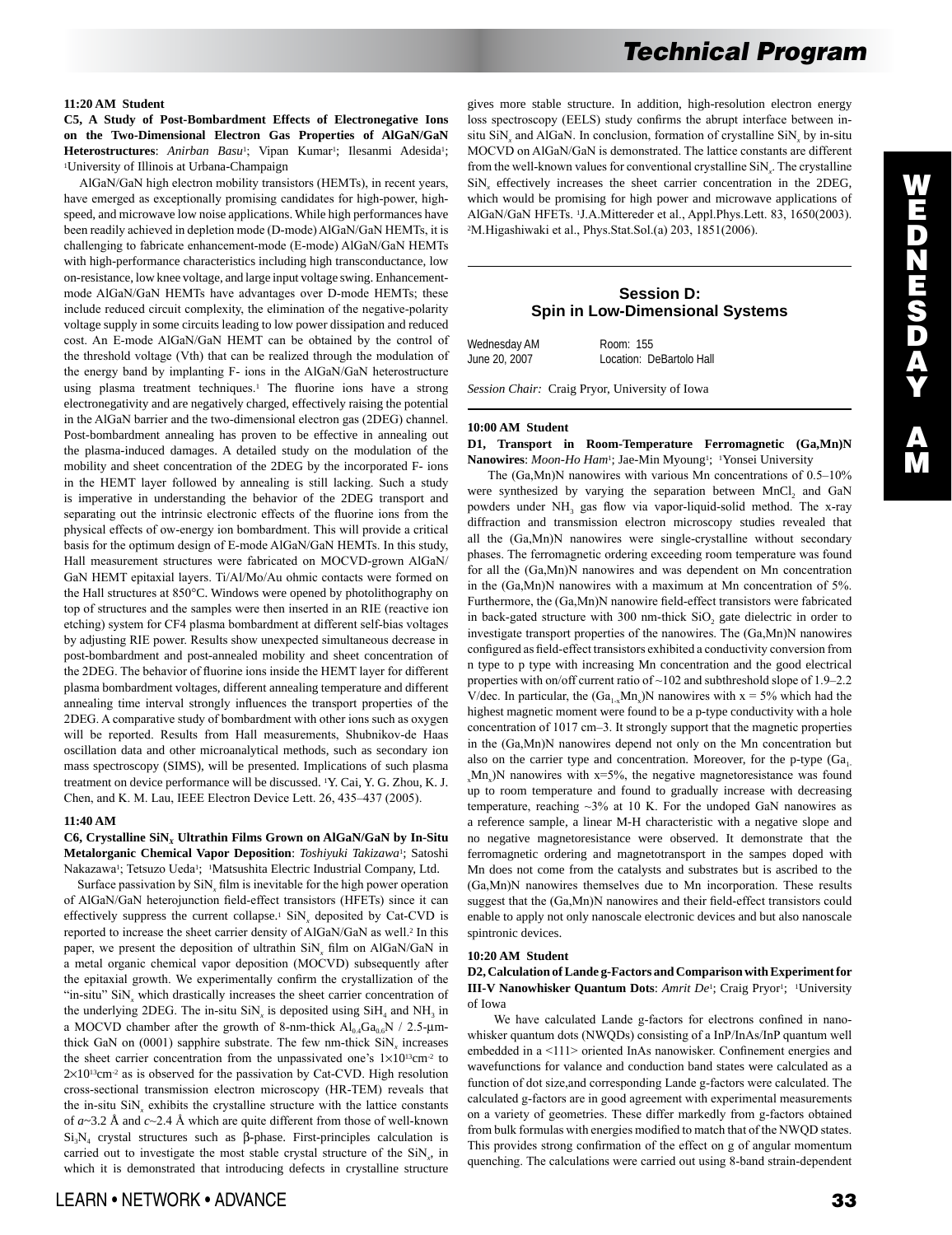#### **11:20 AM Student**

**C5, A Study of Post-Bombardment Effects of Electronegative Ions on the Two-Dimensional Electron Gas Properties of AlGaN/GaN**  Heterostructures: Anirban Basu<sup>1</sup>; Vipan Kumar<sup>1</sup>; Ilesanmi Adesida<sup>1</sup>; 1University of Illinois at Urbana-Champaign

 AlGaN/GaN high electron mobility transistors (HEMTs), in recent years, have emerged as exceptionally promising candidates for high-power, highspeed, and microwave low noise applications. While high performances have been readily achieved in depletion mode (D-mode) AlGaN/GaN HEMTs, it is challenging to fabricate enhancement-mode (E-mode) AlGaN/GaN HEMTs with high-performance characteristics including high transconductance, low on-resistance, low knee voltage, and large input voltage swing. Enhancementmode AlGaN/GaN HEMTs have advantages over D-mode HEMTs; these include reduced circuit complexity, the elimination of the negative-polarity voltage supply in some circuits leading to low power dissipation and reduced cost. An E-mode AlGaN/GaN HEMT can be obtained by the control of the threshold voltage (Vth) that can be realized through the modulation of the energy band by implanting F- ions in the AlGaN/GaN heterostructure using plasma treatment techniques.<sup>1</sup> The fluorine ions have a strong electronegativity and are negatively charged, effectively raising the potential in the AlGaN barrier and the two-dimensional electron gas (2DEG) channel. Post-bombardment annealing has proven to be effective in annealing out the plasma-induced damages. A detailed study on the modulation of the mobility and sheet concentration of the 2DEG by the incorporated F- ions in the HEMT layer followed by annealing is still lacking. Such a study is imperative in understanding the behavior of the 2DEG transport and separating out the intrinsic electronic effects of the fluorine ions from the physical effects of ow-energy ion bombardment. This will provide a critical basis for the optimum design of E-mode AlGaN/GaN HEMTs. In this study, Hall measurement structures were fabricated on MOCVD-grown AlGaN/ GaN HEMT epitaxial layers. Ti/Al/Mo/Au ohmic contacts were formed on the Hall structures at 850°C. Windows were opened by photolithography on top of structures and the samples were then inserted in an RIE (reactive ion etching) system for CF4 plasma bombardment at different self-bias voltages by adjusting RIE power. Results show unexpected simultaneous decrease in post-bombardment and post-annealed mobility and sheet concentration of the 2DEG. The behavior of fluorine ions inside the HEMT layer for different plasma bombardment voltages, different annealing temperature and different annealing time interval strongly influences the transport properties of the 2DEG. A comparative study of bombardment with other ions such as oxygen will be reported. Results from Hall measurements, Shubnikov-de Haas oscillation data and other microanalytical methods, such as secondary ion mass spectroscopy (SIMS), will be presented. Implications of such plasma treatment on device performance will be discussed. 1Y. Cai, Y. G. Zhou, K. J. Chen, and K. M. Lau, IEEE Electron Device Lett. 26, 435–437 (2005).

#### **11:40 AM**

**C6, Crystalline SiN***X* **Ultrathin Films Grown on AlGaN/GaN by In-Situ Metalorganic Chemical Vapor Deposition**: *Toshiyuki Takizawa*1; Satoshi Nakazawa1; Tetsuzo Ueda1; 1Matsushita Electric Industrial Company, Ltd.

Surface passivation by  $\sin x$ , film is inevitable for the high power operation of AlGaN/GaN heterojunction field-effect transistors (HFETs) since it can effectively suppress the current collapse.<sup>1</sup>  $\text{SiN}_x$  deposited by Cat-CVD is reported to increase the sheet carrier density of AlGaN/GaN as well.2 In this paper, we present the deposition of ultrathin SiN*<sup>x</sup>* film on AlGaN/GaN in a metal organic chemical vapor deposition (MOCVD) subsequently after the epitaxial growth. We experimentally confirm the crystallization of the "in-situ" SiN<sub>x</sub> which drastically increases the sheet carrier concentration of the underlying 2DEG. The in-situ  $\text{SiN}_x$  is deposited using  $\text{SiH}_4$  and  $\text{NH}_3$  in a MOCVD chamber after the growth of 8-nm-thick  $Al_{0.4}Ga_{0.6}N$  / 2.5- $\mu$ mthick GaN on  $(0001)$  sapphire substrate. The few nm-thick  $\text{SiN}_x$  increases the sheet carrier concentration from the unpassivated one's  $1\times10^{13}$ cm<sup>-2</sup> to  $2\times10^{13}$ cm<sup>-2</sup> as is observed for the passivation by Cat-CVD. High resolution cross-sectional transmission electron microscopy (HR-TEM) reveals that the in-situ  $\sin X_x$  exhibits the crystalline structure with the lattice constants of *a*~3.2 Å and *c*~2.4 Å which are quite different from those of well-known Si<sub>3</sub>N<sub>4</sub> crystal structures such as β-phase. First-principles calculation is carried out to investigate the most stable crystal structure of the SiN*<sup>x</sup>* , in which it is demonstrated that introducing defects in crystalline structure

gives more stable structure. In addition, high-resolution electron energy loss spectroscopy (EELS) study confirms the abrupt interface between insitu  $\text{SiN}_x$  and AlGaN. In conclusion, formation of crystalline  $\text{SiN}_x$  by in-situ MOCVD on AlGaN/GaN is demonstrated. The lattice constants are different from the well-known values for conventional crystalline SiN*<sup>x</sup>* . The crystalline SiN*<sup>x</sup>* effectively increases the sheet carrier concentration in the 2DEG, which would be promising for high power and microwave applications of AlGaN/GaN HFETs. 1J.A.Mittereder et al., Appl.Phys.Lett. 83, 1650(2003). <sup>2</sup>M.Higashiwaki et al., Phys.Stat.Sol.(a) 203, 1851(2006).

# **Session D: Spin in Low-Dimensional Systems**

| Wednesday AM  | Room: 155                |
|---------------|--------------------------|
| June 20, 2007 | Location: DeBartolo Hall |

*Session Chair:* Craig Pryor, University of Iowa

#### **10:00 AM Student**

**D1, Transport in Room-Temperature Ferromagnetic (Ga,Mn)N Nanowires**: *Moon-Ho Ham*1; Jae-Min Myoung1; 1Yonsei University

 The (Ga,Mn)N nanowires with various Mn concentrations of 0.5–10% were synthesized by varying the separation between MnCl<sub>2</sub> and GaN powders under NH<sub>3</sub> gas flow via vapor-liquid-solid method. The x-ray diffraction and transmission electron microscopy studies revealed that all the (Ga,Mn)N nanowires were single-crystalline without secondary phases. The ferromagnetic ordering exceeding room temperature was found for all the (Ga,Mn)N nanowires and was dependent on Mn concentration in the (Ga,Mn)N nanowires with a maximum at Mn concentration of 5%. Furthermore, the (Ga,Mn)N nanowire field-effect transistors were fabricated in back-gated structure with 300 nm-thick SiO, gate dielectric in order to investigate transport properties of the nanowires. The (Ga,Mn)N nanowires configured as field-effect transistors exhibited a conductivity conversion from n type to p type with increasing Mn concentration and the good electrical properties with on/off current ratio of ~102 and subthreshold slope of 1.9–2.2 V/dec. In particular, the  $(Ga_{1-x}Mn_x)N$  nanowires with  $x = 5%$  which had the highest magnetic moment were found to be a p-type conductivity with a hole concentration of 1017 cm–3. It strongly support that the magnetic properties in the (Ga,Mn)N nanowires depend not only on the Mn concentration but also on the carrier type and concentration. Moreover, for the p-type  $(Ga)$  $x$ Mn<sub>x</sub>)N nanowires with x=5%, the negative magnetoresistance was found up to room temperature and found to gradually increase with decreasing temperature, reaching  $\sim$ 3% at 10 K. For the undoped GaN nanowires as a reference sample, a linear M-H characteristic with a negative slope and no negative magnetoresistance were observed. It demonstrate that the ferromagnetic ordering and magnetotransport in the sampes doped with Mn does not come from the catalysts and substrates but is ascribed to the (Ga,Mn)N nanowires themselves due to Mn incorporation. These results suggest that the (Ga,Mn)N nanowires and their field-effect transistors could enable to apply not only nanoscale electronic devices and but also nanoscale spintronic devices.

#### **10:20 AM Student**

**D2, Calculation of Lande g-Factors and Comparison with Experiment for III-V Nanowhisker Quantum Dots:** *Amrit De*<sup>1</sup>; Craig Pryor<sup>1</sup>; <sup>1</sup>University of Iowa

 We have calculated Lande g-factors for electrons confined in nanowhisker quantum dots (NWQDs) consisting of a InP/InAs/InP quantum well embedded in a <111> oriented InAs nanowisker. Confinement energies and wavefunctions for valance and conduction band states were calculated as a function of dot size,and corresponding Lande g-factors were calculated. The calculated g-factors are in good agreement with experimental measurements on a variety of geometries. These differ markedly from g-factors obtained from bulk formulas with energies modified to match that of the NWQD states. This provides strong confirmation of the effect on g of angular momentum quenching. The calculations were carried out using 8-band strain-dependent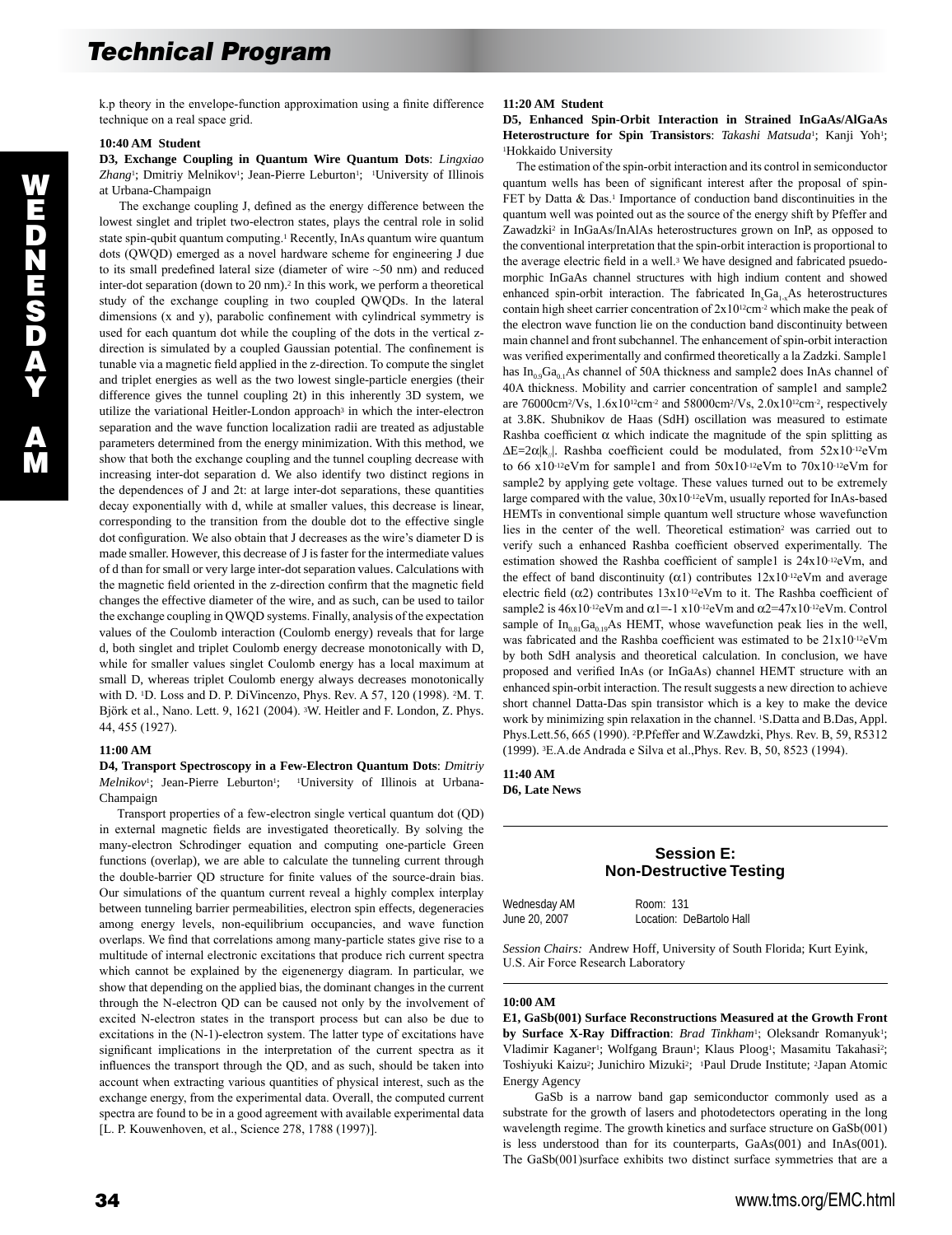k.p theory in the envelope-function approximation using a finite difference technique on a real space grid.

## **10:40 AM Student**

**D3, Exchange Coupling in Quantum Wire Quantum Dots**: *Lingxiao*  Zhang<sup>1</sup>; Dmitriy Melnikov<sup>1</sup>; Jean-Pierre Leburton<sup>1</sup>; <sup>1</sup>University of Illinois at Urbana-Champaign

 The exchange coupling J, defined as the energy difference between the lowest singlet and triplet two-electron states, plays the central role in solid state spin-qubit quantum computing.1 Recently, InAs quantum wire quantum dots (QWQD) emerged as a novel hardware scheme for engineering J due to its small predefined lateral size (diameter of wire ~50 nm) and reduced inter-dot separation (down to 20 nm).2 In this work, we perform a theoretical study of the exchange coupling in two coupled QWQDs. In the lateral dimensions (x and y), parabolic confinement with cylindrical symmetry is used for each quantum dot while the coupling of the dots in the vertical zdirection is simulated by a coupled Gaussian potential. The confinement is tunable via a magnetic field applied in the z-direction. To compute the singlet and triplet energies as well as the two lowest single-particle energies (their difference gives the tunnel coupling 2t) in this inherently 3D system, we utilize the variational Heitler-London approach<sup>3</sup> in which the inter-electron separation and the wave function localization radii are treated as adjustable parameters determined from the energy minimization. With this method, we show that both the exchange coupling and the tunnel coupling decrease with increasing inter-dot separation d. We also identify two distinct regions in the dependences of J and 2t: at large inter-dot separations, these quantities decay exponentially with d, while at smaller values, this decrease is linear, corresponding to the transition from the double dot to the effective single dot configuration. We also obtain that J decreases as the wire's diameter D is made smaller. However, this decrease of J is faster for the intermediate values of d than for small or very large inter-dot separation values. Calculations with the magnetic field oriented in the z-direction confirm that the magnetic field changes the effective diameter of the wire, and as such, can be used to tailor the exchange coupling in QWQD systems. Finally, analysis of the expectation values of the Coulomb interaction (Coulomb energy) reveals that for large d, both singlet and triplet Coulomb energy decrease monotonically with D, while for smaller values singlet Coulomb energy has a local maximum at small D, whereas triplet Coulomb energy always decreases monotonically with D. 1D. Loss and D. P. DiVincenzo, Phys. Rev. A 57, 120 (1998). 2M. T. Björk et al., Nano. Lett. 9, 1621 (2004). 3W. Heitler and F. London, Z. Phys. 44, 455 (1927).

#### **11:00 AM**

**D4, Transport Spectroscopy in a Few-Electron Quantum Dots**: *Dmitriy Melnikov*<sup>1</sup>; Jean-Pierre Leburton<sup>1</sup>; <sup>1</sup>University of Illinois at Urbana-Champaign

 Transport properties of a few-electron single vertical quantum dot (QD) in external magnetic fields are investigated theoretically. By solving the many-electron Schrodinger equation and computing one-particle Green functions (overlap), we are able to calculate the tunneling current through the double-barrier QD structure for finite values of the source-drain bias. Our simulations of the quantum current reveal a highly complex interplay between tunneling barrier permeabilities, electron spin effects, degeneracies among energy levels, non-equilibrium occupancies, and wave function overlaps. We find that correlations among many-particle states give rise to a multitude of internal electronic excitations that produce rich current spectra which cannot be explained by the eigenenergy diagram. In particular, we show that depending on the applied bias, the dominant changes in the current through the N-electron QD can be caused not only by the involvement of excited N-electron states in the transport process but can also be due to excitations in the (N-1)-electron system. The latter type of excitations have significant implications in the interpretation of the current spectra as it influences the transport through the QD, and as such, should be taken into account when extracting various quantities of physical interest, such as the exchange energy, from the experimental data. Overall, the computed current spectra are found to be in a good agreement with available experimental data [L. P. Kouwenhoven, et al., Science 278, 1788 (1997)].

## **D5, Enhanced Spin-Orbit Interaction in Strained InGaAs/AlGaAs Heterostructure for Spin Transistors**: *Takashi Matsuda*1; Kanji Yoh1; <sup>1</sup>Hokkaido University

 The estimation of the spin-orbit interaction and its control in semiconductor quantum wells has been of significant interest after the proposal of spin-FET by Datta  $&$  Das.<sup>1</sup> Importance of conduction band discontinuities in the quantum well was pointed out as the source of the energy shift by Pfeffer and Zawadzki<sup>2</sup> in InGaAs/InAlAs heterostructures grown on InP, as opposed to the conventional interpretation that the spin-orbit interaction is proportional to the average electric field in a well.<sup>3</sup> We have designed and fabricated psuedomorphic InGaAs channel structures with high indium content and showed enhanced spin-orbit interaction. The fabricated  $In_xGa_{1x}As$  heterostructures contain high sheet carrier concentration of  $2x10^{12}$ cm<sup>-2</sup> which make the peak of the electron wave function lie on the conduction band discontinuity between main channel and front subchannel. The enhancement of spin-orbit interaction was verified experimentally and confirmed theoretically a la Zadzki. Sample1 has  $In<sub>0.9</sub>Ga<sub>0.1</sub>As channel of 50A thickness and sample2 does InAs channel of$ 40A thickness. Mobility and carrier concentration of sample1 and sample2 are 76000cm2/Vs, 1.6x1012cm-2 and 58000cm2/Vs, 2.0x1012cm-2, respectively at 3.8K. Shubnikov de Haas (SdH) oscillation was measured to estimate Rashba coefficient  $\alpha$  which indicate the magnitude of the spin splitting as  $\Delta E=2\alpha |k_{\parallel}|$ . Rashba coefficient could be modulated, from 52x10-12eVm to 66 x10-12eVm for sample1 and from 50x10-12eVm to 70x10-12eVm for sample2 by applying gete voltage. These values turned out to be extremely large compared with the value, 30x10-12eVm, usually reported for InAs-based HEMTs in conventional simple quantum well structure whose wavefunction lies in the center of the well. Theoretical estimation<sup>2</sup> was carried out to verify such a enhanced Rashba coefficient observed experimentally. The estimation showed the Rashba coefficient of sample1 is 24x10-12eVm, and the effect of band discontinuity ( $\alpha$ 1) contributes 12x10<sup>-12</sup>eVm and average electric field ( $\alpha$ 2) contributes 13x10-<sup>12</sup>eVm to it. The Rashba coefficient of sample2 is  $46x10^{-12}$ eVm and  $\alpha$ 1=-1 x10<sup>-12</sup>eVm and  $\alpha$ 2=47x10<sup>-12</sup>eVm. Control sample of  $In<sub>0.81</sub>Ga<sub>0.19</sub>As HEMT, whose wavefunction peak lies in the well,$ was fabricated and the Rashba coefficient was estimated to be 21x10-12eVm by both SdH analysis and theoretical calculation. In conclusion, we have proposed and verified InAs (or InGaAs) channel HEMT structure with an enhanced spin-orbit interaction. The result suggests a new direction to achieve short channel Datta-Das spin transistor which is a key to make the device work by minimizing spin relaxation in the channel. <sup>1</sup>S.Datta and B.Das, Appl. Phys.Lett.56, 665 (1990). 2P.Pfeffer and W.Zawdzki, Phys. Rev. B, 59, R5312 (1999). 3E.A.de Andrada e Silva et al.,Phys. Rev. B, 50, 8523 (1994).

**11:40 AM D6, Late News** 

# **Session E: Non-Destructive Testing**

Wednesday AM Room: 131

June 20, 2007 Location: DeBartolo Hall

*Session Chairs:* Andrew Hoff, University of South Florida; Kurt Eyink, U.S. Air Force Research Laboratory

#### **10:00 AM**

**E1, GaSb(001) Surface Reconstructions Measured at the Growth Front by Surface X-Ray Diffraction**: *Brad Tinkham*<sup>1</sup>; Oleksandr Romanyuk<sup>1</sup>; Vladimir Kaganer<sup>1</sup>; Wolfgang Braun<sup>1</sup>; Klaus Ploog<sup>1</sup>; Masamitu Takahasi<sup>2</sup>; Toshiyuki Kaizu<sup>2</sup>; Junichiro Mizuki<sup>2</sup>; <sup>1</sup>Paul Drude Institute; <sup>2</sup>Japan Atomic Energy Agency

 GaSb is a narrow band gap semiconductor commonly used as a substrate for the growth of lasers and photodetectors operating in the long wavelength regime. The growth kinetics and surface structure on GaSb(001) is less understood than for its counterparts, GaAs(001) and InAs(001). The GaSb(001)surface exhibits two distinct surface symmetries that are a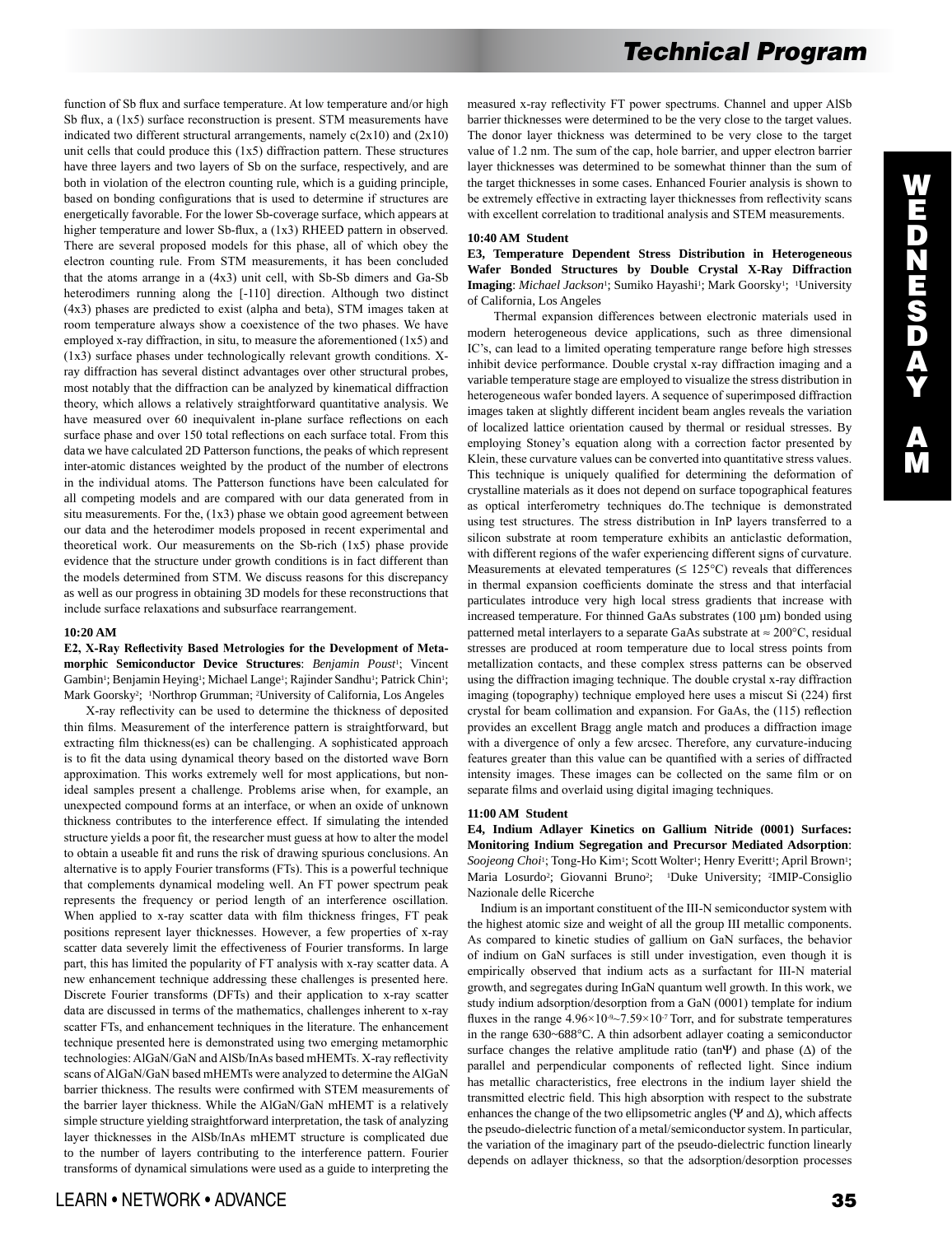function of Sb flux and surface temperature. At low temperature and/or high Sb flux, a (1x5) surface reconstruction is present. STM measurements have indicated two different structural arrangements, namely  $c(2x10)$  and  $(2x10)$ unit cells that could produce this (1x5) diffraction pattern. These structures have three layers and two layers of Sb on the surface, respectively, and are both in violation of the electron counting rule, which is a guiding principle, based on bonding configurations that is used to determine if structures are energetically favorable. For the lower Sb-coverage surface, which appears at higher temperature and lower Sb-flux, a (1x3) RHEED pattern in observed. There are several proposed models for this phase, all of which obey the electron counting rule. From STM measurements, it has been concluded that the atoms arrange in a (4x3) unit cell, with Sb-Sb dimers and Ga-Sb heterodimers running along the [-110] direction. Although two distinct (4x3) phases are predicted to exist (alpha and beta), STM images taken at room temperature always show a coexistence of the two phases. We have employed x-ray diffraction, in situ, to measure the aforementioned (1x5) and (1x3) surface phases under technologically relevant growth conditions. Xray diffraction has several distinct advantages over other structural probes, most notably that the diffraction can be analyzed by kinematical diffraction theory, which allows a relatively straightforward quantitative analysis. We have measured over 60 inequivalent in-plane surface reflections on each surface phase and over 150 total reflections on each surface total. From this data we have calculated 2D Patterson functions, the peaks of which represent inter-atomic distances weighted by the product of the number of electrons in the individual atoms. The Patterson functions have been calculated for all competing models and are compared with our data generated from in situ measurements. For the, (1x3) phase we obtain good agreement between our data and the heterodimer models proposed in recent experimental and theoretical work. Our measurements on the Sb-rich (1x5) phase provide evidence that the structure under growth conditions is in fact different than the models determined from STM. We discuss reasons for this discrepancy as well as our progress in obtaining 3D models for these reconstructions that include surface relaxations and subsurface rearrangement.

#### **10:20 AM**

## **E2, X-Ray Reflectivity Based Metrologies for the Development of Metamorphic Semiconductor Device Structures**: *Benjamin Poust*1; Vincent Gambin<sup>1</sup>; Benjamin Heying<sup>1</sup>; Michael Lange<sup>1</sup>; Rajinder Sandhu<sup>1</sup>; Patrick Chin<sup>1</sup>; Mark Goorsky2; 1Northrop Grumman; 2University of California, Los Angeles

 X-ray reflectivity can be used to determine the thickness of deposited thin films. Measurement of the interference pattern is straightforward, but extracting film thickness(es) can be challenging. A sophisticated approach is to fit the data using dynamical theory based on the distorted wave Born approximation. This works extremely well for most applications, but nonideal samples present a challenge. Problems arise when, for example, an unexpected compound forms at an interface, or when an oxide of unknown thickness contributes to the interference effect. If simulating the intended structure yields a poor fit, the researcher must guess at how to alter the model to obtain a useable fit and runs the risk of drawing spurious conclusions. An alternative is to apply Fourier transforms (FTs). This is a powerful technique that complements dynamical modeling well. An FT power spectrum peak represents the frequency or period length of an interference oscillation. When applied to x-ray scatter data with film thickness fringes, FT peak positions represent layer thicknesses. However, a few properties of x-ray scatter data severely limit the effectiveness of Fourier transforms. In large part, this has limited the popularity of FT analysis with x-ray scatter data. A new enhancement technique addressing these challenges is presented here. Discrete Fourier transforms (DFTs) and their application to x-ray scatter data are discussed in terms of the mathematics, challenges inherent to x-ray scatter FTs, and enhancement techniques in the literature. The enhancement technique presented here is demonstrated using two emerging metamorphic technologies: AlGaN/GaN and AlSb/InAs based mHEMTs. X-ray reflectivity scans of AlGaN/GaN based mHEMTs were analyzed to determine the AlGaN barrier thickness. The results were confirmed with STEM measurements of the barrier layer thickness. While the AlGaN/GaN mHEMT is a relatively simple structure yielding straightforward interpretation, the task of analyzing layer thicknesses in the AlSb/InAs mHEMT structure is complicated due to the number of layers contributing to the interference pattern. Fourier transforms of dynamical simulations were used as a guide to interpreting the measured x-ray reflectivity FT power spectrums. Channel and upper AlSb barrier thicknesses were determined to be the very close to the target values. The donor layer thickness was determined to be very close to the target value of 1.2 nm. The sum of the cap, hole barrier, and upper electron barrier layer thicknesses was determined to be somewhat thinner than the sum of the target thicknesses in some cases. Enhanced Fourier analysis is shown to be extremely effective in extracting layer thicknesses from reflectivity scans with excellent correlation to traditional analysis and STEM measurements.

#### **10:40 AM Student**

## **E3, Temperature Dependent Stress Distribution in Heterogeneous Wafer Bonded Structures by Double Crystal X-Ray Diffraction**  Imaging: Michael Jackson<sup>1</sup>; Sumiko Hayashi<sup>1</sup>; Mark Goorsky<sup>1</sup>; <sup>1</sup>University of California, Los Angeles

 Thermal expansion differences between electronic materials used in modern heterogeneous device applications, such as three dimensional IC's, can lead to a limited operating temperature range before high stresses inhibit device performance. Double crystal x-ray diffraction imaging and a variable temperature stage are employed to visualize the stress distribution in heterogeneous wafer bonded layers. A sequence of superimposed diffraction images taken at slightly different incident beam angles reveals the variation of localized lattice orientation caused by thermal or residual stresses. By employing Stoney's equation along with a correction factor presented by Klein, these curvature values can be converted into quantitative stress values. This technique is uniquely qualified for determining the deformation of crystalline materials as it does not depend on surface topographical features as optical interferometry techniques do.The technique is demonstrated using test structures. The stress distribution in InP layers transferred to a silicon substrate at room temperature exhibits an anticlastic deformation, with different regions of the wafer experiencing different signs of curvature. Measurements at elevated temperatures ( $\leq 125^{\circ}$ C) reveals that differences in thermal expansion coefficients dominate the stress and that interfacial particulates introduce very high local stress gradients that increase with increased temperature. For thinned GaAs substrates (100 µm) bonded using patterned metal interlayers to a separate GaAs substrate at  $\approx 200$ °C, residual stresses are produced at room temperature due to local stress points from metallization contacts, and these complex stress patterns can be observed using the diffraction imaging technique. The double crystal x-ray diffraction imaging (topography) technique employed here uses a miscut Si (224) first crystal for beam collimation and expansion. For GaAs, the (115) reflection provides an excellent Bragg angle match and produces a diffraction image with a divergence of only a few arcsec. Therefore, any curvature-inducing features greater than this value can be quantified with a series of diffracted intensity images. These images can be collected on the same film or on separate films and overlaid using digital imaging techniques.

#### **11:00 AM Student**

**E4, Indium Adlayer Kinetics on Gallium Nitride (0001) Surfaces: Monitoring Indium Segregation and Precursor Mediated Adsorption**: *Soojeong Choi<sup>1</sup>*; Tong-Ho Kim<sup>1</sup>; Scott Wolter<sup>1</sup>; Henry Everitt<sup>1</sup>; April Brown<sup>1</sup>; Maria Losurdo<sup>2</sup>; Giovanni Bruno<sup>2</sup>; <sup>1</sup>Duke University; <sup>2</sup>IMIP-Consiglio Nazionale delle Ricerche

 Indium is an important constituent of the III-N semiconductor system with the highest atomic size and weight of all the group III metallic components. As compared to kinetic studies of gallium on GaN surfaces, the behavior of indium on GaN surfaces is still under investigation, even though it is empirically observed that indium acts as a surfactant for III-N material growth, and segregates during InGaN quantum well growth. In this work, we study indium adsorption/desorption from a GaN (0001) template for indium fluxes in the range  $4.96 \times 10^{9} \sim 7.59 \times 10^{7}$  Torr, and for substrate temperatures in the range 630~688°C. A thin adsorbent adlayer coating a semiconductor surface changes the relative amplitude ratio (tanΨ) and phase ( $\Delta$ ) of the parallel and perpendicular components of reflected light. Since indium has metallic characteristics, free electrons in the indium layer shield the transmitted electric field. This high absorption with respect to the substrate enhances the change of the two ellipsometric angles ( $\Psi$  and  $\Delta$ ), which affects the pseudo-dielectric function of a metal/semiconductor system. In particular, the variation of the imaginary part of the pseudo-dielectric function linearly depends on adlayer thickness, so that the adsorption/desorption processes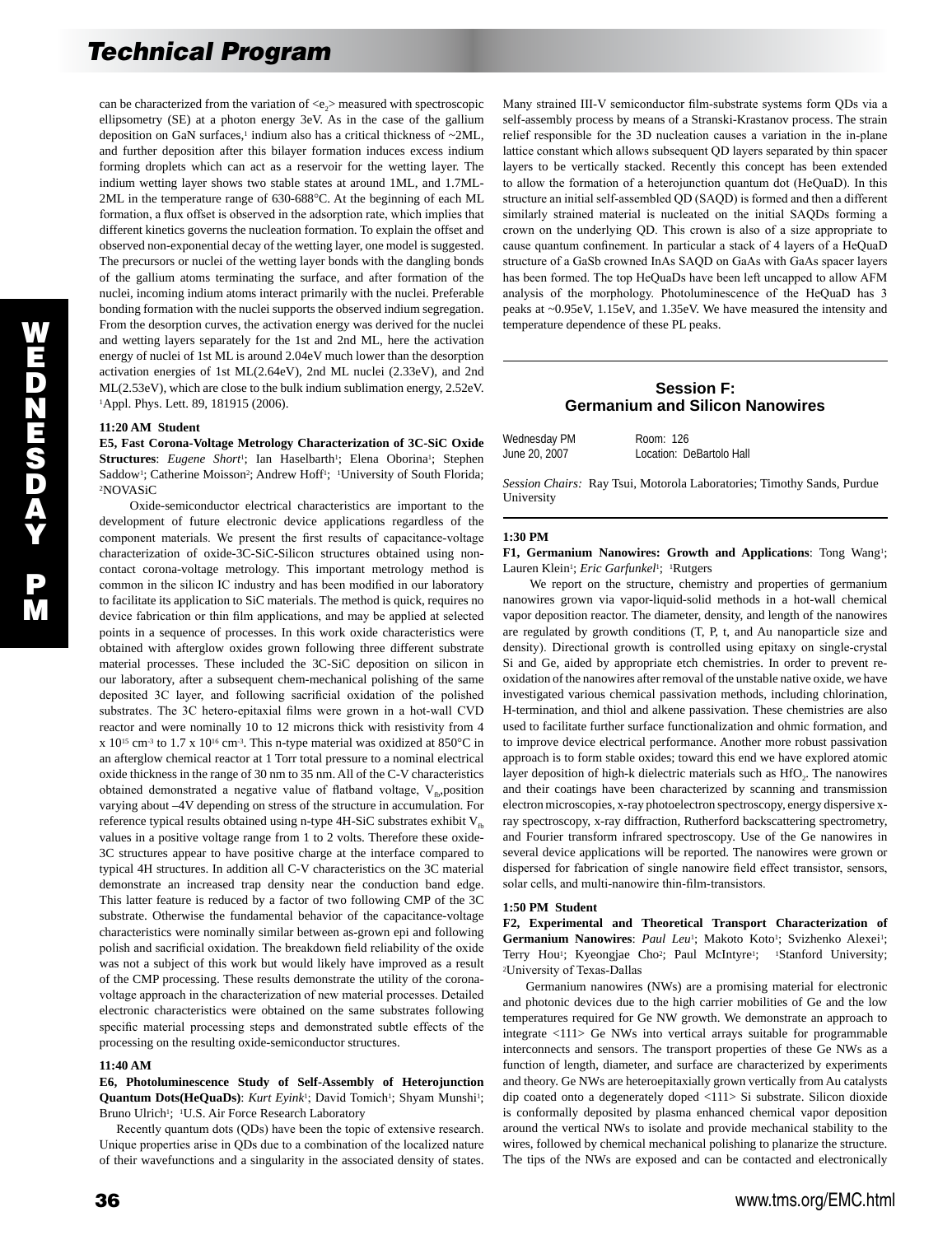can be characterized from the variation of  $\langle e, \rangle$  measured with spectroscopic ellipsometry (SE) at a photon energy 3eV. As in the case of the gallium deposition on GaN surfaces, $1$  indium also has a critical thickness of  $\sim$ 2ML, and further deposition after this bilayer formation induces excess indium forming droplets which can act as a reservoir for the wetting layer. The indium wetting layer shows two stable states at around 1ML, and 1.7ML-2ML in the temperature range of 630-688°C. At the beginning of each ML formation, a flux offset is observed in the adsorption rate, which implies that different kinetics governs the nucleation formation. To explain the offset and observed non-exponential decay of the wetting layer, one model is suggested. The precursors or nuclei of the wetting layer bonds with the dangling bonds of the gallium atoms terminating the surface, and after formation of the nuclei, incoming indium atoms interact primarily with the nuclei. Preferable bonding formation with the nuclei supports the observed indium segregation. From the desorption curves, the activation energy was derived for the nuclei and wetting layers separately for the 1st and 2nd ML, here the activation energy of nuclei of 1st ML is around 2.04eV much lower than the desorption activation energies of 1st ML(2.64eV), 2nd ML nuclei (2.33eV), and 2nd ML(2.53eV), which are close to the bulk indium sublimation energy, 2.52eV. 1Appl. Phys. Lett. 89, 181915 (2006).

#### **11:20 AM Student**

**E5, Fast Corona-Voltage Metrology Characterization of 3C-SiC Oxide**  Structures: *Eugene Short*<sup>1</sup>; Ian Haselbarth<sup>1</sup>; Elena Oborina<sup>1</sup>; Stephen Saddow<sup>1</sup>; Catherine Moisson<sup>2</sup>; Andrew Hoff<sup>1</sup>; <sup>1</sup>University of South Florida; 2NOVASiC

 Oxide-semiconductor electrical characteristics are important to the development of future electronic device applications regardless of the component materials. We present the first results of capacitance-voltage characterization of oxide-3C-SiC-Silicon structures obtained using noncontact corona-voltage metrology. This important metrology method is common in the silicon IC industry and has been modified in our laboratory to facilitate its application to SiC materials. The method is quick, requires no device fabrication or thin film applications, and may be applied at selected points in a sequence of processes. In this work oxide characteristics were obtained with afterglow oxides grown following three different substrate material processes. These included the 3C-SiC deposition on silicon in our laboratory, after a subsequent chem-mechanical polishing of the same deposited 3C layer, and following sacrificial oxidation of the polished substrates. The 3C hetero-epitaxial films were grown in a hot-wall CVD reactor and were nominally 10 to 12 microns thick with resistivity from 4 x 1015 cm-3 to 1.7 x 1016 cm-3. This n-type material was oxidized at 850°C in an afterglow chemical reactor at 1 Torr total pressure to a nominal electrical oxide thickness in the range of 30 nm to 35 nm. All of the C-V characteristics obtained demonstrated a negative value of flatband voltage,  $V_{n}$ , position varying about –4V depending on stress of the structure in accumulation. For reference typical results obtained using n-type 4H-SiC substrates exhibit  $V_{\text{fb}}$ values in a positive voltage range from 1 to 2 volts. Therefore these oxide-3C structures appear to have positive charge at the interface compared to typical 4H structures. In addition all C-V characteristics on the 3C material demonstrate an increased trap density near the conduction band edge. This latter feature is reduced by a factor of two following CMP of the 3C substrate. Otherwise the fundamental behavior of the capacitance-voltage characteristics were nominally similar between as-grown epi and following polish and sacrificial oxidation. The breakdown field reliability of the oxide was not a subject of this work but would likely have improved as a result of the CMP processing. These results demonstrate the utility of the coronavoltage approach in the characterization of new material processes. Detailed electronic characteristics were obtained on the same substrates following specific material processing steps and demonstrated subtle effects of the processing on the resulting oxide-semiconductor structures.

## **11:40 AM**

**E6, Photoluminescence Study of Self-Assembly of Heterojunction Quantum Dots(HeQuaDs)**: *Kurt Eyink*<sup>1</sup>; David Tomich<sup>1</sup>; Shyam Munshi<sup>1</sup>; Bruno Ulrich<sup>1</sup>; <sup>1</sup>U.S. Air Force Research Laboratory

 Recently quantum dots (QDs) have been the topic of extensive research. Unique properties arise in QDs due to a combination of the localized nature of their wavefunctions and a singularity in the associated density of states.

Many strained III-V semiconductor film-substrate systems form QDs via a self-assembly process by means of a Stranski-Krastanov process. The strain relief responsible for the 3D nucleation causes a variation in the in-plane lattice constant which allows subsequent QD layers separated by thin spacer layers to be vertically stacked. Recently this concept has been extended to allow the formation of a heterojunction quantum dot (HeQuaD). In this structure an initial self-assembled QD (SAQD) is formed and then a different similarly strained material is nucleated on the initial SAQDs forming a crown on the underlying QD. This crown is also of a size appropriate to cause quantum confinement. In particular a stack of 4 layers of a HeQuaD structure of a GaSb crowned InAs SAQD on GaAs with GaAs spacer layers has been formed. The top HeQuaDs have been left uncapped to allow AFM analysis of the morphology. Photoluminescence of the HeQuaD has 3 peaks at ~0.95eV, 1.15eV, and 1.35eV. We have measured the intensity and temperature dependence of these PL peaks.

# **Session F: Germanium and Silicon Nanowires**

| Wednesday PM  | Room: 126                |
|---------------|--------------------------|
| June 20, 2007 | Location: DeBartolo Hall |

*Session Chairs:* Ray Tsui, Motorola Laboratories; Timothy Sands, Purdue University

#### **1:30 PM**

**F1, Germanium Nanowires: Growth and Applications**: Tong Wang1; Lauren Klein<sup>1</sup>; *Eric Garfunkel*<sup>1</sup>; <sup>1</sup>Rutgers

 We report on the structure, chemistry and properties of germanium nanowires grown via vapor-liquid-solid methods in a hot-wall chemical vapor deposition reactor. The diameter, density, and length of the nanowires are regulated by growth conditions (T, P, t, and Au nanoparticle size and density). Directional growth is controlled using epitaxy on single-crystal Si and Ge, aided by appropriate etch chemistries. In order to prevent reoxidation of the nanowires after removal of the unstable native oxide, we have investigated various chemical passivation methods, including chlorination, H-termination, and thiol and alkene passivation. These chemistries are also used to facilitate further surface functionalization and ohmic formation, and to improve device electrical performance. Another more robust passivation approach is to form stable oxides; toward this end we have explored atomic layer deposition of high-k dielectric materials such as HfO<sub>2</sub>. The nanowires and their coatings have been characterized by scanning and transmission electron microscopies, x-ray photoelectron spectroscopy, energy dispersive xray spectroscopy, x-ray diffraction, Rutherford backscattering spectrometry, and Fourier transform infrared spectroscopy. Use of the Ge nanowires in several device applications will be reported. The nanowires were grown or dispersed for fabrication of single nanowire field effect transistor, sensors, solar cells, and multi-nanowire thin-film-transistors.

#### **1:50 PM Student**

**F2, Experimental and Theoretical Transport Characterization of**  Germanium Nanowires: Paul Leu<sup>1</sup>; Makoto Koto<sup>1</sup>; Svizhenko Alexei<sup>1</sup>; Terry Hou<sup>1</sup>; Kyeongjae Cho<sup>2</sup>; Paul McIntyre<sup>1</sup>; <sup>1</sup>Stanford University; <sup>2</sup>University of Texas-Dallas

 Germanium nanowires (NWs) are a promising material for electronic and photonic devices due to the high carrier mobilities of Ge and the low temperatures required for Ge NW growth. We demonstrate an approach to integrate <111> Ge NWs into vertical arrays suitable for programmable interconnects and sensors. The transport properties of these Ge NWs as a function of length, diameter, and surface are characterized by experiments and theory. Ge NWs are heteroepitaxially grown vertically from Au catalysts dip coated onto a degenerately doped <111> Si substrate. Silicon dioxide is conformally deposited by plasma enhanced chemical vapor deposition around the vertical NWs to isolate and provide mechanical stability to the wires, followed by chemical mechanical polishing to planarize the structure. The tips of the NWs are exposed and can be contacted and electronically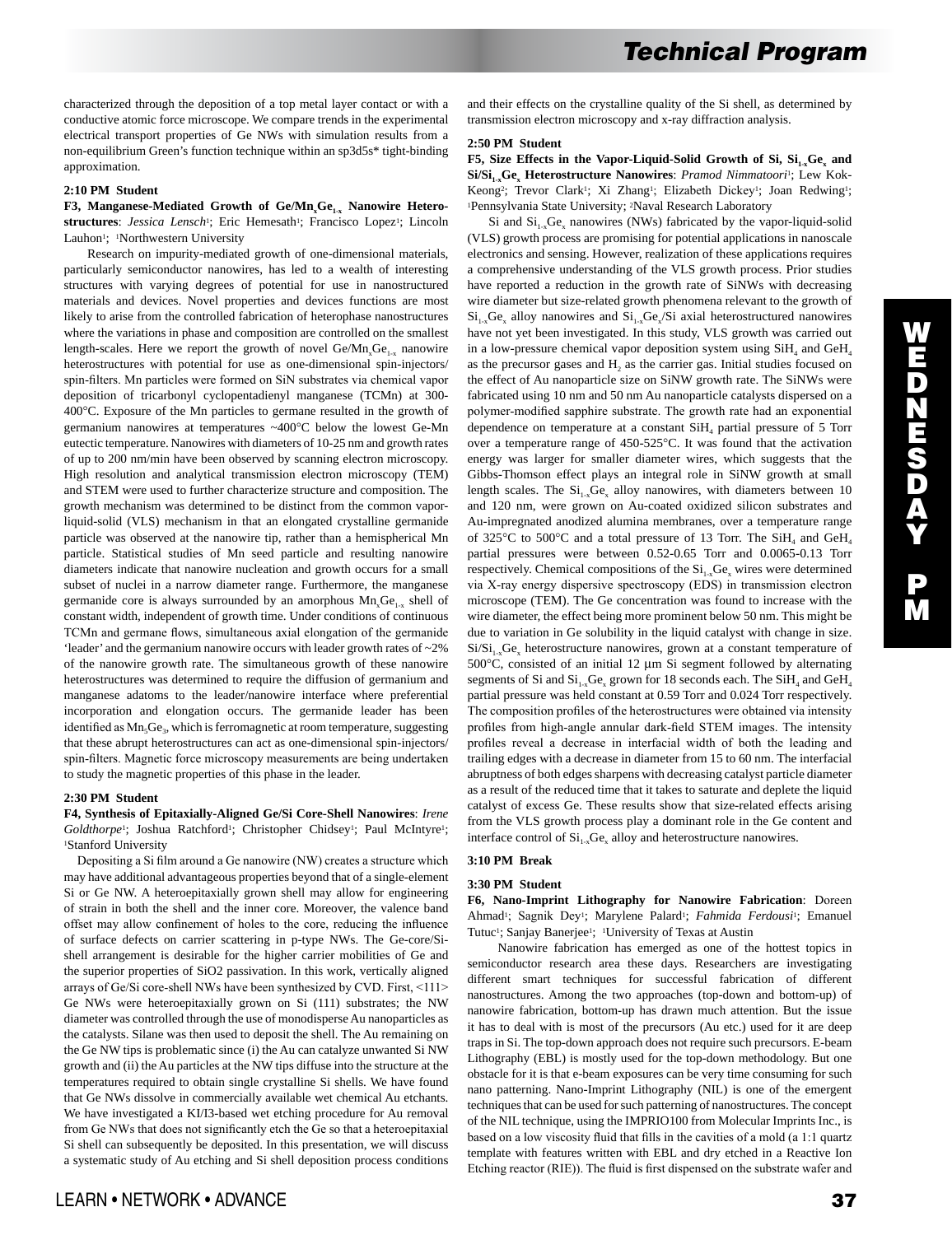characterized through the deposition of a top metal layer contact or with a conductive atomic force microscope. We compare trends in the experimental electrical transport properties of Ge NWs with simulation results from a non-equilibrium Green's function technique within an sp3d5s\* tight-binding approximation.

### **2:10 PM Student**

F3, Manganese-Mediated Growth of Ge/Mn<sub>x</sub>Ge<sub>1-x</sub> Nanowire Heterostructures: *Jessica Lensch*<sup>1</sup>; Eric Hemesath<sup>1</sup>; Francisco Lopez<sup>1</sup>; Lincoln Lauhon<sup>1</sup>; <sup>1</sup>Northwestern University

 Research on impurity-mediated growth of one-dimensional materials, particularly semiconductor nanowires, has led to a wealth of interesting structures with varying degrees of potential for use in nanostructured materials and devices. Novel properties and devices functions are most likely to arise from the controlled fabrication of heterophase nanostructures where the variations in phase and composition are controlled on the smallest length-scales. Here we report the growth of novel  $Ge/Mn_xGe_{1-x}$  nanowire heterostructures with potential for use as one-dimensional spin-injectors/ spin-filters. Mn particles were formed on SiN substrates via chemical vapor deposition of tricarbonyl cyclopentadienyl manganese (TCMn) at 300- 400°C. Exposure of the Mn particles to germane resulted in the growth of germanium nanowires at temperatures ~400°C below the lowest Ge-Mn eutectic temperature. Nanowires with diameters of 10-25 nm and growth rates of up to 200 nm/min have been observed by scanning electron microscopy. High resolution and analytical transmission electron microscopy (TEM) and STEM were used to further characterize structure and composition. The growth mechanism was determined to be distinct from the common vaporliquid-solid (VLS) mechanism in that an elongated crystalline germanide particle was observed at the nanowire tip, rather than a hemispherical Mn particle. Statistical studies of Mn seed particle and resulting nanowire diameters indicate that nanowire nucleation and growth occurs for a small subset of nuclei in a narrow diameter range. Furthermore, the manganese germanide core is always surrounded by an amorphous  $Mn_xGe_{1x}$  shell of constant width, independent of growth time. Under conditions of continuous TCMn and germane flows, simultaneous axial elongation of the germanide 'leader' and the germanium nanowire occurs with leader growth rates of ~2% of the nanowire growth rate. The simultaneous growth of these nanowire heterostructures was determined to require the diffusion of germanium and manganese adatoms to the leader/nanowire interface where preferential incorporation and elongation occurs. The germanide leader has been identified as Mn<sub>5</sub>Ge<sub>3</sub>, which is ferromagnetic at room temperature, suggesting that these abrupt heterostructures can act as one-dimensional spin-injectors/ spin-filters. Magnetic force microscopy measurements are being undertaken to study the magnetic properties of this phase in the leader.

#### **2:30 PM Student**

**F4, Synthesis of Epitaxially-Aligned Ge/Si Core-Shell Nanowires**: *Irene*  Goldthorpe<sup>1</sup>; Joshua Ratchford<sup>1</sup>; Christopher Chidsey<sup>1</sup>; Paul McIntyre<sup>1</sup>; 1Stanford University

 Depositing a Si film around a Ge nanowire (NW) creates a structure which may have additional advantageous properties beyond that of a single-element Si or Ge NW. A heteroepitaxially grown shell may allow for engineering of strain in both the shell and the inner core. Moreover, the valence band offset may allow confinement of holes to the core, reducing the influence of surface defects on carrier scattering in p-type NWs. The Ge-core/Sishell arrangement is desirable for the higher carrier mobilities of Ge and the superior properties of SiO2 passivation. In this work, vertically aligned arrays of Ge/Si core-shell NWs have been synthesized by CVD. First, <111> Ge NWs were heteroepitaxially grown on Si (111) substrates; the NW diameter was controlled through the use of monodisperse Au nanoparticles as the catalysts. Silane was then used to deposit the shell. The Au remaining on the Ge NW tips is problematic since (i) the Au can catalyze unwanted Si NW growth and (ii) the Au particles at the NW tips diffuse into the structure at the temperatures required to obtain single crystalline Si shells. We have found that Ge NWs dissolve in commercially available wet chemical Au etchants. We have investigated a KI/I3-based wet etching procedure for Au removal from Ge NWs that does not significantly etch the Ge so that a heteroepitaxial Si shell can subsequently be deposited. In this presentation, we will discuss a systematic study of Au etching and Si shell deposition process conditions and their effects on the crystalline quality of the Si shell, as determined by transmission electron microscopy and x-ray diffraction analysis.

### **2:50 PM Student**

**F5, Size Effects in the Vapor-Liquid-Solid Growth of Si,**  $Si_{1x}Ge_{x}$  **and**  $Si/Si_{1x}Ge_{x}$  Heterostructure Nanowires: *Pramod Nimmatoori*<sup>1</sup>; Lew Kok-Keong<sup>2</sup>; Trevor Clark<sup>1</sup>; Xi Zhang<sup>1</sup>; Elizabeth Dickey<sup>1</sup>; Joan Redwing<sup>1</sup>; 1Pennsylvania State University; 2Naval Research Laboratory

Si and  $Si<sub>1-x</sub>Ge<sub>x</sub>$  nanowires (NWs) fabricated by the vapor-liquid-solid (VLS) growth process are promising for potential applications in nanoscale electronics and sensing. However, realization of these applications requires a comprehensive understanding of the VLS growth process. Prior studies have reported a reduction in the growth rate of SiNWs with decreasing wire diameter but size-related growth phenomena relevant to the growth of  $Si<sub>1-x</sub>Ge<sub>x</sub>$  alloy nanowires and  $Si<sub>1-x</sub>Ge<sub>x</sub>/Si$  axial heterostructured nanowires have not yet been investigated. In this study, VLS growth was carried out in a low-pressure chemical vapor deposition system using  $SiH<sub>4</sub>$  and  $GeH<sub>4</sub>$ as the precursor gases and  $H_2$  as the carrier gas. Initial studies focused on the effect of Au nanoparticle size on SiNW growth rate. The SiNWs were fabricated using 10 nm and 50 nm Au nanoparticle catalysts dispersed on a polymer-modified sapphire substrate. The growth rate had an exponential dependence on temperature at a constant  $SiH<sub>4</sub>$  partial pressure of 5 Torr over a temperature range of 450-525°C. It was found that the activation energy was larger for smaller diameter wires, which suggests that the Gibbs-Thomson effect plays an integral role in SiNW growth at small length scales. The  $Si<sub>1-x</sub>Ge<sub>x</sub>$  alloy nanowires, with diameters between 10 and 120 nm, were grown on Au-coated oxidized silicon substrates and Au-impregnated anodized alumina membranes, over a temperature range of 325 $\rm ^{o}C$  to 500 $\rm ^{o}C$  and a total pressure of 13 Torr. The SiH<sub>4</sub> and GeH<sub>4</sub> partial pressures were between 0.52-0.65 Torr and 0.0065-0.13 Torr respectively. Chemical compositions of the  $Si_{1-x}Ge_x$  wires were determined via X-ray energy dispersive spectroscopy (EDS) in transmission electron microscope (TEM). The Ge concentration was found to increase with the wire diameter, the effect being more prominent below 50 nm. This might be due to variation in Ge solubility in the liquid catalyst with change in size.  $Si/Si_{1-x}Ge_{x}$  heterostructure nanowires, grown at a constant temperature of 500°C, consisted of an initial 12 µm Si segment followed by alternating segments of Si and  $Si_{1x}Ge_{x}$  grown for 18 seconds each. The  $SiH_4$  and  $GeH_4$ partial pressure was held constant at 0.59 Torr and 0.024 Torr respectively. The composition profiles of the heterostructures were obtained via intensity profiles from high-angle annular dark-field STEM images. The intensity profiles reveal a decrease in interfacial width of both the leading and trailing edges with a decrease in diameter from 15 to 60 nm. The interfacial abruptness of both edges sharpens with decreasing catalyst particle diameter as a result of the reduced time that it takes to saturate and deplete the liquid catalyst of excess Ge. These results show that size-related effects arising from the VLS growth process play a dominant role in the Ge content and interface control of  $Si<sub>1-x</sub>Ge<sub>x</sub>$  alloy and heterostructure nanowires.

## **3:10 PM Break**

### **3:30 PM Student**

**F6, Nano-Imprint Lithography for Nanowire Fabrication**: Doreen Ahmad<sup>1</sup>; Sagnik Dey<sup>1</sup>; Marylene Palard<sup>1</sup>; *Fahmida Ferdousi*<sup>1</sup>; Emanuel Tutuc<sup>1</sup>; Sanjay Banerjee<sup>1</sup>; <sup>1</sup>University of Texas at Austin

 Nanowire fabrication has emerged as one of the hottest topics in semiconductor research area these days. Researchers are investigating different smart techniques for successful fabrication of different nanostructures. Among the two approaches (top-down and bottom-up) of nanowire fabrication, bottom-up has drawn much attention. But the issue it has to deal with is most of the precursors (Au etc.) used for it are deep traps in Si. The top-down approach does not require such precursors. E-beam Lithography (EBL) is mostly used for the top-down methodology. But one obstacle for it is that e-beam exposures can be very time consuming for such nano patterning. Nano-Imprint Lithography (NIL) is one of the emergent techniques that can be used for such patterning of nanostructures. The concept of the NIL technique, using the IMPRIO100 from Molecular Imprints Inc., is based on a low viscosity fluid that fills in the cavities of a mold (a 1:1 quartz template with features written with EBL and dry etched in a Reactive Ion Etching reactor (RIE)). The fluid is first dispensed on the substrate wafer and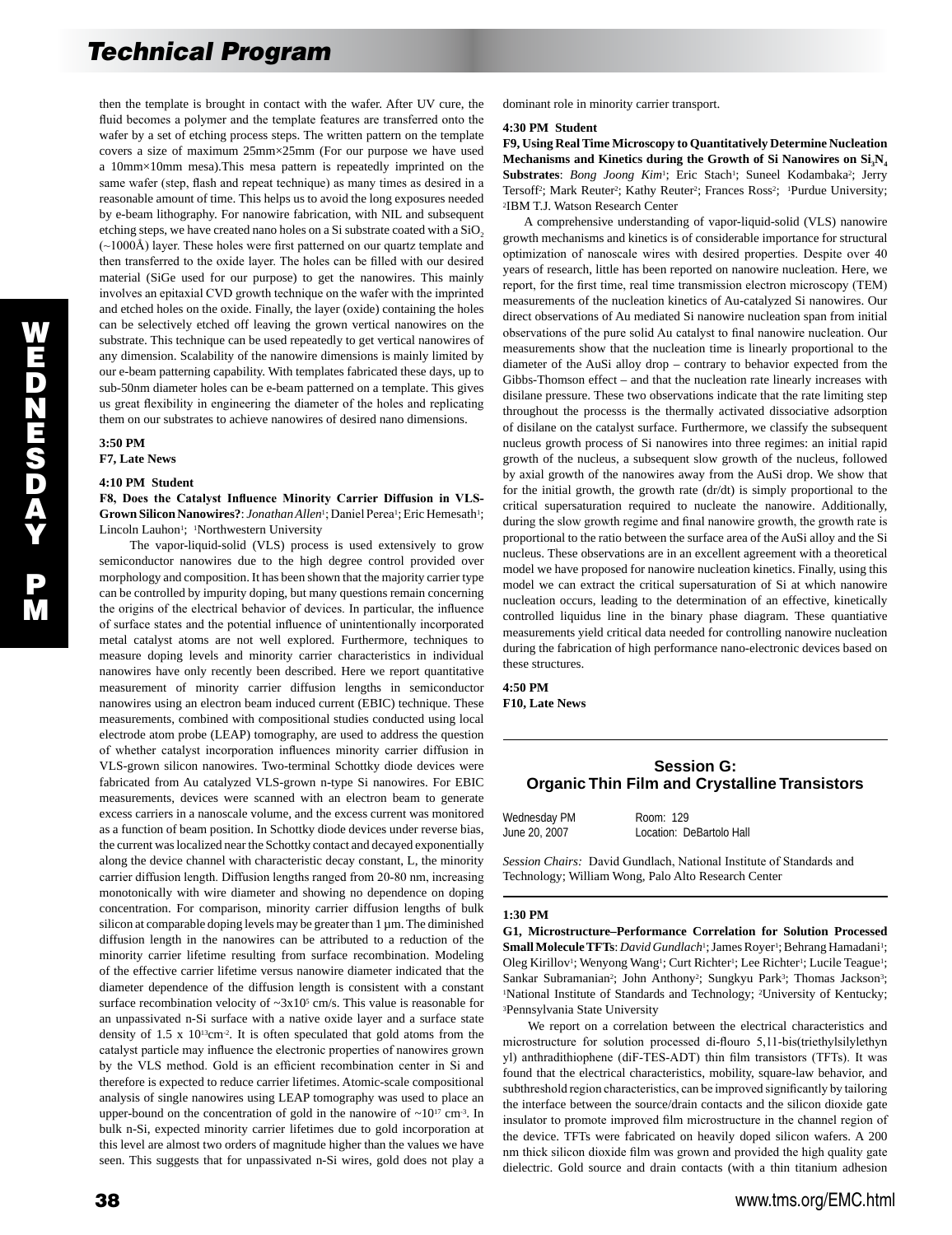then the template is brought in contact with the wafer. After UV cure, the fluid becomes a polymer and the template features are transferred onto the wafer by a set of etching process steps. The written pattern on the template covers a size of maximum 25mm×25mm (For our purpose we have used a 10mm×10mm mesa).This mesa pattern is repeatedly imprinted on the same wafer (step, flash and repeat technique) as many times as desired in a reasonable amount of time. This helps us to avoid the long exposures needed by e-beam lithography. For nanowire fabrication, with NIL and subsequent etching steps, we have created nano holes on a Si substrate coated with a SiO<sub>2</sub> (~1000Å) layer. These holes were first patterned on our quartz template and then transferred to the oxide layer. The holes can be filled with our desired material (SiGe used for our purpose) to get the nanowires. This mainly involves an epitaxial CVD growth technique on the wafer with the imprinted and etched holes on the oxide. Finally, the layer (oxide) containing the holes can be selectively etched off leaving the grown vertical nanowires on the substrate. This technique can be used repeatedly to get vertical nanowires of any dimension. Scalability of the nanowire dimensions is mainly limited by our e-beam patterning capability. With templates fabricated these days, up to sub-50nm diameter holes can be e-beam patterned on a template. This gives us great flexibility in engineering the diameter of the holes and replicating them on our substrates to achieve nanowires of desired nano dimensions.

#### **3:50 PM F7, Late News**

W E D N E S D A Y

P M

#### **4:10 PM Student**

**F8, Does the Catalyst Influence Minority Carrier Diffusion in VLS-**Grown Silicon Nanowires?: *Jonathan Allen<sup>1</sup>*; Daniel Perea<sup>1</sup>; Eric Hemesath<sup>1</sup>; Lincoln Lauhon<sup>1</sup>; <sup>1</sup>Northwestern University

 The vapor-liquid-solid (VLS) process is used extensively to grow semiconductor nanowires due to the high degree control provided over morphology and composition. It has been shown that the majority carrier type can be controlled by impurity doping, but many questions remain concerning the origins of the electrical behavior of devices. In particular, the influence of surface states and the potential influence of unintentionally incorporated metal catalyst atoms are not well explored. Furthermore, techniques to measure doping levels and minority carrier characteristics in individual nanowires have only recently been described. Here we report quantitative measurement of minority carrier diffusion lengths in semiconductor nanowires using an electron beam induced current (EBIC) technique. These measurements, combined with compositional studies conducted using local electrode atom probe (LEAP) tomography, are used to address the question of whether catalyst incorporation influences minority carrier diffusion in VLS-grown silicon nanowires. Two-terminal Schottky diode devices were fabricated from Au catalyzed VLS-grown n-type Si nanowires. For EBIC measurements, devices were scanned with an electron beam to generate excess carriers in a nanoscale volume, and the excess current was monitored as a function of beam position. In Schottky diode devices under reverse bias, the current was localized near the Schottky contact and decayed exponentially along the device channel with characteristic decay constant, L, the minority carrier diffusion length. Diffusion lengths ranged from 20-80 nm, increasing monotonically with wire diameter and showing no dependence on doping concentration. For comparison, minority carrier diffusion lengths of bulk silicon at comparable doping levels may be greater than 1 µm. The diminished diffusion length in the nanowires can be attributed to a reduction of the minority carrier lifetime resulting from surface recombination. Modeling of the effective carrier lifetime versus nanowire diameter indicated that the diameter dependence of the diffusion length is consistent with a constant surface recombination velocity of  $\sim 3x10^5$  cm/s. This value is reasonable for an unpassivated n-Si surface with a native oxide layer and a surface state density of  $1.5 \times 10^{13}$ cm<sup>-2</sup>. It is often speculated that gold atoms from the catalyst particle may influence the electronic properties of nanowires grown by the VLS method. Gold is an efficient recombination center in Si and therefore is expected to reduce carrier lifetimes. Atomic-scale compositional analysis of single nanowires using LEAP tomography was used to place an upper-bound on the concentration of gold in the nanowire of  $\sim 10^{17}$  cm<sup>-3</sup>. In bulk n-Si, expected minority carrier lifetimes due to gold incorporation at this level are almost two orders of magnitude higher than the values we have seen. This suggests that for unpassivated n-Si wires, gold does not play a

dominant role in minority carrier transport.

#### **4:30 PM Student**

**F9, Using Real Time Microscopy to Quantitatively Determine Nucleation**  Mechanisms and Kinetics during the Growth of Si Nanowires on  $Si<sub>3</sub>N<sub>4</sub>$ Substrates: *Bong Joong Kim<sup>1</sup>*; Eric Stach<sup>1</sup>; Suneel Kodambaka<sup>2</sup>; Jerry Tersoff<sup>2</sup>; Mark Reuter<sup>2</sup>; Kathy Reuter<sup>2</sup>; Frances Ross<sup>2</sup>; <sup>1</sup>Purdue University; 2IBM T.J. Watson Research Center

 A comprehensive understanding of vapor-liquid-solid (VLS) nanowire growth mechanisms and kinetics is of considerable importance for structural optimization of nanoscale wires with desired properties. Despite over 40 years of research, little has been reported on nanowire nucleation. Here, we report, for the first time, real time transmission electron microscopy (TEM) measurements of the nucleation kinetics of Au-catalyzed Si nanowires. Our direct observations of Au mediated Si nanowire nucleation span from initial observations of the pure solid Au catalyst to final nanowire nucleation. Our measurements show that the nucleation time is linearly proportional to the diameter of the AuSi alloy drop – contrary to behavior expected from the Gibbs-Thomson effect – and that the nucleation rate linearly increases with disilane pressure. These two observations indicate that the rate limiting step throughout the processs is the thermally activated dissociative adsorption of disilane on the catalyst surface. Furthermore, we classify the subsequent nucleus growth process of Si nanowires into three regimes: an initial rapid growth of the nucleus, a subsequent slow growth of the nucleus, followed by axial growth of the nanowires away from the AuSi drop. We show that for the initial growth, the growth rate (dr/dt) is simply proportional to the critical supersaturation required to nucleate the nanowire. Additionally, during the slow growth regime and final nanowire growth, the growth rate is proportional to the ratio between the surface area of the AuSi alloy and the Si nucleus. These observations are in an excellent agreement with a theoretical model we have proposed for nanowire nucleation kinetics. Finally, using this model we can extract the critical supersaturation of Si at which nanowire nucleation occurs, leading to the determination of an effective, kinetically controlled liquidus line in the binary phase diagram. These quantiative measurements yield critical data needed for controlling nanowire nucleation during the fabrication of high performance nano-electronic devices based on these structures.

**4:50 PM F10, Late News** 

# **Session G: Organic Thin Film and Crystalline Transistors**

| Wednesday PM  | Room: 129                |
|---------------|--------------------------|
| June 20, 2007 | Location: DeBartolo Hall |

*Session Chairs:* David Gundlach, National Institute of Standards and Technology; William Wong, Palo Alto Research Center

#### **1:30 PM**

**G1, Microstructure–Performance Correlation for Solution Processed**  Small Molecule TFTs: *David Gundlach*<sup>1</sup>; James Royer<sup>1</sup>; Behrang Hamadani<sup>1</sup>; Oleg Kirillov<sup>1</sup>; Wenyong Wang<sup>1</sup>; Curt Richter<sup>1</sup>; Lee Richter<sup>1</sup>; Lucile Teague<sup>1</sup>; Sankar Subramanian<sup>2</sup>; John Anthony<sup>2</sup>; Sungkyu Park<sup>3</sup>; Thomas Jackson<sup>3</sup>; 1National Institute of Standards and Technology; 2University of Kentucky; 3Pennsylvania State University

 We report on a correlation between the electrical characteristics and microstructure for solution processed di-flouro 5,11-bis(triethylsilylethyn yl) anthradithiophene (diF-TES-ADT) thin film transistors (TFTs). It was found that the electrical characteristics, mobility, square-law behavior, and subthreshold region characteristics, can be improved significantly by tailoring the interface between the source/drain contacts and the silicon dioxide gate insulator to promote improved film microstructure in the channel region of the device. TFTs were fabricated on heavily doped silicon wafers. A 200 nm thick silicon dioxide film was grown and provided the high quality gate dielectric. Gold source and drain contacts (with a thin titanium adhesion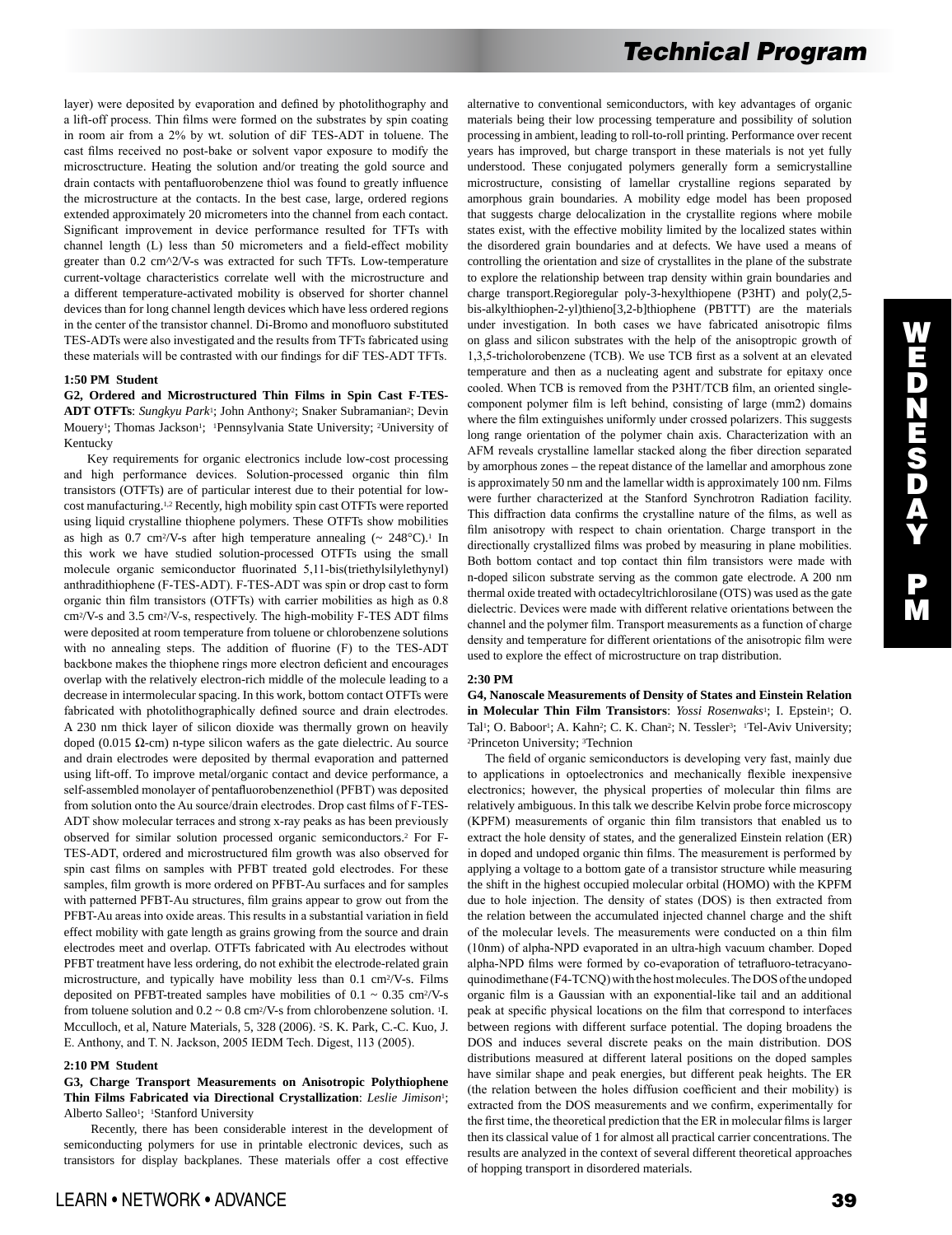layer) were deposited by evaporation and defined by photolithography and a lift-off process. Thin films were formed on the substrates by spin coating in room air from a 2% by wt. solution of diF TES-ADT in toluene. The cast films received no post-bake or solvent vapor exposure to modify the microsctructure. Heating the solution and/or treating the gold source and drain contacts with pentafluorobenzene thiol was found to greatly influence the microstructure at the contacts. In the best case, large, ordered regions extended approximately 20 micrometers into the channel from each contact. Significant improvement in device performance resulted for TFTs with channel length (L) less than 50 micrometers and a field-effect mobility greater than 0.2 cm^2/V-s was extracted for such TFTs. Low-temperature current-voltage characteristics correlate well with the microstructure and a different temperature-activated mobility is observed for shorter channel devices than for long channel length devices which have less ordered regions in the center of the transistor channel. Di-Bromo and monofluoro substituted TES-ADTs were also investigated and the results from TFTs fabricated using these materials will be contrasted with our findings for diF TES-ADT TFTs.

## **1:50 PM Student**

**G2, Ordered and Microstructured Thin Films in Spin Cast F-TES-**ADT OTFTs: *Sungkyu Park<sup>1</sup>*; John Anthony<sup>2</sup>; Snaker Subramanian<sup>2</sup>; Devin Mouery<sup>1</sup>; Thomas Jackson<sup>1</sup>; <sup>1</sup>Pennsylvania State University; <sup>2</sup>University of Kentucky

 Key requirements for organic electronics include low-cost processing and high performance devices. Solution-processed organic thin film transistors (OTFTs) are of particular interest due to their potential for lowcost manufacturing.1,2 Recently, high mobility spin cast OTFTs were reported using liquid crystalline thiophene polymers. These OTFTs show mobilities as high as 0.7 cm<sup>2</sup>/V-s after high temperature annealing  $\sim 248^{\circ}$ C).<sup>1</sup> In this work we have studied solution-processed OTFTs using the small molecule organic semiconductor fluorinated 5,11-bis(triethylsilylethynyl) anthradithiophene (F-TES-ADT). F-TES-ADT was spin or drop cast to form organic thin film transistors (OTFTs) with carrier mobilities as high as 0.8 cm2/V-s and 3.5 cm2/V-s, respectively. The high-mobility F-TES ADT films were deposited at room temperature from toluene or chlorobenzene solutions with no annealing steps. The addition of fluorine (F) to the TES-ADT backbone makes the thiophene rings more electron deficient and encourages overlap with the relatively electron-rich middle of the molecule leading to a decrease in intermolecular spacing. In this work, bottom contact OTFTs were fabricated with photolithographically defined source and drain electrodes. A 230 nm thick layer of silicon dioxide was thermally grown on heavily doped (0.015 Ω-cm) n-type silicon wafers as the gate dielectric. Au source and drain electrodes were deposited by thermal evaporation and patterned using lift-off. To improve metal/organic contact and device performance, a self-assembled monolayer of pentafluorobenzenethiol (PFBT) was deposited from solution onto the Au source/drain electrodes. Drop cast films of F-TES-ADT show molecular terraces and strong x-ray peaks as has been previously observed for similar solution processed organic semiconductors.2 For F-TES-ADT, ordered and microstructured film growth was also observed for spin cast films on samples with PFBT treated gold electrodes. For these samples, film growth is more ordered on PFBT-Au surfaces and for samples with patterned PFBT-Au structures, film grains appear to grow out from the PFBT-Au areas into oxide areas. This results in a substantial variation in field effect mobility with gate length as grains growing from the source and drain electrodes meet and overlap. OTFTs fabricated with Au electrodes without PFBT treatment have less ordering, do not exhibit the electrode-related grain microstructure, and typically have mobility less than 0.1 cm2/V-s. Films deposited on PFBT-treated samples have mobilities of  $0.1 \sim 0.35$  cm<sup>2</sup>/V-s from toluene solution and  $0.2 \sim 0.8$  cm<sup>2</sup>/V-s from chlorobenzene solution. <sup>1</sup>I. Mcculloch, et al, Nature Materials, 5, 328 (2006). 2S. K. Park, C.-C. Kuo, J. E. Anthony, and T. N. Jackson, 2005 IEDM Tech. Digest, 113 (2005).

### **2:10 PM Student**

## **G3, Charge Transport Measurements on Anisotropic Polythiophene Thin Films Fabricated via Directional Crystallization**: *Leslie Jimison*1; Alberto Salleo<sup>1</sup>; <sup>1</sup>Stanford University

 Recently, there has been considerable interest in the development of semiconducting polymers for use in printable electronic devices, such as transistors for display backplanes. These materials offer a cost effective alternative to conventional semiconductors, with key advantages of organic materials being their low processing temperature and possibility of solution processing in ambient, leading to roll-to-roll printing. Performance over recent years has improved, but charge transport in these materials is not yet fully understood. These conjugated polymers generally form a semicrystalline microstructure, consisting of lamellar crystalline regions separated by amorphous grain boundaries. A mobility edge model has been proposed that suggests charge delocalization in the crystallite regions where mobile states exist, with the effective mobility limited by the localized states within the disordered grain boundaries and at defects. We have used a means of controlling the orientation and size of crystallites in the plane of the substrate to explore the relationship between trap density within grain boundaries and charge transport.Regioregular poly-3-hexylthiopene (P3HT) and poly(2,5 bis-alkylthiophen-2-yl)thieno[3,2-b]thiophene (PBTTT) are the materials under investigation. In both cases we have fabricated anisotropic films on glass and silicon substrates with the help of the anisoptropic growth of 1,3,5-tricholorobenzene (TCB). We use TCB first as a solvent at an elevated temperature and then as a nucleating agent and substrate for epitaxy once cooled. When TCB is removed from the P3HT/TCB film, an oriented singlecomponent polymer film is left behind, consisting of large (mm2) domains where the film extinguishes uniformly under crossed polarizers. This suggests long range orientation of the polymer chain axis. Characterization with an AFM reveals crystalline lamellar stacked along the fiber direction separated by amorphous zones – the repeat distance of the lamellar and amorphous zone is approximately 50 nm and the lamellar width is approximately 100 nm. Films were further characterized at the Stanford Synchrotron Radiation facility. This diffraction data confirms the crystalline nature of the films, as well as film anisotropy with respect to chain orientation. Charge transport in the directionally crystallized films was probed by measuring in plane mobilities. Both bottom contact and top contact thin film transistors were made with n-doped silicon substrate serving as the common gate electrode. A 200 nm thermal oxide treated with octadecyltrichlorosilane (OTS) was used as the gate dielectric. Devices were made with different relative orientations between the channel and the polymer film. Transport measurements as a function of charge density and temperature for different orientations of the anisotropic film were used to explore the effect of microstructure on trap distribution.

#### **2:30 PM**

**G4, Nanoscale Measurements of Density of States and Einstein Relation in Molecular Thin Film Transistors**: *Yossi Rosenwaks*1; I. Epstein1; O. Tal<sup>1</sup>; O. Baboor<sup>1</sup>; A. Kahn<sup>2</sup>; C. K. Chan<sup>2</sup>; N. Tessler<sup>3</sup>; <sup>1</sup>Tel-Aviv University; <sup>2</sup>Princeton University; <sup>3</sup>Technion

 The field of organic semiconductors is developing very fast, mainly due to applications in optoelectronics and mechanically flexible inexpensive electronics; however, the physical properties of molecular thin films are relatively ambiguous. In this talk we describe Kelvin probe force microscopy (KPFM) measurements of organic thin film transistors that enabled us to extract the hole density of states, and the generalized Einstein relation (ER) in doped and undoped organic thin films. The measurement is performed by applying a voltage to a bottom gate of a transistor structure while measuring the shift in the highest occupied molecular orbital (HOMO) with the KPFM due to hole injection. The density of states (DOS) is then extracted from the relation between the accumulated injected channel charge and the shift of the molecular levels. The measurements were conducted on a thin film (10nm) of alpha-NPD evaporated in an ultra-high vacuum chamber. Doped alpha-NPD films were formed by co-evaporation of tetrafluoro-tetracyanoquinodimethane (F4-TCNQ) with the host molecules. The DOS of the undoped organic film is a Gaussian with an exponential-like tail and an additional peak at specific physical locations on the film that correspond to interfaces between regions with different surface potential. The doping broadens the DOS and induces several discrete peaks on the main distribution. DOS distributions measured at different lateral positions on the doped samples have similar shape and peak energies, but different peak heights. The ER (the relation between the holes diffusion coefficient and their mobility) is extracted from the DOS measurements and we confirm, experimentally for the first time, the theoretical prediction that the ER in molecular films is larger then its classical value of 1 for almost all practical carrier concentrations. The results are analyzed in the context of several different theoretical approaches of hopping transport in disordered materials.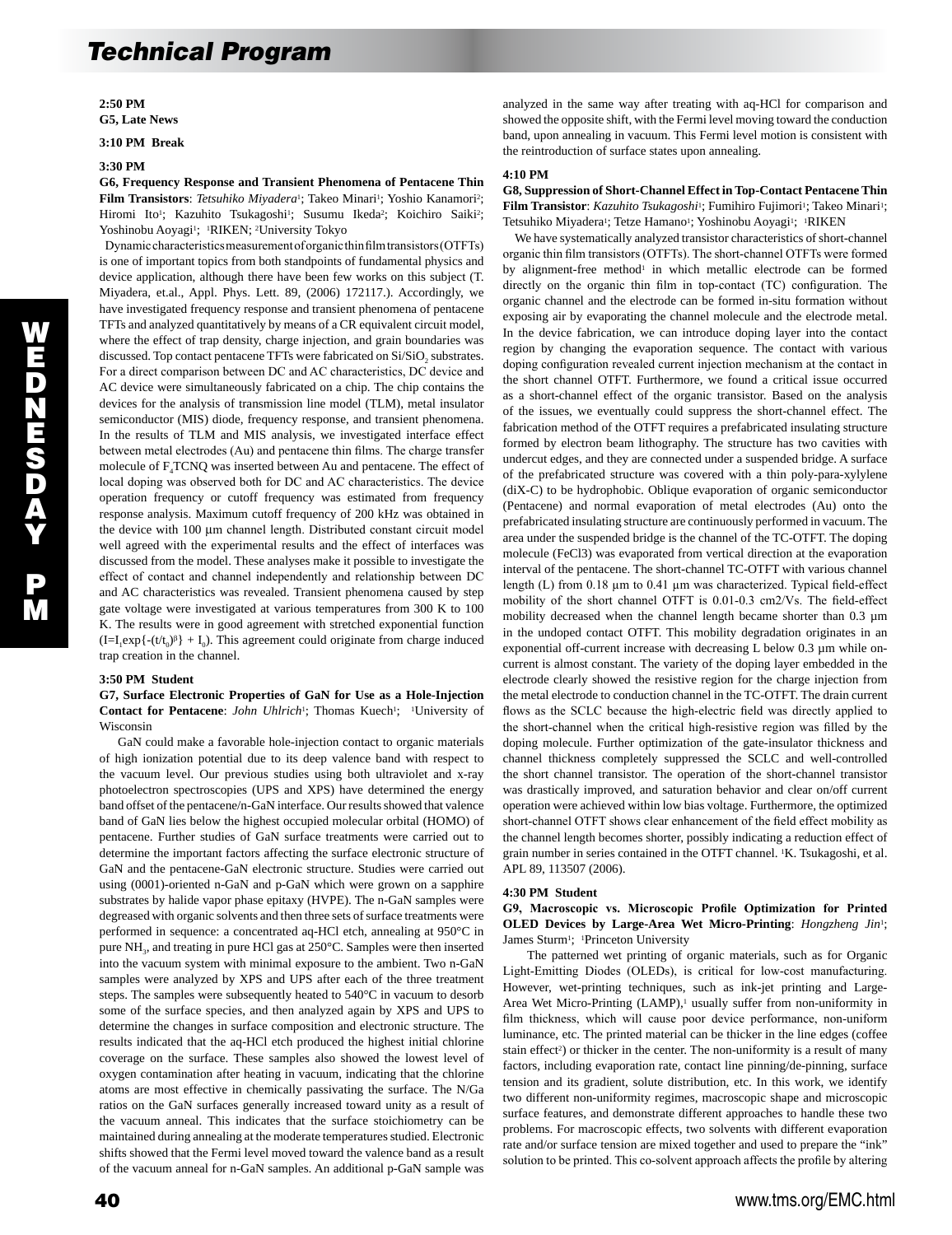**2:50 PM G5, Late News** 

**3:10 PM Break** 

#### **3:30 PM**

**G6, Frequency Response and Transient Phenomena of Pentacene Thin**  Film Transistors: Tetsuhiko Miyadera<sup>1</sup>; Takeo Minari<sup>1</sup>; Yoshio Kanamori<sup>2</sup>; Hiromi Ito<sup>1</sup>; Kazuhito Tsukagoshi<sup>1</sup>; Susumu Ikeda<sup>2</sup>; Koichiro Saiki<sup>2</sup>; Yoshinobu Aoyagi<sup>1</sup>; <sup>1</sup>RIKEN; <sup>2</sup>University Tokyo

 Dynamic characteristics measurement of organic thin film transistors (OTFTs) is one of important topics from both standpoints of fundamental physics and device application, although there have been few works on this subject (T. Miyadera, et.al., Appl. Phys. Lett. 89, (2006) 172117.). Accordingly, we have investigated frequency response and transient phenomena of pentacene TFTs and analyzed quantitatively by means of a CR equivalent circuit model, where the effect of trap density, charge injection, and grain boundaries was discussed. Top contact pentacene TFTs were fabricated on  $Si/SiO<sub>2</sub>$  substrates. For a direct comparison between DC and AC characteristics, DC device and AC device were simultaneously fabricated on a chip. The chip contains the devices for the analysis of transmission line model (TLM), metal insulator semiconductor (MIS) diode, frequency response, and transient phenomena. In the results of TLM and MIS analysis, we investigated interface effect between metal electrodes (Au) and pentacene thin films. The charge transfer molecule of  $F_4TCNQ$  was inserted between Au and pentacene. The effect of local doping was observed both for DC and AC characteristics. The device operation frequency or cutoff frequency was estimated from frequency response analysis. Maximum cutoff frequency of 200 kHz was obtained in the device with 100 µm channel length. Distributed constant circuit model well agreed with the experimental results and the effect of interfaces was discussed from the model. These analyses make it possible to investigate the effect of contact and channel independently and relationship between DC and AC characteristics was revealed. Transient phenomena caused by step gate voltage were investigated at various temperatures from 300 K to 100 K. The results were in good agreement with stretched exponential function  $(I=I_1exp{-t/t_0}\beta + I_0)$ . This agreement could originate from charge induced trap creation in the channel.

## **3:50 PM Student**

**G7, Surface Electronic Properties of GaN for Use as a Hole-Injection**  Contact for Pentacene: *John Uhlrich*<sup>1</sup>; Thomas Kuech<sup>1</sup>; <sup>1</sup>University of Wisconsin

 GaN could make a favorable hole-injection contact to organic materials of high ionization potential due to its deep valence band with respect to the vacuum level. Our previous studies using both ultraviolet and x-ray photoelectron spectroscopies (UPS and XPS) have determined the energy band offset of the pentacene/n-GaN interface. Our results showed that valence band of GaN lies below the highest occupied molecular orbital (HOMO) of pentacene. Further studies of GaN surface treatments were carried out to determine the important factors affecting the surface electronic structure of GaN and the pentacene-GaN electronic structure. Studies were carried out using (0001)-oriented n-GaN and p-GaN which were grown on a sapphire substrates by halide vapor phase epitaxy (HVPE). The n-GaN samples were degreased with organic solvents and then three sets of surface treatments were performed in sequence: a concentrated aq-HCl etch, annealing at 950°C in pure NH<sub>3</sub>, and treating in pure HCl gas at 250°C. Samples were then inserted into the vacuum system with minimal exposure to the ambient. Two n-GaN samples were analyzed by XPS and UPS after each of the three treatment steps. The samples were subsequently heated to 540°C in vacuum to desorb some of the surface species, and then analyzed again by XPS and UPS to determine the changes in surface composition and electronic structure. The results indicated that the aq-HCl etch produced the highest initial chlorine coverage on the surface. These samples also showed the lowest level of oxygen contamination after heating in vacuum, indicating that the chlorine atoms are most effective in chemically passivating the surface. The N/Ga ratios on the GaN surfaces generally increased toward unity as a result of the vacuum anneal. This indicates that the surface stoichiometry can be maintained during annealing at the moderate temperatures studied. Electronic shifts showed that the Fermi level moved toward the valence band as a result of the vacuum anneal for n-GaN samples. An additional p-GaN sample was analyzed in the same way after treating with aq-HCl for comparison and showed the opposite shift, with the Fermi level moving toward the conduction band, upon annealing in vacuum. This Fermi level motion is consistent with the reintroduction of surface states upon annealing.

#### **4:10 PM**

**G8, Suppression of Short-Channel Effect in Top-Contact Pentacene Thin**  Film Transistor: *Kazuhito Tsukagoshi*<sup>1</sup>; Fumihiro Fujimori<sup>1</sup>; Takeo Minari<sup>1</sup>; Tetsuhiko Miyadera<sup>1</sup>; Tetze Hamano<sup>1</sup>; Yoshinobu Aoyagi<sup>1</sup>; <sup>1</sup>RIKEN

 We have systematically analyzed transistor characteristics of short-channel organic thin film transistors (OTFTs). The short-channel OTFTs were formed by alignment-free method<sup>1</sup> in which metallic electrode can be formed directly on the organic thin film in top-contact (TC) configuration. The organic channel and the electrode can be formed in-situ formation without exposing air by evaporating the channel molecule and the electrode metal. In the device fabrication, we can introduce doping layer into the contact region by changing the evaporation sequence. The contact with various doping configuration revealed current injection mechanism at the contact in the short channel OTFT. Furthermore, we found a critical issue occurred as a short-channel effect of the organic transistor. Based on the analysis of the issues, we eventually could suppress the short-channel effect. The fabrication method of the OTFT requires a prefabricated insulating structure formed by electron beam lithography. The structure has two cavities with undercut edges, and they are connected under a suspended bridge. A surface of the prefabricated structure was covered with a thin poly-para-xylylene (diX-C) to be hydrophobic. Oblique evaporation of organic semiconductor (Pentacene) and normal evaporation of metal electrodes (Au) onto the prefabricated insulating structure are continuously performed in vacuum. The area under the suspended bridge is the channel of the TC-OTFT. The doping molecule (FeCl3) was evaporated from vertical direction at the evaporation interval of the pentacene. The short-channel TC-OTFT with various channel length (L) from 0.18  $\mu$ m to 0.41  $\mu$ m was characterized. Typical field-effect mobility of the short channel OTFT is 0.01-0.3 cm2/Vs. The field-effect mobility decreased when the channel length became shorter than 0.3  $\mu$ m in the undoped contact OTFT. This mobility degradation originates in an exponential off-current increase with decreasing L below 0.3 µm while oncurrent is almost constant. The variety of the doping layer embedded in the electrode clearly showed the resistive region for the charge injection from the metal electrode to conduction channel in the TC-OTFT. The drain current flows as the SCLC because the high-electric field was directly applied to the short-channel when the critical high-resistive region was filled by the doping molecule. Further optimization of the gate-insulator thickness and channel thickness completely suppressed the SCLC and well-controlled the short channel transistor. The operation of the short-channel transistor was drastically improved, and saturation behavior and clear on/off current operation were achieved within low bias voltage. Furthermore, the optimized short-channel OTFT shows clear enhancement of the field effect mobility as the channel length becomes shorter, possibly indicating a reduction effect of grain number in series contained in the OTFT channel. 1K. Tsukagoshi, et al. APL 89, 113507 (2006).

#### **4:30 PM Student**

## **G9, Macroscopic vs. Microscopic Profile Optimization for Printed OLED Devices by Large-Area Wet Micro-Printing**: *Hongzheng Jin*1; James Sturm<sup>1</sup>; <sup>1</sup>Princeton University

 The patterned wet printing of organic materials, such as for Organic Light-Emitting Diodes (OLEDs), is critical for low-cost manufacturing. However, wet-printing techniques, such as ink-jet printing and Large-Area Wet Micro-Printing (LAMP),<sup>1</sup> usually suffer from non-uniformity in film thickness, which will cause poor device performance, non-uniform luminance, etc. The printed material can be thicker in the line edges (coffee stain effect<sup>2</sup>) or thicker in the center. The non-uniformity is a result of many factors, including evaporation rate, contact line pinning/de-pinning, surface tension and its gradient, solute distribution, etc. In this work, we identify two different non-uniformity regimes, macroscopic shape and microscopic surface features, and demonstrate different approaches to handle these two problems. For macroscopic effects, two solvents with different evaporation rate and/or surface tension are mixed together and used to prepare the "ink" solution to be printed. This co-solvent approach affects the profile by altering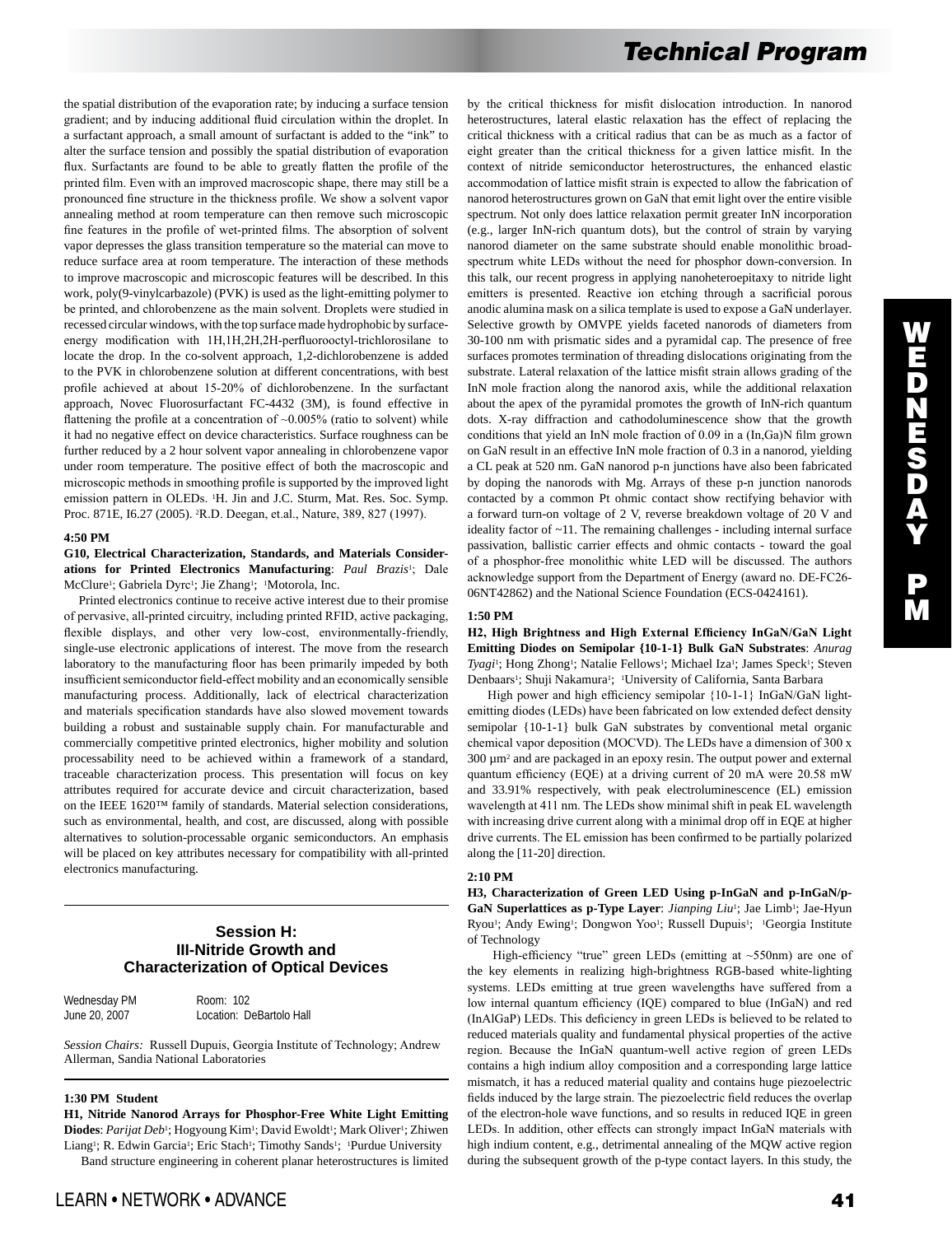the spatial distribution of the evaporation rate; by inducing a surface tension gradient; and by inducing additional fluid circulation within the droplet. In a surfactant approach, a small amount of surfactant is added to the "ink" to alter the surface tension and possibly the spatial distribution of evaporation flux. Surfactants are found to be able to greatly flatten the profile of the printed film. Even with an improved macroscopic shape, there may still be a pronounced fine structure in the thickness profile. We show a solvent vapor annealing method at room temperature can then remove such microscopic fine features in the profile of wet-printed films. The absorption of solvent vapor depresses the glass transition temperature so the material can move to reduce surface area at room temperature. The interaction of these methods to improve macroscopic and microscopic features will be described. In this work, poly(9-vinylcarbazole) (PVK) is used as the light-emitting polymer to be printed, and chlorobenzene as the main solvent. Droplets were studied in recessed circular windows, with the top surface made hydrophobic by surfaceenergy modification with 1H,1H,2H,2H-perfluorooctyl-trichlorosilane to locate the drop. In the co-solvent approach, 1,2-dichlorobenzene is added to the PVK in chlorobenzene solution at different concentrations, with best profile achieved at about 15-20% of dichlorobenzene. In the surfactant approach, Novec Fluorosurfactant FC-4432 (3M), is found effective in flattening the profile at a concentration of  $~0.005\%$  (ratio to solvent) while it had no negative effect on device characteristics. Surface roughness can be further reduced by a 2 hour solvent vapor annealing in chlorobenzene vapor under room temperature. The positive effect of both the macroscopic and microscopic methods in smoothing profile is supported by the improved light emission pattern in OLEDs. 1H. Jin and J.C. Sturm, Mat. Res. Soc. Symp. Proc. 871E, I6.27 (2005). 2R.D. Deegan, et.al., Nature, 389, 827 (1997).

#### **4:50 PM**

**G10, Electrical Characterization, Standards, and Materials Considerations for Printed Electronics Manufacturing**: *Paul Brazis*1; Dale McClure<sup>1</sup>; Gabriela Dyrc<sup>1</sup>; Jie Zhang<sup>1</sup>; <sup>1</sup>Motorola, Inc.

 Printed electronics continue to receive active interest due to their promise of pervasive, all-printed circuitry, including printed RFID, active packaging, flexible displays, and other very low-cost, environmentally-friendly, single-use electronic applications of interest. The move from the research laboratory to the manufacturing floor has been primarily impeded by both insufficient semiconductor field-effect mobility and an economically sensible manufacturing process. Additionally, lack of electrical characterization and materials specification standards have also slowed movement towards building a robust and sustainable supply chain. For manufacturable and commercially competitive printed electronics, higher mobility and solution processability need to be achieved within a framework of a standard, traceable characterization process. This presentation will focus on key attributes required for accurate device and circuit characterization, based on the IEEE 1620™ family of standards. Material selection considerations, such as environmental, health, and cost, are discussed, along with possible alternatives to solution-processable organic semiconductors. An emphasis will be placed on key attributes necessary for compatibility with all-printed electronics manufacturing.

# **Session H: III-Nitride Growth and Characterization of Optical Devices**

| Wednesday PM  | Room: 102                |
|---------------|--------------------------|
| June 20, 2007 | Location: DeBartolo Hall |

*Session Chairs:* Russell Dupuis, Georgia Institute of Technology; Andrew Allerman, Sandia National Laboratories

### **1:30 PM Student**

**H1, Nitride Nanorod Arrays for Phosphor-Free White Light Emitting**  Diodes: Parijat Deb<sup>1</sup>; Hogyoung Kim<sup>1</sup>; David Ewoldt<sup>1</sup>; Mark Oliver<sup>1</sup>; Zhiwen Liang<sup>1</sup>; R. Edwin Garcia<sup>1</sup>; Eric Stach<sup>1</sup>; Timothy Sands<sup>1</sup>; <sup>1</sup>Purdue University Band structure engineering in coherent planar heterostructures is limited by the critical thickness for misfit dislocation introduction. In nanorod heterostructures, lateral elastic relaxation has the effect of replacing the critical thickness with a critical radius that can be as much as a factor of eight greater than the critical thickness for a given lattice misfit. In the context of nitride semiconductor heterostructures, the enhanced elastic accommodation of lattice misfit strain is expected to allow the fabrication of nanorod heterostructures grown on GaN that emit light over the entire visible spectrum. Not only does lattice relaxation permit greater InN incorporation (e.g., larger InN-rich quantum dots), but the control of strain by varying nanorod diameter on the same substrate should enable monolithic broadspectrum white LEDs without the need for phosphor down-conversion. In this talk, our recent progress in applying nanoheteroepitaxy to nitride light emitters is presented. Reactive ion etching through a sacrificial porous anodic alumina mask on a silica template is used to expose a GaN underlayer. Selective growth by OMVPE yields faceted nanorods of diameters from 30-100 nm with prismatic sides and a pyramidal cap. The presence of free surfaces promotes termination of threading dislocations originating from the substrate. Lateral relaxation of the lattice misfit strain allows grading of the InN mole fraction along the nanorod axis, while the additional relaxation about the apex of the pyramidal promotes the growth of InN-rich quantum dots. X-ray diffraction and cathodoluminescence show that the growth conditions that yield an InN mole fraction of 0.09 in a (In,Ga)N film grown on GaN result in an effective InN mole fraction of 0.3 in a nanorod, yielding a CL peak at 520 nm. GaN nanorod p-n junctions have also been fabricated by doping the nanorods with Mg. Arrays of these p-n junction nanorods contacted by a common Pt ohmic contact show rectifying behavior with a forward turn-on voltage of 2 V, reverse breakdown voltage of 20 V and ideality factor of ~11. The remaining challenges - including internal surface passivation, ballistic carrier effects and ohmic contacts - toward the goal of a phosphor-free monolithic white LED will be discussed. The authors acknowledge support from the Department of Energy (award no. DE-FC26- 06NT42862) and the National Science Foundation (ECS-0424161).

#### **1:50 PM**

**H2, High Brightness and High External Efficiency InGaN/GaN Light Emitting Diodes on Semipolar {10-1-1} Bulk GaN Substrates**: *Anurag Tyagi*<sup>1</sup>; Hong Zhong<sup>1</sup>; Natalie Fellows<sup>1</sup>; Michael Iza<sup>1</sup>; James Speck<sup>1</sup>; Steven Denbaars<sup>1</sup>; Shuji Nakamura<sup>1</sup>; <sup>1</sup>University of California, Santa Barbara

High power and high efficiency semipolar {10-1-1} InGaN/GaN lightemitting diodes (LEDs) have been fabricated on low extended defect density semipolar {10-1-1} bulk GaN substrates by conventional metal organic chemical vapor deposition (MOCVD). The LEDs have a dimension of 300 x 300 µm2 and are packaged in an epoxy resin. The output power and external quantum efficiency (EQE) at a driving current of 20 mA were 20.58 mW and 33.91% respectively, with peak electroluminescence (EL) emission wavelength at 411 nm. The LEDs show minimal shift in peak EL wavelength with increasing drive current along with a minimal drop off in EQE at higher drive currents. The EL emission has been confirmed to be partially polarized along the [11-20] direction.

## **2:10 PM**

**H3, Characterization of Green LED Using p-InGaN and p-InGaN/p-**GaN Superlattices as p-Type Layer: *Jianping Liu*<sup>1</sup>; Jae Limb<sup>1</sup>; Jae-Hyun Ryou<sup>1</sup>; Andy Ewing<sup>1</sup>; Dongwon Yoo<sup>1</sup>; Russell Dupuis<sup>1</sup>; <sup>1</sup>Georgia Institute of Technology

High-efficiency "true" green LEDs (emitting at  $\sim$ 550nm) are one of the key elements in realizing high-brightness RGB-based white-lighting systems. LEDs emitting at true green wavelengths have suffered from a low internal quantum efficiency (IQE) compared to blue (InGaN) and red (InAlGaP) LEDs. This deficiency in green LEDs is believed to be related to reduced materials quality and fundamental physical properties of the active region. Because the InGaN quantum-well active region of green LEDs contains a high indium alloy composition and a corresponding large lattice mismatch, it has a reduced material quality and contains huge piezoelectric fields induced by the large strain. The piezoelectric field reduces the overlap of the electron-hole wave functions, and so results in reduced IQE in green LEDs. In addition, other effects can strongly impact InGaN materials with high indium content, e.g., detrimental annealing of the MQW active region during the subsequent growth of the p-type contact layers. In this study, the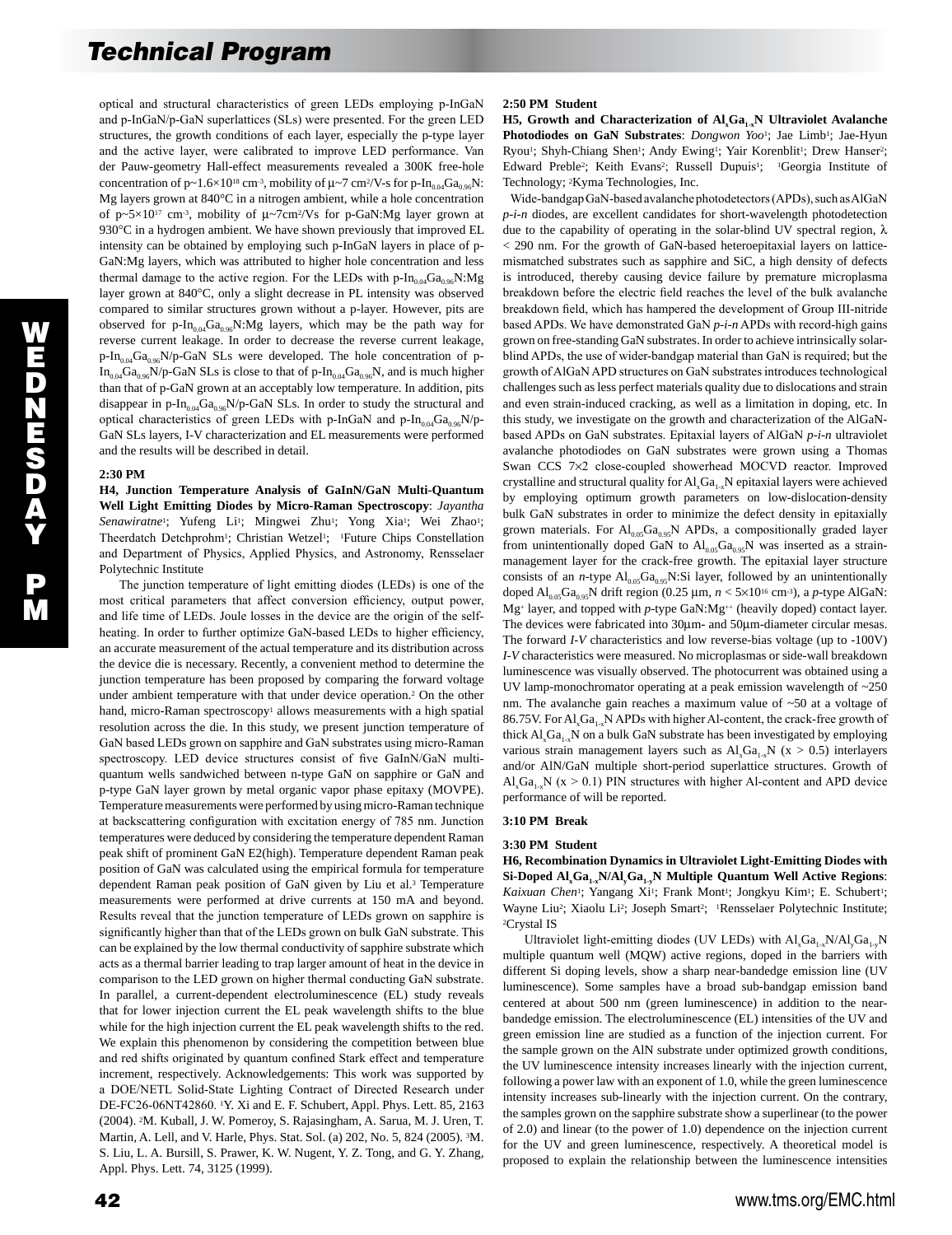optical and structural characteristics of green LEDs employing p-InGaN and p-InGaN/p-GaN superlattices (SLs) were presented. For the green LED structures, the growth conditions of each layer, especially the p-type layer and the active layer, were calibrated to improve LED performance. Van der Pauw-geometry Hall-effect measurements revealed a 300K free-hole concentration of p~1.6×10<sup>18</sup> cm<sup>-3</sup>, mobility of  $\mu$ ~7 cm<sup>2</sup>/V-s for p-In<sub>0.04</sub>Ga<sub>0.96</sub>N: Mg layers grown at 840°C in a nitrogen ambient, while a hole concentration of p~5×10<sup>17</sup> cm<sup>-3</sup>, mobility of  $\mu$ ~7cm<sup>2</sup>/Vs for p-GaN:Mg layer grown at 930°C in a hydrogen ambient. We have shown previously that improved EL intensity can be obtained by employing such p-InGaN layers in place of p-GaN:Mg layers, which was attributed to higher hole concentration and less thermal damage to the active region. For the LEDs with p-In<sub>0.04</sub>Ga<sub>0.96</sub>N:Mg layer grown at 840°C, only a slight decrease in PL intensity was observed compared to similar structures grown without a p-layer. However, pits are observed for p- $In<sub>0.04</sub>Ga<sub>0.96</sub>N:Mg$  layers, which may be the path way for reverse current leakage. In order to decrease the reverse current leakage,  $p-In_{0.04}Ga_{0.96}N/p-GaN$  SLs were developed. The hole concentration of p- $In_{0.04}Ga_{0.96}N/p-GaN SLs$  is close to that of p- $In_{0.04}Ga_{0.96}N$ , and is much higher than that of p-GaN grown at an acceptably low temperature. In addition, pits disappear in p-In<sub>0.04</sub>Ga<sub>0.96</sub>N/p-GaN SLs. In order to study the structural and optical characteristics of green LEDs with p-InGaN and p-In<sub>0.04</sub>Ga<sub>0.96</sub>N/p-GaN SLs layers, I-V characterization and EL measurements were performed and the results will be described in detail.

#### **2:30 PM**

**H4, Junction Temperature Analysis of GaInN/GaN Multi-Quantum Well Light Emitting Diodes by Micro-Raman Spectroscopy**: *Jayantha*  Senawiratne<sup>1</sup>; Yufeng Li<sup>1</sup>; Mingwei Zhu<sup>1</sup>; Yong Xia<sup>1</sup>; Wei Zhao<sup>1</sup>; Theerdatch Detchprohm<sup>1</sup>; Christian Wetzel<sup>1</sup>; <sup>1</sup>Future Chips Constellation and Department of Physics, Applied Physics, and Astronomy, Rensselaer Polytechnic Institute

 The junction temperature of light emitting diodes (LEDs) is one of the most critical parameters that affect conversion efficiency, output power, and life time of LEDs. Joule losses in the device are the origin of the selfheating. In order to further optimize GaN-based LEDs to higher efficiency, an accurate measurement of the actual temperature and its distribution across the device die is necessary. Recently, a convenient method to determine the junction temperature has been proposed by comparing the forward voltage under ambient temperature with that under device operation.2 On the other hand, micro-Raman spectroscopy<sup>1</sup> allows measurements with a high spatial resolution across the die. In this study, we present junction temperature of GaN based LEDs grown on sapphire and GaN substrates using micro-Raman spectroscopy. LED device structures consist of five GaInN/GaN multiquantum wells sandwiched between n-type GaN on sapphire or GaN and p-type GaN layer grown by metal organic vapor phase epitaxy (MOVPE). Temperature measurements were performed by using micro-Raman technique at backscattering configuration with excitation energy of 785 nm. Junction temperatures were deduced by considering the temperature dependent Raman peak shift of prominent GaN E2(high). Temperature dependent Raman peak position of GaN was calculated using the empirical formula for temperature dependent Raman peak position of GaN given by Liu et al.<sup>3</sup> Temperature measurements were performed at drive currents at 150 mA and beyond. Results reveal that the junction temperature of LEDs grown on sapphire is significantly higher than that of the LEDs grown on bulk GaN substrate. This can be explained by the low thermal conductivity of sapphire substrate which acts as a thermal barrier leading to trap larger amount of heat in the device in comparison to the LED grown on higher thermal conducting GaN substrate. In parallel, a current-dependent electroluminescence (EL) study reveals that for lower injection current the EL peak wavelength shifts to the blue while for the high injection current the EL peak wavelength shifts to the red. We explain this phenomenon by considering the competition between blue and red shifts originated by quantum confined Stark effect and temperature increment, respectively. Acknowledgements: This work was supported by a DOE/NETL Solid-State Lighting Contract of Directed Research under DE-FC26-06NT42860. 1Y. Xi and E. F. Schubert, Appl. Phys. Lett. 85, 2163 (2004). 2M. Kuball, J. W. Pomeroy, S. Rajasingham, A. Sarua, M. J. Uren, T. Martin, A. Lell, and V. Harle, Phys. Stat. Sol. (a) 202, No. 5, 824 (2005). 3M. S. Liu, L. A. Bursill, S. Prawer, K. W. Nugent, Y. Z. Tong, and G. Y. Zhang, Appl. Phys. Lett. 74, 3125 (1999).

## **2:50 PM Student**

**H5, Growth and Characterization of Al<sub>x</sub>Ga<sub>1-x</sub>N Ultraviolet Avalanche** Photodiodes on GaN Substrates: *Dongwon Yoo*<sup>1</sup>; Jae Limb<sup>1</sup>; Jae-Hyun Ryou<sup>1</sup>; Shyh-Chiang Shen<sup>1</sup>; Andy Ewing<sup>1</sup>; Yair Korenblit<sup>1</sup>; Drew Hanser<sup>2</sup>; Edward Preble<sup>2</sup>; Keith Evans<sup>2</sup>; Russell Dupuis<sup>1</sup>; <sup>1</sup>Georgia Institute of Technology; 2Kyma Technologies, Inc.

 Wide-bandgap GaN-based avalanche photodetectors (APDs), such as AlGaN *p-i-n* diodes, are excellent candidates for short-wavelength photodetection due to the capability of operating in the solar-blind UV spectral region, λ < 290 nm. For the growth of GaN-based heteroepitaxial layers on latticemismatched substrates such as sapphire and SiC, a high density of defects is introduced, thereby causing device failure by premature microplasma breakdown before the electric field reaches the level of the bulk avalanche breakdown field, which has hampered the development of Group III-nitride based APDs. We have demonstrated GaN *p-i-n* APDs with record-high gains grown on free-standing GaN substrates. In order to achieve intrinsically solarblind APDs, the use of wider-bandgap material than GaN is required; but the growth of AlGaN APD structures on GaN substrates introduces technological challenges such as less perfect materials quality due to dislocations and strain and even strain-induced cracking, as well as a limitation in doping, etc. In this study, we investigate on the growth and characterization of the AlGaNbased APDs on GaN substrates. Epitaxial layers of AlGaN *p-i-n* ultraviolet avalanche photodiodes on GaN substrates were grown using a Thomas Swan CCS 7×2 close-coupled showerhead MOCVD reactor. Improved crystalline and structural quality for  $AI_xGa_{1-x}N$  epitaxial layers were achieved by employing optimum growth parameters on low-dislocation-density bulk GaN substrates in order to minimize the defect density in epitaxially grown materials. For  $Al_{0.05}Ga_{0.95}N$  APDs, a compositionally graded layer from unintentionally doped GaN to  $Al_{0.05}Ga_{0.95}N$  was inserted as a strainmanagement layer for the crack-free growth. The epitaxial layer structure consists of an *n*-type  $AI_{0.05}Ga_{0.95}N:Si$  layer, followed by an unintentionally doped  $\text{Al}_{0.05}\text{Ga}_{0.95}\text{N}$  drift region (0.25 µm,  $n < 5 \times 10^{16}$  cm<sup>-3</sup>), a *p*-type AlGaN: Mg<sup>+</sup> layer, and topped with *p*-type GaN:Mg<sup>++</sup> (heavily doped) contact layer. The devices were fabricated into 30µm- and 50µm-diameter circular mesas. The forward *I-V* characteristics and low reverse-bias voltage (up to -100V) *I-V* characteristics were measured. No microplasmas or side-wall breakdown luminescence was visually observed. The photocurrent was obtained using a UV lamp-monochromator operating at a peak emission wavelength of ~250 nm. The avalanche gain reaches a maximum value of ~50 at a voltage of 86.75V. For  $AI_{x}Ga_{1x}N$  APDs with higher Al-content, the crack-free growth of thick  $AI_xGa_{1-x}N$  on a bulk GaN substrate has been investigated by employing various strain management layers such as  $Al_xGa_{1-x}N$  (x > 0.5) interlayers and/or AlN/GaN multiple short-period superlattice structures. Growth of  $\text{Al}_x\text{Ga}_{1x}N$  (x > 0.1) PIN structures with higher Al-content and APD device performance of will be reported.

## **3:10 PM Break**

#### **3:30 PM Student**

**H6, Recombination Dynamics in Ultraviolet Light-Emitting Diodes with**  Si-Doped Al<sub>x</sub>Ga<sub>1x</sub>N/Al<sub>x</sub>Ga<sub>1x</sub>N Multiple Quantum Well Active Regions: Kaixuan Chen<sup>1</sup>; Yangang Xi<sup>1</sup>; Frank Mont<sup>1</sup>; Jongkyu Kim<sup>1</sup>; E. Schubert<sup>1</sup>; Wayne Liu<sup>2</sup>; Xiaolu Li<sup>2</sup>; Joseph Smart<sup>2</sup>; <sup>1</sup>Rensselaer Polytechnic Institute; 2Crystal IS

Ultraviolet light-emitting diodes (UV LEDs) with  $AI_xGa_{1-x}N/AI_yGa_{1-y}N$ multiple quantum well (MQW) active regions, doped in the barriers with different Si doping levels, show a sharp near-bandedge emission line (UV luminescence). Some samples have a broad sub-bandgap emission band centered at about 500 nm (green luminescence) in addition to the nearbandedge emission. The electroluminescence (EL) intensities of the UV and green emission line are studied as a function of the injection current. For the sample grown on the AlN substrate under optimized growth conditions, the UV luminescence intensity increases linearly with the injection current, following a power law with an exponent of 1.0, while the green luminescence intensity increases sub-linearly with the injection current. On the contrary, the samples grown on the sapphire substrate show a superlinear (to the power of 2.0) and linear (to the power of 1.0) dependence on the injection current for the UV and green luminescence, respectively. A theoretical model is proposed to explain the relationship between the luminescence intensities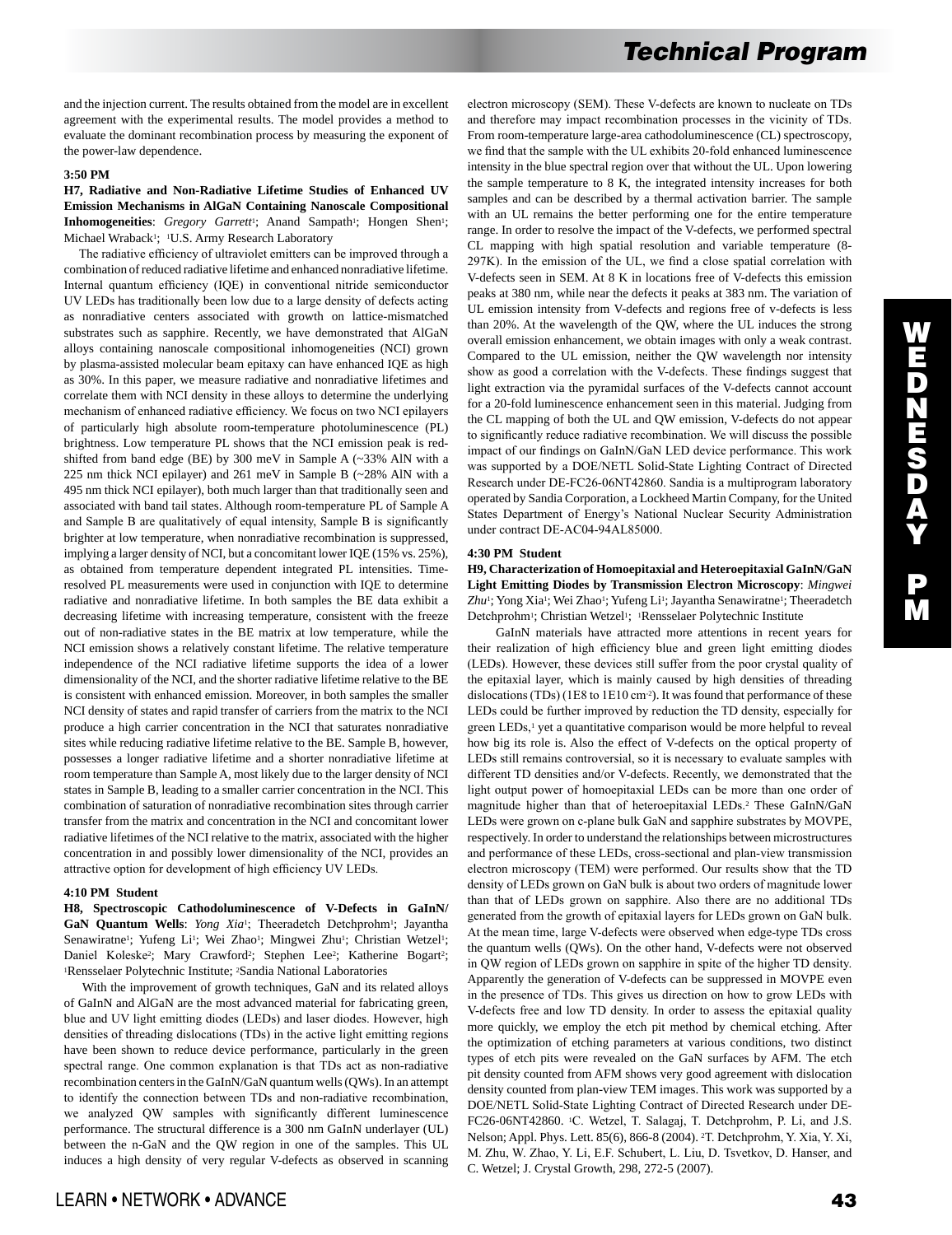and the injection current. The results obtained from the model are in excellent agreement with the experimental results. The model provides a method to evaluate the dominant recombination process by measuring the exponent of the power-law dependence.

## **3:50 PM**

**H7, Radiative and Non-Radiative Lifetime Studies of Enhanced UV Emission Mechanisms in AlGaN Containing Nanoscale Compositional Inhomogeneities**: *Gregory Garrett<sup>1</sup>*; Anand Sampath<sup>1</sup>; Hongen Shen<sup>1</sup>; Michael Wraback<sup>1</sup>; <sup>1</sup>U.S. Army Research Laboratory

 The radiative efficiency of ultraviolet emitters can be improved through a combination of reduced radiative lifetime and enhanced nonradiative lifetime. Internal quantum efficiency (IQE) in conventional nitride semiconductor UV LEDs has traditionally been low due to a large density of defects acting as nonradiative centers associated with growth on lattice-mismatched substrates such as sapphire. Recently, we have demonstrated that AlGaN alloys containing nanoscale compositional inhomogeneities (NCI) grown by plasma-assisted molecular beam epitaxy can have enhanced IQE as high as 30%. In this paper, we measure radiative and nonradiative lifetimes and correlate them with NCI density in these alloys to determine the underlying mechanism of enhanced radiative efficiency. We focus on two NCI epilayers of particularly high absolute room-temperature photoluminescence (PL) brightness. Low temperature PL shows that the NCI emission peak is redshifted from band edge (BE) by 300 meV in Sample A (~33% AlN with a 225 nm thick NCI epilayer) and 261 meV in Sample B (~28% AlN with a 495 nm thick NCI epilayer), both much larger than that traditionally seen and associated with band tail states. Although room-temperature PL of Sample A and Sample B are qualitatively of equal intensity, Sample B is significantly brighter at low temperature, when nonradiative recombination is suppressed, implying a larger density of NCI, but a concomitant lower IQE (15% vs. 25%), as obtained from temperature dependent integrated PL intensities. Timeresolved PL measurements were used in conjunction with IQE to determine radiative and nonradiative lifetime. In both samples the BE data exhibit a decreasing lifetime with increasing temperature, consistent with the freeze out of non-radiative states in the BE matrix at low temperature, while the NCI emission shows a relatively constant lifetime. The relative temperature independence of the NCI radiative lifetime supports the idea of a lower dimensionality of the NCI, and the shorter radiative lifetime relative to the BE is consistent with enhanced emission. Moreover, in both samples the smaller NCI density of states and rapid transfer of carriers from the matrix to the NCI produce a high carrier concentration in the NCI that saturates nonradiative sites while reducing radiative lifetime relative to the BE. Sample B, however, possesses a longer radiative lifetime and a shorter nonradiative lifetime at room temperature than Sample A, most likely due to the larger density of NCI states in Sample B, leading to a smaller carrier concentration in the NCI. This combination of saturation of nonradiative recombination sites through carrier transfer from the matrix and concentration in the NCI and concomitant lower radiative lifetimes of the NCI relative to the matrix, associated with the higher concentration in and possibly lower dimensionality of the NCI, provides an attractive option for development of high efficiency UV LEDs.

## **4:10 PM Student**

**H8, Spectroscopic Cathodoluminescence of V-Defects in GaInN/** GaN Quantum Wells: *Yong Xia<sup>1</sup>*; Theeradetch Detchprohm<sup>1</sup>; Jayantha Senawiratne<sup>1</sup>; Yufeng Li<sup>1</sup>; Wei Zhao<sup>1</sup>; Mingwei Zhu<sup>1</sup>; Christian Wetzel<sup>1</sup>; Daniel Koleske<sup>2</sup>; Mary Crawford<sup>2</sup>; Stephen Lee<sup>2</sup>; Katherine Bogart<sup>2</sup>; 1Rensselaer Polytechnic Institute; 2Sandia National Laboratories

 With the improvement of growth techniques, GaN and its related alloys of GaInN and AlGaN are the most advanced material for fabricating green, blue and UV light emitting diodes (LEDs) and laser diodes. However, high densities of threading dislocations (TDs) in the active light emitting regions have been shown to reduce device performance, particularly in the green spectral range. One common explanation is that TDs act as non-radiative recombination centers in the GaInN/GaN quantum wells (QWs). In an attempt to identify the connection between TDs and non-radiative recombination, we analyzed QW samples with significantly different luminescence performance. The structural difference is a 300 nm GaInN underlayer (UL) between the n-GaN and the QW region in one of the samples. This UL induces a high density of very regular V-defects as observed in scanning electron microscopy (SEM). These V-defects are known to nucleate on TDs and therefore may impact recombination processes in the vicinity of TDs. From room-temperature large-area cathodoluminescence (CL) spectroscopy, we find that the sample with the UL exhibits 20-fold enhanced luminescence intensity in the blue spectral region over that without the UL. Upon lowering the sample temperature to 8 K, the integrated intensity increases for both samples and can be described by a thermal activation barrier. The sample with an UL remains the better performing one for the entire temperature range. In order to resolve the impact of the V-defects, we performed spectral CL mapping with high spatial resolution and variable temperature (8- 297K). In the emission of the UL, we find a close spatial correlation with V-defects seen in SEM. At 8 K in locations free of V-defects this emission peaks at 380 nm, while near the defects it peaks at 383 nm. The variation of UL emission intensity from V-defects and regions free of v-defects is less than 20%. At the wavelength of the QW, where the UL induces the strong overall emission enhancement, we obtain images with only a weak contrast. Compared to the UL emission, neither the QW wavelength nor intensity show as good a correlation with the V-defects. These findings suggest that light extraction via the pyramidal surfaces of the V-defects cannot account for a 20-fold luminescence enhancement seen in this material. Judging from the CL mapping of both the UL and QW emission, V-defects do not appear to significantly reduce radiative recombination. We will discuss the possible impact of our findings on GaInN/GaN LED device performance. This work was supported by a DOE/NETL Solid-State Lighting Contract of Directed Research under DE-FC26-06NT42860. Sandia is a multiprogram laboratory operated by Sandia Corporation, a Lockheed Martin Company, for the United States Department of Energy's National Nuclear Security Administration under contract DE-AC04-94AL85000.

#### **4:30 PM Student**

**H9, Characterization of Homoepitaxial and Heteroepitaxial GaInN/GaN Light Emitting Diodes by Transmission Electron Microscopy**: *Mingwei*  Zhu<sup>1</sup>; Yong Xia<sup>1</sup>; Wei Zhao<sup>1</sup>; Yufeng Li<sup>1</sup>; Jayantha Senawiratne<sup>1</sup>; Theeradetch Detchprohm<sup>1</sup>; Christian Wetzel<sup>1</sup>; <sup>1</sup>Rensselaer Polytechnic Institute

 GaInN materials have attracted more attentions in recent years for their realization of high efficiency blue and green light emitting diodes (LEDs). However, these devices still suffer from the poor crystal quality of the epitaxial layer, which is mainly caused by high densities of threading dislocations (TDs) (1E8 to 1E10 cm<sup>-2</sup>). It was found that performance of these LEDs could be further improved by reduction the TD density, especially for green LEDs,<sup>1</sup> yet a quantitative comparison would be more helpful to reveal how big its role is. Also the effect of V-defects on the optical property of LEDs still remains controversial, so it is necessary to evaluate samples with different TD densities and/or V-defects. Recently, we demonstrated that the light output power of homoepitaxial LEDs can be more than one order of magnitude higher than that of heteroepitaxial LEDs.2 These GaInN/GaN LEDs were grown on c-plane bulk GaN and sapphire substrates by MOVPE, respectively. In order to understand the relationships between microstructures and performance of these LEDs, cross-sectional and plan-view transmission electron microscopy (TEM) were performed. Our results show that the TD density of LEDs grown on GaN bulk is about two orders of magnitude lower than that of LEDs grown on sapphire. Also there are no additional TDs generated from the growth of epitaxial layers for LEDs grown on GaN bulk. At the mean time, large V-defects were observed when edge-type TDs cross the quantum wells (QWs). On the other hand, V-defects were not observed in QW region of LEDs grown on sapphire in spite of the higher TD density. Apparently the generation of V-defects can be suppressed in MOVPE even in the presence of TDs. This gives us direction on how to grow LEDs with V-defects free and low TD density. In order to assess the epitaxial quality more quickly, we employ the etch pit method by chemical etching. After the optimization of etching parameters at various conditions, two distinct types of etch pits were revealed on the GaN surfaces by AFM. The etch pit density counted from AFM shows very good agreement with dislocation density counted from plan-view TEM images. This work was supported by a DOE/NETL Solid-State Lighting Contract of Directed Research under DE-FC26-06NT42860. 1C. Wetzel, T. Salagaj, T. Detchprohm, P. Li, and J.S. Nelson; Appl. Phys. Lett. 85(6), 866-8 (2004). 2T. Detchprohm, Y. Xia, Y. Xi, M. Zhu, W. Zhao, Y. Li, E.F. Schubert, L. Liu, D. Tsvetkov, D. Hanser, and C. Wetzel; J. Crystal Growth, 298, 272-5 (2007).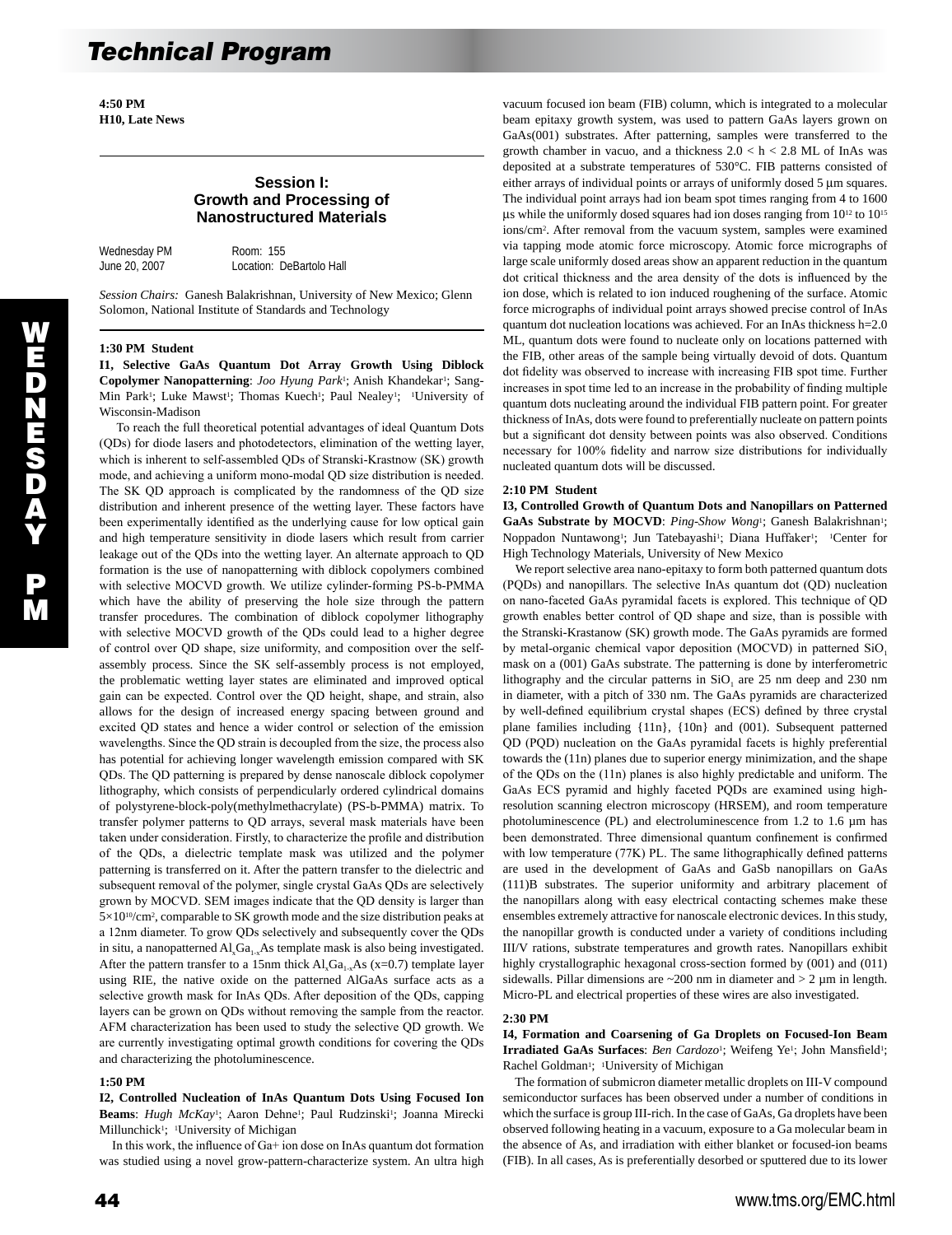**4:50 PM H10, Late News** 

## **Session I: Growth and Processing of Nanostructured Materials**

Wednesday PM Room: 155

June 20, 2007 Location: DeBartolo Hall

*Session Chairs:* Ganesh Balakrishnan, University of New Mexico; Glenn Solomon, National Institute of Standards and Technology

## **1:30 PM Student**

**I1, Selective GaAs Quantum Dot Array Growth Using Diblock Copolymer Nanopatterning**: *Joo Hyung Park*<sup>1</sup>; Anish Khandekar<sup>1</sup>; Sang-Min Park<sup>1</sup>; Luke Mawst<sup>1</sup>; Thomas Kuech<sup>1</sup>; Paul Nealey<sup>1</sup>; <sup>1</sup>University of Wisconsin-Madison

 To reach the full theoretical potential advantages of ideal Quantum Dots (QDs) for diode lasers and photodetectors, elimination of the wetting layer, which is inherent to self-assembled QDs of Stranski-Krastnow (SK) growth mode, and achieving a uniform mono-modal QD size distribution is needed. The SK QD approach is complicated by the randomness of the QD size distribution and inherent presence of the wetting layer. These factors have been experimentally identified as the underlying cause for low optical gain and high temperature sensitivity in diode lasers which result from carrier leakage out of the QDs into the wetting layer. An alternate approach to QD formation is the use of nanopatterning with diblock copolymers combined with selective MOCVD growth. We utilize cylinder-forming PS-b-PMMA which have the ability of preserving the hole size through the pattern transfer procedures. The combination of diblock copolymer lithography with selective MOCVD growth of the QDs could lead to a higher degree of control over QD shape, size uniformity, and composition over the selfassembly process. Since the SK self-assembly process is not employed, the problematic wetting layer states are eliminated and improved optical gain can be expected. Control over the QD height, shape, and strain, also allows for the design of increased energy spacing between ground and excited QD states and hence a wider control or selection of the emission wavelengths. Since the QD strain is decoupled from the size, the process also has potential for achieving longer wavelength emission compared with SK QDs. The QD patterning is prepared by dense nanoscale diblock copolymer lithography, which consists of perpendicularly ordered cylindrical domains of polystyrene-block-poly(methylmethacrylate) (PS-b-PMMA) matrix. To transfer polymer patterns to QD arrays, several mask materials have been taken under consideration. Firstly, to characterize the profile and distribution of the QDs, a dielectric template mask was utilized and the polymer patterning is transferred on it. After the pattern transfer to the dielectric and subsequent removal of the polymer, single crystal GaAs QDs are selectively grown by MOCVD. SEM images indicate that the QD density is larger than 5×1010/cm2, comparable to SK growth mode and the size distribution peaks at a 12nm diameter. To grow QDs selectively and subsequently cover the QDs in situ, a nanopatterned  $AI_xGa_{1-x}As$  template mask is also being investigated. After the pattern transfer to a 15nm thick  $AI_xGa_{1-x}As$  (x=0.7) template layer using RIE, the native oxide on the patterned AlGaAs surface acts as a selective growth mask for InAs QDs. After deposition of the QDs, capping layers can be grown on QDs without removing the sample from the reactor. AFM characterization has been used to study the selective QD growth. We are currently investigating optimal growth conditions for covering the QDs and characterizing the photoluminescence.

#### **1:50 PM**

**I2, Controlled Nucleation of InAs Quantum Dots Using Focused Ion**  Beams: Hugh McKay<sup>1</sup>; Aaron Dehne<sup>1</sup>; Paul Rudzinski<sup>1</sup>; Joanna Mirecki Millunchick<sup>1</sup>; <sup>1</sup>University of Michigan

 In this work, the influence of Ga+ ion dose on InAs quantum dot formation was studied using a novel grow-pattern-characterize system. An ultra high

vacuum focused ion beam (FIB) column, which is integrated to a molecular beam epitaxy growth system, was used to pattern GaAs layers grown on GaAs(001) substrates. After patterning, samples were transferred to the growth chamber in vacuo, and a thickness  $2.0 < h < 2.8$  ML of InAs was deposited at a substrate temperatures of 530°C. FIB patterns consisted of either arrays of individual points or arrays of uniformly dosed 5 µm squares. The individual point arrays had ion beam spot times ranging from 4 to 1600 µs while the uniformly dosed squares had ion doses ranging from 1012 to 1015 ions/cm2. After removal from the vacuum system, samples were examined via tapping mode atomic force microscopy. Atomic force micrographs of large scale uniformly dosed areas show an apparent reduction in the quantum dot critical thickness and the area density of the dots is influenced by the ion dose, which is related to ion induced roughening of the surface. Atomic force micrographs of individual point arrays showed precise control of InAs quantum dot nucleation locations was achieved. For an InAs thickness h=2.0 ML, quantum dots were found to nucleate only on locations patterned with the FIB, other areas of the sample being virtually devoid of dots. Quantum dot fidelity was observed to increase with increasing FIB spot time. Further increases in spot time led to an increase in the probability of finding multiple quantum dots nucleating around the individual FIB pattern point. For greater thickness of InAs, dots were found to preferentially nucleate on pattern points but a significant dot density between points was also observed. Conditions necessary for 100% fidelity and narrow size distributions for individually nucleated quantum dots will be discussed.

#### **2:10 PM Student**

**I3, Controlled Growth of Quantum Dots and Nanopillars on Patterned**  GaAs Substrate by MOCVD: Ping-Show Wong<sup>1</sup>; Ganesh Balakrishnan<sup>1</sup>; Noppadon Nuntawong1; Jun Tatebayashi1; Diana Huffaker1; 1Center for High Technology Materials, University of New Mexico

 We report selective area nano-epitaxy to form both patterned quantum dots (PQDs) and nanopillars. The selective InAs quantum dot (QD) nucleation on nano-faceted GaAs pyramidal facets is explored. This technique of QD growth enables better control of QD shape and size, than is possible with the Stranski-Krastanow (SK) growth mode. The GaAs pyramids are formed by metal-organic chemical vapor deposition (MOCVD) in patterned SiO<sub>1</sub> mask on a (001) GaAs substrate. The patterning is done by interferometric lithography and the circular patterns in  $SiO<sub>1</sub>$  are 25 nm deep and 230 nm in diameter, with a pitch of 330 nm. The GaAs pyramids are characterized by well-defined equilibrium crystal shapes (ECS) defined by three crystal plane families including {11n}, {10n} and (001). Subsequent patterned QD (PQD) nucleation on the GaAs pyramidal facets is highly preferential towards the (11n) planes due to superior energy minimization, and the shape of the QDs on the (11n) planes is also highly predictable and uniform. The GaAs ECS pyramid and highly faceted PQDs are examined using highresolution scanning electron microscopy (HRSEM), and room temperature photoluminescence (PL) and electroluminescence from 1.2 to 1.6 µm has been demonstrated. Three dimensional quantum confinement is confirmed with low temperature (77K) PL. The same lithographically defined patterns are used in the development of GaAs and GaSb nanopillars on GaAs (111)B substrates. The superior uniformity and arbitrary placement of the nanopillars along with easy electrical contacting schemes make these ensembles extremely attractive for nanoscale electronic devices. In this study, the nanopillar growth is conducted under a variety of conditions including III/V rations, substrate temperatures and growth rates. Nanopillars exhibit highly crystallographic hexagonal cross-section formed by (001) and (011) sidewalls. Pillar dimensions are  $\sim$ 200 nm in diameter and  $>$  2 µm in length. Micro-PL and electrical properties of these wires are also investigated.

#### **2:30 PM**

**I4, Formation and Coarsening of Ga Droplets on Focused-Ion Beam Irradiated GaAs Surfaces**: *Ben Cardozo*<sup>1</sup>; Weifeng Ye<sup>1</sup>; John Mansfield<sup>1</sup>; Rachel Goldman<sup>1</sup>; <sup>1</sup>University of Michigan

 The formation of submicron diameter metallic droplets on III-V compound semiconductor surfaces has been observed under a number of conditions in which the surface is group III-rich. In the case of GaAs, Ga droplets have been observed following heating in a vacuum, exposure to a Ga molecular beam in the absence of As, and irradiation with either blanket or focused-ion beams (FIB). In all cases, As is preferentially desorbed or sputtered due to its lower

W E D N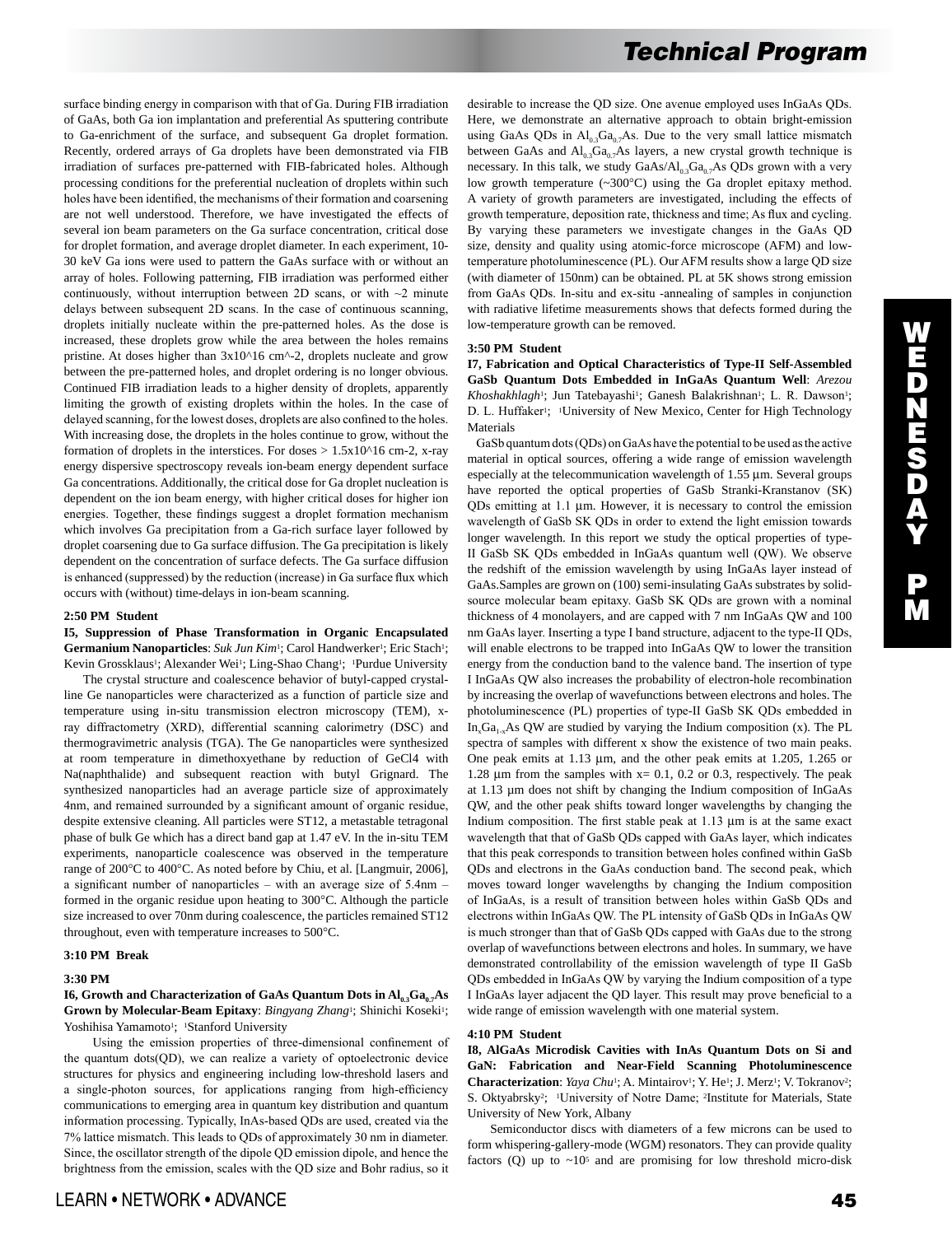surface binding energy in comparison with that of Ga. During FIB irradiation of GaAs, both Ga ion implantation and preferential As sputtering contribute to Ga-enrichment of the surface, and subsequent Ga droplet formation. Recently, ordered arrays of Ga droplets have been demonstrated via FIB irradiation of surfaces pre-patterned with FIB-fabricated holes. Although processing conditions for the preferential nucleation of droplets within such holes have been identified, the mechanisms of their formation and coarsening are not well understood. Therefore, we have investigated the effects of several ion beam parameters on the Ga surface concentration, critical dose for droplet formation, and average droplet diameter. In each experiment, 10- 30 keV Ga ions were used to pattern the GaAs surface with or without an array of holes. Following patterning, FIB irradiation was performed either continuously, without interruption between 2D scans, or with  $\sim$ 2 minute delays between subsequent 2D scans. In the case of continuous scanning, droplets initially nucleate within the pre-patterned holes. As the dose is increased, these droplets grow while the area between the holes remains pristine. At doses higher than  $3x10^{\text{A}}16$  cm^-2, droplets nucleate and grow between the pre-patterned holes, and droplet ordering is no longer obvious. Continued FIB irradiation leads to a higher density of droplets, apparently limiting the growth of existing droplets within the holes. In the case of delayed scanning, for the lowest doses, droplets are also confined to the holes. With increasing dose, the droplets in the holes continue to grow, without the formation of droplets in the interstices. For doses  $> 1.5x10^{\text{A}}16$  cm-2, x-ray energy dispersive spectroscopy reveals ion-beam energy dependent surface Ga concentrations. Additionally, the critical dose for Ga droplet nucleation is dependent on the ion beam energy, with higher critical doses for higher ion energies. Together, these findings suggest a droplet formation mechanism which involves Ga precipitation from a Ga-rich surface layer followed by droplet coarsening due to Ga surface diffusion. The Ga precipitation is likely dependent on the concentration of surface defects. The Ga surface diffusion is enhanced (suppressed) by the reduction (increase) in Ga surface flux which occurs with (without) time-delays in ion-beam scanning.

#### **2:50 PM Student**

## **I5, Suppression of Phase Transformation in Organic Encapsulated**  Germanium Nanoparticles: *Suk Jun Kim*<sup>1</sup>; Carol Handwerker<sup>1</sup>; Eric Stach<sup>1</sup>; Kevin Grossklaus<sup>1</sup>; Alexander Wei<sup>1</sup>; Ling-Shao Chang<sup>1</sup>; <sup>1</sup>Purdue University

 The crystal structure and coalescence behavior of butyl-capped crystalline Ge nanoparticles were characterized as a function of particle size and temperature using in-situ transmission electron microscopy (TEM), xray diffractometry (XRD), differential scanning calorimetry (DSC) and thermogravimetric analysis (TGA). The Ge nanoparticles were synthesized at room temperature in dimethoxyethane by reduction of GeCl4 with Na(naphthalide) and subsequent reaction with butyl Grignard. The synthesized nanoparticles had an average particle size of approximately 4nm, and remained surrounded by a significant amount of organic residue, despite extensive cleaning. All particles were ST12, a metastable tetragonal phase of bulk Ge which has a direct band gap at 1.47 eV. In the in-situ TEM experiments, nanoparticle coalescence was observed in the temperature range of 200°C to 400°C. As noted before by Chiu, et al. [Langmuir, 2006], a significant number of nanoparticles – with an average size of 5.4nm – formed in the organic residue upon heating to 300°C. Although the particle size increased to over 70nm during coalescence, the particles remained ST12 throughout, even with temperature increases to 500°C.

## **3:10 PM Break**

#### **3:30 PM**

## **I6, Growth and Characterization of GaAs Quantum Dots in**  $AI_{0.3}Ga_{0.7}As$ **Grown by Molecular-Beam Epitaxy**: *Bingyang Zhang*1; Shinichi Koseki1; Yoshihisa Yamamoto<sup>1</sup>; <sup>1</sup>Stanford University

 Using the emission properties of three-dimensional confinement of the quantum dots(QD), we can realize a variety of optoelectronic device structures for physics and engineering including low-threshold lasers and a single-photon sources, for applications ranging from high-efficiency communications to emerging area in quantum key distribution and quantum information processing. Typically, InAs-based QDs are used, created via the 7% lattice mismatch. This leads to QDs of approximately 30 nm in diameter. Since, the oscillator strength of the dipole QD emission dipole, and hence the brightness from the emission, scales with the QD size and Bohr radius, so it desirable to increase the QD size. One avenue employed uses InGaAs QDs. Here, we demonstrate an alternative approach to obtain bright-emission using GaAs QDs in  $Al_0$ ,  $Ga_0$ , As. Due to the very small lattice mismatch between GaAs and  $Al_0$ <sub>3</sub>Ga<sub>0.7</sub>As layers, a new crystal growth technique is necessary. In this talk, we study  $GaAs/Al_{0.3}Ga_{0.7}As$  QDs grown with a very low growth temperature (~300°C) using the Ga droplet epitaxy method. A variety of growth parameters are investigated, including the effects of growth temperature, deposition rate, thickness and time; As flux and cycling. By varying these parameters we investigate changes in the GaAs QD size, density and quality using atomic-force microscope (AFM) and lowtemperature photoluminescence (PL). Our AFM results show a large QD size (with diameter of 150nm) can be obtained. PL at 5K shows strong emission from GaAs QDs. In-situ and ex-situ -annealing of samples in conjunction with radiative lifetime measurements shows that defects formed during the low-temperature growth can be removed.

#### **3:50 PM Student**

**I7, Fabrication and Optical Characteristics of Type-II Self-Assembled GaSb Quantum Dots Embedded in InGaAs Quantum Well**: *Arezou Khoshakhlagh*<sup>1</sup>; Jun Tatebayashi<sup>1</sup>; Ganesh Balakrishnan<sup>1</sup>; L. R. Dawson<sup>1</sup>; D. L. Huffaker<sup>1</sup>; <sup>1</sup>University of New Mexico, Center for High Technology Materials

 GaSb quantum dots (QDs) on GaAs have the potential to be used as the active material in optical sources, offering a wide range of emission wavelength especially at the telecommunication wavelength of 1.55 µm. Several groups have reported the optical properties of GaSb Stranki-Kranstanov (SK) QDs emitting at 1.1 µm. However, it is necessary to control the emission wavelength of GaSb SK QDs in order to extend the light emission towards longer wavelength. In this report we study the optical properties of type-II GaSb SK QDs embedded in InGaAs quantum well (QW). We observe the redshift of the emission wavelength by using InGaAs layer instead of GaAs.Samples are grown on (100) semi-insulating GaAs substrates by solidsource molecular beam epitaxy. GaSb SK QDs are grown with a nominal thickness of 4 monolayers, and are capped with 7 nm InGaAs QW and 100 nm GaAs layer. Inserting a type I band structure, adjacent to the type-II QDs, will enable electrons to be trapped into InGaAs QW to lower the transition energy from the conduction band to the valence band. The insertion of type I InGaAs QW also increases the probability of electron-hole recombination by increasing the overlap of wavefunctions between electrons and holes. The photoluminescence (PL) properties of type-II GaSb SK QDs embedded in In<sub>x</sub>Ga<sub>1-x</sub>As QW are studied by varying the Indium composition (x). The PL spectra of samples with different x show the existence of two main peaks. One peak emits at 1.13 µm, and the other peak emits at 1.205, 1.265 or 1.28  $\mu$ m from the samples with x= 0.1, 0.2 or 0.3, respectively. The peak at 1.13 µm does not shift by changing the Indium composition of InGaAs QW, and the other peak shifts toward longer wavelengths by changing the Indium composition. The first stable peak at 1.13 µm is at the same exact wavelength that that of GaSb QDs capped with GaAs layer, which indicates that this peak corresponds to transition between holes confined within GaSb QDs and electrons in the GaAs conduction band. The second peak, which moves toward longer wavelengths by changing the Indium composition of InGaAs, is a result of transition between holes within GaSb QDs and electrons within InGaAs QW. The PL intensity of GaSb QDs in InGaAs QW is much stronger than that of GaSb QDs capped with GaAs due to the strong overlap of wavefunctions between electrons and holes. In summary, we have demonstrated controllability of the emission wavelength of type II GaSb QDs embedded in InGaAs QW by varying the Indium composition of a type I InGaAs layer adjacent the QD layer. This result may prove beneficial to a wide range of emission wavelength with one material system.

#### **4:10 PM Student**

**I8, AlGaAs Microdisk Cavities with InAs Quantum Dots on Si and GaN: Fabrication and Near-Field Scanning Photoluminescence**  Characterization: *Yaya Chu*<sup>1</sup>; A. Mintairov<sup>1</sup>; Y. He<sup>1</sup>; J. Merz<sup>1</sup>; V. Tokranov<sup>2</sup>; S. Oktyabrsky<sup>2</sup>; <sup>1</sup>University of Notre Dame; <sup>2</sup>Institute for Materials, State University of New York, Albany

 Semiconductor discs with diameters of a few microns can be used to form whispering-gallery-mode (WGM) resonators. They can provide quality factors (Q) up to  $\sim 10^5$  and are promising for low threshold micro-disk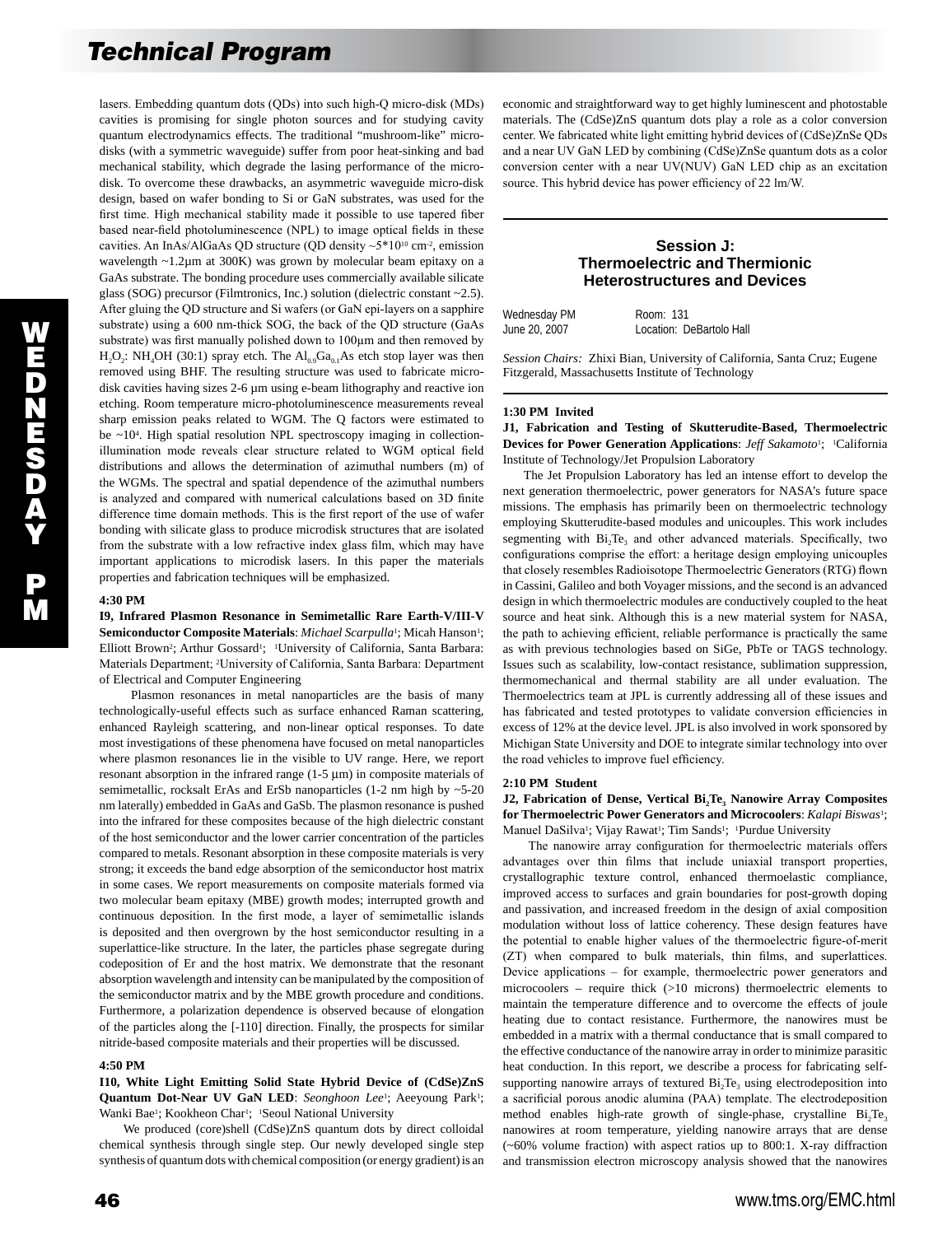lasers. Embedding quantum dots (QDs) into such high-Q micro-disk (MDs) cavities is promising for single photon sources and for studying cavity quantum electrodynamics effects. The traditional "mushroom-like" microdisks (with a symmetric waveguide) suffer from poor heat-sinking and bad mechanical stability, which degrade the lasing performance of the microdisk. To overcome these drawbacks, an asymmetric waveguide micro-disk design, based on wafer bonding to Si or GaN substrates, was used for the first time. High mechanical stability made it possible to use tapered fiber based near-field photoluminescence (NPL) to image optical fields in these cavities. An InAs/AlGaAs QD structure (QD density ~5\*1010 cm-2, emission wavelength ~1.2µm at 300K) was grown by molecular beam epitaxy on a GaAs substrate. The bonding procedure uses commercially available silicate glass (SOG) precursor (Filmtronics, Inc.) solution (dielectric constant ~2.5). After gluing the QD structure and Si wafers (or GaN epi-layers on a sapphire substrate) using a 600 nm-thick SOG, the back of the QD structure (GaAs substrate) was first manually polished down to 100µm and then removed by  $H_2O_2$ : NH<sub>4</sub>OH (30:1) spray etch. The  $Al_{0.9}Ga_{0.1}As$  etch stop layer was then removed using BHF. The resulting structure was used to fabricate microdisk cavities having sizes 2-6 µm using e-beam lithography and reactive ion etching. Room temperature micro-photoluminescence measurements reveal sharp emission peaks related to WGM. The Q factors were estimated to be ~10<sup>4</sup>. High spatial resolution NPL spectroscopy imaging in collectionillumination mode reveals clear structure related to WGM optical field distributions and allows the determination of azimuthal numbers (m) of the WGMs. The spectral and spatial dependence of the azimuthal numbers is analyzed and compared with numerical calculations based on 3D finite difference time domain methods. This is the first report of the use of wafer bonding with silicate glass to produce microdisk structures that are isolated from the substrate with a low refractive index glass film, which may have important applications to microdisk lasers. In this paper the materials properties and fabrication techniques will be emphasized.

## **4:30 PM**

**I9, Infrared Plasmon Resonance in Semimetallic Rare Earth-V/III-V**  Semiconductor Composite Materials: Michael Scarpulla<sup>1</sup>; Micah Hanson<sup>1</sup>; Elliott Brown<sup>2</sup>; Arthur Gossard<sup>1</sup>; <sup>1</sup>University of California, Santa Barbara: Materials Department; 2University of California, Santa Barbara: Department of Electrical and Computer Engineering

 Plasmon resonances in metal nanoparticles are the basis of many technologically-useful effects such as surface enhanced Raman scattering, enhanced Rayleigh scattering, and non-linear optical responses. To date most investigations of these phenomena have focused on metal nanoparticles where plasmon resonances lie in the visible to UV range. Here, we report resonant absorption in the infrared range  $(1-5 \mu m)$  in composite materials of semimetallic, rocksalt ErAs and ErSb nanoparticles (1-2 nm high by ~5-20) nm laterally) embedded in GaAs and GaSb. The plasmon resonance is pushed into the infrared for these composites because of the high dielectric constant of the host semiconductor and the lower carrier concentration of the particles compared to metals. Resonant absorption in these composite materials is very strong; it exceeds the band edge absorption of the semiconductor host matrix in some cases. We report measurements on composite materials formed via two molecular beam epitaxy (MBE) growth modes; interrupted growth and continuous deposition. In the first mode, a layer of semimetallic islands is deposited and then overgrown by the host semiconductor resulting in a superlattice-like structure. In the later, the particles phase segregate during codeposition of Er and the host matrix. We demonstrate that the resonant absorption wavelength and intensity can be manipulated by the composition of the semiconductor matrix and by the MBE growth procedure and conditions. Furthermore, a polarization dependence is observed because of elongation of the particles along the [-110] direction. Finally, the prospects for similar nitride-based composite materials and their properties will be discussed.

### **4:50 PM**

**I10, White Light Emitting Solid State Hybrid Device of (CdSe)ZnS**  Quantum Dot-Near UV GaN LED: *Seonghoon Lee<sup>1</sup>*; Aeeyoung Park<sup>1</sup>; Wanki Bae<sup>1</sup>; Kookheon Char<sup>1</sup>; <sup>1</sup>Seoul National University

 We produced (core)shell (CdSe)ZnS quantum dots by direct colloidal chemical synthesis through single step. Our newly developed single step synthesis of quantum dots with chemical composition (or energy gradient) is an

economic and straightforward way to get highly luminescent and photostable materials. The (CdSe)ZnS quantum dots play a role as a color conversion center. We fabricated white light emitting hybrid devices of (CdSe)ZnSe QDs and a near UV GaN LED by combining (CdSe)ZnSe quantum dots as a color conversion center with a near UV(NUV) GaN LED chip as an excitation source. This hybrid device has power efficiency of 22 lm/W.

## **Session J: Thermoelectric and Thermionic Heterostructures and Devices**

| Wednesday PM  | Room: 131                |
|---------------|--------------------------|
| June 20, 2007 | Location: DeBartolo Hall |

*Session Chairs:* Zhixi Bian, University of California, Santa Cruz; Eugene Fitzgerald, Massachusetts Institute of Technology

#### **1:30 PM Invited**

**J1, Fabrication and Testing of Skutterudite-Based, Thermoelectric Devices for Power Generation Applications**: *Jeff Sakamoto*1; 1California Institute of Technology/Jet Propulsion Laboratory

 The Jet Propulsion Laboratory has led an intense effort to develop the next generation thermoelectric, power generators for NASA's future space missions. The emphasis has primarily been on thermoelectric technology employing Skutterudite-based modules and unicouples. This work includes segmenting with Bi<sub>2</sub>Te<sub>3</sub> and other advanced materials. Specifically, two configurations comprise the effort: a heritage design employing unicouples that closely resembles Radioisotope Thermoelectric Generators (RTG) flown in Cassini, Galileo and both Voyager missions, and the second is an advanced design in which thermoelectric modules are conductively coupled to the heat source and heat sink. Although this is a new material system for NASA, the path to achieving efficient, reliable performance is practically the same as with previous technologies based on SiGe, PbTe or TAGS technology. Issues such as scalability, low-contact resistance, sublimation suppression, thermomechanical and thermal stability are all under evaluation. The Thermoelectrics team at JPL is currently addressing all of these issues and has fabricated and tested prototypes to validate conversion efficiencies in excess of 12% at the device level. JPL is also involved in work sponsored by Michigan State University and DOE to integrate similar technology into over the road vehicles to improve fuel efficiency.

#### **2:10 PM Student**

**J2, Fabrication of Dense, Vertical Bi, Te, Nanowire Array Composites for Thermoelectric Power Generators and Microcoolers**: *Kalapi Biswas*1; Manuel DaSilva<sup>1</sup>; Vijay Rawat<sup>1</sup>; Tim Sands<sup>1</sup>; <sup>1</sup>Purdue University

 The nanowire array configuration for thermoelectric materials offers advantages over thin films that include uniaxial transport properties, crystallographic texture control, enhanced thermoelastic compliance, improved access to surfaces and grain boundaries for post-growth doping and passivation, and increased freedom in the design of axial composition modulation without loss of lattice coherency. These design features have the potential to enable higher values of the thermoelectric figure-of-merit (ZT) when compared to bulk materials, thin films, and superlattices. Device applications – for example, thermoelectric power generators and microcoolers – require thick (>10 microns) thermoelectric elements to maintain the temperature difference and to overcome the effects of joule heating due to contact resistance. Furthermore, the nanowires must be embedded in a matrix with a thermal conductance that is small compared to the effective conductance of the nanowire array in order to minimize parasitic heat conduction. In this report, we describe a process for fabricating selfsupporting nanowire arrays of textured  $Bi<sub>2</sub>Te<sub>3</sub>$  using electrodeposition into a sacrificial porous anodic alumina (PAA) template. The electrodeposition method enables high-rate growth of single-phase, crystalline  $Bi<sub>2</sub>Te<sub>3</sub>$ nanowires at room temperature, yielding nanowire arrays that are dense (~60% volume fraction) with aspect ratios up to 800:1. X-ray diffraction and transmission electron microscopy analysis showed that the nanowires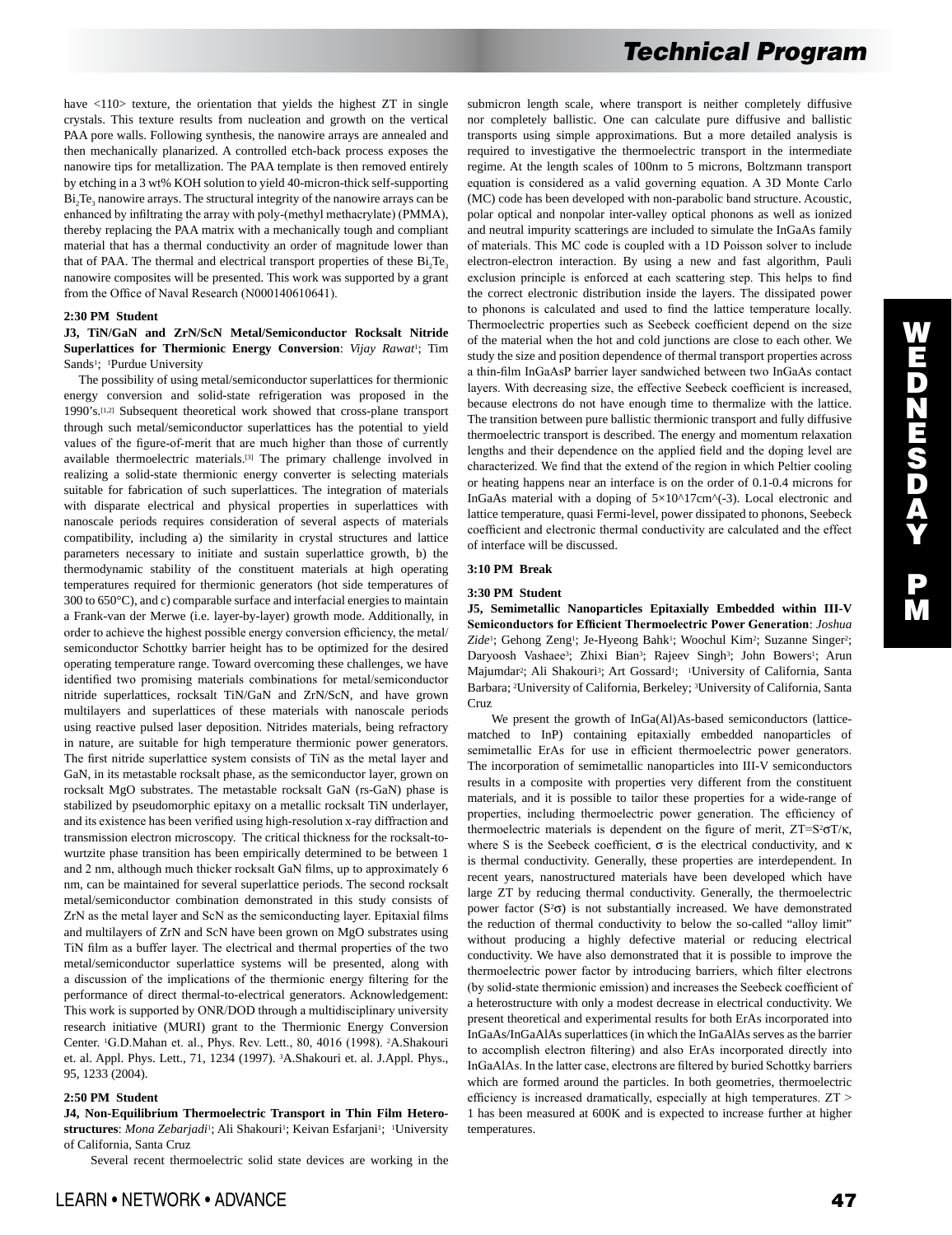have  $\langle 110 \rangle$  texture, the orientation that yields the highest ZT in single crystals. This texture results from nucleation and growth on the vertical PAA pore walls. Following synthesis, the nanowire arrays are annealed and then mechanically planarized. A controlled etch-back process exposes the nanowire tips for metallization. The PAA template is then removed entirely by etching in a 3 wt% KOH solution to yield 40-micron-thick self-supporting  $Bi<sub>2</sub>Te<sub>3</sub>$  nanowire arrays. The structural integrity of the nanowire arrays can be enhanced by infiltrating the array with poly-(methyl methacrylate) (PMMA), thereby replacing the PAA matrix with a mechanically tough and compliant material that has a thermal conductivity an order of magnitude lower than that of PAA. The thermal and electrical transport properties of these  $Bi<sub>2</sub>Te<sub>3</sub>$ nanowire composites will be presented. This work was supported by a grant from the Office of Naval Research (N000140610641).

## **2:30 PM Student**

## **J3, TiN/GaN and ZrN/ScN Metal/Semiconductor Rocksalt Nitride Superlattices for Thermionic Energy Conversion**: *Vijay Rawat*1; Tim Sands<sup>1</sup>; <sup>1</sup>Purdue University

 The possibility of using metal/semiconductor superlattices for thermionic energy conversion and solid-state refrigeration was proposed in the 1990's.[1,2] Subsequent theoretical work showed that cross-plane transport through such metal/semiconductor superlattices has the potential to yield values of the figure-of-merit that are much higher than those of currently available thermoelectric materials.[3] The primary challenge involved in realizing a solid-state thermionic energy converter is selecting materials suitable for fabrication of such superlattices. The integration of materials with disparate electrical and physical properties in superlattices with nanoscale periods requires consideration of several aspects of materials compatibility, including a) the similarity in crystal structures and lattice parameters necessary to initiate and sustain superlattice growth, b) the thermodynamic stability of the constituent materials at high operating temperatures required for thermionic generators (hot side temperatures of 300 to 650°C), and c) comparable surface and interfacial energies to maintain a Frank-van der Merwe (i.e. layer-by-layer) growth mode. Additionally, in order to achieve the highest possible energy conversion efficiency, the metal/ semiconductor Schottky barrier height has to be optimized for the desired operating temperature range. Toward overcoming these challenges, we have identified two promising materials combinations for metal/semiconductor nitride superlattices, rocksalt TiN/GaN and ZrN/ScN, and have grown multilayers and superlattices of these materials with nanoscale periods using reactive pulsed laser deposition. Nitrides materials, being refractory in nature, are suitable for high temperature thermionic power generators. The first nitride superlattice system consists of TiN as the metal layer and GaN, in its metastable rocksalt phase, as the semiconductor layer, grown on rocksalt MgO substrates. The metastable rocksalt GaN (rs-GaN) phase is stabilized by pseudomorphic epitaxy on a metallic rocksalt TiN underlayer, and its existence has been verified using high-resolution x-ray diffraction and transmission electron microscopy. The critical thickness for the rocksalt-towurtzite phase transition has been empirically determined to be between 1 and 2 nm, although much thicker rocksalt GaN films, up to approximately 6 nm, can be maintained for several superlattice periods. The second rocksalt metal/semiconductor combination demonstrated in this study consists of ZrN as the metal layer and ScN as the semiconducting layer. Epitaxial films and multilayers of ZrN and ScN have been grown on MgO substrates using TiN film as a buffer layer. The electrical and thermal properties of the two metal/semiconductor superlattice systems will be presented, along with a discussion of the implications of the thermionic energy filtering for the performance of direct thermal-to-electrical generators. Acknowledgement: This work is supported by ONR/DOD through a multidisciplinary university research initiative (MURI) grant to the Thermionic Energy Conversion Center. 1G.D.Mahan et. al., Phys. Rev. Lett., 80, 4016 (1998). 2A.Shakouri et. al. Appl. Phys. Lett., 71, 1234 (1997). 3A.Shakouri et. al. J.Appl. Phys., 95, 1233 (2004).

#### **2:50 PM Student**

**J4, Non-Equilibrium Thermoelectric Transport in Thin Film Hetero**structures: *Mona Zebarjadi*<sup>1</sup>; Ali Shakouri<sup>1</sup>; Keivan Esfarjani<sup>1</sup>; <sup>1</sup>University of California, Santa Cruz

Several recent thermoelectric solid state devices are working in the

submicron length scale, where transport is neither completely diffusive nor completely ballistic. One can calculate pure diffusive and ballistic transports using simple approximations. But a more detailed analysis is required to investigative the thermoelectric transport in the intermediate regime. At the length scales of 100nm to 5 microns, Boltzmann transport equation is considered as a valid governing equation. A 3D Monte Carlo (MC) code has been developed with non-parabolic band structure. Acoustic, polar optical and nonpolar inter-valley optical phonons as well as ionized and neutral impurity scatterings are included to simulate the InGaAs family of materials. This MC code is coupled with a 1D Poisson solver to include electron-electron interaction. By using a new and fast algorithm, Pauli exclusion principle is enforced at each scattering step. This helps to find the correct electronic distribution inside the layers. The dissipated power to phonons is calculated and used to find the lattice temperature locally. Thermoelectric properties such as Seebeck coefficient depend on the size of the material when the hot and cold junctions are close to each other. We study the size and position dependence of thermal transport properties across a thin-film InGaAsP barrier layer sandwiched between two InGaAs contact layers. With decreasing size, the effective Seebeck coefficient is increased, because electrons do not have enough time to thermalize with the lattice. The transition between pure ballistic thermionic transport and fully diffusive thermoelectric transport is described. The energy and momentum relaxation lengths and their dependence on the applied field and the doping level are characterized. We find that the extend of the region in which Peltier cooling or heating happens near an interface is on the order of 0.1-0.4 microns for InGaAs material with a doping of  $5\times10^{4}$ 17cm $($ -3). Local electronic and lattice temperature, quasi Fermi-level, power dissipated to phonons, Seebeck coefficient and electronic thermal conductivity are calculated and the effect of interface will be discussed.

## **3:10 PM Break**

#### **3:30 PM Student**

**J5, Semimetallic Nanoparticles Epitaxially Embedded within III-V Semiconductors for Efficient Thermoelectric Power Generation**: *Joshua*  Zide<sup>1</sup>; Gehong Zeng<sup>1</sup>; Je-Hyeong Bahk<sup>1</sup>; Woochul Kim<sup>2</sup>; Suzanne Singer<sup>2</sup>; Daryoosh Vashaee3; Zhixi Bian3; Rajeev Singh3; John Bowers1; Arun Majumdar<sup>2</sup>; Ali Shakouri<sup>3</sup>; Art Gossard<sup>1</sup>; <sup>1</sup>University of California, Santa Barbara; 2University of California, Berkeley; 3University of California, Santa Cruz

 We present the growth of InGa(Al)As-based semiconductors (latticematched to InP) containing epitaxially embedded nanoparticles of semimetallic ErAs for use in efficient thermoelectric power generators. The incorporation of semimetallic nanoparticles into III-V semiconductors results in a composite with properties very different from the constituent materials, and it is possible to tailor these properties for a wide-range of properties, including thermoelectric power generation. The efficiency of thermoelectric materials is dependent on the figure of merit,  $ZT=S^2\sigma T/\kappa$ , where S is the Seebeck coefficient,  $\sigma$  is the electrical conductivity, and  $\kappa$ is thermal conductivity. Generally, these properties are interdependent. In recent years, nanostructured materials have been developed which have large ZT by reducing thermal conductivity. Generally, the thermoelectric power factor  $(S^2\sigma)$  is not substantially increased. We have demonstrated the reduction of thermal conductivity to below the so-called "alloy limit" without producing a highly defective material or reducing electrical conductivity. We have also demonstrated that it is possible to improve the thermoelectric power factor by introducing barriers, which filter electrons (by solid-state thermionic emission) and increases the Seebeck coefficient of a heterostructure with only a modest decrease in electrical conductivity. We present theoretical and experimental results for both ErAs incorporated into InGaAs/InGaAlAs superlattices (in which the InGaAlAs serves as the barrier to accomplish electron filtering) and also ErAs incorporated directly into InGaAlAs. In the latter case, electrons are filtered by buried Schottky barriers which are formed around the particles. In both geometries, thermoelectric efficiency is increased dramatically, especially at high temperatures. ZT > 1 has been measured at 600K and is expected to increase further at higher temperatures.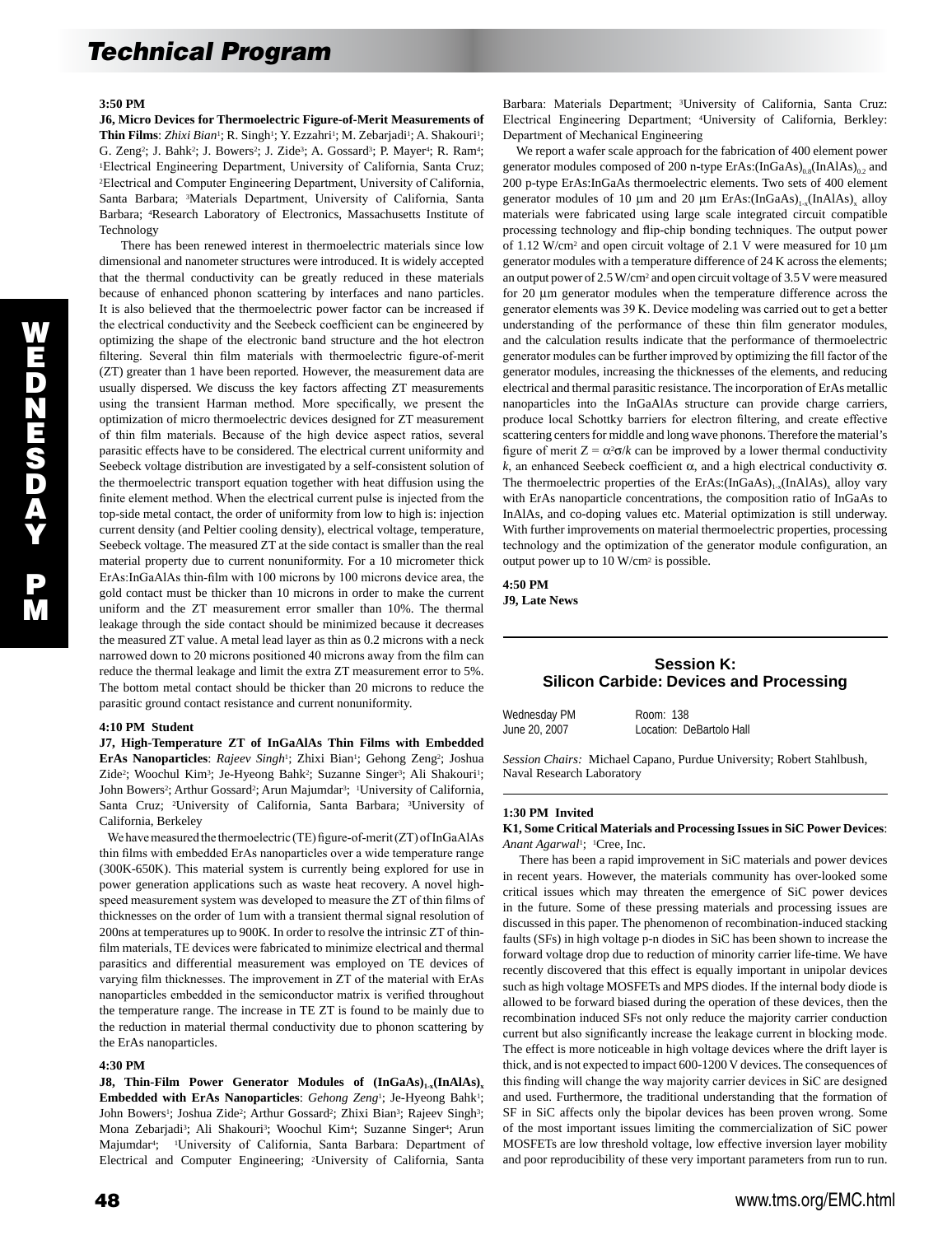#### **3:50 PM**

**J6, Micro Devices for Thermoelectric Figure-of-Merit Measurements of**  Thin Films: *Zhixi Bian<sup>1</sup>*; R. Singh<sup>1</sup>; Y. Ezzahri<sup>1</sup>; M. Zebarjadi<sup>1</sup>; A. Shakouri<sup>1</sup>; G. Zeng<sup>2</sup>; J. Bahk<sup>2</sup>; J. Bowers<sup>2</sup>; J. Zide<sup>3</sup>; A. Gossard<sup>3</sup>; P. Mayer<sup>4</sup>; R. Ram<sup>4</sup>; <sup>1</sup>Electrical Engineering Department, University of California, Santa Cruz; <sup>2</sup>Electrical and Computer Engineering Department, University of California, Santa Barbara; 3Materials Department, University of California, Santa Barbara; 4Research Laboratory of Electronics, Massachusetts Institute of Technology

 There has been renewed interest in thermoelectric materials since low dimensional and nanometer structures were introduced. It is widely accepted that the thermal conductivity can be greatly reduced in these materials because of enhanced phonon scattering by interfaces and nano particles. It is also believed that the thermoelectric power factor can be increased if the electrical conductivity and the Seebeck coefficient can be engineered by optimizing the shape of the electronic band structure and the hot electron filtering. Several thin film materials with thermoelectric figure-of-merit (ZT) greater than 1 have been reported. However, the measurement data are usually dispersed. We discuss the key factors affecting ZT measurements using the transient Harman method. More specifically, we present the optimization of micro thermoelectric devices designed for ZT measurement of thin film materials. Because of the high device aspect ratios, several parasitic effects have to be considered. The electrical current uniformity and Seebeck voltage distribution are investigated by a self-consistent solution of the thermoelectric transport equation together with heat diffusion using the finite element method. When the electrical current pulse is injected from the top-side metal contact, the order of uniformity from low to high is: injection current density (and Peltier cooling density), electrical voltage, temperature, Seebeck voltage. The measured ZT at the side contact is smaller than the real material property due to current nonuniformity. For a 10 micrometer thick ErAs:InGaAlAs thin-film with 100 microns by 100 microns device area, the gold contact must be thicker than 10 microns in order to make the current uniform and the ZT measurement error smaller than 10%. The thermal leakage through the side contact should be minimized because it decreases the measured ZT value. A metal lead layer as thin as 0.2 microns with a neck narrowed down to 20 microns positioned 40 microns away from the film can reduce the thermal leakage and limit the extra ZT measurement error to 5%. The bottom metal contact should be thicker than 20 microns to reduce the parasitic ground contact resistance and current nonuniformity.

#### **4:10 PM Student**

**J7, High-Temperature ZT of InGaAlAs Thin Films with Embedded**  ErAs Nanoparticles: Rajeev Singh<sup>1</sup>; Zhixi Bian<sup>1</sup>; Gehong Zeng<sup>2</sup>; Joshua Zide<sup>2</sup>; Woochul Kim<sup>3</sup>; Je-Hyeong Bahk<sup>2</sup>; Suzanne Singer<sup>3</sup>; Ali Shakouri<sup>1</sup>; John Bowers<sup>2</sup>; Arthur Gossard<sup>2</sup>; Arun Majumdar<sup>3</sup>; <sup>1</sup>University of California, Santa Cruz; 2University of California, Santa Barbara; 3University of California, Berkeley

 We have measured the thermoelectric (TE) figure-of-merit (ZT) of InGaAlAs thin films with embedded ErAs nanoparticles over a wide temperature range (300K-650K). This material system is currently being explored for use in power generation applications such as waste heat recovery. A novel highspeed measurement system was developed to measure the ZT of thin films of thicknesses on the order of 1um with a transient thermal signal resolution of 200ns at temperatures up to 900K. In order to resolve the intrinsic ZT of thinfilm materials, TE devices were fabricated to minimize electrical and thermal parasitics and differential measurement was employed on TE devices of varying film thicknesses. The improvement in ZT of the material with ErAs nanoparticles embedded in the semiconductor matrix is verified throughout the temperature range. The increase in TE ZT is found to be mainly due to the reduction in material thermal conductivity due to phonon scattering by the ErAs nanoparticles.

#### **4:30 PM**

**J8, Thin-Film Power Generator Modules of**  $(InGaAs)_{1-x}(InAlAs)_{x}$ **Embedded with ErAs Nanoparticles**: *Gehong Zeng*1; Je-Hyeong Bahk1; John Bowers<sup>1</sup>; Joshua Zide<sup>2</sup>; Arthur Gossard<sup>2</sup>; Zhixi Bian<sup>3</sup>; Rajeev Singh<sup>3</sup>; Mona Zebarjadi<sup>3</sup>; Ali Shakouri<sup>3</sup>; Woochul Kim<sup>4</sup>; Suzanne Singer<sup>4</sup>; Arun Majumdar<sup>4</sup>; <sup>1</sup>University of California, Santa Barbara: Department of Electrical and Computer Engineering; 2University of California, Santa

Barbara: Materials Department; 3University of California, Santa Cruz: Electrical Engineering Department; 4University of California, Berkley: Department of Mechanical Engineering

 We report a wafer scale approach for the fabrication of 400 element power generator modules composed of 200 n-type ErAs: $(InGaAs)_{0.8}(InAlAs)_{0.2}$  and 200 p-type ErAs:InGaAs thermoelectric elements. Two sets of 400 element generator modules of 10  $\mu$ m and 20  $\mu$ m ErAs:(InGaAs)<sub>1-x</sub>(InAlAs)<sub>x</sub> alloy materials were fabricated using large scale integrated circuit compatible processing technology and flip-chip bonding techniques. The output power of 1.12 W/cm2 and open circuit voltage of 2.1 V were measured for 10 µm generator modules with a temperature difference of 24 K across the elements; an output power of 2.5 W/cm2 and open circuit voltage of 3.5 V were measured for 20 µm generator modules when the temperature difference across the generator elements was 39 K. Device modeling was carried out to get a better understanding of the performance of these thin film generator modules, and the calculation results indicate that the performance of thermoelectric generator modules can be further improved by optimizing the fill factor of the generator modules, increasing the thicknesses of the elements, and reducing electrical and thermal parasitic resistance. The incorporation of ErAs metallic nanoparticles into the InGaAlAs structure can provide charge carriers, produce local Schottky barriers for electron filtering, and create effective scattering centers for middle and long wave phonons. Therefore the material's figure of merit  $Z = \alpha^2 \sigma / k$  can be improved by a lower thermal conductivity *k*, an enhanced Seebeck coefficient α, and a high electrical conductivity σ. The thermoelectric properties of the ErAs: $(InGaAs)_{1-x}(InAlAs)_{x}$  alloy vary with ErAs nanoparticle concentrations, the composition ratio of InGaAs to InAlAs, and co-doping values etc. Material optimization is still underway. With further improvements on material thermoelectric properties, processing technology and the optimization of the generator module configuration, an output power up to 10 W/cm2 is possible.

**4:50 PM J9, Late News** 

## **Session K: Silicon Carbide: Devices and Processing**

| Wednesday PM  | Room: 138                |
|---------------|--------------------------|
| June 20, 2007 | Location: DeBartolo Hall |

*Session Chairs:* Michael Capano, Purdue University; Robert Stahlbush, Naval Research Laboratory

#### **1:30 PM Invited**

#### **K1, Some Critical Materials and Processing Issues in SiC Power Devices**: *Anant Agarwal*1; 1Cree, Inc.

 There has been a rapid improvement in SiC materials and power devices in recent years. However, the materials community has over-looked some critical issues which may threaten the emergence of SiC power devices in the future. Some of these pressing materials and processing issues are discussed in this paper. The phenomenon of recombination-induced stacking faults (SFs) in high voltage p-n diodes in SiC has been shown to increase the forward voltage drop due to reduction of minority carrier life-time. We have recently discovered that this effect is equally important in unipolar devices such as high voltage MOSFETs and MPS diodes. If the internal body diode is allowed to be forward biased during the operation of these devices, then the recombination induced SFs not only reduce the majority carrier conduction current but also significantly increase the leakage current in blocking mode. The effect is more noticeable in high voltage devices where the drift layer is thick, and is not expected to impact 600-1200 V devices. The consequences of this finding will change the way majority carrier devices in SiC are designed and used. Furthermore, the traditional understanding that the formation of SF in SiC affects only the bipolar devices has been proven wrong. Some of the most important issues limiting the commercialization of SiC power MOSFETs are low threshold voltage, low effective inversion layer mobility and poor reproducibility of these very important parameters from run to run.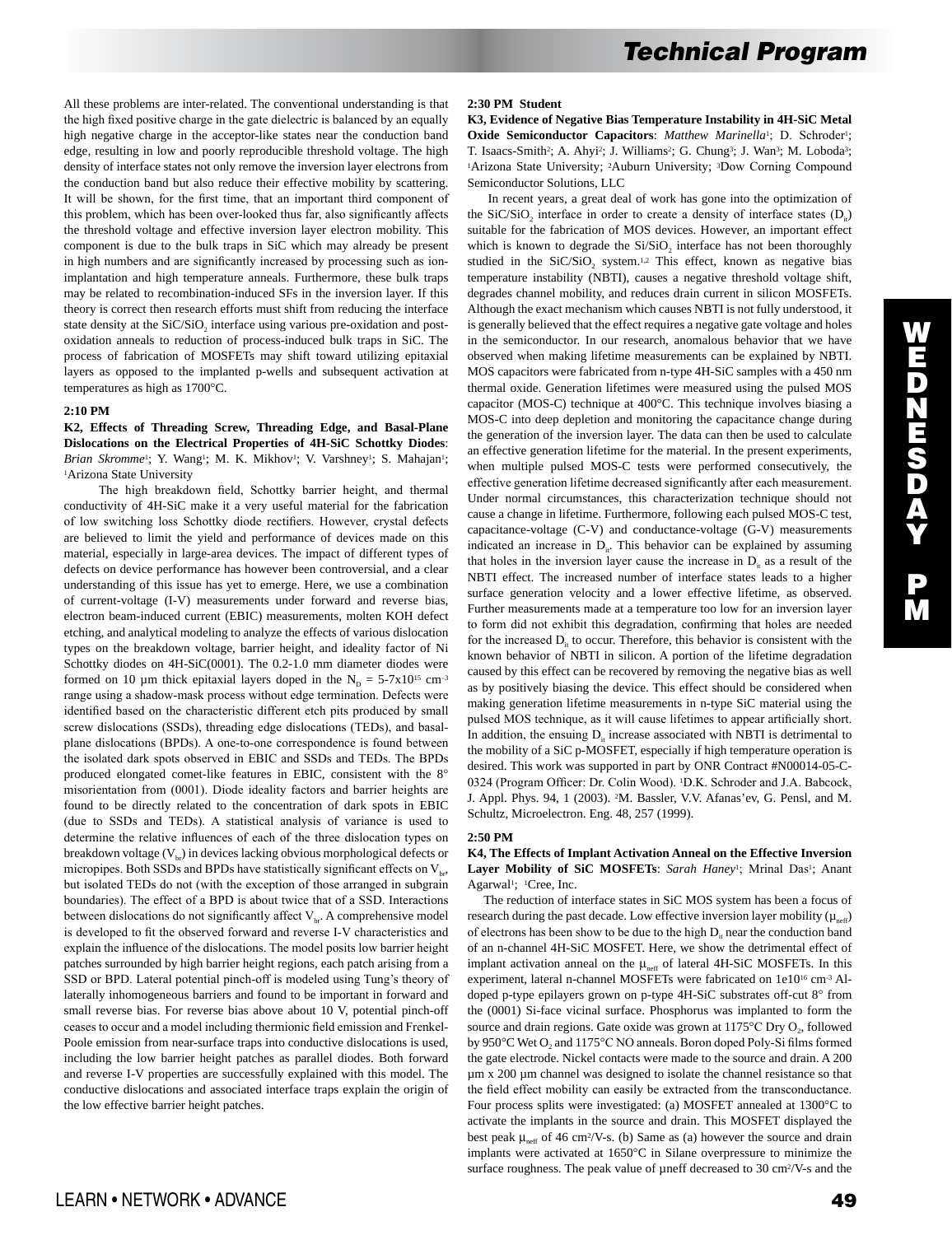All these problems are inter-related. The conventional understanding is that the high fixed positive charge in the gate dielectric is balanced by an equally high negative charge in the acceptor-like states near the conduction band edge, resulting in low and poorly reproducible threshold voltage. The high density of interface states not only remove the inversion layer electrons from the conduction band but also reduce their effective mobility by scattering. It will be shown, for the first time, that an important third component of this problem, which has been over-looked thus far, also significantly affects the threshold voltage and effective inversion layer electron mobility. This component is due to the bulk traps in SiC which may already be present in high numbers and are significantly increased by processing such as ionimplantation and high temperature anneals. Furthermore, these bulk traps may be related to recombination-induced SFs in the inversion layer. If this theory is correct then research efforts must shift from reducing the interface state density at the SiC/SiO<sub>2</sub> interface using various pre-oxidation and postoxidation anneals to reduction of process-induced bulk traps in SiC. The process of fabrication of MOSFETs may shift toward utilizing epitaxial layers as opposed to the implanted p-wells and subsequent activation at temperatures as high as 1700°C.

## **2:10 PM**

## **K2, Effects of Threading Screw, Threading Edge, and Basal-Plane Dislocations on the Electrical Properties of 4H-SiC Schottky Diodes**: Brian Skromme<sup>1</sup>; Y. Wang<sup>1</sup>; M. K. Mikhov<sup>1</sup>; V. Varshney<sup>1</sup>; S. Mahajan<sup>1</sup>; 1Arizona State University

 The high breakdown field, Schottky barrier height, and thermal conductivity of 4H-SiC make it a very useful material for the fabrication of low switching loss Schottky diode rectifiers. However, crystal defects are believed to limit the yield and performance of devices made on this material, especially in large-area devices. The impact of different types of defects on device performance has however been controversial, and a clear understanding of this issue has yet to emerge. Here, we use a combination of current-voltage (I-V) measurements under forward and reverse bias, electron beam-induced current (EBIC) measurements, molten KOH defect etching, and analytical modeling to analyze the effects of various dislocation types on the breakdown voltage, barrier height, and ideality factor of Ni Schottky diodes on 4H-SiC(0001). The 0.2-1.0 mm diameter diodes were formed on 10 µm thick epitaxial layers doped in the  $N_D = 5-7x10^{15}$  cm<sup>-3</sup> range using a shadow-mask process without edge termination. Defects were identified based on the characteristic different etch pits produced by small screw dislocations (SSDs), threading edge dislocations (TEDs), and basalplane dislocations (BPDs). A one-to-one correspondence is found between the isolated dark spots observed in EBIC and SSDs and TEDs. The BPDs produced elongated comet-like features in EBIC, consistent with the 8° misorientation from (0001). Diode ideality factors and barrier heights are found to be directly related to the concentration of dark spots in EBIC (due to SSDs and TEDs). A statistical analysis of variance is used to determine the relative influences of each of the three dislocation types on breakdown voltage  $(V_{\text{br}})$  in devices lacking obvious morphological defects or micropipes. Both SSDs and BPDs have statistically significant effects on  $V_{b}$ , but isolated TEDs do not (with the exception of those arranged in subgrain boundaries). The effect of a BPD is about twice that of a SSD. Interactions between dislocations do not significantly affect  $V_{\text{br}}$ . A comprehensive model is developed to fit the observed forward and reverse I-V characteristics and explain the influence of the dislocations. The model posits low barrier height patches surrounded by high barrier height regions, each patch arising from a SSD or BPD. Lateral potential pinch-off is modeled using Tung's theory of laterally inhomogeneous barriers and found to be important in forward and small reverse bias. For reverse bias above about 10 V, potential pinch-off ceases to occur and a model including thermionic field emission and Frenkel-Poole emission from near-surface traps into conductive dislocations is used, including the low barrier height patches as parallel diodes. Both forward and reverse I-V properties are successfully explained with this model. The conductive dislocations and associated interface traps explain the origin of the low effective barrier height patches.

#### **2:30 PM Student**

**K3, Evidence of Negative Bias Temperature Instability in 4H-SiC Metal**  Oxide Semiconductor Capacitors: Matthew Marinella<sup>1</sup>; D. Schroder<sup>1</sup>; T. Isaacs-Smith<sup>2</sup>; A. Ahyi<sup>2</sup>; J. Williams<sup>2</sup>; G. Chung<sup>3</sup>; J. Wan<sup>3</sup>; M. Loboda<sup>3</sup>; 1Arizona State University; 2Auburn University; 3Dow Corning Compound Semiconductor Solutions, LLC

 In recent years, a great deal of work has gone into the optimization of the SiC/SiO<sub>2</sub> interface in order to create a density of interface states  $(D<sub>i</sub>)$ suitable for the fabrication of MOS devices. However, an important effect which is known to degrade the  $Si/SiO<sub>2</sub>$  interface has not been thoroughly studied in the SiC/SiO<sub>2</sub> system.<sup>1,2</sup> This effect, known as negative bias temperature instability (NBTI), causes a negative threshold voltage shift, degrades channel mobility, and reduces drain current in silicon MOSFETs. Although the exact mechanism which causes NBTI is not fully understood, it is generally believed that the effect requires a negative gate voltage and holes in the semiconductor. In our research, anomalous behavior that we have observed when making lifetime measurements can be explained by NBTI. MOS capacitors were fabricated from n-type 4H-SiC samples with a 450 nm thermal oxide. Generation lifetimes were measured using the pulsed MOS capacitor (MOS-C) technique at 400°C. This technique involves biasing a MOS-C into deep depletion and monitoring the capacitance change during the generation of the inversion layer. The data can then be used to calculate an effective generation lifetime for the material. In the present experiments, when multiple pulsed MOS-C tests were performed consecutively, the effective generation lifetime decreased significantly after each measurement. Under normal circumstances, this characterization technique should not cause a change in lifetime. Furthermore, following each pulsed MOS-C test, capacitance-voltage (C-V) and conductance-voltage (G-V) measurements indicated an increase in  $D_{\alpha}$ . This behavior can be explained by assuming that holes in the inversion layer cause the increase in  $D<sub>i</sub>$  as a result of the NBTI effect. The increased number of interface states leads to a higher surface generation velocity and a lower effective lifetime, as observed. Further measurements made at a temperature too low for an inversion layer to form did not exhibit this degradation, confirming that holes are needed for the increased  $D_{i}$  to occur. Therefore, this behavior is consistent with the known behavior of NBTI in silicon. A portion of the lifetime degradation caused by this effect can be recovered by removing the negative bias as well as by positively biasing the device. This effect should be considered when making generation lifetime measurements in n-type SiC material using the pulsed MOS technique, as it will cause lifetimes to appear artificially short. In addition, the ensuing  $D_{\text{in}}$  increase associated with NBTI is detrimental to the mobility of a SiC p-MOSFET, especially if high temperature operation is desired. This work was supported in part by ONR Contract #N00014-05-C-0324 (Program Officer: Dr. Colin Wood). 1D.K. Schroder and J.A. Babcock, J. Appl. Phys. 94, 1 (2003). 2M. Bassler, V.V. Afanas'ev, G. Pensl, and M. Schultz, Microelectron. Eng. 48, 257 (1999).

#### **2:50 PM**

#### **K4, The Effects of Implant Activation Anneal on the Effective Inversion**  Layer Mobility of SiC MOSFETs: *Sarah Haney<sup>1</sup>*; Mrinal Das<sup>1</sup>; Anant Agarwal1; 1Cree, Inc.

 The reduction of interface states in SiC MOS system has been a focus of research during the past decade. Low effective inversion layer mobility ( $\mu_{\text{neff}}$ ) of electrons has been show to be due to the high  $D<sub>it</sub>$  near the conduction band of an n-channel 4H-SiC MOSFET. Here, we show the detrimental effect of implant activation anneal on the  $\mu_{\text{\tiny{neff}}}$  of lateral 4H-SiC MOSFETs. In this experiment, lateral n-channel MOSFETs were fabricated on 1e10<sup>16</sup> cm<sup>-3</sup> Aldoped p-type epilayers grown on p-type 4H-SiC substrates off-cut 8° from the (0001) Si-face vicinal surface. Phosphorus was implanted to form the source and drain regions. Gate oxide was grown at  $1175^{\circ}$ C Dry O<sub>2</sub>, followed by 950°C Wet O<sub>2</sub> and 1175°C NO anneals. Boron doped Poly-Si films formed the gate electrode. Nickel contacts were made to the source and drain. A 200 µm x 200 µm channel was designed to isolate the channel resistance so that the field effect mobility can easily be extracted from the transconductance. Four process splits were investigated: (a) MOSFET annealed at 1300°C to activate the implants in the source and drain. This MOSFET displayed the best peak  $\mu_{\text{neff}}$  of 46 cm<sup>2</sup>/V-s. (b) Same as (a) however the source and drain implants were activated at 1650°C in Silane overpressure to minimize the surface roughness. The peak value of µneff decreased to 30 cm<sup>2</sup>/V-s and the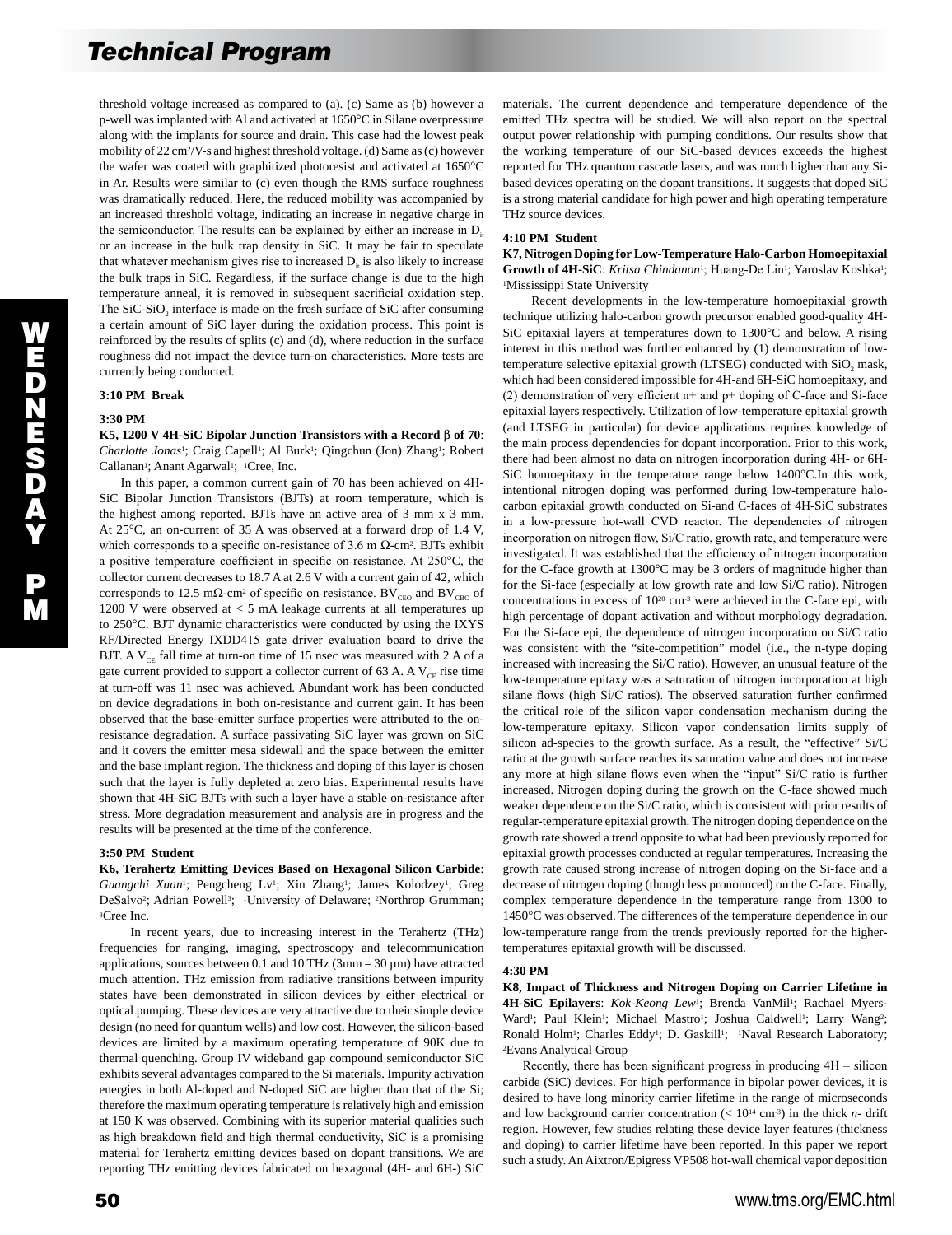threshold voltage increased as compared to (a). (c) Same as (b) however a p-well was implanted with Al and activated at 1650°C in Silane overpressure along with the implants for source and drain. This case had the lowest peak mobility of 22 cm2/V-s and highest threshold voltage. (d) Same as (c) however the wafer was coated with graphitized photoresist and activated at 1650°C in Ar. Results were similar to (c) even though the RMS surface roughness was dramatically reduced. Here, the reduced mobility was accompanied by an increased threshold voltage, indicating an increase in negative charge in the semiconductor. The results can be explained by either an increase in  $D_{it}$ or an increase in the bulk trap density in SiC. It may be fair to speculate that whatever mechanism gives rise to increased  $D<sub>u</sub>$  is also likely to increase the bulk traps in SiC. Regardless, if the surface change is due to the high temperature anneal, it is removed in subsequent sacrificial oxidation step. The SiC-SiO<sub>2</sub> interface is made on the fresh surface of SiC after consuming a certain amount of SiC layer during the oxidation process. This point is reinforced by the results of splits (c) and (d), where reduction in the surface roughness did not impact the device turn-on characteristics. More tests are currently being conducted.

## **3:10 PM Break**

#### **3:30 PM**

**K5, 1200 V 4H-SiC Bipolar Junction Transistors with a Record** β **of 70**: *Charlotte Jonas<sup>1</sup>*; Craig Capell<sup>1</sup>; Al Burk<sup>1</sup>; Qingchun (Jon) Zhang<sup>1</sup>; Robert Callanan<sup>1</sup>; Anant Agarwal<sup>1</sup>; <sup>1</sup>Cree, Inc.

 In this paper, a common current gain of 70 has been achieved on 4H-SiC Bipolar Junction Transistors (BJTs) at room temperature, which is the highest among reported. BJTs have an active area of 3 mm x 3 mm. At 25°C, an on-current of 35 A was observed at a forward drop of 1.4 V, which corresponds to a specific on-resistance of 3.6 m  $\Omega$ -cm<sup>2</sup>. BJTs exhibit a positive temperature coefficient in specific on-resistance. At 250°C, the collector current decreases to 18.7 A at 2.6 V with a current gain of 42, which corresponds to 12.5 m $\Omega$ -cm<sup>2</sup> of specific on-resistance. BV<sub>CEO</sub> and BV<sub>CBO</sub> of 1200 V were observed at < 5 mA leakage currents at all temperatures up to 250°C. BJT dynamic characteristics were conducted by using the IXYS RF/Directed Energy IXDD415 gate driver evaluation board to drive the BJT. A  $V_{CE}$  fall time at turn-on time of 15 nsec was measured with 2 A of a gate current provided to support a collector current of 63 A. A  $V_{CF}$  rise time at turn-off was 11 nsec was achieved. Abundant work has been conducted on device degradations in both on-resistance and current gain. It has been observed that the base-emitter surface properties were attributed to the onresistance degradation. A surface passivating SiC layer was grown on SiC and it covers the emitter mesa sidewall and the space between the emitter and the base implant region. The thickness and doping of this layer is chosen such that the layer is fully depleted at zero bias. Experimental results have shown that 4H-SiC BJTs with such a layer have a stable on-resistance after stress. More degradation measurement and analysis are in progress and the results will be presented at the time of the conference.

## **3:50 PM Student**

**K6, Terahertz Emitting Devices Based on Hexagonal Silicon Carbide**: Guangchi Xuan<sup>1</sup>; Pengcheng Lv<sup>1</sup>; Xin Zhang<sup>1</sup>; James Kolodzey<sup>1</sup>; Greg DeSalvo<sup>2</sup>; Adrian Powell<sup>3</sup>; <sup>1</sup>University of Delaware; <sup>2</sup>Northrop Grumman; 3Cree Inc.

 In recent years, due to increasing interest in the Terahertz (THz) frequencies for ranging, imaging, spectroscopy and telecommunication applications, sources between 0.1 and 10 THz ( $3$ mm –  $30 \mu$ m) have attracted much attention. THz emission from radiative transitions between impurity states have been demonstrated in silicon devices by either electrical or optical pumping. These devices are very attractive due to their simple device design (no need for quantum wells) and low cost. However, the silicon-based devices are limited by a maximum operating temperature of 90K due to thermal quenching. Group IV wideband gap compound semiconductor SiC exhibits several advantages compared to the Si materials. Impurity activation energies in both Al-doped and N-doped SiC are higher than that of the Si; therefore the maximum operating temperature is relatively high and emission at 150 K was observed. Combining with its superior material qualities such as high breakdown field and high thermal conductivity, SiC is a promising material for Terahertz emitting devices based on dopant transitions. We are reporting THz emitting devices fabricated on hexagonal (4H- and 6H-) SiC

materials. The current dependence and temperature dependence of the emitted THz spectra will be studied. We will also report on the spectral output power relationship with pumping conditions. Our results show that the working temperature of our SiC-based devices exceeds the highest reported for THz quantum cascade lasers, and was much higher than any Sibased devices operating on the dopant transitions. It suggests that doped SiC is a strong material candidate for high power and high operating temperature THz source devices.

#### **4:10 PM Student**

**K7, Nitrogen Doping for Low-Temperature Halo-Carbon Homoepitaxial**  Growth of 4H-SiC: Kritsa Chindanon<sup>1</sup>; Huang-De Lin<sup>1</sup>; Yaroslav Koshka<sup>1</sup>; 1Mississippi State University

 Recent developments in the low-temperature homoepitaxial growth technique utilizing halo-carbon growth precursor enabled good-quality 4H-SiC epitaxial layers at temperatures down to 1300°C and below. A rising interest in this method was further enhanced by (1) demonstration of lowtemperature selective epitaxial growth (LTSEG) conducted with  $SiO<sub>2</sub>$  mask, which had been considered impossible for 4H-and 6H-SiC homoepitaxy, and (2) demonstration of very efficient n+ and p+ doping of C-face and Si-face epitaxial layers respectively. Utilization of low-temperature epitaxial growth (and LTSEG in particular) for device applications requires knowledge of the main process dependencies for dopant incorporation. Prior to this work, there had been almost no data on nitrogen incorporation during 4H- or 6H-SiC homoepitaxy in the temperature range below 1400°C.In this work, intentional nitrogen doping was performed during low-temperature halocarbon epitaxial growth conducted on Si-and C-faces of 4H-SiC substrates in a low-pressure hot-wall CVD reactor. The dependencies of nitrogen incorporation on nitrogen flow, Si/C ratio, growth rate, and temperature were investigated. It was established that the efficiency of nitrogen incorporation for the C-face growth at 1300°C may be 3 orders of magnitude higher than for the Si-face (especially at low growth rate and low Si/C ratio). Nitrogen concentrations in excess of 1020 cm-3 were achieved in the C-face epi, with high percentage of dopant activation and without morphology degradation. For the Si-face epi, the dependence of nitrogen incorporation on Si/C ratio was consistent with the "site-competition" model (i.e., the n-type doping increased with increasing the Si/C ratio). However, an unusual feature of the low-temperature epitaxy was a saturation of nitrogen incorporation at high silane flows (high Si/C ratios). The observed saturation further confirmed the critical role of the silicon vapor condensation mechanism during the low-temperature epitaxy. Silicon vapor condensation limits supply of silicon ad-species to the growth surface. As a result, the "effective" Si/C ratio at the growth surface reaches its saturation value and does not increase any more at high silane flows even when the "input" Si/C ratio is further increased. Nitrogen doping during the growth on the C-face showed much weaker dependence on the Si/C ratio, which is consistent with prior results of regular-temperature epitaxial growth. The nitrogen doping dependence on the growth rate showed a trend opposite to what had been previously reported for epitaxial growth processes conducted at regular temperatures. Increasing the growth rate caused strong increase of nitrogen doping on the Si-face and a decrease of nitrogen doping (though less pronounced) on the C-face. Finally, complex temperature dependence in the temperature range from 1300 to 1450°C was observed. The differences of the temperature dependence in our low-temperature range from the trends previously reported for the highertemperatures epitaxial growth will be discussed.

#### **4:30 PM**

**K8, Impact of Thickness and Nitrogen Doping on Carrier Lifetime in**  4H-SiC Epilayers: *Kok-Keong Lew<sup>1</sup>*; Brenda VanMil<sup>1</sup>; Rachael Myers-Ward<sup>1</sup>; Paul Klein<sup>1</sup>; Michael Mastro<sup>1</sup>; Joshua Caldwell<sup>1</sup>; Larry Wang<sup>2</sup>; Ronald Holm<sup>1</sup>; Charles Eddy<sup>1</sup>; D. Gaskill<sup>1</sup>; <sup>1</sup>Naval Research Laboratory; 2Evans Analytical Group

 Recently, there has been significant progress in producing 4H – silicon carbide (SiC) devices. For high performance in bipolar power devices, it is desired to have long minority carrier lifetime in the range of microseconds and low background carrier concentration  $\left($  < 10<sup>14</sup> cm<sup>-3</sup>) in the thick *n*- drift region. However, few studies relating these device layer features (thickness and doping) to carrier lifetime have been reported. In this paper we report such a study. An Aixtron/Epigress VP508 hot-wall chemical vapor deposition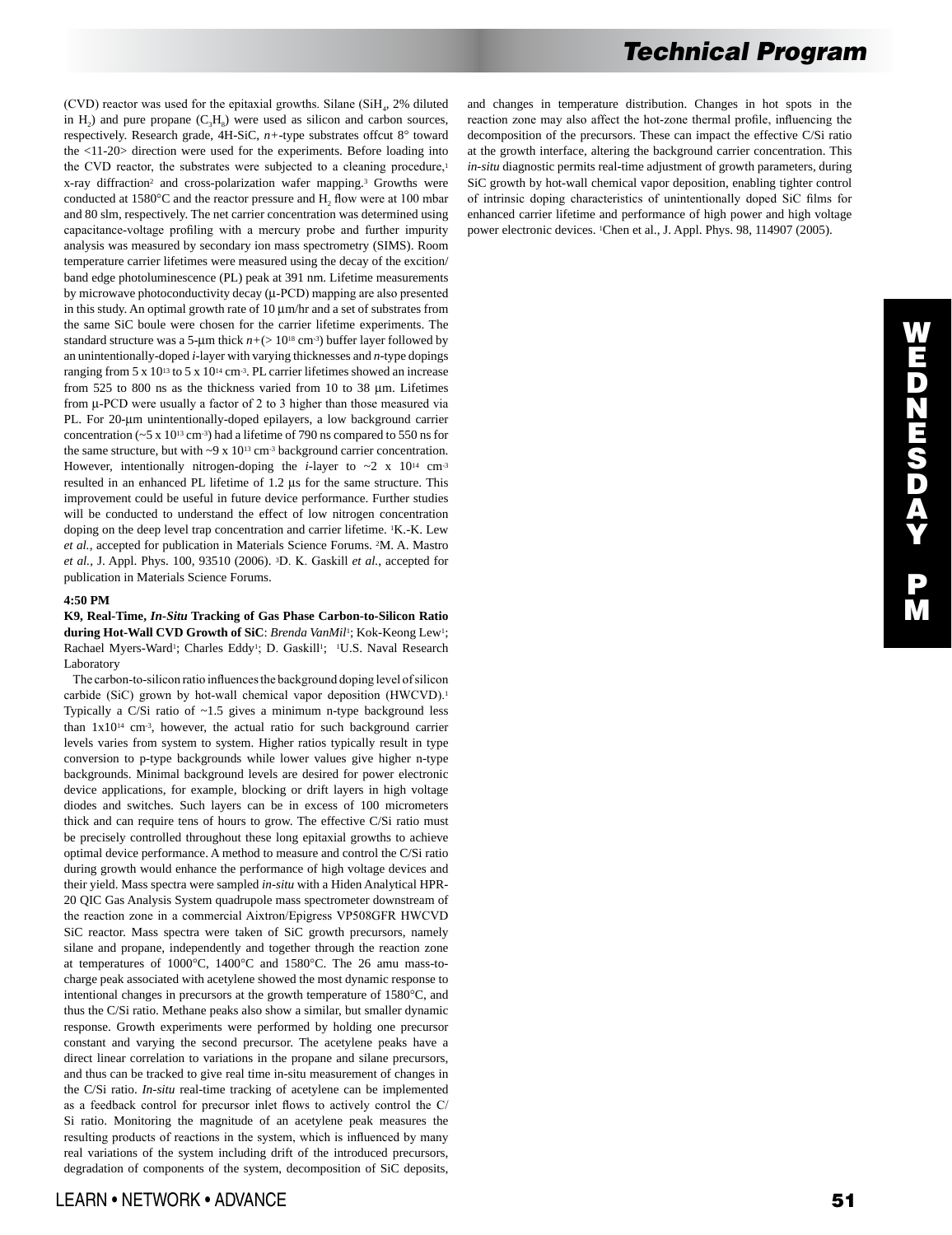(CVD) reactor was used for the epitaxial growths. Silane ( $SiH<sub>4</sub>$ , 2% diluted in H<sub>2</sub>) and pure propane  $(C<sub>3</sub>H<sub>8</sub>)$  were used as silicon and carbon sources, respectively. Research grade, 4H-SiC, *n+*-type substrates offcut 8° toward the <11-20> direction were used for the experiments. Before loading into the CVD reactor, the substrates were subjected to a cleaning procedure,<sup>1</sup> x-ray diffraction<sup>2</sup> and cross-polarization wafer mapping.<sup>3</sup> Growths were conducted at  $1580^{\circ}$ C and the reactor pressure and H<sub>2</sub> flow were at 100 mbar and 80 slm, respectively. The net carrier concentration was determined using capacitance-voltage profiling with a mercury probe and further impurity analysis was measured by secondary ion mass spectrometry (SIMS). Room temperature carrier lifetimes were measured using the decay of the excition/ band edge photoluminescence (PL) peak at 391 nm. Lifetime measurements by microwave photoconductivity decay (µ-PCD) mapping are also presented in this study. An optimal growth rate of 10 µm/hr and a set of substrates from the same SiC boule were chosen for the carrier lifetime experiments. The standard structure was a 5-µm thick  $n+$  ( $>$  10<sup>18</sup> cm<sup>-3</sup>) buffer layer followed by an unintentionally-doped *i*-layer with varying thicknesses and *n*-type dopings ranging from 5 x 10<sup>13</sup> to 5 x 10<sup>14</sup> cm<sup>-3</sup>. PL carrier lifetimes showed an increase from 525 to 800 ns as the thickness varied from 10 to 38 µm. Lifetimes from  $\mu$ -PCD were usually a factor of 2 to 3 higher than those measured via PL. For 20-um unintentionally-doped epilayers, a low background carrier concentration ( $\sim$  5 x 10<sup>13</sup> cm<sup>-3</sup>) had a lifetime of 790 ns compared to 550 ns for the same structure, but with  $\sim$ 9 x 10<sup>13</sup> cm<sup>-3</sup> background carrier concentration. However, intentionally nitrogen-doping the *i*-layer to  $\sim$ 2 x 10<sup>14</sup> cm<sup>-3</sup> resulted in an enhanced PL lifetime of 1.2 µs for the same structure. This improvement could be useful in future device performance. Further studies will be conducted to understand the effect of low nitrogen concentration doping on the deep level trap concentration and carrier lifetime. <sup>1</sup>K.-K. Lew *et al.*, accepted for publication in Materials Science Forums. 2M. A. Mastro *et al.*, J. Appl. Phys. 100, 93510 (2006). 3D. K. Gaskill *et al.*, accepted for publication in Materials Science Forums.

## **4:50 PM**

**K9, Real-Time,** *In-Situ* **Tracking of Gas Phase Carbon-to-Silicon Ratio during Hot-Wall CVD Growth of SiC**: *Brenda VanMil*1; Kok-Keong Lew1; Rachael Myers-Ward<sup>1</sup>; Charles Eddy<sup>1</sup>; D. Gaskill<sup>1</sup>; <sup>1</sup>U.S. Naval Research Laboratory

 The carbon-to-silicon ratio influences the background doping level of silicon carbide (SiC) grown by hot-wall chemical vapor deposition (HWCVD).<sup>1</sup> Typically a C/Si ratio of ~1.5 gives a minimum n-type background less than 1x1014 cm-3, however, the actual ratio for such background carrier levels varies from system to system. Higher ratios typically result in type conversion to p-type backgrounds while lower values give higher n-type backgrounds. Minimal background levels are desired for power electronic device applications, for example, blocking or drift layers in high voltage diodes and switches. Such layers can be in excess of 100 micrometers thick and can require tens of hours to grow. The effective C/Si ratio must be precisely controlled throughout these long epitaxial growths to achieve optimal device performance. A method to measure and control the C/Si ratio during growth would enhance the performance of high voltage devices and their yield. Mass spectra were sampled *in-situ* with a Hiden Analytical HPR-20 QIC Gas Analysis System quadrupole mass spectrometer downstream of the reaction zone in a commercial Aixtron/Epigress VP508GFR HWCVD SiC reactor. Mass spectra were taken of SiC growth precursors, namely silane and propane, independently and together through the reaction zone at temperatures of 1000°C, 1400°C and 1580°C. The 26 amu mass-tocharge peak associated with acetylene showed the most dynamic response to intentional changes in precursors at the growth temperature of 1580°C, and thus the C/Si ratio. Methane peaks also show a similar, but smaller dynamic response. Growth experiments were performed by holding one precursor constant and varying the second precursor. The acetylene peaks have a direct linear correlation to variations in the propane and silane precursors, and thus can be tracked to give real time in-situ measurement of changes in the C/Si ratio. *In-situ* real-time tracking of acetylene can be implemented as a feedback control for precursor inlet flows to actively control the C/ Si ratio. Monitoring the magnitude of an acetylene peak measures the resulting products of reactions in the system, which is influenced by many real variations of the system including drift of the introduced precursors, degradation of components of the system, decomposition of SiC deposits,

and changes in temperature distribution. Changes in hot spots in the reaction zone may also affect the hot-zone thermal profile, influencing the decomposition of the precursors. These can impact the effective C/Si ratio at the growth interface, altering the background carrier concentration. This *in-situ* diagnostic permits real-time adjustment of growth parameters, during SiC growth by hot-wall chemical vapor deposition, enabling tighter control of intrinsic doping characteristics of unintentionally doped SiC films for enhanced carrier lifetime and performance of high power and high voltage power electronic devices. 1Chen et al., J. Appl. Phys. 98, 114907 (2005).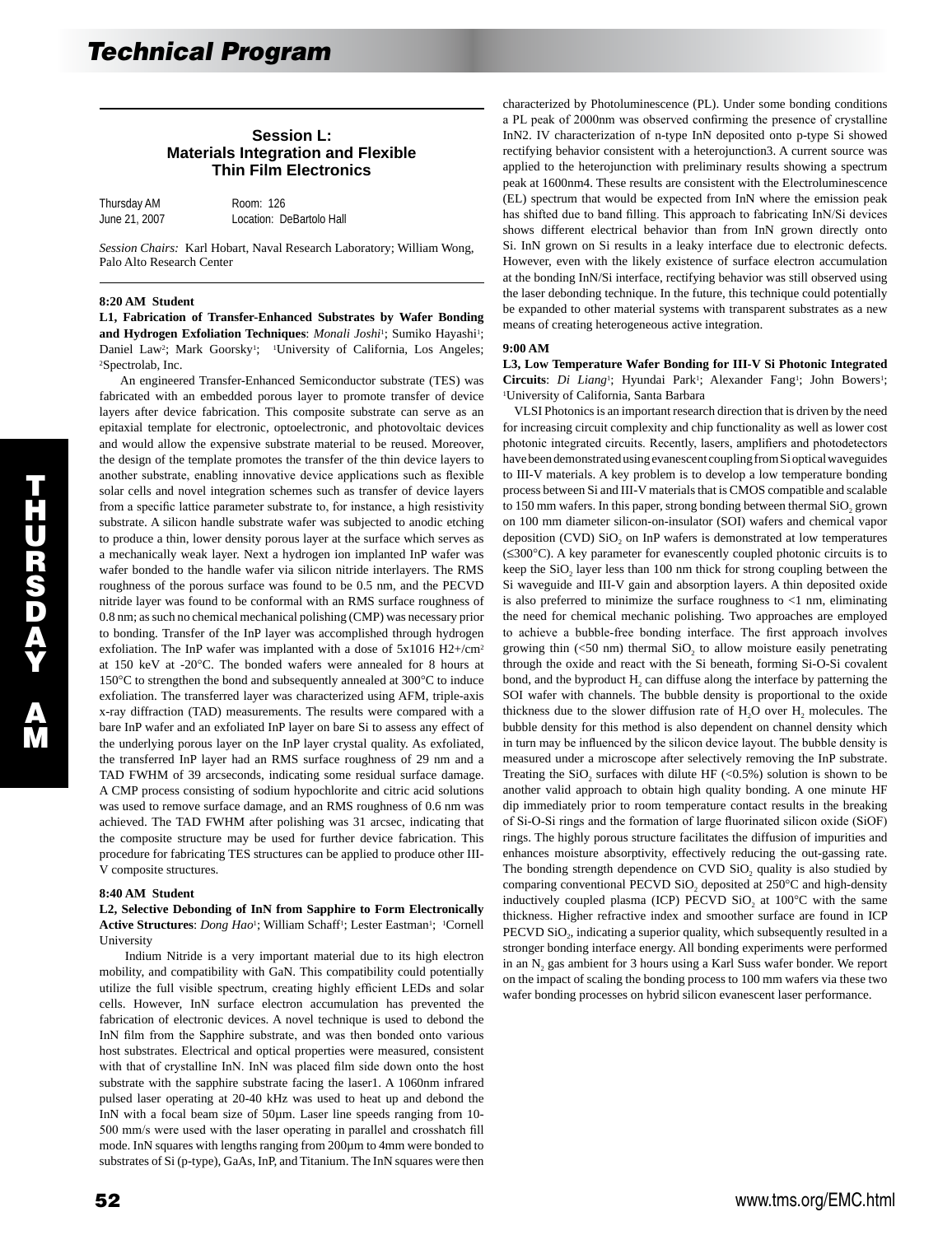# **Session L: Materials Integration and Flexible Thin Film Electronics**

| Thursday AM   | Room: 126                |
|---------------|--------------------------|
| June 21, 2007 | Location: DeBartolo Hall |

*Session Chairs:* Karl Hobart, Naval Research Laboratory; William Wong, Palo Alto Research Center

#### **8:20 AM Student**

**L1, Fabrication of Transfer-Enhanced Substrates by Wafer Bonding**  and Hydrogen Exfoliation Techniques: *Monali Joshi*<sup>1</sup>; Sumiko Hayashi<sup>1</sup>; Daniel Law<sup>2</sup>; Mark Goorsky<sup>1</sup>; <sup>1</sup>University of California, Los Angeles; 2Spectrolab, Inc.

 An engineered Transfer-Enhanced Semiconductor substrate (TES) was fabricated with an embedded porous layer to promote transfer of device layers after device fabrication. This composite substrate can serve as an epitaxial template for electronic, optoelectronic, and photovoltaic devices and would allow the expensive substrate material to be reused. Moreover, the design of the template promotes the transfer of the thin device layers to another substrate, enabling innovative device applications such as flexible solar cells and novel integration schemes such as transfer of device layers from a specific lattice parameter substrate to, for instance, a high resistivity substrate. A silicon handle substrate wafer was subjected to anodic etching to produce a thin, lower density porous layer at the surface which serves as a mechanically weak layer. Next a hydrogen ion implanted InP wafer was wafer bonded to the handle wafer via silicon nitride interlayers. The RMS roughness of the porous surface was found to be 0.5 nm, and the PECVD nitride layer was found to be conformal with an RMS surface roughness of 0.8 nm; as such no chemical mechanical polishing (CMP) was necessary prior to bonding. Transfer of the InP layer was accomplished through hydrogen exfoliation. The InP wafer was implanted with a dose of 5x1016 H2+/cm2 at 150 keV at -20°C. The bonded wafers were annealed for 8 hours at 150°C to strengthen the bond and subsequently annealed at 300°C to induce exfoliation. The transferred layer was characterized using AFM, triple-axis x-ray diffraction (TAD) measurements. The results were compared with a bare InP wafer and an exfoliated InP layer on bare Si to assess any effect of the underlying porous layer on the InP layer crystal quality. As exfoliated, the transferred InP layer had an RMS surface roughness of 29 nm and a TAD FWHM of 39 arcseconds, indicating some residual surface damage. A CMP process consisting of sodium hypochlorite and citric acid solutions was used to remove surface damage, and an RMS roughness of 0.6 nm was achieved. The TAD FWHM after polishing was 31 arcsec, indicating that the composite structure may be used for further device fabrication. This procedure for fabricating TES structures can be applied to produce other III-V composite structures.

#### **8:40 AM Student**

## **L2, Selective Debonding of InN from Sapphire to Form Electronically**  Active Structures: *Dong Hao*<sup>1</sup>; William Schaff<sup>1</sup>; Lester Eastman<sup>1</sup>; <sup>1</sup>Cornell University

 Indium Nitride is a very important material due to its high electron mobility, and compatibility with GaN. This compatibility could potentially utilize the full visible spectrum, creating highly efficient LEDs and solar cells. However, InN surface electron accumulation has prevented the fabrication of electronic devices. A novel technique is used to debond the InN film from the Sapphire substrate, and was then bonded onto various host substrates. Electrical and optical properties were measured, consistent with that of crystalline InN. InN was placed film side down onto the host substrate with the sapphire substrate facing the laser1. A 1060nm infrared pulsed laser operating at 20-40 kHz was used to heat up and debond the InN with a focal beam size of 50µm. Laser line speeds ranging from 10-500 mm/s were used with the laser operating in parallel and crosshatch fill mode. InN squares with lengths ranging from 200µm to 4mm were bonded to substrates of Si (p-type), GaAs, InP, and Titanium. The InN squares were then

characterized by Photoluminescence (PL). Under some bonding conditions a PL peak of 2000nm was observed confirming the presence of crystalline InN2. IV characterization of n-type InN deposited onto p-type Si showed rectifying behavior consistent with a heterojunction3. A current source was applied to the heterojunction with preliminary results showing a spectrum peak at 1600nm4. These results are consistent with the Electroluminescence (EL) spectrum that would be expected from InN where the emission peak has shifted due to band filling. This approach to fabricating InN/Si devices shows different electrical behavior than from InN grown directly onto Si. InN grown on Si results in a leaky interface due to electronic defects. However, even with the likely existence of surface electron accumulation at the bonding InN/Si interface, rectifying behavior was still observed using the laser debonding technique. In the future, this technique could potentially be expanded to other material systems with transparent substrates as a new means of creating heterogeneous active integration.

#### **9:00 AM**

**L3, Low Temperature Wafer Bonding for III-V Si Photonic Integrated**  Circuits: *Di Liang*<sup>1</sup>; Hyundai Park<sup>1</sup>; Alexander Fang<sup>1</sup>; John Bowers<sup>1</sup>; 1University of California, Santa Barbara

 VLSI Photonics is an important research direction that is driven by the need for increasing circuit complexity and chip functionality as well as lower cost photonic integrated circuits. Recently, lasers, amplifiers and photodetectors have been demonstrated using evanescent coupling from Si optical waveguides to III-V materials. A key problem is to develop a low temperature bonding process between Si and III-V materials that is CMOS compatible and scalable to 150 mm wafers. In this paper, strong bonding between thermal SiO<sub>2</sub> grown on 100 mm diameter silicon-on-insulator (SOI) wafers and chemical vapor deposition (CVD)  $SiO<sub>2</sub>$  on InP wafers is demonstrated at low temperatures (≤300°C). A key parameter for evanescently coupled photonic circuits is to keep the  $SiO<sub>2</sub>$  layer less than 100 nm thick for strong coupling between the Si waveguide and III-V gain and absorption layers. A thin deposited oxide is also preferred to minimize the surface roughness to  $\langle 1 \rangle$  nm, eliminating the need for chemical mechanic polishing. Two approaches are employed to achieve a bubble-free bonding interface. The first approach involves growing thin  $\left($ <50 nm) thermal SiO<sub>2</sub> to allow moisture easily penetrating through the oxide and react with the Si beneath, forming Si-O-Si covalent bond, and the byproduct  $H_2$  can diffuse along the interface by patterning the SOI wafer with channels. The bubble density is proportional to the oxide thickness due to the slower diffusion rate of  $H_2O$  over  $H_2$  molecules. The bubble density for this method is also dependent on channel density which in turn may be influenced by the silicon device layout. The bubble density is measured under a microscope after selectively removing the InP substrate. Treating the SiO<sub>2</sub> surfaces with dilute HF  $(\leq 0.5\%)$  solution is shown to be another valid approach to obtain high quality bonding. A one minute HF dip immediately prior to room temperature contact results in the breaking of Si-O-Si rings and the formation of large fluorinated silicon oxide (SiOF) rings. The highly porous structure facilitates the diffusion of impurities and enhances moisture absorptivity, effectively reducing the out-gassing rate. The bonding strength dependence on CVD SiO, quality is also studied by comparing conventional PECVD SiO, deposited at 250°C and high-density inductively coupled plasma (ICP) PECVD SiO<sub>2</sub> at  $100^{\circ}$ C with the same thickness. Higher refractive index and smoother surface are found in ICP PECVD SiO<sub>2</sub>, indicating a superior quality, which subsequently resulted in a stronger bonding interface energy. All bonding experiments were performed in an N<sub>2</sub> gas ambient for 3 hours using a Karl Suss wafer bonder. We report on the impact of scaling the bonding process to 100 mm wafers via these two wafer bonding processes on hybrid silicon evanescent laser performance.

 $\overline{\mathbf{u}}$ H U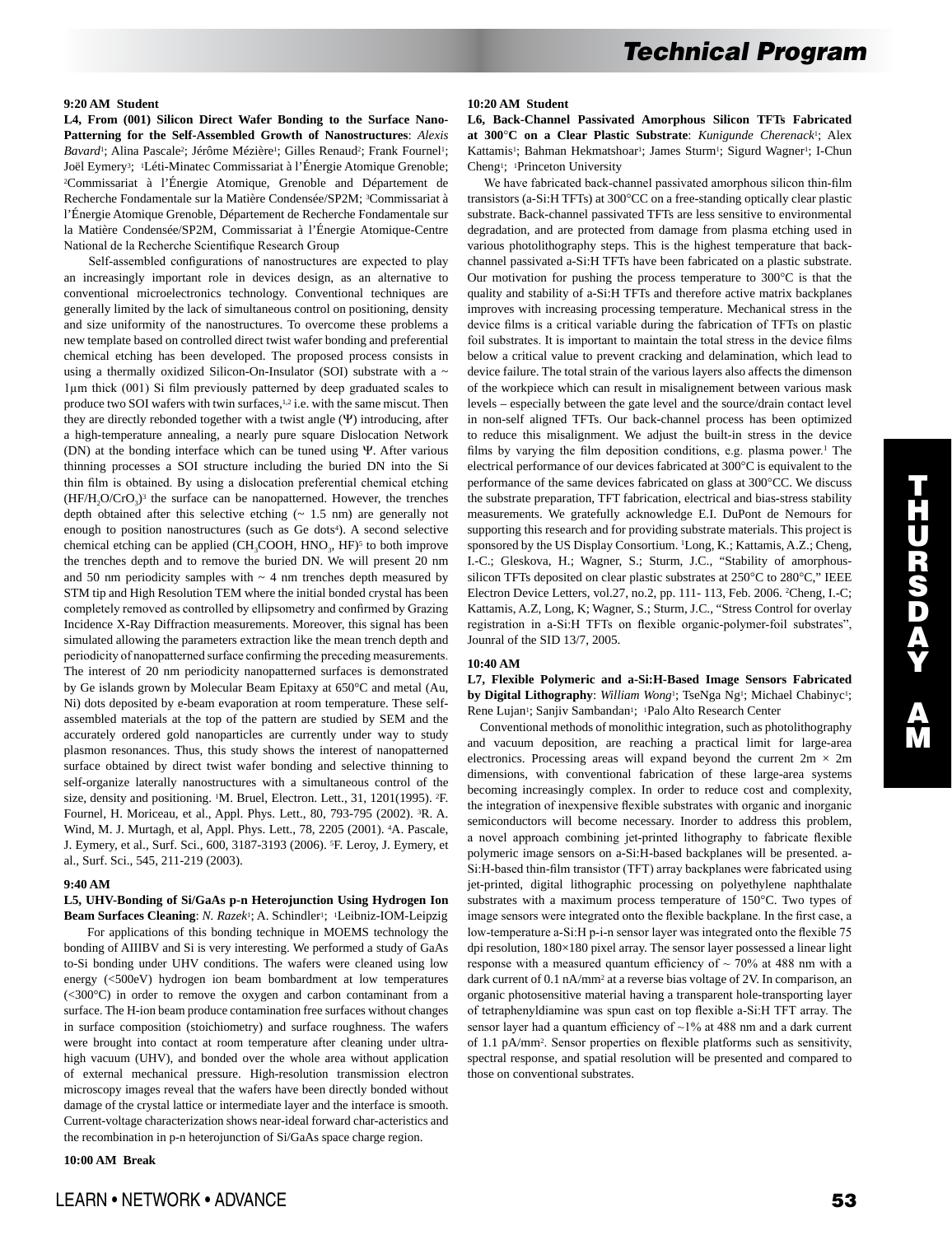## **9:20 AM Student**

**L4, From (001) Silicon Direct Wafer Bonding to the Surface Nano-Patterning for the Self-Assembled Growth of Nanostructures**: *Alexis Bavard*<sup>1</sup>; Alina Pascale<sup>2</sup>; Jérôme Mézière<sup>1</sup>; Gilles Renaud<sup>2</sup>; Frank Fournel<sup>1</sup>; Joël Eymery3; 1Léti-Minatec Commissariat à l'Énergie Atomique Grenoble; 2Commissariat à l'Énergie Atomique, Grenoble and Département de Recherche Fondamentale sur la Matière Condensée/SP2M; 3Commissariat à l'Énergie Atomique Grenoble, Département de Recherche Fondamentale sur la Matière Condensée/SP2M, Commissariat à l'Énergie Atomique-Centre National de la Recherche Scientifique Research Group

 Self-assembled configurations of nanostructures are expected to play an increasingly important role in devices design, as an alternative to conventional microelectronics technology. Conventional techniques are generally limited by the lack of simultaneous control on positioning, density and size uniformity of the nanostructures. To overcome these problems a new template based on controlled direct twist wafer bonding and preferential chemical etching has been developed. The proposed process consists in using a thermally oxidized Silicon-On-Insulator (SOI) substrate with a  $\sim$ 1µm thick (001) Si film previously patterned by deep graduated scales to produce two SOI wafers with twin surfaces,<sup>1,2</sup> i.e. with the same miscut. Then they are directly rebonded together with a twist angle (Ψ) introducing, after a high-temperature annealing, a nearly pure square Dislocation Network (DN) at the bonding interface which can be tuned using Ψ. After various thinning processes a SOI structure including the buried DN into the Si thin film is obtained. By using a dislocation preferential chemical etching  $(HF/H, O/CrO<sub>3</sub>)<sup>3</sup>$  the surface can be nanopatterned. However, the trenches depth obtained after this selective etching (~ 1.5 nm) are generally not enough to position nanostructures (such as Ge dots<sup>4</sup>). A second selective chemical etching can be applied (CH<sub>3</sub>COOH, HNO<sub>3</sub>, HF)<sup>5</sup> to both improve the trenches depth and to remove the buried DN. We will present 20 nm and 50 nm periodicity samples with  $\sim$  4 nm trenches depth measured by STM tip and High Resolution TEM where the initial bonded crystal has been completely removed as controlled by ellipsometry and confirmed by Grazing Incidence X-Ray Diffraction measurements. Moreover, this signal has been simulated allowing the parameters extraction like the mean trench depth and periodicity of nanopatterned surface confirming the preceding measurements. The interest of 20 nm periodicity nanopatterned surfaces is demonstrated by Ge islands grown by Molecular Beam Epitaxy at 650°C and metal (Au, Ni) dots deposited by e-beam evaporation at room temperature. These selfassembled materials at the top of the pattern are studied by SEM and the accurately ordered gold nanoparticles are currently under way to study plasmon resonances. Thus, this study shows the interest of nanopatterned surface obtained by direct twist wafer bonding and selective thinning to self-organize laterally nanostructures with a simultaneous control of the size, density and positioning. 1M. Bruel, Electron. Lett., 31, 1201(1995). 2F. Fournel, H. Moriceau, et al., Appl. Phys. Lett., 80, 793-795 (2002). 3R. A. Wind, M. J. Murtagh, et al, Appl. Phys. Lett., 78, 2205 (2001). 4A. Pascale, J. Eymery, et al., Surf. Sci., 600, 3187-3193 (2006). 5F. Leroy, J. Eymery, et al., Surf. Sci., 545, 211-219 (2003).

## **9:40 AM**

## **L5, UHV-Bonding of Si/GaAs p-n Heterojunction Using Hydrogen Ion Beam Surfaces Cleaning**: *N. Razek*1; A. Schindler1; 1Leibniz-IOM-Leipzig

 For applications of this bonding technique in MOEMS technology the bonding of AIIIBV and Si is very interesting. We performed a study of GaAs to-Si bonding under UHV conditions. The wafers were cleaned using low energy (<500eV) hydrogen ion beam bombardment at low temperatures (<300°C) in order to remove the oxygen and carbon contaminant from a surface. The H-ion beam produce contamination free surfaces without changes in surface composition (stoichiometry) and surface roughness. The wafers were brought into contact at room temperature after cleaning under ultrahigh vacuum (UHV), and bonded over the whole area without application of external mechanical pressure. High-resolution transmission electron microscopy images reveal that the wafers have been directly bonded without damage of the crystal lattice or intermediate layer and the interface is smooth. Current-voltage characterization shows near-ideal forward char-acteristics and the recombination in p-n heterojunction of Si/GaAs space charge region.

**10:00 AM Break** 

**L6, Back-Channel Passivated Amorphous Silicon TFTs Fabricated at 300**°**C on a Clear Plastic Substrate**: *Kunigunde Cherenack*1; Alex Kattamis<sup>1</sup>; Bahman Hekmatshoar<sup>1</sup>; James Sturm<sup>1</sup>; Sigurd Wagner<sup>1</sup>; I-Chun Cheng1; 1Princeton University

 We have fabricated back-channel passivated amorphous silicon thin-film transistors (a-Si:H TFTs) at 300°CC on a free-standing optically clear plastic substrate. Back-channel passivated TFTs are less sensitive to environmental degradation, and are protected from damage from plasma etching used in various photolithography steps. This is the highest temperature that backchannel passivated a-Si:H TFTs have been fabricated on a plastic substrate. Our motivation for pushing the process temperature to 300°C is that the quality and stability of a-Si:H TFTs and therefore active matrix backplanes improves with increasing processing temperature. Mechanical stress in the device films is a critical variable during the fabrication of TFTs on plastic foil substrates. It is important to maintain the total stress in the device films below a critical value to prevent cracking and delamination, which lead to device failure. The total strain of the various layers also affects the dimenson of the workpiece which can result in misalignement between various mask levels – especially between the gate level and the source/drain contact level in non-self aligned TFTs. Our back-channel process has been optimized to reduce this misalignment. We adjust the built-in stress in the device films by varying the film deposition conditions, e.g. plasma power.<sup>1</sup> The electrical performance of our devices fabricated at 300°C is equivalent to the performance of the same devices fabricated on glass at 300°CC. We discuss the substrate preparation, TFT fabrication, electrical and bias-stress stability measurements. We gratefully acknowledge E.I. DuPont de Nemours for supporting this research and for providing substrate materials. This project is sponsored by the US Display Consortium. <sup>1</sup>Long, K.; Kattamis, A.Z.; Cheng, I.-C.; Gleskova, H.; Wagner, S.; Sturm, J.C., "Stability of amorphoussilicon TFTs deposited on clear plastic substrates at 250°C to 280°C," IEEE Electron Device Letters, vol.27, no.2, pp. 111- 113, Feb. 2006. 2 Cheng, I.-C; Kattamis, A.Z, Long, K; Wagner, S.; Sturm, J.C., "Stress Control for overlay registration in a-Si:H TFTs on flexible organic-polymer-foil substrates", Jounral of the SID 13/7, 2005.

#### **10:40 AM**

**L7, Flexible Polymeric and a-Si:H-Based Image Sensors Fabricated by Digital Lithography**: *William Wong*<sup>1</sup>; TseNga Ng<sup>1</sup>; Michael Chabinyc<sup>1</sup>; Rene Lujan<sup>1</sup>; Sanjiv Sambandan<sup>1</sup>; <sup>1</sup>Palo Alto Research Center

 Conventional methods of monolithic integration, such as photolithography and vacuum deposition, are reaching a practical limit for large-area electronics. Processing areas will expand beyond the current  $2m \times 2m$ dimensions, with conventional fabrication of these large-area systems becoming increasingly complex. In order to reduce cost and complexity, the integration of inexpensive flexible substrates with organic and inorganic semiconductors will become necessary. Inorder to address this problem, a novel approach combining jet-printed lithography to fabricate flexible polymeric image sensors on a-Si:H-based backplanes will be presented. a-Si:H-based thin-film transistor (TFT) array backplanes were fabricated using jet-printed, digital lithographic processing on polyethylene naphthalate substrates with a maximum process temperature of 150°C. Two types of image sensors were integrated onto the flexible backplane. In the first case, a low-temperature a-Si:H p-i-n sensor layer was integrated onto the flexible 75 dpi resolution, 180×180 pixel array. The sensor layer possessed a linear light response with a measured quantum efficiency of  $\sim$  70% at 488 nm with a dark current of 0.1 nA/mm<sup>2</sup> at a reverse bias voltage of 2V. In comparison, an organic photosensitive material having a transparent hole-transporting layer of tetraphenyldiamine was spun cast on top flexible a-Si:H TFT array. The sensor layer had a quantum efficiency of ~1% at 488 nm and a dark current of 1.1 pA/mm2. Sensor properties on flexible platforms such as sensitivity, spectral response, and spatial resolution will be presented and compared to those on conventional substrates.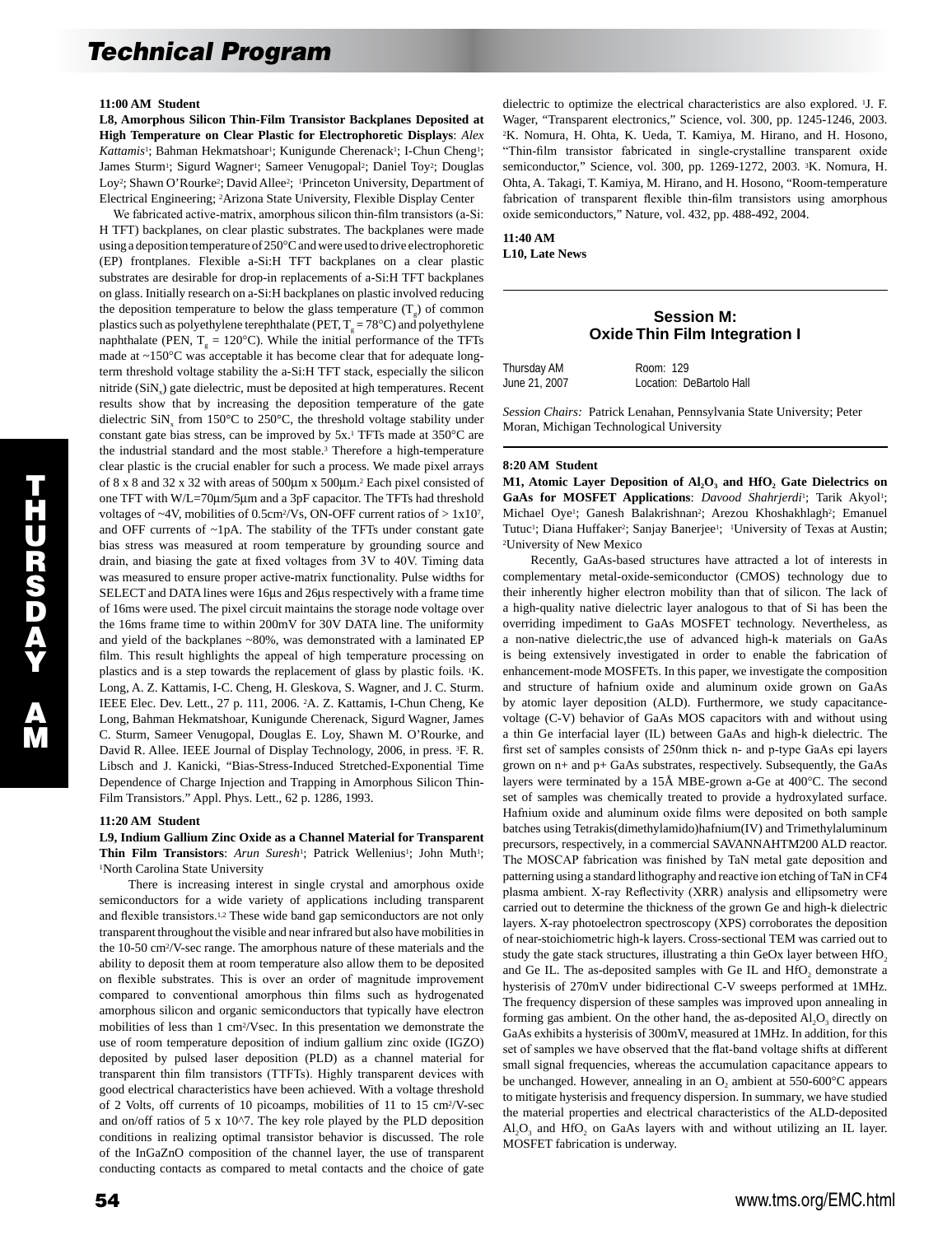#### **11:00 AM Student**

**L8, Amorphous Silicon Thin-Film Transistor Backplanes Deposited at High Temperature on Clear Plastic for Electrophoretic Displays**: *Alex Kattamis*<sup>1</sup>; Bahman Hekmatshoar<sup>1</sup>; Kunigunde Cherenack<sup>1</sup>; I-Chun Cheng<sup>1</sup>; James Sturm<sup>1</sup>; Sigurd Wagner<sup>1</sup>; Sameer Venugopal<sup>2</sup>; Daniel Toy<sup>2</sup>; Douglas Loy<sup>2</sup>; Shawn O'Rourke<sup>2</sup>; David Allee<sup>2</sup>; <sup>1</sup>Princeton University, Department of Electrical Engineering; 2Arizona State University, Flexible Display Center

 We fabricated active-matrix, amorphous silicon thin-film transistors (a-Si: H TFT) backplanes, on clear plastic substrates. The backplanes were made using a deposition temperature of 250°C and were used to drive electrophoretic (EP) frontplanes. Flexible a-Si:H TFT backplanes on a clear plastic substrates are desirable for drop-in replacements of a-Si:H TFT backplanes on glass. Initially research on a-Si:H backplanes on plastic involved reducing the deposition temperature to below the glass temperature  $(T<sub>a</sub>)$  of common plastics such as polyethylene terephthalate (PET,  $T_e = 78^{\circ}$ C) and polyethylene naphthalate (PEN,  $T_g = 120^{\circ}$ C). While the initial performance of the TFTs made at ~150°C was acceptable it has become clear that for adequate longterm threshold voltage stability the a-Si:H TFT stack, especially the silicon nitride (SiN<sub>x</sub>) gate dielectric, must be deposited at high temperatures. Recent results show that by increasing the deposition temperature of the gate dielectric  $\text{SiN}_x$  from 150°C to 250°C, the threshold voltage stability under constant gate bias stress, can be improved by 5x.<sup>1</sup> TFTs made at 350°C are the industrial standard and the most stable.3 Therefore a high-temperature clear plastic is the crucial enabler for such a process. We made pixel arrays of 8 x 8 and 32 x 32 with areas of 500µm x 500µm.2 Each pixel consisted of one TFT with W/L=70µm/5µm and a 3pF capacitor. The TFTs had threshold voltages of ~4V, mobilities of 0.5cm<sup>2</sup>/Vs, ON-OFF current ratios of > 1x10<sup>7</sup>, and OFF currents of ~1pA. The stability of the TFTs under constant gate bias stress was measured at room temperature by grounding source and drain, and biasing the gate at fixed voltages from 3V to 40V. Timing data was measured to ensure proper active-matrix functionality. Pulse widths for SELECT and DATA lines were 16µs and 26µs respectively with a frame time of 16ms were used. The pixel circuit maintains the storage node voltage over the 16ms frame time to within 200mV for 30V DATA line. The uniformity and yield of the backplanes ~80%, was demonstrated with a laminated EP film. This result highlights the appeal of high temperature processing on plastics and is a step towards the replacement of glass by plastic foils. 1K. Long, A. Z. Kattamis, I-C. Cheng, H. Gleskova, S. Wagner, and J. C. Sturm. IEEE Elec. Dev. Lett., 27 p. 111, 2006. 2A. Z. Kattamis, I-Chun Cheng, Ke Long, Bahman Hekmatshoar, Kunigunde Cherenack, Sigurd Wagner, James C. Sturm, Sameer Venugopal, Douglas E. Loy, Shawn M. O'Rourke, and David R. Allee. IEEE Journal of Display Technology, 2006, in press. 3F. R. Libsch and J. Kanicki, "Bias-Stress-Induced Stretched-Exponential Time Dependence of Charge Injection and Trapping in Amorphous Silicon Thin-Film Transistors." Appl. Phys. Lett., 62 p. 1286, 1993.

#### **11:20 AM Student**

## **L9, Indium Gallium Zinc Oxide as a Channel Material for Transparent**  Thin Film Transistors: Arun Suresh<sup>1</sup>; Patrick Wellenius<sup>1</sup>; John Muth<sup>1</sup>; 1North Carolina State University

 There is increasing interest in single crystal and amorphous oxide semiconductors for a wide variety of applications including transparent and flexible transistors.1,2 These wide band gap semiconductors are not only transparent throughout the visible and near infrared but also have mobilities in the 10-50 cm2/V-sec range. The amorphous nature of these materials and the ability to deposit them at room temperature also allow them to be deposited on flexible substrates. This is over an order of magnitude improvement compared to conventional amorphous thin films such as hydrogenated amorphous silicon and organic semiconductors that typically have electron mobilities of less than 1 cm2/Vsec. In this presentation we demonstrate the use of room temperature deposition of indium gallium zinc oxide (IGZO) deposited by pulsed laser deposition (PLD) as a channel material for transparent thin film transistors (TTFTs). Highly transparent devices with good electrical characteristics have been achieved. With a voltage threshold of 2 Volts, off currents of 10 picoamps, mobilities of 11 to 15 cm2/V-sec and on/off ratios of 5 x 10^7. The key role played by the PLD deposition conditions in realizing optimal transistor behavior is discussed. The role of the InGaZnO composition of the channel layer, the use of transparent conducting contacts as compared to metal contacts and the choice of gate dielectric to optimize the electrical characteristics are also explored. 1J. F. Wager, "Transparent electronics," Science, vol. 300, pp. 1245-1246, 2003. 2K. Nomura, H. Ohta, K. Ueda, T. Kamiya, M. Hirano, and H. Hosono, "Thin-film transistor fabricated in single-crystalline transparent oxide semiconductor," Science, vol. 300, pp. 1269-1272, 2003. 3K. Nomura, H. Ohta, A. Takagi, T. Kamiya, M. Hirano, and H. Hosono, "Room-temperature fabrication of transparent flexible thin-film transistors using amorphous oxide semiconductors," Nature, vol. 432, pp. 488-492, 2004.

## **11:40 AM L10, Late News**

# **Session M: Oxide Thin Film Integration I**

| Thursday AM   | Room: 129                |
|---------------|--------------------------|
| June 21, 2007 | Location: DeBartolo Hall |

*Session Chairs:* Patrick Lenahan, Pennsylvania State University; Peter Moran, Michigan Technological University

#### **8:20 AM Student**

M1, Atomic Layer Deposition of Al, O<sub>3</sub> and HfO<sub>2</sub> Gate Dielectrics on GaAs for MOSFET Applications: *Davood Shahrjerdi<sup>1</sup>*; Tarik Akyol<sup>1</sup>; Michael Oye<sup>1</sup>; Ganesh Balakrishnan<sup>2</sup>; Arezou Khoshakhlagh<sup>2</sup>; Emanuel Tutuc<sup>1</sup>; Diana Huffaker<sup>2</sup>; Sanjay Banerjee<sup>1</sup>; <sup>1</sup>University of Texas at Austin; 2University of New Mexico

 Recently, GaAs-based structures have attracted a lot of interests in complementary metal-oxide-semiconductor (CMOS) technology due to their inherently higher electron mobility than that of silicon. The lack of a high-quality native dielectric layer analogous to that of Si has been the overriding impediment to GaAs MOSFET technology. Nevertheless, as a non-native dielectric,the use of advanced high-k materials on GaAs is being extensively investigated in order to enable the fabrication of enhancement-mode MOSFETs. In this paper, we investigate the composition and structure of hafnium oxide and aluminum oxide grown on GaAs by atomic layer deposition (ALD). Furthermore, we study capacitancevoltage (C-V) behavior of GaAs MOS capacitors with and without using a thin Ge interfacial layer (IL) between GaAs and high-k dielectric. The first set of samples consists of 250nm thick n- and p-type GaAs epi layers grown on n+ and p+ GaAs substrates, respectively. Subsequently, the GaAs layers were terminated by a 15Å MBE-grown a-Ge at 400°C. The second set of samples was chemically treated to provide a hydroxylated surface. Hafnium oxide and aluminum oxide films were deposited on both sample batches using Tetrakis(dimethylamido)hafnium(IV) and Trimethylaluminum precursors, respectively, in a commercial SAVANNAHTM200 ALD reactor. The MOSCAP fabrication was finished by TaN metal gate deposition and patterning using a standard lithography and reactive ion etching of TaN in CF4 plasma ambient. X-ray Reflectivity (XRR) analysis and ellipsometry were carried out to determine the thickness of the grown Ge and high-k dielectric layers. X-ray photoelectron spectroscopy (XPS) corroborates the deposition of near-stoichiometric high-k layers. Cross-sectional TEM was carried out to study the gate stack structures, illustrating a thin GeOx layer between HfO<sub>2</sub> and Ge IL. The as-deposited samples with Ge IL and HfO<sub>2</sub> demonstrate a hysterisis of 270mV under bidirectional C-V sweeps performed at 1MHz. The frequency dispersion of these samples was improved upon annealing in forming gas ambient. On the other hand, the as-deposited  $AI<sub>2</sub>O<sub>3</sub>$  directly on GaAs exhibits a hysterisis of 300mV, measured at 1MHz. In addition, for this set of samples we have observed that the flat-band voltage shifts at different small signal frequencies, whereas the accumulation capacitance appears to be unchanged. However, annealing in an  $O$ , ambient at  $550-600^{\circ}$ C appears to mitigate hysterisis and frequency dispersion. In summary, we have studied the material properties and electrical characteristics of the ALD-deposited Al<sub>3</sub>O<sub>3</sub> and HfO<sub>3</sub> on GaAs layers with and without utilizing an IL layer. MOSFET fabrication is underway.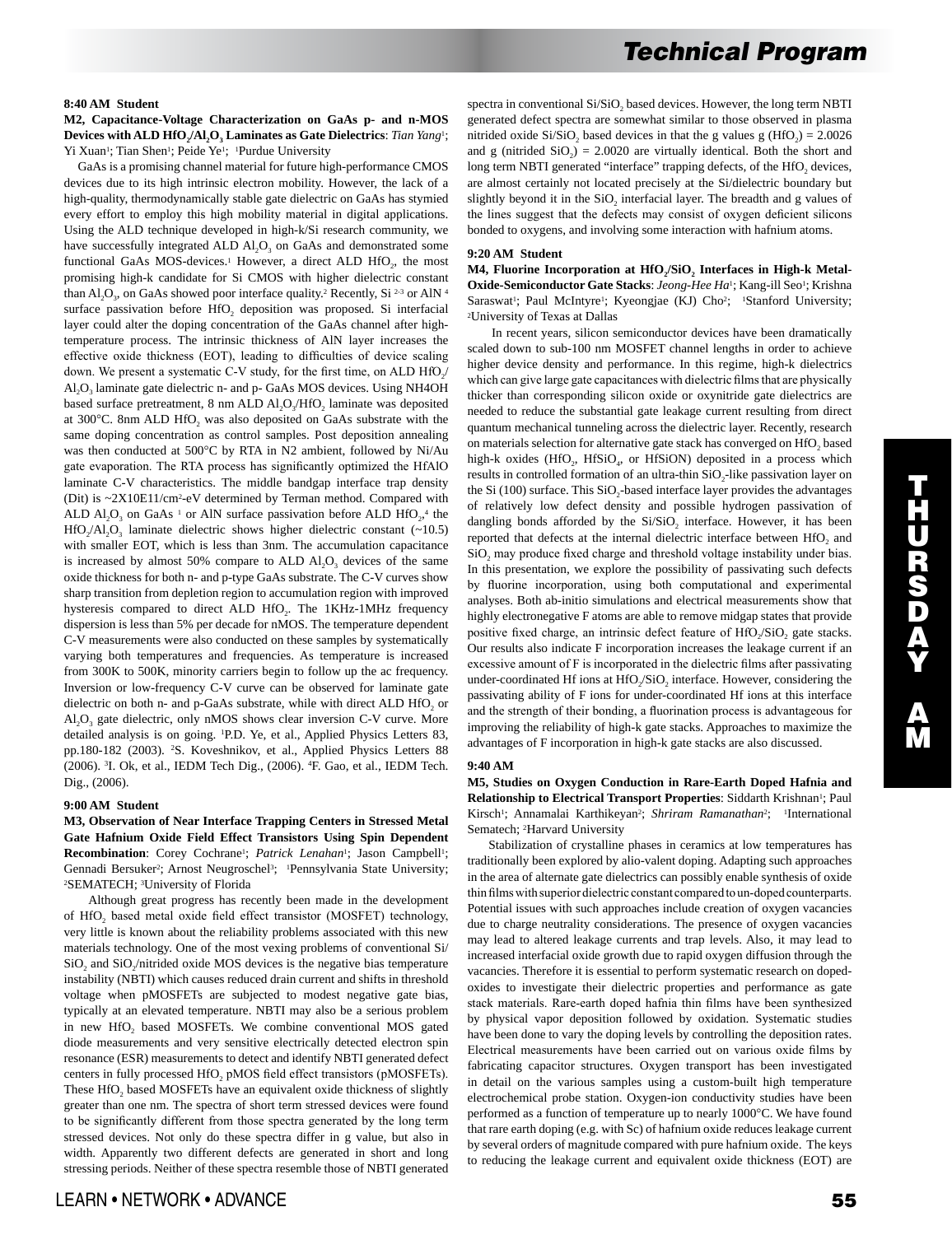#### **8:40 AM Student**

**M2, Capacitance-Voltage Characterization on GaAs p- and n-MOS**  Devices with ALD HfO<sub>2</sub>/Al<sub>2</sub>O<sub>3</sub> Laminates as Gate Dielectrics: *Tian Yang*<sup>1</sup>; Yi Xuan<sup>1</sup>; Tian Shen<sup>1</sup>; Peide Ye<sup>1</sup>; <sup>1</sup>Purdue University

 GaAs is a promising channel material for future high-performance CMOS devices due to its high intrinsic electron mobility. However, the lack of a high-quality, thermodynamically stable gate dielectric on GaAs has stymied every effort to employ this high mobility material in digital applications. Using the ALD technique developed in high-k/Si research community, we have successfully integrated ALD  $AI<sub>2</sub>O<sub>3</sub>$  on GaAs and demonstrated some functional GaAs MOS-devices.<sup>1</sup> However, a direct ALD HfO<sub>2</sub>, the most promising high-k candidate for Si CMOS with higher dielectric constant than  $AI_2O_3$ , on GaAs showed poor interface quality.<sup>2</sup> Recently, Si <sup>2-3</sup> or AlN<sup>4</sup> surface passivation before HfO<sub>2</sub> deposition was proposed. Si interfacial layer could alter the doping concentration of the GaAs channel after hightemperature process. The intrinsic thickness of AlN layer increases the effective oxide thickness (EOT), leading to difficulties of device scaling down. We present a systematic C-V study, for the first time, on ALD  $HfO<sub>2</sub>/$ Al<sub>2</sub>O<sub>3</sub> laminate gate dielectric n- and p- GaAs MOS devices. Using NH4OH based surface pretreatment, 8 nm ALD Al<sub>2</sub>O<sub>3</sub>/HfO<sub>2</sub> laminate was deposited at 300°C. 8nm ALD HfO<sub>2</sub> was also deposited on GaAs substrate with the same doping concentration as control samples. Post deposition annealing was then conducted at 500°C by RTA in N2 ambient, followed by Ni/Au gate evaporation. The RTA process has significantly optimized the HfAlO laminate C-V characteristics. The middle bandgap interface trap density (Dit) is ~2X10E11/cm2-eV determined by Terman method. Compared with ALD  $AI_2O_3$  on GaAs<sup>1</sup> or AlN surface passivation before ALD HfO<sub>2</sub>,<sup>4</sup> the HfO<sub>2</sub>/Al<sub>2</sub>O<sub>3</sub> laminate dielectric shows higher dielectric constant  $(-10.5)$ with smaller EOT, which is less than 3nm. The accumulation capacitance is increased by almost  $50\%$  compare to ALD  $A<sub>1</sub>O<sub>3</sub>$  devices of the same oxide thickness for both n- and p-type GaAs substrate. The C-V curves show sharp transition from depletion region to accumulation region with improved hysteresis compared to direct ALD HfO<sub>2</sub>. The 1KHz-1MHz frequency dispersion is less than 5% per decade for nMOS. The temperature dependent C-V measurements were also conducted on these samples by systematically varying both temperatures and frequencies. As temperature is increased from 300K to 500K, minority carriers begin to follow up the ac frequency. Inversion or low-frequency C-V curve can be observed for laminate gate dielectric on both n- and p-GaAs substrate, while with direct ALD HfO<sub>2</sub> or  $A1, O<sub>3</sub>$  gate dielectric, only nMOS shows clear inversion C-V curve. More detailed analysis is on going. 1 P.D. Ye, et al., Applied Physics Letters 83, pp.180-182 (2003). 2 S. Koveshnikov, et al., Applied Physics Letters 88 (2006). 3 I. Ok, et al., IEDM Tech Dig., (2006). 4 F. Gao, et al., IEDM Tech. Dig., (2006).

## **9:00 AM Student**

**M3, Observation of Near Interface Trapping Centers in Stressed Metal Gate Hafnium Oxide Field Effect Transistors Using Spin Dependent**  Recombination: Corey Cochrane<sup>1</sup>; *Patrick Lenahan<sup>1</sup>*; Jason Campbell<sup>1</sup>; Gennadi Bersuker<sup>2</sup>; Arnost Neugroschel<sup>3</sup>; <sup>1</sup>Pennsylvania State University; 2SEMATECH; 3University of Florida

 Although great progress has recently been made in the development of HfO<sub>2</sub> based metal oxide field effect transistor (MOSFET) technology, very little is known about the reliability problems associated with this new materials technology. One of the most vexing problems of conventional Si/ SiO<sub>2</sub> and SiO<sub>2</sub>/nitrided oxide MOS devices is the negative bias temperature instability (NBTI) which causes reduced drain current and shifts in threshold voltage when pMOSFETs are subjected to modest negative gate bias, typically at an elevated temperature. NBTI may also be a serious problem in new HfO<sub>2</sub> based MOSFETs. We combine conventional MOS gated diode measurements and very sensitive electrically detected electron spin resonance (ESR) measurements to detect and identify NBTI generated defect centers in fully processed HfO<sub>2</sub> pMOS field effect transistors (pMOSFETs). These HfO<sub>2</sub> based MOSFETs have an equivalent oxide thickness of slightly greater than one nm. The spectra of short term stressed devices were found to be significantly different from those spectra generated by the long term stressed devices. Not only do these spectra differ in g value, but also in width. Apparently two different defects are generated in short and long stressing periods. Neither of these spectra resemble those of NBTI generated spectra in conventional Si/SiO<sub>2</sub> based devices. However, the long term NBTI generated defect spectra are somewhat similar to those observed in plasma nitrided oxide Si/SiO<sub>2</sub> based devices in that the g values g (HfO<sub>2</sub>) = 2.0026 and g (nitrided  $SiO<sub>2</sub> = 2.0020$  are virtually identical. Both the short and long term NBTI generated "interface" trapping defects, of the HfO<sub>2</sub> devices, are almost certainly not located precisely at the Si/dielectric boundary but slightly beyond it in the SiO, interfacial layer. The breadth and g values of the lines suggest that the defects may consist of oxygen deficient silicons bonded to oxygens, and involving some interaction with hafnium atoms.

#### **9:20 AM Student**

M4, Fluorine Incorporation at HfO<sub>2</sub>/SiO<sub>2</sub> Interfaces in High-k Metal-**Oxide-Semiconductor Gate Stacks**: *Jeong-Hee Ha*1; Kang-ill Seo1; Krishna Saraswat<sup>1</sup>; Paul McIntyre<sup>1</sup>; Kyeongjae (KJ) Cho<sup>2</sup>; <sup>1</sup>Stanford University; 2University of Texas at Dallas

 In recent years, silicon semiconductor devices have been dramatically scaled down to sub-100 nm MOSFET channel lengths in order to achieve higher device density and performance. In this regime, high-k dielectrics which can give large gate capacitances with dielectric films that are physically thicker than corresponding silicon oxide or oxynitride gate dielectrics are needed to reduce the substantial gate leakage current resulting from direct quantum mechanical tunneling across the dielectric layer. Recently, research on materials selection for alternative gate stack has converged on HfO<sub>2</sub> based high-k oxides (HfO<sub>2</sub>, HfSiO<sub>4</sub>, or HfSiON) deposited in a process which results in controlled formation of an ultra-thin  $SiO<sub>2</sub>$ -like passivation layer on the Si (100) surface. This  $SiO<sub>2</sub>$ -based interface layer provides the advantages of relatively low defect density and possible hydrogen passivation of dangling bonds afforded by the  $Si/SiO<sub>2</sub>$  interface. However, it has been reported that defects at the internal dielectric interface between HfO<sub>2</sub> and SiO<sub>2</sub> may produce fixed charge and threshold voltage instability under bias. In this presentation, we explore the possibility of passivating such defects by fluorine incorporation, using both computational and experimental analyses. Both ab-initio simulations and electrical measurements show that highly electronegative F atoms are able to remove midgap states that provide positive fixed charge, an intrinsic defect feature of  $HfO<sub>2</sub>/SiO<sub>2</sub>$  gate stacks. Our results also indicate F incorporation increases the leakage current if an excessive amount of F is incorporated in the dielectric films after passivating under-coordinated Hf ions at HfO<sub>2</sub>/SiO<sub>2</sub> interface. However, considering the passivating ability of F ions for under-coordinated Hf ions at this interface and the strength of their bonding, a fluorination process is advantageous for improving the reliability of high-k gate stacks. Approaches to maximize the advantages of F incorporation in high-k gate stacks are also discussed.

### **9:40 AM**

**M5, Studies on Oxygen Conduction in Rare-Earth Doped Hafnia and Relationship to Electrical Transport Properties**: Siddarth Krishnan1; Paul Kirsch<sup>1</sup>; Annamalai Karthikeyan<sup>2</sup>; *Shriram Ramanathan<sup>2</sup>*; <sup>1</sup>International Sematech; 2Harvard University

 Stabilization of crystalline phases in ceramics at low temperatures has traditionally been explored by alio-valent doping. Adapting such approaches in the area of alternate gate dielectrics can possibly enable synthesis of oxide thin films with superior dielectric constant compared to un-doped counterparts. Potential issues with such approaches include creation of oxygen vacancies due to charge neutrality considerations. The presence of oxygen vacancies may lead to altered leakage currents and trap levels. Also, it may lead to increased interfacial oxide growth due to rapid oxygen diffusion through the vacancies. Therefore it is essential to perform systematic research on dopedoxides to investigate their dielectric properties and performance as gate stack materials. Rare-earth doped hafnia thin films have been synthesized by physical vapor deposition followed by oxidation. Systematic studies have been done to vary the doping levels by controlling the deposition rates. Electrical measurements have been carried out on various oxide films by fabricating capacitor structures. Oxygen transport has been investigated in detail on the various samples using a custom-built high temperature electrochemical probe station. Oxygen-ion conductivity studies have been performed as a function of temperature up to nearly 1000°C. We have found that rare earth doping (e.g. with Sc) of hafnium oxide reduces leakage current by several orders of magnitude compared with pure hafnium oxide. The keys to reducing the leakage current and equivalent oxide thickness (EOT) are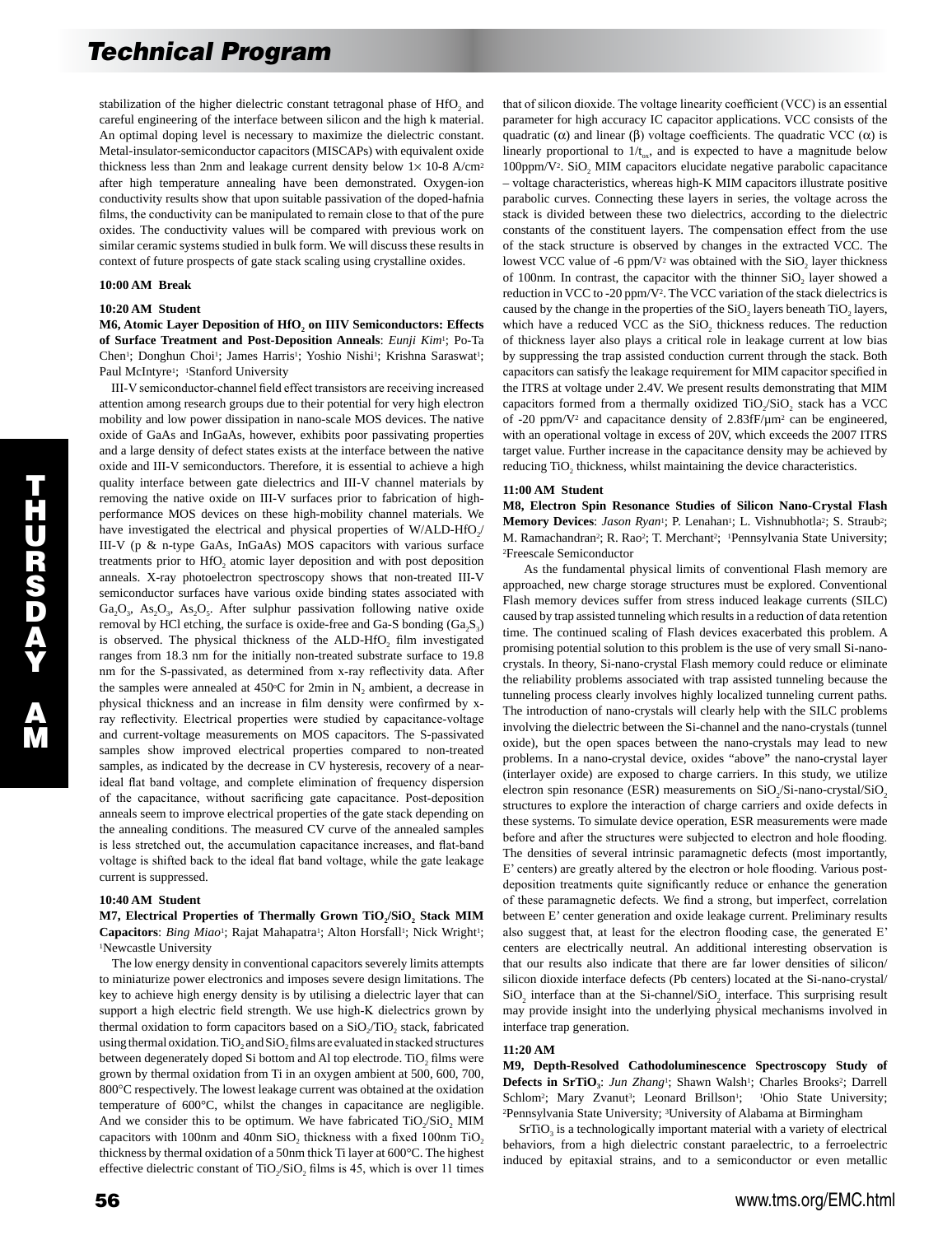stabilization of the higher dielectric constant tetragonal phase of HfO<sub>2</sub> and careful engineering of the interface between silicon and the high k material. An optimal doping level is necessary to maximize the dielectric constant. Metal-insulator-semiconductor capacitors (MISCAPs) with equivalent oxide thickness less than 2nm and leakage current density below  $1 \times 10$ -8 A/cm<sup>2</sup> after high temperature annealing have been demonstrated. Oxygen-ion conductivity results show that upon suitable passivation of the doped-hafnia films, the conductivity can be manipulated to remain close to that of the pure oxides. The conductivity values will be compared with previous work on similar ceramic systems studied in bulk form. We will discuss these results in context of future prospects of gate stack scaling using crystalline oxides.

### **10:00 AM Break**

#### **10:20 AM Student**

**M6, Atomic Layer Deposition of HfO<sub>2</sub> on IIIV Semiconductors: Effects of Surface Treatment and Post-Deposition Anneals**: *Eunji Kim*1; Po-Ta Chen<sup>1</sup>; Donghun Choi<sup>1</sup>; James Harris<sup>1</sup>; Yoshio Nishi<sup>1</sup>; Krishna Saraswat<sup>1</sup>; Paul McIntyre<sup>1</sup>; <sup>1</sup>Stanford University

 III-V semiconductor-channel field effect transistors are receiving increased attention among research groups due to their potential for very high electron mobility and low power dissipation in nano-scale MOS devices. The native oxide of GaAs and InGaAs, however, exhibits poor passivating properties and a large density of defect states exists at the interface between the native oxide and III-V semiconductors. Therefore, it is essential to achieve a high quality interface between gate dielectrics and III-V channel materials by removing the native oxide on III-V surfaces prior to fabrication of highperformance MOS devices on these high-mobility channel materials. We have investigated the electrical and physical properties of  $W/ALD-HfO<sub>2</sub>/$ III-V (p & n-type GaAs, InGaAs) MOS capacitors with various surface treatments prior to HfO<sub>2</sub> atomic layer deposition and with post deposition anneals. X-ray photoelectron spectroscopy shows that non-treated III-V semiconductor surfaces have various oxide binding states associated with  $Ga_2O_3$ ,  $As_2O_3$ ,  $As_3O_5$ . After sulphur passivation following native oxide removal by HCl etching, the surface is oxide-free and Ga-S bonding  $(Ga_2S_3)$ is observed. The physical thickness of the ALD-HfO<sub>2</sub> film investigated ranges from 18.3 nm for the initially non-treated substrate surface to 19.8 nm for the S-passivated, as determined from x-ray reflectivity data. After the samples were annealed at  $450^{\circ}$ C for 2min in N<sub>2</sub> ambient, a decrease in physical thickness and an increase in film density were confirmed by xray reflectivity. Electrical properties were studied by capacitance-voltage and current-voltage measurements on MOS capacitors. The S-passivated samples show improved electrical properties compared to non-treated samples, as indicated by the decrease in CV hysteresis, recovery of a nearideal flat band voltage, and complete elimination of frequency dispersion of the capacitance, without sacrificing gate capacitance. Post-deposition anneals seem to improve electrical properties of the gate stack depending on the annealing conditions. The measured CV curve of the annealed samples is less stretched out, the accumulation capacitance increases, and flat-band voltage is shifted back to the ideal flat band voltage, while the gate leakage current is suppressed.

## **10:40 AM Student**

M7, Electrical Properties of Thermally Grown TiO<sub>2</sub>/SiO<sub>2</sub> Stack MIM Capacitors: *Bing Miao<sup>1</sup>*; Rajat Mahapatra<sup>1</sup>; Alton Horsfall<sup>1</sup>; Nick Wright<sup>1</sup>; 1Newcastle University

 The low energy density in conventional capacitors severely limits attempts to miniaturize power electronics and imposes severe design limitations. The key to achieve high energy density is by utilising a dielectric layer that can support a high electric field strength. We use high-K dielectrics grown by thermal oxidation to form capacitors based on a  $SiO_2/TiO_2$  stack, fabricated using thermal oxidation. TiO<sub>2</sub> and SiO<sub>2</sub> films are evaluated in stacked structures between degenerately doped Si bottom and Al top electrode. TiO<sub>2</sub> films were grown by thermal oxidation from Ti in an oxygen ambient at 500, 600, 700, 800°C respectively. The lowest leakage current was obtained at the oxidation temperature of 600°C, whilst the changes in capacitance are negligible. And we consider this to be optimum. We have fabricated TiO<sub>2</sub>/SiO<sub>2</sub> MIM capacitors with 100nm and 40nm SiO, thickness with a fixed 100nm TiO, thickness by thermal oxidation of a 50nm thick Ti layer at 600°C. The highest effective dielectric constant of TiO<sub>2</sub>/SiO<sub>2</sub> films is 45, which is over 11 times

that of silicon dioxide. The voltage linearity coefficient (VCC) is an essential parameter for high accuracy IC capacitor applications. VCC consists of the quadratic  $(\alpha)$  and linear  $(\beta)$  voltage coefficients. The quadratic VCC  $(\alpha)$  is linearly proportional to  $1/t_{\text{av}}$ , and is expected to have a magnitude below 100ppm/V<sup>2</sup>. SiO<sub>2</sub> MIM capacitors elucidate negative parabolic capacitance – voltage characteristics, whereas high-K MIM capacitors illustrate positive parabolic curves. Connecting these layers in series, the voltage across the stack is divided between these two dielectrics, according to the dielectric constants of the constituent layers. The compensation effect from the use of the stack structure is observed by changes in the extracted VCC. The lowest VCC value of -6 ppm/V<sup>2</sup> was obtained with the  $SiO<sub>2</sub>$  layer thickness of 100nm. In contrast, the capacitor with the thinner  $SiO<sub>2</sub>$  layer showed a reduction in VCC to -20 ppm/V2. The VCC variation of the stack dielectrics is caused by the change in the properties of the SiO<sub>2</sub> layers beneath TiO<sub>2</sub> layers, which have a reduced VCC as the  $SiO<sub>2</sub>$  thickness reduces. The reduction of thickness layer also plays a critical role in leakage current at low bias by suppressing the trap assisted conduction current through the stack. Both capacitors can satisfy the leakage requirement for MIM capacitor specified in the ITRS at voltage under 2.4V. We present results demonstrating that MIM capacitors formed from a thermally oxidized TiO<sub>2</sub>/SiO<sub>2</sub> stack has a VCC of -20 ppm/V2 and capacitance density of 2.83fF/µm2 can be engineered, with an operational voltage in excess of 20V, which exceeds the 2007 ITRS target value. Further increase in the capacitance density may be achieved by reducing TiO<sub>2</sub> thickness, whilst maintaining the device characteristics.

## **11:00 AM Student**

**M8, Electron Spin Resonance Studies of Silicon Nano-Crystal Flash**  Memory Devices: *Jason Ryan*<sup>1</sup>; P. Lenahan<sup>1</sup>; L. Vishnubhotla<sup>2</sup>; S. Straub<sup>2</sup>; M. Ramachandran<sup>2</sup>; R. Rao<sup>2</sup>; T. Merchant<sup>2</sup>; <sup>1</sup>Pennsylvania State University; 2Freescale Semiconductor

 As the fundamental physical limits of conventional Flash memory are approached, new charge storage structures must be explored. Conventional Flash memory devices suffer from stress induced leakage currents (SILC) caused by trap assisted tunneling which results in a reduction of data retention time. The continued scaling of Flash devices exacerbated this problem. A promising potential solution to this problem is the use of very small Si-nanocrystals. In theory, Si-nano-crystal Flash memory could reduce or eliminate the reliability problems associated with trap assisted tunneling because the tunneling process clearly involves highly localized tunneling current paths. The introduction of nano-crystals will clearly help with the SILC problems involving the dielectric between the Si-channel and the nano-crystals (tunnel oxide), but the open spaces between the nano-crystals may lead to new problems. In a nano-crystal device, oxides "above" the nano-crystal layer (interlayer oxide) are exposed to charge carriers. In this study, we utilize electron spin resonance (ESR) measurements on  $SiO_2/Si$ -nano-crystal/ $SiO_2$ structures to explore the interaction of charge carriers and oxide defects in these systems. To simulate device operation, ESR measurements were made before and after the structures were subjected to electron and hole flooding. The densities of several intrinsic paramagnetic defects (most importantly, E' centers) are greatly altered by the electron or hole flooding. Various postdeposition treatments quite significantly reduce or enhance the generation of these paramagnetic defects. We find a strong, but imperfect, correlation between E' center generation and oxide leakage current. Preliminary results also suggest that, at least for the electron flooding case, the generated E' centers are electrically neutral. An additional interesting observation is that our results also indicate that there are far lower densities of silicon/ silicon dioxide interface defects (Pb centers) located at the Si-nano-crystal/  $SiO_2$  interface than at the Si-channel/SiO<sub>2</sub> interface. This surprising result may provide insight into the underlying physical mechanisms involved in interface trap generation.

## **11:20 AM**

**M9, Depth-Resolved Cathodoluminescence Spectroscopy Study of**  Defects in SrTiO<sub>3</sub>: *Jun Zhang*<sup>1</sup>; Shawn Walsh<sup>1</sup>; Charles Brooks<sup>2</sup>; Darrell Schlom<sup>2</sup>; Mary Zvanut<sup>3</sup>; Leonard Brillson<sup>1</sup>; <sup>1</sup>Ohio State University; 2Pennsylvania State University; 3University of Alabama at Birmingham

 $SrTiO<sub>3</sub>$  is a technologically important material with a variety of electrical behaviors, from a high dielectric constant paraelectric, to a ferroelectric induced by epitaxial strains, and to a semiconductor or even metallic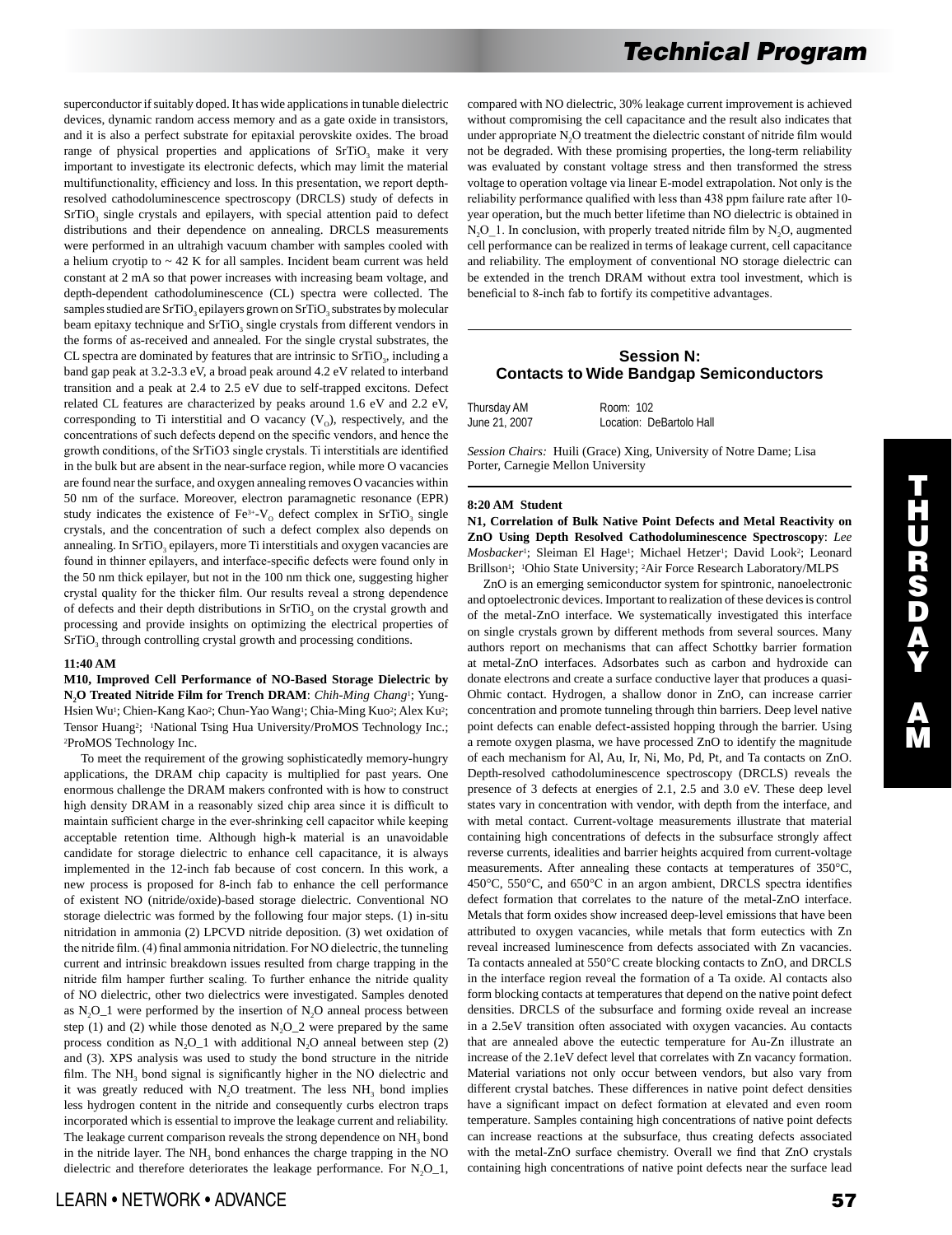superconductor if suitably doped. It has wide applications in tunable dielectric devices, dynamic random access memory and as a gate oxide in transistors, and it is also a perfect substrate for epitaxial perovskite oxides. The broad range of physical properties and applications of  $S<sub>T</sub>$  make it very important to investigate its electronic defects, which may limit the material multifunctionality, efficiency and loss. In this presentation, we report depthresolved cathodoluminescence spectroscopy (DRCLS) study of defects in SrTiO<sub>3</sub> single crystals and epilayers, with special attention paid to defect distributions and their dependence on annealing. DRCLS measurements were performed in an ultrahigh vacuum chamber with samples cooled with a helium cryotip to  $\sim$  42 K for all samples. Incident beam current was held constant at 2 mA so that power increases with increasing beam voltage, and depth-dependent cathodoluminescence (CL) spectra were collected. The samples studied are SrTiO<sub>3</sub> epilayers grown on SrTiO<sub>3</sub> substrates by molecular beam epitaxy technique and SrTiO<sub>3</sub> single crystals from different vendors in the forms of as-received and annealed. For the single crystal substrates, the CL spectra are dominated by features that are intrinsic to  $SrTiO<sub>3</sub>$ , including a band gap peak at 3.2-3.3 eV, a broad peak around 4.2 eV related to interband transition and a peak at 2.4 to 2.5 eV due to self-trapped excitons. Defect related CL features are characterized by peaks around 1.6 eV and 2.2 eV, corresponding to Ti interstitial and O vacancy  $(V_0)$ , respectively, and the concentrations of such defects depend on the specific vendors, and hence the growth conditions, of the SrTiO3 single crystals. Ti interstitials are identified in the bulk but are absent in the near-surface region, while more O vacancies are found near the surface, and oxygen annealing removes O vacancies within 50 nm of the surface. Moreover, electron paramagnetic resonance (EPR) study indicates the existence of  $Fe^{3+}-V_0$  defect complex in SrTiO<sub>3</sub> single crystals, and the concentration of such a defect complex also depends on annealing. In SrTiO<sub>3</sub> epilayers, more Ti interstitials and oxygen vacancies are found in thinner epilayers, and interface-specific defects were found only in the 50 nm thick epilayer, but not in the 100 nm thick one, suggesting higher crystal quality for the thicker film. Our results reveal a strong dependence of defects and their depth distributions in SrTiO<sub>3</sub> on the crystal growth and processing and provide insights on optimizing the electrical properties of SrTiO<sub>3</sub> through controlling crystal growth and processing conditions.

## **11:40 AM**

**M10, Improved Cell Performance of NO-Based Storage Dielectric by N2O Treated Nitride Film for Trench DRAM**: *Chih-Ming Chang*1; Yung-Hsien Wu<sup>1</sup>; Chien-Kang Kao<sup>2</sup>; Chun-Yao Wang<sup>1</sup>; Chia-Ming Kuo<sup>2</sup>; Alex Ku<sup>2</sup>; Tensor Huang<sup>2</sup>; <sup>1</sup>National Tsing Hua University/ProMOS Technology Inc.; 2ProMOS Technology Inc.

 To meet the requirement of the growing sophisticatedly memory-hungry applications, the DRAM chip capacity is multiplied for past years. One enormous challenge the DRAM makers confronted with is how to construct high density DRAM in a reasonably sized chip area since it is difficult to maintain sufficient charge in the ever-shrinking cell capacitor while keeping acceptable retention time. Although high-k material is an unavoidable candidate for storage dielectric to enhance cell capacitance, it is always implemented in the 12-inch fab because of cost concern. In this work, a new process is proposed for 8-inch fab to enhance the cell performance of existent NO (nitride/oxide)-based storage dielectric. Conventional NO storage dielectric was formed by the following four major steps. (1) in-situ nitridation in ammonia (2) LPCVD nitride deposition. (3) wet oxidation of the nitride film. (4) final ammonia nitridation. For NO dielectric, the tunneling current and intrinsic breakdown issues resulted from charge trapping in the nitride film hamper further scaling. To further enhance the nitride quality of NO dielectric, other two dielectrics were investigated. Samples denoted as  $N_2O_1$  were performed by the insertion of  $N_2O$  anneal process between step (1) and (2) while those denoted as  $N_2O_2$  were prepared by the same process condition as  $N_2O_1$  with additional  $N_2O$  anneal between step (2) and (3). XPS analysis was used to study the bond structure in the nitride film. The  $NH<sub>3</sub>$  bond signal is significantly higher in the NO dielectric and it was greatly reduced with  $N_2O$  treatment. The less  $NH<sub>3</sub>$  bond implies less hydrogen content in the nitride and consequently curbs electron traps incorporated which is essential to improve the leakage current and reliability. The leakage current comparison reveals the strong dependence on NH<sub>3</sub> bond in the nitride layer. The  $NH<sub>3</sub>$  bond enhances the charge trapping in the NO dielectric and therefore deteriorates the leakage performance. For  $N_2O_1$ , compared with NO dielectric, 30% leakage current improvement is achieved without compromising the cell capacitance and the result also indicates that under appropriate N<sub>2</sub>O treatment the dielectric constant of nitride film would not be degraded. With these promising properties, the long-term reliability was evaluated by constant voltage stress and then transformed the stress voltage to operation voltage via linear E-model extrapolation. Not only is the reliability performance qualified with less than 438 ppm failure rate after 10 year operation, but the much better lifetime than NO dielectric is obtained in  $N<sub>2</sub>O<sub>-1</sub>$ . In conclusion, with properly treated nitride film by  $N<sub>2</sub>O$ , augmented cell performance can be realized in terms of leakage current, cell capacitance and reliability. The employment of conventional NO storage dielectric can be extended in the trench DRAM without extra tool investment, which is beneficial to 8-inch fab to fortify its competitive advantages.

# **Session N: Contacts to Wide Bandgap Semiconductors**

| Thursday AM   | Room: 102                |
|---------------|--------------------------|
| June 21, 2007 | Location: DeBartolo Hall |

*Session Chairs:* Huili (Grace) Xing, University of Notre Dame; Lisa Porter, Carnegie Mellon University

#### **8:20 AM Student**

**N1, Correlation of Bulk Native Point Defects and Metal Reactivity on ZnO Using Depth Resolved Cathodoluminescence Spectroscopy**: *Lee Mosbacker1*; Sleiman El Hage<sup>1</sup>; Michael Hetzer<sup>1</sup>; David Look<sup>2</sup>; Leonard Brillson<sup>1</sup>; <sup>1</sup>Ohio State University; <sup>2</sup>Air Force Research Laboratory/MLPS

 ZnO is an emerging semiconductor system for spintronic, nanoelectronic and optoelectronic devices. Important to realization of these devices is control of the metal-ZnO interface. We systematically investigated this interface on single crystals grown by different methods from several sources. Many authors report on mechanisms that can affect Schottky barrier formation at metal-ZnO interfaces. Adsorbates such as carbon and hydroxide can donate electrons and create a surface conductive layer that produces a quasi-Ohmic contact. Hydrogen, a shallow donor in ZnO, can increase carrier concentration and promote tunneling through thin barriers. Deep level native point defects can enable defect-assisted hopping through the barrier. Using a remote oxygen plasma, we have processed ZnO to identify the magnitude of each mechanism for Al, Au, Ir, Ni, Mo, Pd, Pt, and Ta contacts on ZnO. Depth-resolved cathodoluminescence spectroscopy (DRCLS) reveals the presence of 3 defects at energies of 2.1, 2.5 and 3.0 eV. These deep level states vary in concentration with vendor, with depth from the interface, and with metal contact. Current-voltage measurements illustrate that material containing high concentrations of defects in the subsurface strongly affect reverse currents, idealities and barrier heights acquired from current-voltage measurements. After annealing these contacts at temperatures of 350°C, 450°C, 550°C, and 650°C in an argon ambient, DRCLS spectra identifies defect formation that correlates to the nature of the metal-ZnO interface. Metals that form oxides show increased deep-level emissions that have been attributed to oxygen vacancies, while metals that form eutectics with Zn reveal increased luminescence from defects associated with Zn vacancies. Ta contacts annealed at 550°C create blocking contacts to ZnO, and DRCLS in the interface region reveal the formation of a Ta oxide. Al contacts also form blocking contacts at temperatures that depend on the native point defect densities. DRCLS of the subsurface and forming oxide reveal an increase in a 2.5eV transition often associated with oxygen vacancies. Au contacts that are annealed above the eutectic temperature for Au-Zn illustrate an increase of the 2.1eV defect level that correlates with Zn vacancy formation. Material variations not only occur between vendors, but also vary from different crystal batches. These differences in native point defect densities have a significant impact on defect formation at elevated and even room temperature. Samples containing high concentrations of native point defects can increase reactions at the subsurface, thus creating defects associated with the metal-ZnO surface chemistry. Overall we find that ZnO crystals containing high concentrations of native point defects near the surface lead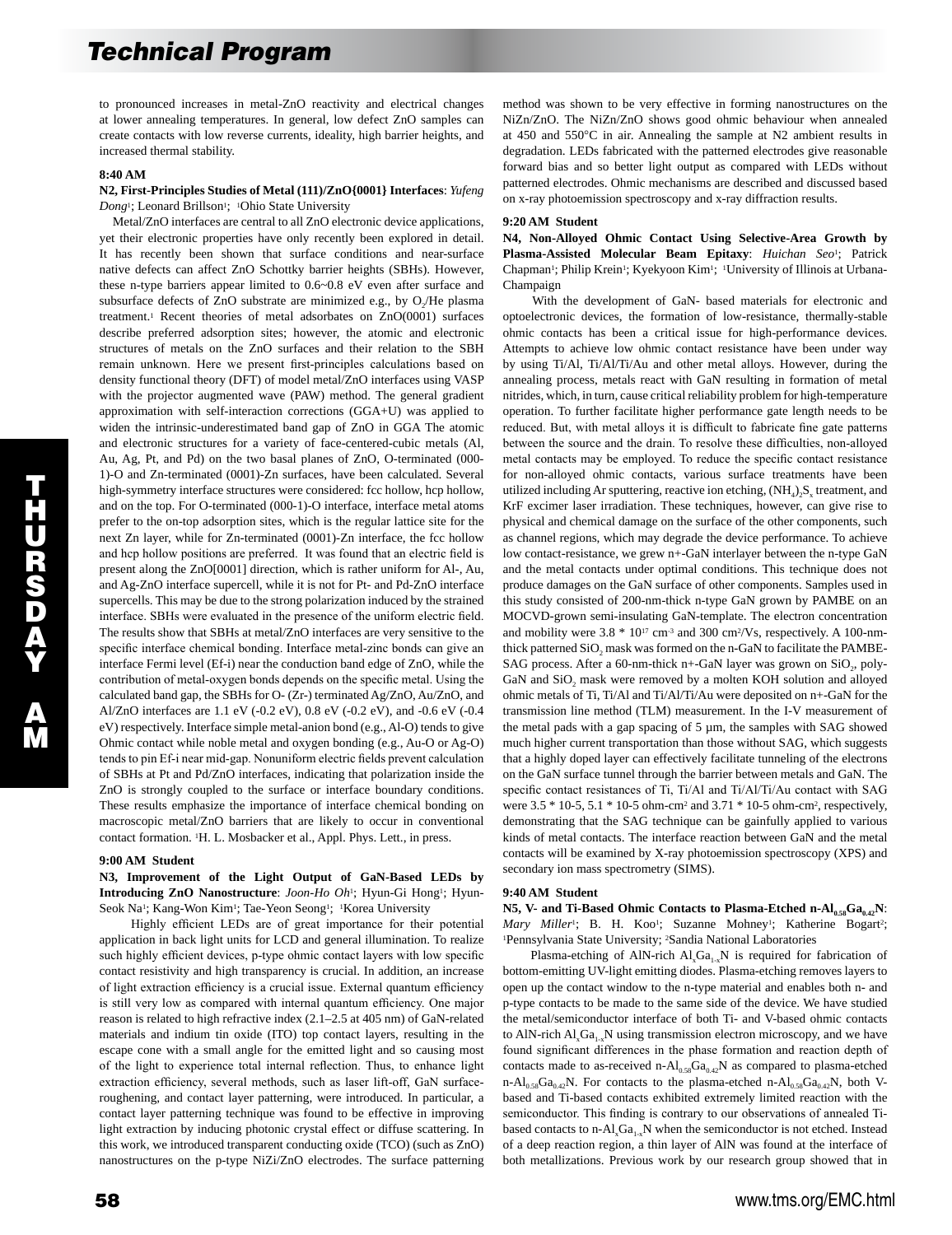to pronounced increases in metal-ZnO reactivity and electrical changes at lower annealing temperatures. In general, low defect ZnO samples can create contacts with low reverse currents, ideality, high barrier heights, and increased thermal stability.

## **8:40 AM**

**N2, First-Principles Studies of Metal (111)/ZnO{0001} Interfaces**: *Yufeng*  Dong<sup>1</sup>; Leonard Brillson<sup>1</sup>; <sup>1</sup>Ohio State University

 Metal/ZnO interfaces are central to all ZnO electronic device applications, yet their electronic properties have only recently been explored in detail. It has recently been shown that surface conditions and near-surface native defects can affect ZnO Schottky barrier heights (SBHs). However, these n-type barriers appear limited to 0.6~0.8 eV even after surface and subsurface defects of  $ZnO$  substrate are minimized e.g., by  $O$ . He plasma treatment.1 Recent theories of metal adsorbates on ZnO(0001) surfaces describe preferred adsorption sites; however, the atomic and electronic structures of metals on the ZnO surfaces and their relation to the SBH remain unknown. Here we present first-principles calculations based on density functional theory (DFT) of model metal/ZnO interfaces using VASP with the projector augmented wave (PAW) method. The general gradient approximation with self-interaction corrections (GGA+U) was applied to widen the intrinsic-underestimated band gap of ZnO in GGA The atomic and electronic structures for a variety of face-centered-cubic metals (Al, Au, Ag, Pt, and Pd) on the two basal planes of ZnO, O-terminated (000- 1)-O and Zn-terminated (0001)-Zn surfaces, have been calculated. Several high-symmetry interface structures were considered: fcc hollow, hcp hollow, and on the top. For O-terminated (000-1)-O interface, interface metal atoms prefer to the on-top adsorption sites, which is the regular lattice site for the next Zn layer, while for Zn-terminated (0001)-Zn interface, the fcc hollow and hcp hollow positions are preferred. It was found that an electric field is present along the ZnO[0001] direction, which is rather uniform for Al-, Au, and Ag-ZnO interface supercell, while it is not for Pt- and Pd-ZnO interface supercells. This may be due to the strong polarization induced by the strained interface. SBHs were evaluated in the presence of the uniform electric field. The results show that SBHs at metal/ZnO interfaces are very sensitive to the specific interface chemical bonding. Interface metal-zinc bonds can give an interface Fermi level (Ef-i) near the conduction band edge of ZnO, while the contribution of metal-oxygen bonds depends on the specific metal. Using the calculated band gap, the SBHs for O- (Zr-) terminated Ag/ZnO, Au/ZnO, and Al/ZnO interfaces are 1.1 eV (-0.2 eV), 0.8 eV (-0.2 eV), and -0.6 eV (-0.4 eV) respectively. Interface simple metal-anion bond (e.g., Al-O) tends to give Ohmic contact while noble metal and oxygen bonding (e.g., Au-O or Ag-O) tends to pin Ef-i near mid-gap. Nonuniform electric fields prevent calculation of SBHs at Pt and Pd/ZnO interfaces, indicating that polarization inside the ZnO is strongly coupled to the surface or interface boundary conditions. These results emphasize the importance of interface chemical bonding on macroscopic metal/ZnO barriers that are likely to occur in conventional contact formation. 1H. L. Mosbacker et al., Appl. Phys. Lett., in press.

## **9:00 AM Student**

**N3, Improvement of the Light Output of GaN-Based LEDs by Introducing ZnO Nanostructure**: *Joon-Ho Oh*1; Hyun-Gi Hong1; Hyun-Seok Na<sup>1</sup>; Kang-Won Kim<sup>1</sup>; Tae-Yeon Seong<sup>1</sup>; <sup>1</sup>Korea University

 Highly efficient LEDs are of great importance for their potential application in back light units for LCD and general illumination. To realize such highly efficient devices, p-type ohmic contact layers with low specific contact resistivity and high transparency is crucial. In addition, an increase of light extraction efficiency is a crucial issue. External quantum efficiency is still very low as compared with internal quantum efficiency. One major reason is related to high refractive index (2.1–2.5 at 405 nm) of GaN-related materials and indium tin oxide (ITO) top contact layers, resulting in the escape cone with a small angle for the emitted light and so causing most of the light to experience total internal reflection. Thus, to enhance light extraction efficiency, several methods, such as laser lift-off, GaN surfaceroughening, and contact layer patterning, were introduced. In particular, a contact layer patterning technique was found to be effective in improving light extraction by inducing photonic crystal effect or diffuse scattering. In this work, we introduced transparent conducting oxide (TCO) (such as ZnO) nanostructures on the p-type NiZi/ZnO electrodes. The surface patterning method was shown to be very effective in forming nanostructures on the NiZn/ZnO. The NiZn/ZnO shows good ohmic behaviour when annealed at 450 and 550°C in air. Annealing the sample at N2 ambient results in degradation. LEDs fabricated with the patterned electrodes give reasonable forward bias and so better light output as compared with LEDs without patterned electrodes. Ohmic mechanisms are described and discussed based on x-ray photoemission spectroscopy and x-ray diffraction results.

#### **9:20 AM Student**

**N4, Non-Alloyed Ohmic Contact Using Selective-Area Growth by Plasma-Assisted Molecular Beam Epitaxy**: *Huichan Seo*1; Patrick Chapman<sup>1</sup>; Philip Krein<sup>1</sup>; Kyekyoon Kim<sup>1</sup>; <sup>1</sup>University of Illinois at Urbana-Champaign

 With the development of GaN- based materials for electronic and optoelectronic devices, the formation of low-resistance, thermally-stable ohmic contacts has been a critical issue for high-performance devices. Attempts to achieve low ohmic contact resistance have been under way by using Ti/Al, Ti/Al/Ti/Au and other metal alloys. However, during the annealing process, metals react with GaN resulting in formation of metal nitrides, which, in turn, cause critical reliability problem for high-temperature operation. To further facilitate higher performance gate length needs to be reduced. But, with metal alloys it is difficult to fabricate fine gate patterns between the source and the drain. To resolve these difficulties, non-alloyed metal contacts may be employed. To reduce the specific contact resistance for non-alloyed ohmic contacts, various surface treatments have been utilized including Ar sputtering, reactive ion etching,  $(NH_4)_2S_x$  treatment, and KrF excimer laser irradiation. These techniques, however, can give rise to physical and chemical damage on the surface of the other components, such as channel regions, which may degrade the device performance. To achieve low contact-resistance, we grew n+-GaN interlayer between the n-type GaN and the metal contacts under optimal conditions. This technique does not produce damages on the GaN surface of other components. Samples used in this study consisted of 200-nm-thick n-type GaN grown by PAMBE on an MOCVD-grown semi-insulating GaN-template. The electron concentration and mobility were  $3.8 * 10^{17}$  cm<sup>-3</sup> and  $300$  cm<sup>2</sup>/Vs, respectively. A 100-nmthick patterned  $SiO<sub>2</sub>$  mask was formed on the n-GaN to facilitate the PAMBE-SAG process. After a 60-nm-thick n+-GaN layer was grown on  $SiO_2$ , poly-GaN and SiO, mask were removed by a molten KOH solution and alloyed ohmic metals of Ti, Ti/Al and Ti/Al/Ti/Au were deposited on n+-GaN for the transmission line method (TLM) measurement. In the I-V measurement of the metal pads with a gap spacing of 5 µm, the samples with SAG showed much higher current transportation than those without SAG, which suggests that a highly doped layer can effectively facilitate tunneling of the electrons on the GaN surface tunnel through the barrier between metals and GaN. The specific contact resistances of Ti, Ti/Al and Ti/Al/Ti/Au contact with SAG were 3.5 \* 10-5, 5.1 \* 10-5 ohm-cm2 and 3.71 \* 10-5 ohm-cm2, respectively, demonstrating that the SAG technique can be gainfully applied to various kinds of metal contacts. The interface reaction between GaN and the metal contacts will be examined by X-ray photoemission spectroscopy (XPS) and secondary ion mass spectrometry (SIMS).

#### **9:40 AM Student**

N5, V- and Ti-Based Ohmic Contacts to Plasma-Etched n-Al<sub>0.58</sub>Ga<sub>0.42</sub>N: *Mary Miller*<sup>1</sup>; B. H. Koo<sup>1</sup>; Suzanne Mohney<sup>1</sup>; Katherine Bogart<sup>2</sup>; 1Pennsylvania State University; 2Sandia National Laboratories

Plasma-etching of AlN-rich  $AI_xGa_{1-x}N$  is required for fabrication of bottom-emitting UV-light emitting diodes. Plasma-etching removes layers to open up the contact window to the n-type material and enables both n- and p-type contacts to be made to the same side of the device. We have studied the metal/semiconductor interface of both Ti- and V-based ohmic contacts to AlN-rich  $AI_xGa_{1-x}N$  using transmission electron microscopy, and we have found significant differences in the phase formation and reaction depth of contacts made to as-received n- $Al_{0.58}Ga_{0.42}N$  as compared to plasma-etched n-Al<sub>0.58</sub>Ga<sub>0.42</sub>N. For contacts to the plasma-etched n-Al<sub>0.58</sub>Ga<sub>0.42</sub>N, both Vbased and Ti-based contacts exhibited extremely limited reaction with the semiconductor. This finding is contrary to our observations of annealed Tibased contacts to n-Al<sub>x</sub>Ga<sub>1-x</sub>N when the semiconductor is not etched. Instead of a deep reaction region, a thin layer of AlN was found at the interface of both metallizations. Previous work by our research group showed that in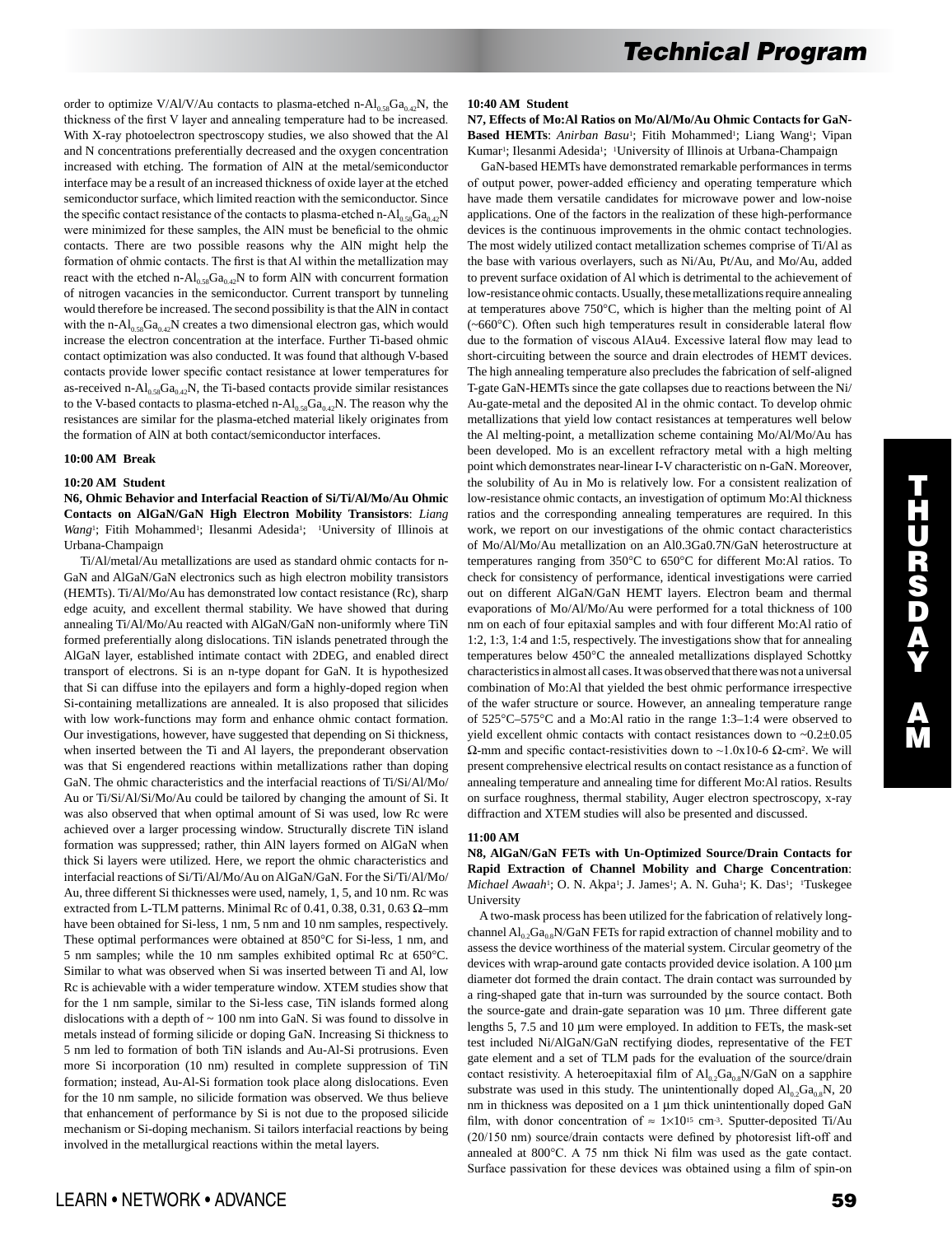order to optimize V/Al/V/Au contacts to plasma-etched n- $Al<sub>0.58</sub>Ga<sub>0.42</sub>N$ , the thickness of the first V layer and annealing temperature had to be increased. With X-ray photoelectron spectroscopy studies, we also showed that the Al and N concentrations preferentially decreased and the oxygen concentration increased with etching. The formation of AlN at the metal/semiconductor interface may be a result of an increased thickness of oxide layer at the etched semiconductor surface, which limited reaction with the semiconductor. Since the specific contact resistance of the contacts to plasma-etched n-Al<sub>0.58</sub>Ga<sub>0.42</sub>N were minimized for these samples, the AlN must be beneficial to the ohmic contacts. There are two possible reasons why the AlN might help the formation of ohmic contacts. The first is that Al within the metallization may react with the etched n- $Al_{0.58}Ga_{0.42}N$  to form AlN with concurrent formation of nitrogen vacancies in the semiconductor. Current transport by tunneling would therefore be increased. The second possibility is that the AlN in contact with the n-Al<sub>0.58</sub>Ga<sub>0.42</sub>N creates a two dimensional electron gas, which would increase the electron concentration at the interface. Further Ti-based ohmic contact optimization was also conducted. It was found that although V-based contacts provide lower specific contact resistance at lower temperatures for as-received n- $Al_{0.58}Ga_{0.42}N$ , the Ti-based contacts provide similar resistances to the V-based contacts to plasma-etched n- $Al_{0.58}Ga_{0.42}N$ . The reason why the resistances are similar for the plasma-etched material likely originates from the formation of AlN at both contact/semiconductor interfaces.

#### **10:00 AM Break**

### **10:20 AM Student**

**N6, Ohmic Behavior and Interfacial Reaction of Si/Ti/Al/Mo/Au Ohmic Contacts on AlGaN/GaN High Electron Mobility Transistors**: *Liang Wang*<sup>1</sup>; Fitih Mohammed<sup>1</sup>; Ilesanmi Adesida<sup>1</sup>; <sup>1</sup>University of Illinois at Urbana-Champaign

 Ti/Al/metal/Au metallizations are used as standard ohmic contacts for n-GaN and AlGaN/GaN electronics such as high electron mobility transistors (HEMTs). Ti/Al/Mo/Au has demonstrated low contact resistance (Rc), sharp edge acuity, and excellent thermal stability. We have showed that during annealing Ti/Al/Mo/Au reacted with AlGaN/GaN non-uniformly where TiN formed preferentially along dislocations. TiN islands penetrated through the AlGaN layer, established intimate contact with 2DEG, and enabled direct transport of electrons. Si is an n-type dopant for GaN. It is hypothesized that Si can diffuse into the epilayers and form a highly-doped region when Si-containing metallizations are annealed. It is also proposed that silicides with low work-functions may form and enhance ohmic contact formation. Our investigations, however, have suggested that depending on Si thickness, when inserted between the Ti and Al layers, the preponderant observation was that Si engendered reactions within metallizations rather than doping GaN. The ohmic characteristics and the interfacial reactions of Ti/Si/Al/Mo/ Au or Ti/Si/Al/Si/Mo/Au could be tailored by changing the amount of Si. It was also observed that when optimal amount of Si was used, low Rc were achieved over a larger processing window. Structurally discrete TiN island formation was suppressed; rather, thin AlN layers formed on AlGaN when thick Si layers were utilized. Here, we report the ohmic characteristics and interfacial reactions of Si/Ti/Al/Mo/Au on AlGaN/GaN. For the Si/Ti/Al/Mo/ Au, three different Si thicknesses were used, namely, 1, 5, and 10 nm. Rc was extracted from L-TLM patterns. Minimal Rc of 0.41, 0.38, 0.31, 0.63  $\Omega$ -mm have been obtained for Si-less, 1 nm, 5 nm and 10 nm samples, respectively. These optimal performances were obtained at 850°C for Si-less, 1 nm, and 5 nm samples; while the 10 nm samples exhibited optimal Rc at 650°C. Similar to what was observed when Si was inserted between Ti and Al, low Rc is achievable with a wider temperature window. XTEM studies show that for the 1 nm sample, similar to the Si-less case, TiN islands formed along dislocations with a depth of  $\sim 100$  nm into GaN. Si was found to dissolve in metals instead of forming silicide or doping GaN. Increasing Si thickness to 5 nm led to formation of both TiN islands and Au-Al-Si protrusions. Even more Si incorporation (10 nm) resulted in complete suppression of TiN formation; instead, Au-Al-Si formation took place along dislocations. Even for the 10 nm sample, no silicide formation was observed. We thus believe that enhancement of performance by Si is not due to the proposed silicide mechanism or Si-doping mechanism. Si tailors interfacial reactions by being involved in the metallurgical reactions within the metal layers.

#### **10:40 AM Student**

**N7, Effects of Mo:Al Ratios on Mo/Al/Mo/Au Ohmic Contacts for GaN-**Based HEMTs: Anirban Basu<sup>1</sup>; Fitih Mohammed<sup>1</sup>; Liang Wang<sup>1</sup>; Vipan Kumar<sup>1</sup>; Ilesanmi Adesida<sup>1</sup>; <sup>1</sup>University of Illinois at Urbana-Champaign

 GaN-based HEMTs have demonstrated remarkable performances in terms of output power, power-added efficiency and operating temperature which have made them versatile candidates for microwave power and low-noise applications. One of the factors in the realization of these high-performance devices is the continuous improvements in the ohmic contact technologies. The most widely utilized contact metallization schemes comprise of Ti/Al as the base with various overlayers, such as Ni/Au, Pt/Au, and Mo/Au, added to prevent surface oxidation of Al which is detrimental to the achievement of low-resistance ohmic contacts. Usually, these metallizations require annealing at temperatures above 750°C, which is higher than the melting point of Al (~660°C). Often such high temperatures result in considerable lateral flow due to the formation of viscous AlAu4. Excessive lateral flow may lead to short-circuiting between the source and drain electrodes of HEMT devices. The high annealing temperature also precludes the fabrication of self-aligned T-gate GaN-HEMTs since the gate collapses due to reactions between the Ni/ Au-gate-metal and the deposited Al in the ohmic contact. To develop ohmic metallizations that yield low contact resistances at temperatures well below the Al melting-point, a metallization scheme containing Mo/Al/Mo/Au has been developed. Mo is an excellent refractory metal with a high melting point which demonstrates near-linear I-V characteristic on n-GaN. Moreover, the solubility of Au in Mo is relatively low. For a consistent realization of low-resistance ohmic contacts, an investigation of optimum Mo:Al thickness ratios and the corresponding annealing temperatures are required. In this work, we report on our investigations of the ohmic contact characteristics of Mo/Al/Mo/Au metallization on an Al0.3Ga0.7N/GaN heterostructure at temperatures ranging from 350°C to 650°C for different Mo:Al ratios. To check for consistency of performance, identical investigations were carried out on different AlGaN/GaN HEMT layers. Electron beam and thermal evaporations of Mo/Al/Mo/Au were performed for a total thickness of 100 nm on each of four epitaxial samples and with four different Mo:Al ratio of 1:2, 1:3, 1:4 and 1:5, respectively. The investigations show that for annealing temperatures below 450°C the annealed metallizations displayed Schottky characteristics in almost all cases. It was observed that there was not a universal combination of Mo:Al that yielded the best ohmic performance irrespective of the wafer structure or source. However, an annealing temperature range of 525°C–575°C and a Mo:Al ratio in the range 1:3–1:4 were observed to yield excellent ohmic contacts with contact resistances down to  $\sim 0.2 \pm 0.05$  $Ω$ -mm and specific contact-resistivities down to ~1.0x10-6  $Ω$ -cm<sup>2</sup>. We will present comprehensive electrical results on contact resistance as a function of annealing temperature and annealing time for different Mo:Al ratios. Results on surface roughness, thermal stability, Auger electron spectroscopy, x-ray diffraction and XTEM studies will also be presented and discussed.

## **11:00 AM**

## **N8, AlGaN/GaN FETs with Un-Optimized Source/Drain Contacts for Rapid Extraction of Channel Mobility and Charge Concentration**: *Michael Awaah*<sup>1</sup>; O. N. Akpa<sup>1</sup>; J. James<sup>1</sup>; A. N. Guha<sup>1</sup>; K. Das<sup>1</sup>; <sup>1</sup>Tuskegee University

 A two-mask process has been utilized for the fabrication of relatively longchannel  $Al_{0.2}Ga_{0.8}N/GaN$  FETs for rapid extraction of channel mobility and to assess the device worthiness of the material system. Circular geometry of the devices with wrap-around gate contacts provided device isolation. A 100  $\mu$ m diameter dot formed the drain contact. The drain contact was surrounded by a ring-shaped gate that in-turn was surrounded by the source contact. Both the source-gate and drain-gate separation was 10 µm. Three different gate lengths 5, 7.5 and 10 µm were employed. In addition to FETs, the mask-set test included Ni/AlGaN/GaN rectifying diodes, representative of the FET gate element and a set of TLM pads for the evaluation of the source/drain contact resistivity. A heteroepitaxial film of  $Al_0, Ga_0, N/GaN$  on a sapphire substrate was used in this study. The unintentionally doped  $\text{Al}_{0.2}\text{Ga}_{0.8}\text{N}$ , 20 nm in thickness was deposited on a 1  $\mu$ m thick unintentionally doped GaN film, with donor concentration of  $\approx 1 \times 10^{15}$  cm<sup>-3</sup>. Sputter-deposited Ti/Au (20/150 nm) source/drain contacts were defined by photoresist lift-off and annealed at 800°C. A 75 nm thick Ni film was used as the gate contact. Surface passivation for these devices was obtained using a film of spin-on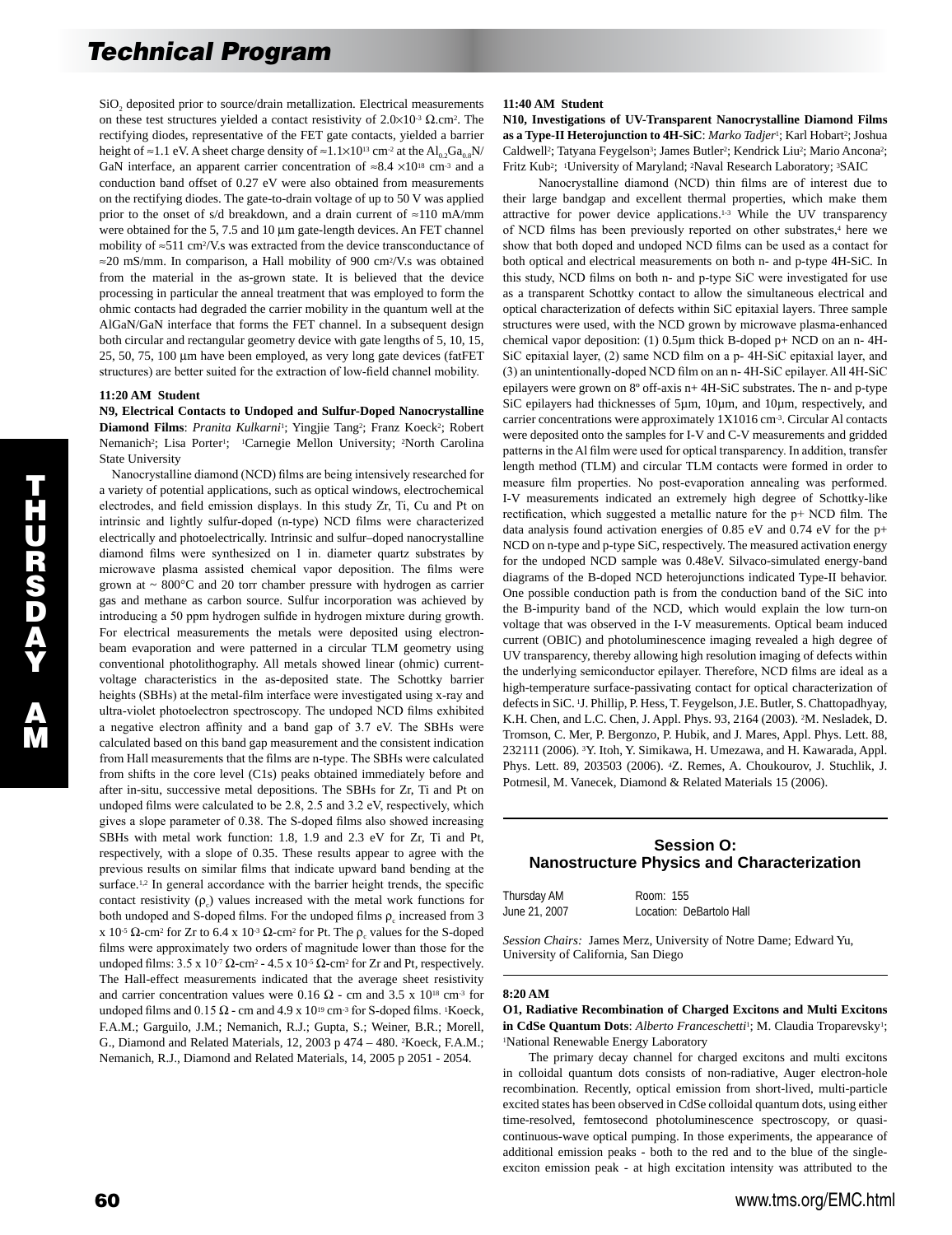SiO<sub>2</sub> deposited prior to source/drain metallization. Electrical measurements on these test structures yielded a contact resistivity of  $2.0 \times 10^{-3}$   $\Omega$ .cm<sup>2</sup>. The rectifying diodes, representative of the FET gate contacts, yielded a barrier height of ≈1.1 eV. A sheet charge density of ≈1.1×10<sup>13</sup> cm<sup>-2</sup> at the Al<sub>02</sub>Ga<sub>0.8</sub>N/ GaN interface, an apparent carrier concentration of  $\approx 8.4 \times 10^{18}$  cm<sup>-3</sup> and a conduction band offset of 0.27 eV were also obtained from measurements on the rectifying diodes. The gate-to-drain voltage of up to 50 V was applied prior to the onset of s/d breakdown, and a drain current of ≈110 mA/mm were obtained for the 5, 7.5 and 10  $\mu$ m gate-length devices. An FET channel mobility of ≈511 cm2/V.s was extracted from the device transconductance of ≈20 mS/mm. In comparison, a Hall mobility of 900 cm2/V.s was obtained from the material in the as-grown state. It is believed that the device processing in particular the anneal treatment that was employed to form the ohmic contacts had degraded the carrier mobility in the quantum well at the AlGaN/GaN interface that forms the FET channel. In a subsequent design both circular and rectangular geometry device with gate lengths of 5, 10, 15, 25, 50, 75, 100 µm have been employed, as very long gate devices (fatFET structures) are better suited for the extraction of low-field channel mobility.

## **11:20 AM Student**

**N9, Electrical Contacts to Undoped and Sulfur-Doped Nanocrystalline**  Diamond Films: Pranita Kulkarni<sup>1</sup>; Yingjie Tang<sup>2</sup>; Franz Koeck<sup>2</sup>; Robert Nemanich<sup>2</sup>; Lisa Porter<sup>1</sup>; <sup>1</sup>Carnegie Mellon University; <sup>2</sup>North Carolina State University

 Nanocrystalline diamond (NCD) films are being intensively researched for a variety of potential applications, such as optical windows, electrochemical electrodes, and field emission displays. In this study Zr, Ti, Cu and Pt on intrinsic and lightly sulfur-doped (n-type) NCD films were characterized electrically and photoelectrically. Intrinsic and sulfur–doped nanocrystalline diamond films were synthesized on 1 in. diameter quartz substrates by microwave plasma assisted chemical vapor deposition. The films were grown at  $\sim 800^{\circ}$ C and 20 torr chamber pressure with hydrogen as carrier gas and methane as carbon source. Sulfur incorporation was achieved by introducing a 50 ppm hydrogen sulfide in hydrogen mixture during growth. For electrical measurements the metals were deposited using electronbeam evaporation and were patterned in a circular TLM geometry using conventional photolithography. All metals showed linear (ohmic) currentvoltage characteristics in the as-deposited state. The Schottky barrier heights (SBHs) at the metal-film interface were investigated using x-ray and ultra-violet photoelectron spectroscopy. The undoped NCD films exhibited a negative electron affinity and a band gap of 3.7 eV. The SBHs were calculated based on this band gap measurement and the consistent indication from Hall measurements that the films are n-type. The SBHs were calculated from shifts in the core level (C1s) peaks obtained immediately before and after in-situ, successive metal depositions. The SBHs for Zr, Ti and Pt on undoped films were calculated to be 2.8, 2.5 and 3.2 eV, respectively, which gives a slope parameter of 0.38. The S-doped films also showed increasing SBHs with metal work function: 1.8, 1.9 and 2.3 eV for Zr, Ti and Pt, respectively, with a slope of 0.35. These results appear to agree with the previous results on similar films that indicate upward band bending at the surface.<sup>1,2</sup> In general accordance with the barrier height trends, the specific contact resistivity  $(\rho_c)$  values increased with the metal work functions for both undoped and S-doped films. For the undoped films  $\rho_c$  increased from 3 x 10<sup>-5</sup> Ω-cm<sup>2</sup> for Zr to 6.4 x 10<sup>-3</sup> Ω-cm<sup>2</sup> for Pt. The  $ρ_c$  values for the S-doped films were approximately two orders of magnitude lower than those for the undoped films:  $3.5 \times 10^{-7} \Omega$ -cm<sup>2</sup> -  $4.5 \times 10^{-5} \Omega$ -cm<sup>2</sup> for Zr and Pt, respectively. The Hall-effect measurements indicated that the average sheet resistivity and carrier concentration values were 0.16  $\Omega$  - cm and 3.5 x 10<sup>18</sup> cm<sup>-3</sup> for undoped films and 0.15 Ω - cm and 4.9 x  $10^{19}$  cm<sup>-3</sup> for S-doped films. <sup>1</sup>Koeck, F.A.M.; Garguilo, J.M.; Nemanich, R.J.; Gupta, S.; Weiner, B.R.; Morell, G., Diamond and Related Materials, 12, 2003 p 474 – 480. 2Koeck, F.A.M.; Nemanich, R.J., Diamond and Related Materials, 14, 2005 p 2051 - 2054.

## **11:40 AM Student**

**N10, Investigations of UV-Transparent Nanocrystalline Diamond Films as a Type-II Heterojunction to 4H-SiC**: *Marko Tadjer*1; Karl Hobart2; Joshua Caldwell<sup>2</sup>; Tatyana Feygelson<sup>3</sup>; James Butler<sup>2</sup>; Kendrick Liu<sup>2</sup>; Mario Ancona<sup>2</sup>; Fritz Kub2; 1University of Maryland; 2Naval Research Laboratory; 3SAIC

 Nanocrystalline diamond (NCD) thin films are of interest due to their large bandgap and excellent thermal properties, which make them attractive for power device applications.1-3 While the UV transparency of NCD films has been previously reported on other substrates,<sup>4</sup> here we show that both doped and undoped NCD films can be used as a contact for both optical and electrical measurements on both n- and p-type 4H-SiC. In this study, NCD films on both n- and p-type SiC were investigated for use as a transparent Schottky contact to allow the simultaneous electrical and optical characterization of defects within SiC epitaxial layers. Three sample structures were used, with the NCD grown by microwave plasma-enhanced chemical vapor deposition: (1) 0.5µm thick B-doped p+ NCD on an n- 4H-SiC epitaxial layer, (2) same NCD film on a p- 4H-SiC epitaxial layer, and (3) an unintentionally-doped NCD film on an n- 4H-SiC epilayer. All 4H-SiC epilayers were grown on 8º off-axis n+ 4H-SiC substrates. The n- and p-type SiC epilayers had thicknesses of 5µm, 10µm, and 10µm, respectively, and carrier concentrations were approximately 1X1016 cm-3. Circular Al contacts were deposited onto the samples for I-V and C-V measurements and gridded patterns in the Al film were used for optical transparency. In addition, transfer length method (TLM) and circular TLM contacts were formed in order to measure film properties. No post-evaporation annealing was performed. I-V measurements indicated an extremely high degree of Schottky-like rectification, which suggested a metallic nature for the p+ NCD film. The data analysis found activation energies of 0.85 eV and 0.74 eV for the p+ NCD on n-type and p-type SiC, respectively. The measured activation energy for the undoped NCD sample was 0.48eV. Silvaco-simulated energy-band diagrams of the B-doped NCD heterojunctions indicated Type-II behavior. One possible conduction path is from the conduction band of the SiC into the B-impurity band of the NCD, which would explain the low turn-on voltage that was observed in the I-V measurements. Optical beam induced current (OBIC) and photoluminescence imaging revealed a high degree of UV transparency, thereby allowing high resolution imaging of defects within the underlying semiconductor epilayer. Therefore, NCD films are ideal as a high-temperature surface-passivating contact for optical characterization of defects in SiC. 1J. Phillip, P. Hess, T. Feygelson, J.E. Butler, S. Chattopadhyay, K.H. Chen, and L.C. Chen, J. Appl. Phys. 93, 2164 (2003). 2M. Nesladek, D. Tromson, C. Mer, P. Bergonzo, P. Hubik, and J. Mares, Appl. Phys. Lett. 88, 232111 (2006). 3Y. Itoh, Y. Simikawa, H. Umezawa, and H. Kawarada, Appl. Phys. Lett. 89, 203503 (2006). 4Z. Remes, A. Choukourov, J. Stuchlik, J. Potmesil, M. Vanecek, Diamond & Related Materials 15 (2006).

# **Session O: Nanostructure Physics and Characterization**

| Thursday AM   |  |
|---------------|--|
| June 21, 2007 |  |

Room: 155 Location: DeBartolo Hall

*Session Chairs:* James Merz, University of Notre Dame; Edward Yu, University of California, San Diego

#### **8:20 AM**

**O1, Radiative Recombination of Charged Excitons and Multi Excitons in CdSe Quantum Dots**: *Alberto Franceschetti*1; M. Claudia Troparevsky1; 1National Renewable Energy Laboratory

 The primary decay channel for charged excitons and multi excitons in colloidal quantum dots consists of non-radiative, Auger electron-hole recombination. Recently, optical emission from short-lived, multi-particle excited states has been observed in CdSe colloidal quantum dots, using either time-resolved, femtosecond photoluminescence spectroscopy, or quasicontinuous-wave optical pumping. In those experiments, the appearance of additional emission peaks - both to the red and to the blue of the singleexciton emission peak - at high excitation intensity was attributed to the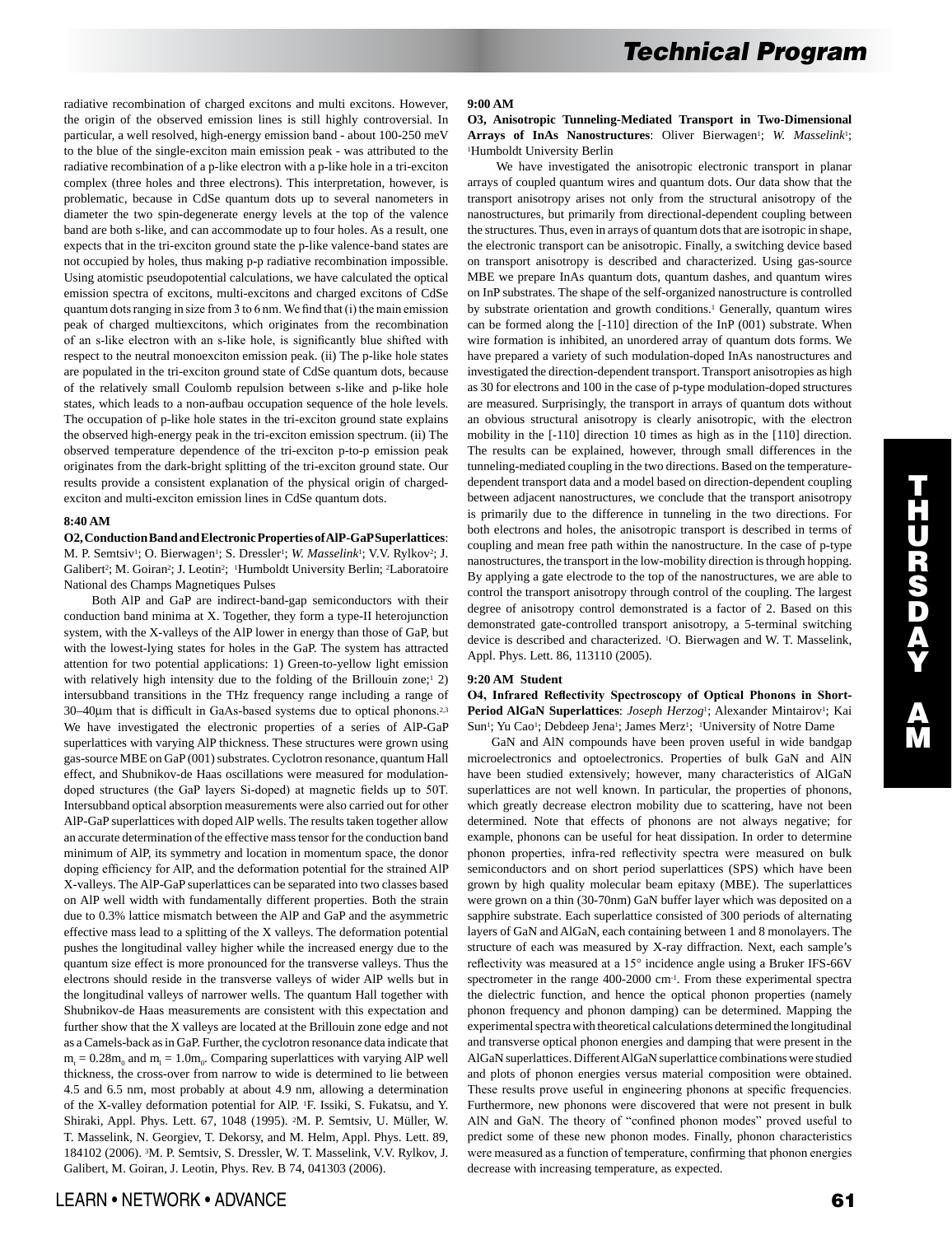radiative recombination of charged excitons and multi excitons. However, the origin of the observed emission lines is still highly controversial. In particular, a well resolved, high-energy emission band - about 100-250 meV to the blue of the single-exciton main emission peak - was attributed to the radiative recombination of a p-like electron with a p-like hole in a tri-exciton complex (three holes and three electrons). This interpretation, however, is problematic, because in CdSe quantum dots up to several nanometers in diameter the two spin-degenerate energy levels at the top of the valence band are both s-like, and can accommodate up to four holes. As a result, one expects that in the tri-exciton ground state the p-like valence-band states are not occupied by holes, thus making p-p radiative recombination impossible. Using atomistic pseudopotential calculations, we have calculated the optical emission spectra of excitons, multi-excitons and charged excitons of CdSe quantum dots ranging in size from 3 to 6 nm. We find that (i) the main emission peak of charged multiexcitons, which originates from the recombination of an s-like electron with an s-like hole, is significantly blue shifted with respect to the neutral monoexciton emission peak. (ii) The p-like hole states are populated in the tri-exciton ground state of CdSe quantum dots, because of the relatively small Coulomb repulsion between s-like and p-like hole states, which leads to a non-aufbau occupation sequence of the hole levels. The occupation of p-like hole states in the tri-exciton ground state explains the observed high-energy peak in the tri-exciton emission spectrum. (ii) The observed temperature dependence of the tri-exciton p-to-p emission peak originates from the dark-bright splitting of the tri-exciton ground state. Our results provide a consistent explanation of the physical origin of chargedexciton and multi-exciton emission lines in CdSe quantum dots.

## **8:40 AM**

**O2, Conduction Band and Electronic Properties of AlP-GaP Superlattices**: M. P. Semtsiv<sup>1</sup>; O. Bierwagen<sup>1</sup>; S. Dressler<sup>1</sup>; *W. Masselink<sup>1</sup>*; V.V. Rylkov<sup>2</sup>; J. Galibert2; M. Goiran2; J. Leotin2; 1Humboldt University Berlin; 2Laboratoire National des Champs Magnetiques Pulses

 Both AlP and GaP are indirect-band-gap semiconductors with their conduction band minima at X. Together, they form a type-II heterojunction system, with the X-valleys of the AlP lower in energy than those of GaP, but with the lowest-lying states for holes in the GaP. The system has attracted attention for two potential applications: 1) Green-to-yellow light emission with relatively high intensity due to the folding of the Brillouin zone;<sup>1</sup> 2) intersubband transitions in the THz frequency range including a range of 30–40µm that is difficult in GaAs-based systems due to optical phonons.2,3 We have investigated the electronic properties of a series of AlP-GaP superlattices with varying AlP thickness. These structures were grown using gas-source MBE on GaP (001) substrates. Cyclotron resonance, quantum Hall effect, and Shubnikov-de Haas oscillations were measured for modulationdoped structures (the GaP layers Si-doped) at magnetic fields up to 50T. Intersubband optical absorption measurements were also carried out for other AlP-GaP superlattices with doped AlP wells. The results taken together allow an accurate determination of the effective mass tensor for the conduction band minimum of AlP, its symmetry and location in momentum space, the donor doping efficiency for AlP, and the deformation potential for the strained AlP X-valleys. The AlP-GaP superlattices can be separated into two classes based on AlP well width with fundamentally different properties. Both the strain due to 0.3% lattice mismatch between the AlP and GaP and the asymmetric effective mass lead to a splitting of the X valleys. The deformation potential pushes the longitudinal valley higher while the increased energy due to the quantum size effect is more pronounced for the transverse valleys. Thus the electrons should reside in the transverse valleys of wider AlP wells but in the longitudinal valleys of narrower wells. The quantum Hall together with Shubnikov-de Haas measurements are consistent with this expectation and further show that the X valleys are located at the Brillouin zone edge and not as a Camels-back as in GaP. Further, the cyclotron resonance data indicate that  $m_t = 0.28m_0$  and  $m_l = 1.0m_0$ . Comparing superlattices with varying AlP well thickness, the cross-over from narrow to wide is determined to lie between 4.5 and 6.5 nm, most probably at about 4.9 nm, allowing a determination of the X-valley deformation potential for AlP. 1F. Issiki, S. Fukatsu, and Y. Shiraki, Appl. Phys. Lett. 67, 1048 (1995). 2M. P. Semtsiv, U. Müller, W. T. Masselink, N. Georgiev, T. Dekorsy, and M. Helm, Appl. Phys. Lett. 89, 184102 (2006). 3M. P. Semtsiv, S. Dressler, W. T. Masselink, V.V. Rylkov, J. Galibert, M. Goiran, J. Leotin, Phys. Rev. B 74, 041303 (2006).

**O3, Anisotropic Tunneling-Mediated Transport in Two-Dimensional**  Arrays of InAs Nanostructures: Oliver Bierwagen<sup>1</sup>; *W. Masselink<sup>1</sup>*; 1Humboldt University Berlin

 We have investigated the anisotropic electronic transport in planar arrays of coupled quantum wires and quantum dots. Our data show that the transport anisotropy arises not only from the structural anisotropy of the nanostructures, but primarily from directional-dependent coupling between the structures. Thus, even in arrays of quantum dots that are isotropic in shape, the electronic transport can be anisotropic. Finally, a switching device based on transport anisotropy is described and characterized. Using gas-source MBE we prepare InAs quantum dots, quantum dashes, and quantum wires on InP substrates. The shape of the self-organized nanostructure is controlled by substrate orientation and growth conditions.<sup>1</sup> Generally, quantum wires can be formed along the [-110] direction of the InP (001) substrate. When wire formation is inhibited, an unordered array of quantum dots forms. We have prepared a variety of such modulation-doped InAs nanostructures and investigated the direction-dependent transport. Transport anisotropies as high as 30 for electrons and 100 in the case of p-type modulation-doped structures are measured. Surprisingly, the transport in arrays of quantum dots without an obvious structural anisotropy is clearly anisotropic, with the electron mobility in the [-110] direction 10 times as high as in the [110] direction. The results can be explained, however, through small differences in the tunneling-mediated coupling in the two directions. Based on the temperaturedependent transport data and a model based on direction-dependent coupling between adjacent nanostructures, we conclude that the transport anisotropy is primarily due to the difference in tunneling in the two directions. For both electrons and holes, the anisotropic transport is described in terms of coupling and mean free path within the nanostructure. In the case of p-type nanostructures, the transport in the low-mobility direction is through hopping. By applying a gate electrode to the top of the nanostructures, we are able to control the transport anisotropy through control of the coupling. The largest degree of anisotropy control demonstrated is a factor of 2. Based on this demonstrated gate-controlled transport anisotropy, a 5-terminal switching device is described and characterized. 1O. Bierwagen and W. T. Masselink, Appl. Phys. Lett. 86, 113110 (2005).

#### **9:20 AM Student**

## **O4, Infrared Reflectivity Spectroscopy of Optical Phonons in Short-**Period AlGaN Superlattices: *Joseph Herzog*<sup>1</sup>; Alexander Mintairov<sup>1</sup>; Kai Sun<sup>1</sup>; Yu Cao<sup>1</sup>; Debdeep Jena<sup>1</sup>; James Merz<sup>1</sup>; <sup>1</sup>University of Notre Dame

 GaN and AlN compounds have been proven useful in wide bandgap microelectronics and optoelectronics. Properties of bulk GaN and AlN have been studied extensively; however, many characteristics of AlGaN superlattices are not well known. In particular, the properties of phonons, which greatly decrease electron mobility due to scattering, have not been determined. Note that effects of phonons are not always negative; for example, phonons can be useful for heat dissipation. In order to determine phonon properties, infra-red reflectivity spectra were measured on bulk semiconductors and on short period superlattices (SPS) which have been grown by high quality molecular beam epitaxy (MBE). The superlattices were grown on a thin (30-70nm) GaN buffer layer which was deposited on a sapphire substrate. Each superlattice consisted of 300 periods of alternating layers of GaN and AlGaN, each containing between 1 and 8 monolayers. The structure of each was measured by X-ray diffraction. Next, each sample's reflectivity was measured at a 15° incidence angle using a Bruker IFS-66V spectrometer in the range 400-2000 cm-1. From these experimental spectra the dielectric function, and hence the optical phonon properties (namely phonon frequency and phonon damping) can be determined. Mapping the experimental spectra with theoretical calculations determined the longitudinal and transverse optical phonon energies and damping that were present in the AlGaN superlattices. Different AlGaN superlattice combinations were studied and plots of phonon energies versus material composition were obtained. These results prove useful in engineering phonons at specific frequencies. Furthermore, new phonons were discovered that were not present in bulk AlN and GaN. The theory of "confined phonon modes" proved useful to predict some of these new phonon modes. Finally, phonon characteristics were measured as a function of temperature, confirming that phonon energies decrease with increasing temperature, as expected.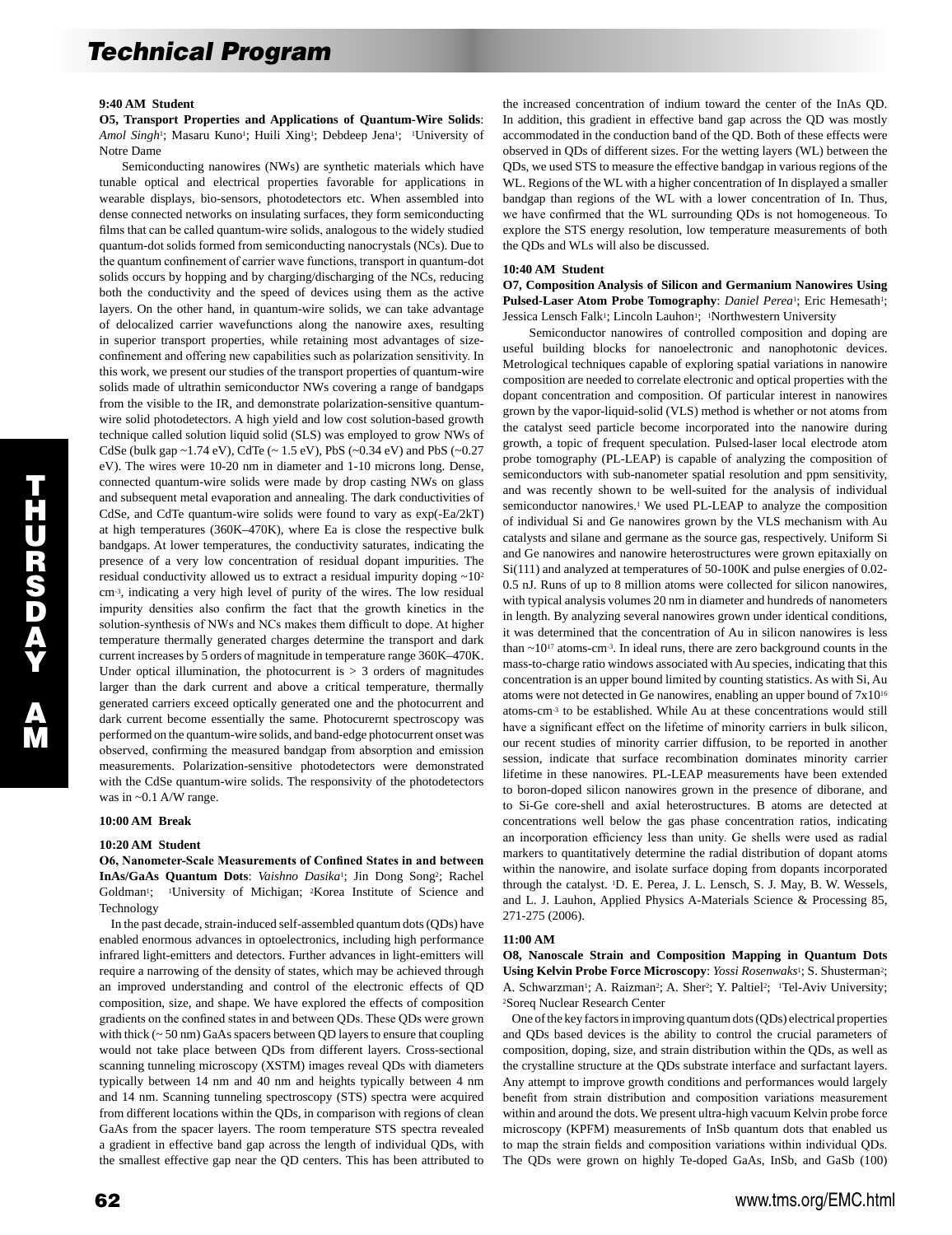#### **9:40 AM Student**

**O5, Transport Properties and Applications of Quantum-Wire Solids**: Amol Singh<sup>1</sup>; Masaru Kuno<sup>1</sup>; Huili Xing<sup>1</sup>; Debdeep Jena<sup>1</sup>; <sup>1</sup>University of Notre Dame

 Semiconducting nanowires (NWs) are synthetic materials which have tunable optical and electrical properties favorable for applications in wearable displays, bio-sensors, photodetectors etc. When assembled into dense connected networks on insulating surfaces, they form semiconducting films that can be called quantum-wire solids, analogous to the widely studied quantum-dot solids formed from semiconducting nanocrystals (NCs). Due to the quantum confinement of carrier wave functions, transport in quantum-dot solids occurs by hopping and by charging/discharging of the NCs, reducing both the conductivity and the speed of devices using them as the active layers. On the other hand, in quantum-wire solids, we can take advantage of delocalized carrier wavefunctions along the nanowire axes, resulting in superior transport properties, while retaining most advantages of sizeconfinement and offering new capabilities such as polarization sensitivity. In this work, we present our studies of the transport properties of quantum-wire solids made of ultrathin semiconductor NWs covering a range of bandgaps from the visible to the IR, and demonstrate polarization-sensitive quantumwire solid photodetectors. A high yield and low cost solution-based growth technique called solution liquid solid (SLS) was employed to grow NWs of CdSe (bulk gap ~1.74 eV), CdTe (~ 1.5 eV), PbS (~0.34 eV) and PbS (~0.27 eV). The wires were 10-20 nm in diameter and 1-10 microns long. Dense, connected quantum-wire solids were made by drop casting NWs on glass and subsequent metal evaporation and annealing. The dark conductivities of CdSe, and CdTe quantum-wire solids were found to vary as exp(-Ea/2kT) at high temperatures (360K–470K), where Ea is close the respective bulk bandgaps. At lower temperatures, the conductivity saturates, indicating the presence of a very low concentration of residual dopant impurities. The residual conductivity allowed us to extract a residual impurity doping ~102 cm-3, indicating a very high level of purity of the wires. The low residual impurity densities also confirm the fact that the growth kinetics in the solution-synthesis of NWs and NCs makes them difficult to dope. At higher temperature thermally generated charges determine the transport and dark current increases by 5 orders of magnitude in temperature range 360K–470K. Under optical illumination, the photocurrent is  $> 3$  orders of magnitudes larger than the dark current and above a critical temperature, thermally generated carriers exceed optically generated one and the photocurrent and dark current become essentially the same. Photocurernt spectroscopy was performed on the quantum-wire solids, and band-edge photocurrent onset was observed, confirming the measured bandgap from absorption and emission measurements. Polarization-sensitive photodetectors were demonstrated with the CdSe quantum-wire solids. The responsivity of the photodetectors was in ~0.1 A/W range.

#### **10:00 AM Break**

## **10:20 AM Student**

**O6, Nanometer-Scale Measurements of Confined States in and between InAs/GaAs Quantum Dots**: *Vaishno Dasika*1; Jin Dong Song2; Rachel Goldman<sup>1</sup>; <sup>1</sup>University of Michigan; <sup>2</sup>Korea Institute of Science and Technology

 In the past decade, strain-induced self-assembled quantum dots (QDs) have enabled enormous advances in optoelectronics, including high performance infrared light-emitters and detectors. Further advances in light-emitters will require a narrowing of the density of states, which may be achieved through an improved understanding and control of the electronic effects of QD composition, size, and shape. We have explored the effects of composition gradients on the confined states in and between QDs. These QDs were grown with thick (~ 50 nm) GaAs spacers between QD layers to ensure that coupling would not take place between QDs from different layers. Cross-sectional scanning tunneling microscopy (XSTM) images reveal QDs with diameters typically between 14 nm and 40 nm and heights typically between 4 nm and 14 nm. Scanning tunneling spectroscopy (STS) spectra were acquired from different locations within the QDs, in comparison with regions of clean GaAs from the spacer layers. The room temperature STS spectra revealed a gradient in effective band gap across the length of individual QDs, with the smallest effective gap near the QD centers. This has been attributed to the increased concentration of indium toward the center of the InAs QD. In addition, this gradient in effective band gap across the QD was mostly accommodated in the conduction band of the QD. Both of these effects were observed in QDs of different sizes. For the wetting layers (WL) between the QDs, we used STS to measure the effective bandgap in various regions of the WL. Regions of the WL with a higher concentration of In displayed a smaller bandgap than regions of the WL with a lower concentration of In. Thus, we have confirmed that the WL surrounding QDs is not homogeneous. To explore the STS energy resolution, low temperature measurements of both the QDs and WLs will also be discussed.

#### **10:40 AM Student**

**O7, Composition Analysis of Silicon and Germanium Nanowires Using Pulsed-Laser Atom Probe Tomography:** *Daniel Perea*<sup>1</sup>: Eric Hemesath<sup>1</sup>: Jessica Lensch Falk<sup>1</sup>; Lincoln Lauhon<sup>1</sup>; <sup>1</sup>Northwestern University

 Semiconductor nanowires of controlled composition and doping are useful building blocks for nanoelectronic and nanophotonic devices. Metrological techniques capable of exploring spatial variations in nanowire composition are needed to correlate electronic and optical properties with the dopant concentration and composition. Of particular interest in nanowires grown by the vapor-liquid-solid (VLS) method is whether or not atoms from the catalyst seed particle become incorporated into the nanowire during growth, a topic of frequent speculation. Pulsed-laser local electrode atom probe tomography (PL-LEAP) is capable of analyzing the composition of semiconductors with sub-nanometer spatial resolution and ppm sensitivity, and was recently shown to be well-suited for the analysis of individual semiconductor nanowires.<sup>1</sup> We used PL-LEAP to analyze the composition of individual Si and Ge nanowires grown by the VLS mechanism with Au catalysts and silane and germane as the source gas, respectively. Uniform Si and Ge nanowires and nanowire heterostructures were grown epitaxially on Si(111) and analyzed at temperatures of 50-100K and pulse energies of 0.02- 0.5 nJ. Runs of up to 8 million atoms were collected for silicon nanowires, with typical analysis volumes 20 nm in diameter and hundreds of nanometers in length. By analyzing several nanowires grown under identical conditions, it was determined that the concentration of Au in silicon nanowires is less than  $\sim$ 10<sup>17</sup> atoms-cm<sup>-3</sup>. In ideal runs, there are zero background counts in the mass-to-charge ratio windows associated with Au species, indicating that this concentration is an upper bound limited by counting statistics. As with Si, Au atoms were not detected in Ge nanowires, enabling an upper bound of 7x1016 atoms-cm-3 to be established. While Au at these concentrations would still have a significant effect on the lifetime of minority carriers in bulk silicon, our recent studies of minority carrier diffusion, to be reported in another session, indicate that surface recombination dominates minority carrier lifetime in these nanowires. PL-LEAP measurements have been extended to boron-doped silicon nanowires grown in the presence of diborane, and to Si-Ge core-shell and axial heterostructures. B atoms are detected at concentrations well below the gas phase concentration ratios, indicating an incorporation efficiency less than unity. Ge shells were used as radial markers to quantitatively determine the radial distribution of dopant atoms within the nanowire, and isolate surface doping from dopants incorporated through the catalyst. 1D. E. Perea, J. L. Lensch, S. J. May, B. W. Wessels, and L. J. Lauhon, Applied Physics A-Materials Science & Processing 85, 271-275 (2006).

#### **11:00 AM**

**O8, Nanoscale Strain and Composition Mapping in Quantum Dots Using Kelvin Probe Force Microscopy**: *Yossi Rosenwaks*1; S. Shusterman2; A. Schwarzman<sup>1</sup>; A. Raizman<sup>2</sup>; A. Sher<sup>2</sup>; Y. Paltiel<sup>2</sup>; <sup>1</sup>Tel-Aviv University; 2Soreq Nuclear Research Center

 One of the key factors in improving quantum dots (QDs) electrical properties and QDs based devices is the ability to control the crucial parameters of composition, doping, size, and strain distribution within the QDs, as well as the crystalline structure at the QDs substrate interface and surfactant layers. Any attempt to improve growth conditions and performances would largely benefit from strain distribution and composition variations measurement within and around the dots. We present ultra-high vacuum Kelvin probe force microscopy (KPFM) measurements of InSb quantum dots that enabled us to map the strain fields and composition variations within individual QDs. The QDs were grown on highly Te-doped GaAs, InSb, and GaSb (100)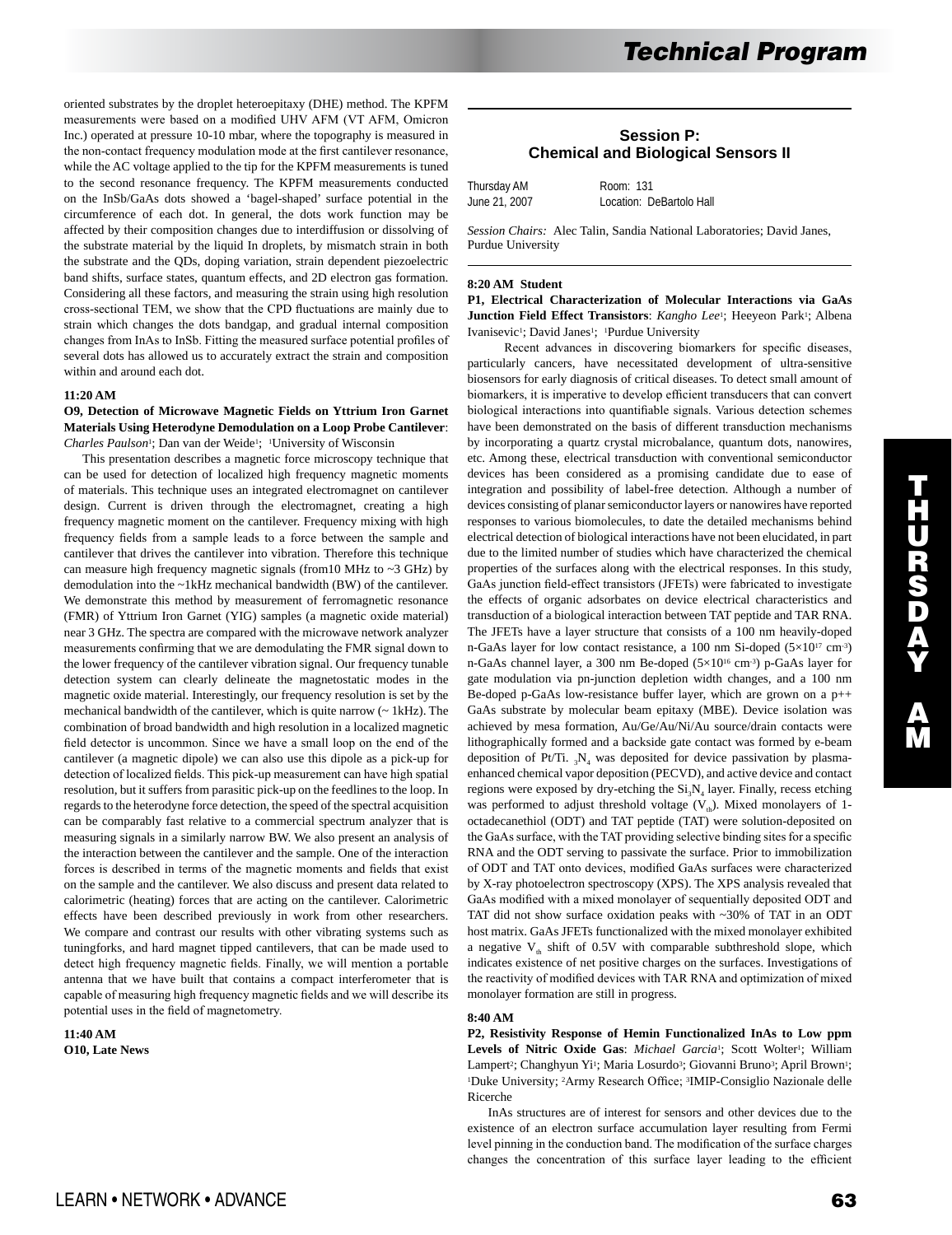oriented substrates by the droplet heteroepitaxy (DHE) method. The KPFM measurements were based on a modified UHV AFM (VT AFM, Omicron Inc.) operated at pressure 10-10 mbar, where the topography is measured in the non-contact frequency modulation mode at the first cantilever resonance, while the AC voltage applied to the tip for the KPFM measurements is tuned to the second resonance frequency. The KPFM measurements conducted on the InSb/GaAs dots showed a 'bagel-shaped' surface potential in the circumference of each dot. In general, the dots work function may be affected by their composition changes due to interdiffusion or dissolving of the substrate material by the liquid In droplets, by mismatch strain in both the substrate and the QDs, doping variation, strain dependent piezoelectric band shifts, surface states, quantum effects, and 2D electron gas formation. Considering all these factors, and measuring the strain using high resolution cross-sectional TEM, we show that the CPD fluctuations are mainly due to strain which changes the dots bandgap, and gradual internal composition changes from InAs to InSb. Fitting the measured surface potential profiles of several dots has allowed us to accurately extract the strain and composition within and around each dot.

## **11:20 AM**

## **O9, Detection of Microwave Magnetic Fields on Yttrium Iron Garnet Materials Using Heterodyne Demodulation on a Loop Probe Cantilever**: *Charles Paulson*1; Dan van der Weide1; 1University of Wisconsin

 This presentation describes a magnetic force microscopy technique that can be used for detection of localized high frequency magnetic moments of materials. This technique uses an integrated electromagnet on cantilever design. Current is driven through the electromagnet, creating a high frequency magnetic moment on the cantilever. Frequency mixing with high frequency fields from a sample leads to a force between the sample and cantilever that drives the cantilever into vibration. Therefore this technique can measure high frequency magnetic signals (from10 MHz to  $\sim$ 3 GHz) by demodulation into the ~1kHz mechanical bandwidth (BW) of the cantilever. We demonstrate this method by measurement of ferromagnetic resonance (FMR) of Yttrium Iron Garnet (YIG) samples (a magnetic oxide material) near 3 GHz. The spectra are compared with the microwave network analyzer measurements confirming that we are demodulating the FMR signal down to the lower frequency of the cantilever vibration signal. Our frequency tunable detection system can clearly delineate the magnetostatic modes in the magnetic oxide material. Interestingly, our frequency resolution is set by the mechanical bandwidth of the cantilever, which is quite narrow (~ 1kHz). The combination of broad bandwidth and high resolution in a localized magnetic field detector is uncommon. Since we have a small loop on the end of the cantilever (a magnetic dipole) we can also use this dipole as a pick-up for detection of localized fields. This pick-up measurement can have high spatial resolution, but it suffers from parasitic pick-up on the feedlines to the loop. In regards to the heterodyne force detection, the speed of the spectral acquisition can be comparably fast relative to a commercial spectrum analyzer that is measuring signals in a similarly narrow BW. We also present an analysis of the interaction between the cantilever and the sample. One of the interaction forces is described in terms of the magnetic moments and fields that exist on the sample and the cantilever. We also discuss and present data related to calorimetric (heating) forces that are acting on the cantilever. Calorimetric effects have been described previously in work from other researchers. We compare and contrast our results with other vibrating systems such as tuningforks, and hard magnet tipped cantilevers, that can be made used to detect high frequency magnetic fields. Finally, we will mention a portable antenna that we have built that contains a compact interferometer that is capable of measuring high frequency magnetic fields and we will describe its potential uses in the field of magnetometry.

**11:40 AM O10, Late News** 

# **Session P: Chemical and Biological Sensors II**

| Thursday AM   | Room: 131                |
|---------------|--------------------------|
| June 21, 2007 | Location: DeBartolo Hall |

*Session Chairs:* Alec Talin, Sandia National Laboratories; David Janes, Purdue University

#### **8:20 AM Student**

**P1, Electrical Characterization of Molecular Interactions via GaAs**  Junction Field Effect Transistors: *Kangho Lee*<sup>1</sup>; Heeyeon Park<sup>1</sup>; Albena Ivanisevic<sup>1</sup>; David Janes<sup>1</sup>; <sup>1</sup>Purdue University

 Recent advances in discovering biomarkers for specific diseases, particularly cancers, have necessitated development of ultra-sensitive biosensors for early diagnosis of critical diseases. To detect small amount of biomarkers, it is imperative to develop efficient transducers that can convert biological interactions into quantifiable signals. Various detection schemes have been demonstrated on the basis of different transduction mechanisms by incorporating a quartz crystal microbalance, quantum dots, nanowires, etc. Among these, electrical transduction with conventional semiconductor devices has been considered as a promising candidate due to ease of integration and possibility of label-free detection. Although a number of devices consisting of planar semiconductor layers or nanowires have reported responses to various biomolecules, to date the detailed mechanisms behind electrical detection of biological interactions have not been elucidated, in part due to the limited number of studies which have characterized the chemical properties of the surfaces along with the electrical responses. In this study, GaAs junction field-effect transistors (JFETs) were fabricated to investigate the effects of organic adsorbates on device electrical characteristics and transduction of a biological interaction between TAT peptide and TAR RNA. The JFETs have a layer structure that consists of a 100 nm heavily-doped n-GaAs layer for low contact resistance, a 100 nm Si-doped (5×1017 cm-3) n-GaAs channel layer, a 300 nm Be-doped (5×1016 cm-3) p-GaAs layer for gate modulation via pn-junction depletion width changes, and a 100 nm Be-doped p-GaAs low-resistance buffer layer, which are grown on a p++ GaAs substrate by molecular beam epitaxy (MBE). Device isolation was achieved by mesa formation, Au/Ge/Au/Ni/Au source/drain contacts were lithographically formed and a backside gate contact was formed by e-beam deposition of Pt/Ti.  ${}_{3}N_{4}$  was deposited for device passivation by plasmaenhanced chemical vapor deposition (PECVD), and active device and contact regions were exposed by dry-etching the  $Si<sub>3</sub>N<sub>4</sub>$  layer. Finally, recess etching was performed to adjust threshold voltage  $(V_{th})$ . Mixed monolayers of 1octadecanethiol (ODT) and TAT peptide (TAT) were solution-deposited on the GaAs surface, with the TAT providing selective binding sites for a specific RNA and the ODT serving to passivate the surface. Prior to immobilization of ODT and TAT onto devices, modified GaAs surfaces were characterized by X-ray photoelectron spectroscopy (XPS). The XPS analysis revealed that GaAs modified with a mixed monolayer of sequentially deposited ODT and TAT did not show surface oxidation peaks with ~30% of TAT in an ODT host matrix. GaAs JFETs functionalized with the mixed monolayer exhibited a negative  $V_{th}$  shift of 0.5V with comparable subthreshold slope, which indicates existence of net positive charges on the surfaces. Investigations of the reactivity of modified devices with TAR RNA and optimization of mixed monolayer formation are still in progress.

#### **8:40 AM**

**P2, Resistivity Response of Hemin Functionalized InAs to Low ppm**  Levels of Nitric Oxide Gas: Michael Garcia<sup>1</sup>; Scott Wolter<sup>1</sup>; William Lampert<sup>2</sup>; Changhyun Yi<sup>1</sup>; Maria Losurdo<sup>3</sup>; Giovanni Bruno<sup>3</sup>; April Brown<sup>1</sup>; 1Duke University; 2Army Research Office; 3IMIP-Consiglio Nazionale delle Ricerche

 InAs structures are of interest for sensors and other devices due to the existence of an electron surface accumulation layer resulting from Fermi level pinning in the conduction band. The modification of the surface charges changes the concentration of this surface layer leading to the efficient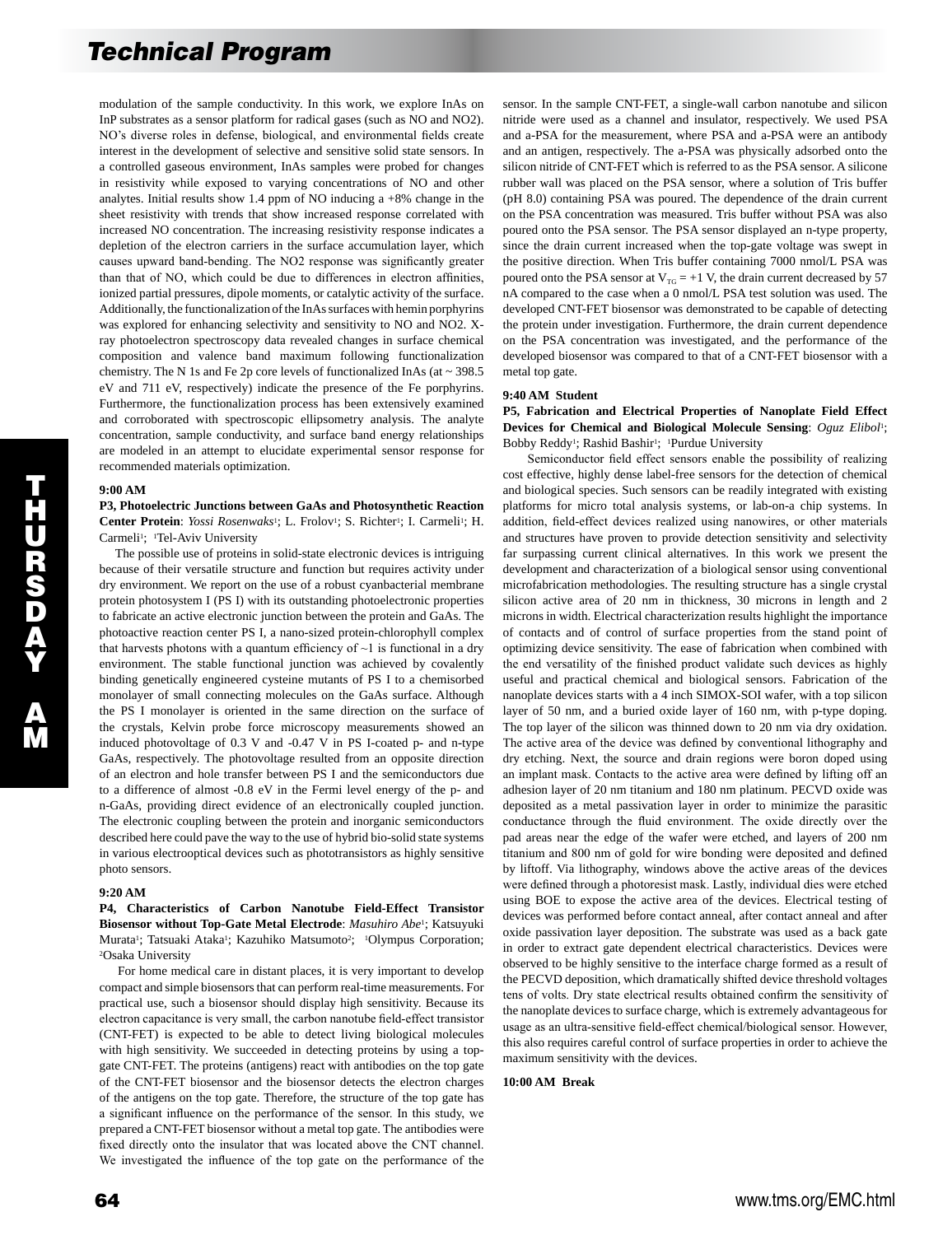modulation of the sample conductivity. In this work, we explore InAs on InP substrates as a sensor platform for radical gases (such as NO and NO2). NO's diverse roles in defense, biological, and environmental fields create interest in the development of selective and sensitive solid state sensors. In a controlled gaseous environment, InAs samples were probed for changes in resistivity while exposed to varying concentrations of NO and other analytes. Initial results show 1.4 ppm of NO inducing a +8% change in the sheet resistivity with trends that show increased response correlated with increased NO concentration. The increasing resistivity response indicates a depletion of the electron carriers in the surface accumulation layer, which causes upward band-bending. The NO2 response was significantly greater than that of NO, which could be due to differences in electron affinities, ionized partial pressures, dipole moments, or catalytic activity of the surface. Additionally, the functionalization of the InAs surfaces with hemin porphyrins was explored for enhancing selectivity and sensitivity to NO and NO2. Xray photoelectron spectroscopy data revealed changes in surface chemical composition and valence band maximum following functionalization chemistry. The N 1s and Fe 2p core levels of functionalized InAs (at  $\sim$  398.5 eV and 711 eV, respectively) indicate the presence of the Fe porphyrins. Furthermore, the functionalization process has been extensively examined and corroborated with spectroscopic ellipsometry analysis. The analyte concentration, sample conductivity, and surface band energy relationships are modeled in an attempt to elucidate experimental sensor response for recommended materials optimization.

#### **9:00 AM**

**P3, Photoelectric Junctions between GaAs and Photosynthetic Reaction**  Center Protein: *Yossi Rosenwaks<sup>1</sup>*; L. Frolov<sup>1</sup>; S. Richter<sup>1</sup>; I. Carmeli<sup>1</sup>; H. Carmeli<sup>1</sup>; <sup>1</sup>Tel-Aviv University

 The possible use of proteins in solid-state electronic devices is intriguing because of their versatile structure and function but requires activity under dry environment. We report on the use of a robust cyanbacterial membrane protein photosystem I (PS I) with its outstanding photoelectronic properties to fabricate an active electronic junction between the protein and GaAs. The photoactive reaction center PS I, a nano-sized protein-chlorophyll complex that harvests photons with a quantum efficiency of  $\sim$ 1 is functional in a dry environment. The stable functional junction was achieved by covalently binding genetically engineered cysteine mutants of PS I to a chemisorbed monolayer of small connecting molecules on the GaAs surface. Although the PS I monolayer is oriented in the same direction on the surface of the crystals, Kelvin probe force microscopy measurements showed an induced photovoltage of 0.3 V and -0.47 V in PS I-coated p- and n-type GaAs, respectively. The photovoltage resulted from an opposite direction of an electron and hole transfer between PS I and the semiconductors due to a difference of almost -0.8 eV in the Fermi level energy of the p- and n-GaAs, providing direct evidence of an electronically coupled junction. The electronic coupling between the protein and inorganic semiconductors described here could pave the way to the use of hybrid bio-solid state systems in various electrooptical devices such as phototransistors as highly sensitive photo sensors.

## **9:20 AM**

**P4, Characteristics of Carbon Nanotube Field-Effect Transistor Biosensor without Top-Gate Metal Electrode**: *Masuhiro Abe*1; Katsuyuki Murata<sup>1</sup>; Tatsuaki Ataka<sup>1</sup>; Kazuhiko Matsumoto<sup>2</sup>; <sup>1</sup>Olympus Corporation; 2Osaka University

 For home medical care in distant places, it is very important to develop compact and simple biosensors that can perform real-time measurements. For practical use, such a biosensor should display high sensitivity. Because its electron capacitance is very small, the carbon nanotube field-effect transistor (CNT-FET) is expected to be able to detect living biological molecules with high sensitivity. We succeeded in detecting proteins by using a topgate CNT-FET. The proteins (antigens) react with antibodies on the top gate of the CNT-FET biosensor and the biosensor detects the electron charges of the antigens on the top gate. Therefore, the structure of the top gate has a significant influence on the performance of the sensor. In this study, we prepared a CNT-FET biosensor without a metal top gate. The antibodies were fixed directly onto the insulator that was located above the CNT channel. We investigated the influence of the top gate on the performance of the

sensor. In the sample CNT-FET, a single-wall carbon nanotube and silicon nitride were used as a channel and insulator, respectively. We used PSA and a-PSA for the measurement, where PSA and a-PSA were an antibody and an antigen, respectively. The a-PSA was physically adsorbed onto the silicon nitride of CNT-FET which is referred to as the PSA sensor. A silicone rubber wall was placed on the PSA sensor, where a solution of Tris buffer (pH 8.0) containing PSA was poured. The dependence of the drain current on the PSA concentration was measured. Tris buffer without PSA was also poured onto the PSA sensor. The PSA sensor displayed an n-type property, since the drain current increased when the top-gate voltage was swept in the positive direction. When Tris buffer containing 7000 nmol/L PSA was poured onto the PSA sensor at  $V_{\text{TG}} = +1$  V, the drain current decreased by 57 nA compared to the case when a 0 nmol/L PSA test solution was used. The developed CNT-FET biosensor was demonstrated to be capable of detecting the protein under investigation. Furthermore, the drain current dependence on the PSA concentration was investigated, and the performance of the developed biosensor was compared to that of a CNT-FET biosensor with a metal top gate.

### **9:40 AM Student**

**P5, Fabrication and Electrical Properties of Nanoplate Field Effect Devices for Chemical and Biological Molecule Sensing**: *Oguz Elibol*1; Bobby Reddy<sup>1</sup>; Rashid Bashir<sup>1</sup>; <sup>1</sup>Purdue University

 Semiconductor field effect sensors enable the possibility of realizing cost effective, highly dense label-free sensors for the detection of chemical and biological species. Such sensors can be readily integrated with existing platforms for micro total analysis systems, or lab-on-a chip systems. In addition, field-effect devices realized using nanowires, or other materials and structures have proven to provide detection sensitivity and selectivity far surpassing current clinical alternatives. In this work we present the development and characterization of a biological sensor using conventional microfabrication methodologies. The resulting structure has a single crystal silicon active area of 20 nm in thickness, 30 microns in length and 2 microns in width. Electrical characterization results highlight the importance of contacts and of control of surface properties from the stand point of optimizing device sensitivity. The ease of fabrication when combined with the end versatility of the finished product validate such devices as highly useful and practical chemical and biological sensors. Fabrication of the nanoplate devices starts with a 4 inch SIMOX-SOI wafer, with a top silicon layer of 50 nm, and a buried oxide layer of 160 nm, with p-type doping. The top layer of the silicon was thinned down to 20 nm via dry oxidation. The active area of the device was defined by conventional lithography and dry etching. Next, the source and drain regions were boron doped using an implant mask. Contacts to the active area were defined by lifting off an adhesion layer of 20 nm titanium and 180 nm platinum. PECVD oxide was deposited as a metal passivation layer in order to minimize the parasitic conductance through the fluid environment. The oxide directly over the pad areas near the edge of the wafer were etched, and layers of 200 nm titanium and 800 nm of gold for wire bonding were deposited and defined by liftoff. Via lithography, windows above the active areas of the devices were defined through a photoresist mask. Lastly, individual dies were etched using BOE to expose the active area of the devices. Electrical testing of devices was performed before contact anneal, after contact anneal and after oxide passivation layer deposition. The substrate was used as a back gate in order to extract gate dependent electrical characteristics. Devices were observed to be highly sensitive to the interface charge formed as a result of the PECVD deposition, which dramatically shifted device threshold voltages tens of volts. Dry state electrical results obtained confirm the sensitivity of the nanoplate devices to surface charge, which is extremely advantageous for usage as an ultra-sensitive field-effect chemical/biological sensor. However, this also requires careful control of surface properties in order to achieve the maximum sensitivity with the devices.

#### **10:00 AM Break**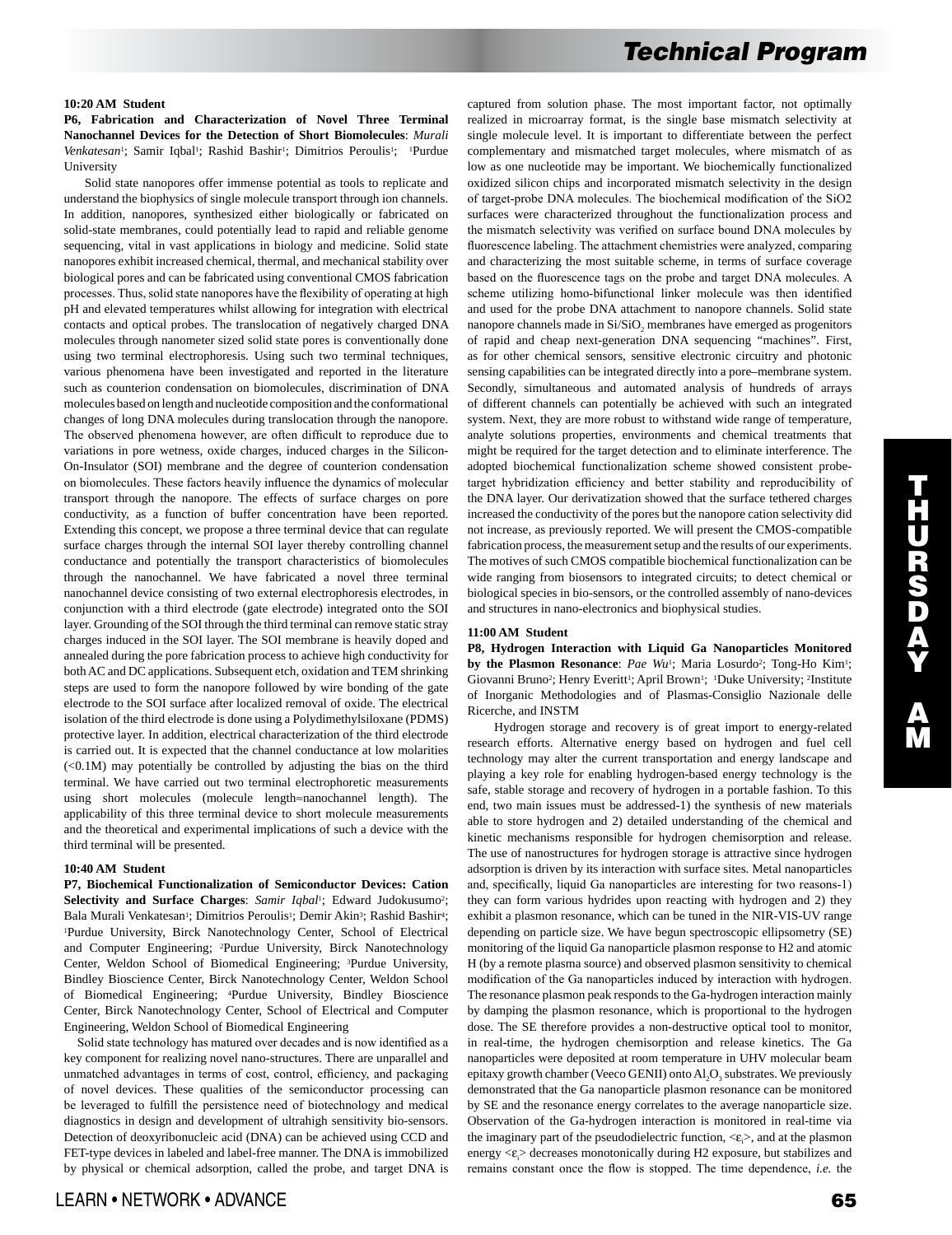## **10:20 AM Student**

**P6, Fabrication and Characterization of Novel Three Terminal Nanochannel Devices for the Detection of Short Biomolecules**: *Murali Venkatesan<sup>1</sup>*; Samir Iqbal<sup>1</sup>; Rashid Bashir<sup>1</sup>; Dimitrios Peroulis<sup>1</sup>; <sup>1</sup>Purdue University

 Solid state nanopores offer immense potential as tools to replicate and understand the biophysics of single molecule transport through ion channels. In addition, nanopores, synthesized either biologically or fabricated on solid-state membranes, could potentially lead to rapid and reliable genome sequencing, vital in vast applications in biology and medicine. Solid state nanopores exhibit increased chemical, thermal, and mechanical stability over biological pores and can be fabricated using conventional CMOS fabrication processes. Thus, solid state nanopores have the flexibility of operating at high pH and elevated temperatures whilst allowing for integration with electrical contacts and optical probes. The translocation of negatively charged DNA molecules through nanometer sized solid state pores is conventionally done using two terminal electrophoresis. Using such two terminal techniques, various phenomena have been investigated and reported in the literature such as counterion condensation on biomolecules, discrimination of DNA molecules based on length and nucleotide composition and the conformational changes of long DNA molecules during translocation through the nanopore. The observed phenomena however, are often difficult to reproduce due to variations in pore wetness, oxide charges, induced charges in the Silicon-On-Insulator (SOI) membrane and the degree of counterion condensation on biomolecules. These factors heavily influence the dynamics of molecular transport through the nanopore. The effects of surface charges on pore conductivity, as a function of buffer concentration have been reported. Extending this concept, we propose a three terminal device that can regulate surface charges through the internal SOI layer thereby controlling channel conductance and potentially the transport characteristics of biomolecules through the nanochannel. We have fabricated a novel three terminal nanochannel device consisting of two external electrophoresis electrodes, in conjunction with a third electrode (gate electrode) integrated onto the SOI layer. Grounding of the SOI through the third terminal can remove static stray charges induced in the SOI layer. The SOI membrane is heavily doped and annealed during the pore fabrication process to achieve high conductivity for both AC and DC applications. Subsequent etch, oxidation and TEM shrinking steps are used to form the nanopore followed by wire bonding of the gate electrode to the SOI surface after localized removal of oxide. The electrical isolation of the third electrode is done using a Polydimethylsiloxane (PDMS) protective layer. In addition, electrical characterization of the third electrode is carried out. It is expected that the channel conductance at low molarities  $( $0.1M$ ) may potentially be controlled by adjusting the bias on the third$ terminal. We have carried out two terminal electrophoretic measurements using short molecules (molecule length≈nanochannel length). The applicability of this three terminal device to short molecule measurements and the theoretical and experimental implications of such a device with the third terminal will be presented.

## **10:40 AM Student**

**P7, Biochemical Functionalization of Semiconductor Devices: Cation Selectivity and Surface Charges**: *Samir Iqbal*1; Edward Judokusumo2; Bala Murali Venkatesan<sup>1</sup>; Dimitrios Peroulis<sup>1</sup>; Demir Akin<sup>3</sup>; Rashid Bashir<sup>4</sup>; 1Purdue University, Birck Nanotechnology Center, School of Electrical and Computer Engineering; 2Purdue University, Birck Nanotechnology Center, Weldon School of Biomedical Engineering; 3Purdue University, Bindley Bioscience Center, Birck Nanotechnology Center, Weldon School of Biomedical Engineering; 4Purdue University, Bindley Bioscience Center, Birck Nanotechnology Center, School of Electrical and Computer Engineering, Weldon School of Biomedical Engineering

 Solid state technology has matured over decades and is now identified as a key component for realizing novel nano-structures. There are unparallel and unmatched advantages in terms of cost, control, efficiency, and packaging of novel devices. These qualities of the semiconductor processing can be leveraged to fulfill the persistence need of biotechnology and medical diagnostics in design and development of ultrahigh sensitivity bio-sensors. Detection of deoxyribonucleic acid (DNA) can be achieved using CCD and FET-type devices in labeled and label-free manner. The DNA is immobilized by physical or chemical adsorption, called the probe, and target DNA is captured from solution phase. The most important factor, not optimally realized in microarray format, is the single base mismatch selectivity at single molecule level. It is important to differentiate between the perfect complementary and mismatched target molecules, where mismatch of as low as one nucleotide may be important. We biochemically functionalized oxidized silicon chips and incorporated mismatch selectivity in the design of target-probe DNA molecules. The biochemical modification of the SiO2 surfaces were characterized throughout the functionalization process and the mismatch selectivity was verified on surface bound DNA molecules by fluorescence labeling. The attachment chemistries were analyzed, comparing and characterizing the most suitable scheme, in terms of surface coverage based on the fluorescence tags on the probe and target DNA molecules. A scheme utilizing homo-bifunctional linker molecule was then identified and used for the probe DNA attachment to nanopore channels. Solid state nanopore channels made in Si/SiO<sub>2</sub> membranes have emerged as progenitors of rapid and cheap next-generation DNA sequencing "machines". First, as for other chemical sensors, sensitive electronic circuitry and photonic sensing capabilities can be integrated directly into a pore–membrane system. Secondly, simultaneous and automated analysis of hundreds of arrays of different channels can potentially be achieved with such an integrated system. Next, they are more robust to withstand wide range of temperature, analyte solutions properties, environments and chemical treatments that might be required for the target detection and to eliminate interference. The adopted biochemical functionalization scheme showed consistent probetarget hybridization efficiency and better stability and reproducibility of the DNA layer. Our derivatization showed that the surface tethered charges increased the conductivity of the pores but the nanopore cation selectivity did not increase, as previously reported. We will present the CMOS-compatible fabrication process, the measurement setup and the results of our experiments. The motives of such CMOS compatible biochemical functionalization can be wide ranging from biosensors to integrated circuits; to detect chemical or biological species in bio-sensors, or the controlled assembly of nano-devices and structures in nano-electronics and biophysical studies.

#### **11:00 AM Student**

**P8, Hydrogen Interaction with Liquid Ga Nanoparticles Monitored**  by the Plasmon Resonance: Pae Wu<sup>1</sup>; Maria Losurdo<sup>2</sup>; Tong-Ho Kim<sup>1</sup>; Giovanni Bruno<sup>2</sup>; Henry Everitt<sup>1</sup>; April Brown<sup>1</sup>; <sup>1</sup>Duke University; <sup>2</sup>Institute of Inorganic Methodologies and of Plasmas-Consiglio Nazionale delle Ricerche, and INSTM

 Hydrogen storage and recovery is of great import to energy-related research efforts. Alternative energy based on hydrogen and fuel cell technology may alter the current transportation and energy landscape and playing a key role for enabling hydrogen-based energy technology is the safe, stable storage and recovery of hydrogen in a portable fashion. To this end, two main issues must be addressed-1) the synthesis of new materials able to store hydrogen and 2) detailed understanding of the chemical and kinetic mechanisms responsible for hydrogen chemisorption and release. The use of nanostructures for hydrogen storage is attractive since hydrogen adsorption is driven by its interaction with surface sites. Metal nanoparticles and, specifically, liquid Ga nanoparticles are interesting for two reasons-1) they can form various hydrides upon reacting with hydrogen and 2) they exhibit a plasmon resonance, which can be tuned in the NIR-VIS-UV range depending on particle size. We have begun spectroscopic ellipsometry (SE) monitoring of the liquid Ga nanoparticle plasmon response to H2 and atomic H (by a remote plasma source) and observed plasmon sensitivity to chemical modification of the Ga nanoparticles induced by interaction with hydrogen. The resonance plasmon peak responds to the Ga-hydrogen interaction mainly by damping the plasmon resonance, which is proportional to the hydrogen dose. The SE therefore provides a non-destructive optical tool to monitor, in real-time, the hydrogen chemisorption and release kinetics. The Ga nanoparticles were deposited at room temperature in UHV molecular beam epitaxy growth chamber (Veeco GENII) onto  $AI, O$ <sub>3</sub> substrates. We previously demonstrated that the Ga nanoparticle plasmon resonance can be monitored by SE and the resonance energy correlates to the average nanoparticle size. Observation of the Ga-hydrogen interaction is monitored in real-time via the imaginary part of the pseudodielectric function,  $\langle \varepsilon \rangle$ , and at the plasmon energy < $\varepsilon$ .> decreases monotonically during H2 exposure, but stabilizes and remains constant once the flow is stopped. The time dependence, *i.e.* the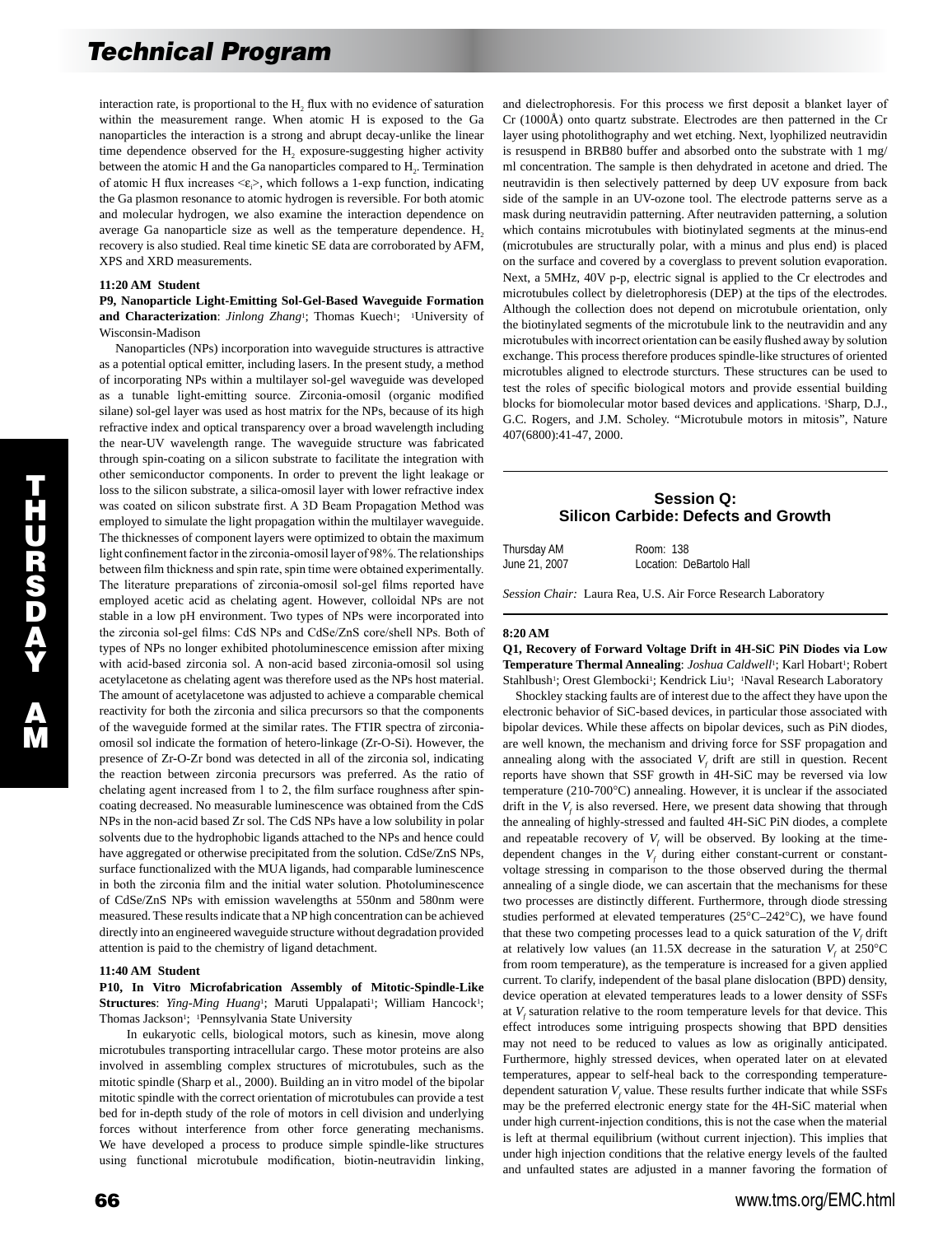interaction rate, is proportional to the H<sub>2</sub> flux with no evidence of saturation within the measurement range. When atomic H is exposed to the Ga nanoparticles the interaction is a strong and abrupt decay-unlike the linear time dependence observed for the H<sub>2</sub> exposure-suggesting higher activity between the atomic H and the Ga nanoparticles compared to  $H<sub>2</sub>$ . Termination of atomic H flux increases  $\leq \varepsilon \geq$ , which follows a 1-exp function, indicating the Ga plasmon resonance to atomic hydrogen is reversible. For both atomic and molecular hydrogen, we also examine the interaction dependence on average Ga nanoparticle size as well as the temperature dependence.  $H_2$ recovery is also studied. Real time kinetic SE data are corroborated by AFM, XPS and XRD measurements.

#### **11:20 AM Student**

**P9, Nanoparticle Light-Emitting Sol-Gel-Based Waveguide Formation**  and Characterization: *Jinlong Zhang*<sup>1</sup>; Thomas Kuech<sup>1</sup>; <sup>1</sup>University of Wisconsin-Madison

 Nanoparticles (NPs) incorporation into waveguide structures is attractive as a potential optical emitter, including lasers. In the present study, a method of incorporating NPs within a multilayer sol-gel waveguide was developed as a tunable light-emitting source. Zirconia-omosil (organic modified silane) sol-gel layer was used as host matrix for the NPs, because of its high refractive index and optical transparency over a broad wavelength including the near-UV wavelength range. The waveguide structure was fabricated through spin-coating on a silicon substrate to facilitate the integration with other semiconductor components. In order to prevent the light leakage or loss to the silicon substrate, a silica-omosil layer with lower refractive index was coated on silicon substrate first. A 3D Beam Propagation Method was employed to simulate the light propagation within the multilayer waveguide. The thicknesses of component layers were optimized to obtain the maximum light confinement factor in the zirconia-omosil layer of 98%. The relationships between film thickness and spin rate, spin time were obtained experimentally. The literature preparations of zirconia-omosil sol-gel films reported have employed acetic acid as chelating agent. However, colloidal NPs are not stable in a low pH environment. Two types of NPs were incorporated into the zirconia sol-gel films: CdS NPs and CdSe/ZnS core/shell NPs. Both of types of NPs no longer exhibited photoluminescence emission after mixing with acid-based zirconia sol. A non-acid based zirconia-omosil sol using acetylacetone as chelating agent was therefore used as the NPs host material. The amount of acetylacetone was adjusted to achieve a comparable chemical reactivity for both the zirconia and silica precursors so that the components of the waveguide formed at the similar rates. The FTIR spectra of zirconiaomosil sol indicate the formation of hetero-linkage (Zr-O-Si). However, the presence of Zr-O-Zr bond was detected in all of the zirconia sol, indicating the reaction between zirconia precursors was preferred. As the ratio of chelating agent increased from 1 to 2, the film surface roughness after spincoating decreased. No measurable luminescence was obtained from the CdS NPs in the non-acid based Zr sol. The CdS NPs have a low solubility in polar solvents due to the hydrophobic ligands attached to the NPs and hence could have aggregated or otherwise precipitated from the solution. CdSe/ZnS NPs, surface functionalized with the MUA ligands, had comparable luminescence in both the zirconia film and the initial water solution. Photoluminescence of CdSe/ZnS NPs with emission wavelengths at 550nm and 580nm were measured. These results indicate that a NP high concentration can be achieved directly into an engineered waveguide structure without degradation provided attention is paid to the chemistry of ligand detachment.

#### **11:40 AM Student**

**P10, In Vitro Microfabrication Assembly of Mitotic-Spindle-Like**  Structures: *Ying-Ming Huang*<sup>1</sup>; Maruti Uppalapati<sup>1</sup>; William Hancock<sup>1</sup>; Thomas Jackson<sup>1</sup>; <sup>1</sup>Pennsylvania State University

 In eukaryotic cells, biological motors, such as kinesin, move along microtubules transporting intracellular cargo. These motor proteins are also involved in assembling complex structures of microtubules, such as the mitotic spindle (Sharp et al., 2000). Building an in vitro model of the bipolar mitotic spindle with the correct orientation of microtubules can provide a test bed for in-depth study of the role of motors in cell division and underlying forces without interference from other force generating mechanisms. We have developed a process to produce simple spindle-like structures using functional microtubule modification, biotin-neutravidin linking,

and dielectrophoresis. For this process we first deposit a blanket layer of Cr (1000Å) onto quartz substrate. Electrodes are then patterned in the Cr layer using photolithography and wet etching. Next, lyophilized neutravidin is resuspend in BRB80 buffer and absorbed onto the substrate with 1 mg/ ml concentration. The sample is then dehydrated in acetone and dried. The neutravidin is then selectively patterned by deep UV exposure from back side of the sample in an UV-ozone tool. The electrode patterns serve as a mask during neutravidin patterning. After neutraviden patterning, a solution which contains microtubules with biotinylated segments at the minus-end (microtubules are structurally polar, with a minus and plus end) is placed on the surface and covered by a coverglass to prevent solution evaporation. Next, a 5MHz, 40V p-p, electric signal is applied to the Cr electrodes and microtubules collect by dieletrophoresis (DEP) at the tips of the electrodes. Although the collection does not depend on microtubule orientation, only the biotinylated segments of the microtubule link to the neutravidin and any microtubules with incorrect orientation can be easily flushed away by solution exchange. This process therefore produces spindle-like structures of oriented microtubles aligned to electrode sturcturs. These structures can be used to test the roles of specific biological motors and provide essential building blocks for biomolecular motor based devices and applications. 1Sharp, D.J., G.C. Rogers, and J.M. Scholey. "Microtubule motors in mitosis", Nature 407(6800):41-47, 2000.

# **Session Q: Silicon Carbide: Defects and Growth**

| Thursday AM   | Room: 138                |
|---------------|--------------------------|
| June 21, 2007 | Location: DeBartolo Hall |

*Session Chair:* Laura Rea, U.S. Air Force Research Laboratory

#### **8:20 AM**

**Q1, Recovery of Forward Voltage Drift in 4H-SiC PiN Diodes via Low**  Temperature Thermal Annealing: *Joshua Caldwell*<sup>1</sup>; Karl Hobart<sup>1</sup>; Robert Stahlbush<sup>1</sup>; Orest Glembocki<sup>1</sup>; Kendrick Liu<sup>1</sup>; <sup>1</sup>Naval Research Laboratory

 Shockley stacking faults are of interest due to the affect they have upon the electronic behavior of SiC-based devices, in particular those associated with bipolar devices. While these affects on bipolar devices, such as PiN diodes, are well known, the mechanism and driving force for SSF propagation and annealing along with the associated  $V_f$  drift are still in question. Recent reports have shown that SSF growth in 4H-SiC may be reversed via low temperature (210-700°C) annealing. However, it is unclear if the associated drift in the  $V_f$  is also reversed. Here, we present data showing that through the annealing of highly-stressed and faulted 4H-SiC PiN diodes, a complete and repeatable recovery of  $V_f$  will be observed. By looking at the timedependent changes in the  $V_f$  during either constant-current or constantvoltage stressing in comparison to the those observed during the thermal annealing of a single diode, we can ascertain that the mechanisms for these two processes are distinctly different. Furthermore, through diode stressing studies performed at elevated temperatures (25°C–242°C), we have found that these two competing processes lead to a quick saturation of the  $V_f$  drift at relatively low values (an 11.5X decrease in the saturation  $V_f$  at 250°C from room temperature), as the temperature is increased for a given applied current. To clarify, independent of the basal plane dislocation (BPD) density, device operation at elevated temperatures leads to a lower density of SSFs at  $V_f$  saturation relative to the room temperature levels for that device. This effect introduces some intriguing prospects showing that BPD densities may not need to be reduced to values as low as originally anticipated. Furthermore, highly stressed devices, when operated later on at elevated temperatures, appear to self-heal back to the corresponding temperaturedependent saturation  $V_f$  value. These results further indicate that while SSFs may be the preferred electronic energy state for the 4H-SiC material when under high current-injection conditions, this is not the case when the material is left at thermal equilibrium (without current injection). This implies that under high injection conditions that the relative energy levels of the faulted and unfaulted states are adjusted in a manner favoring the formation of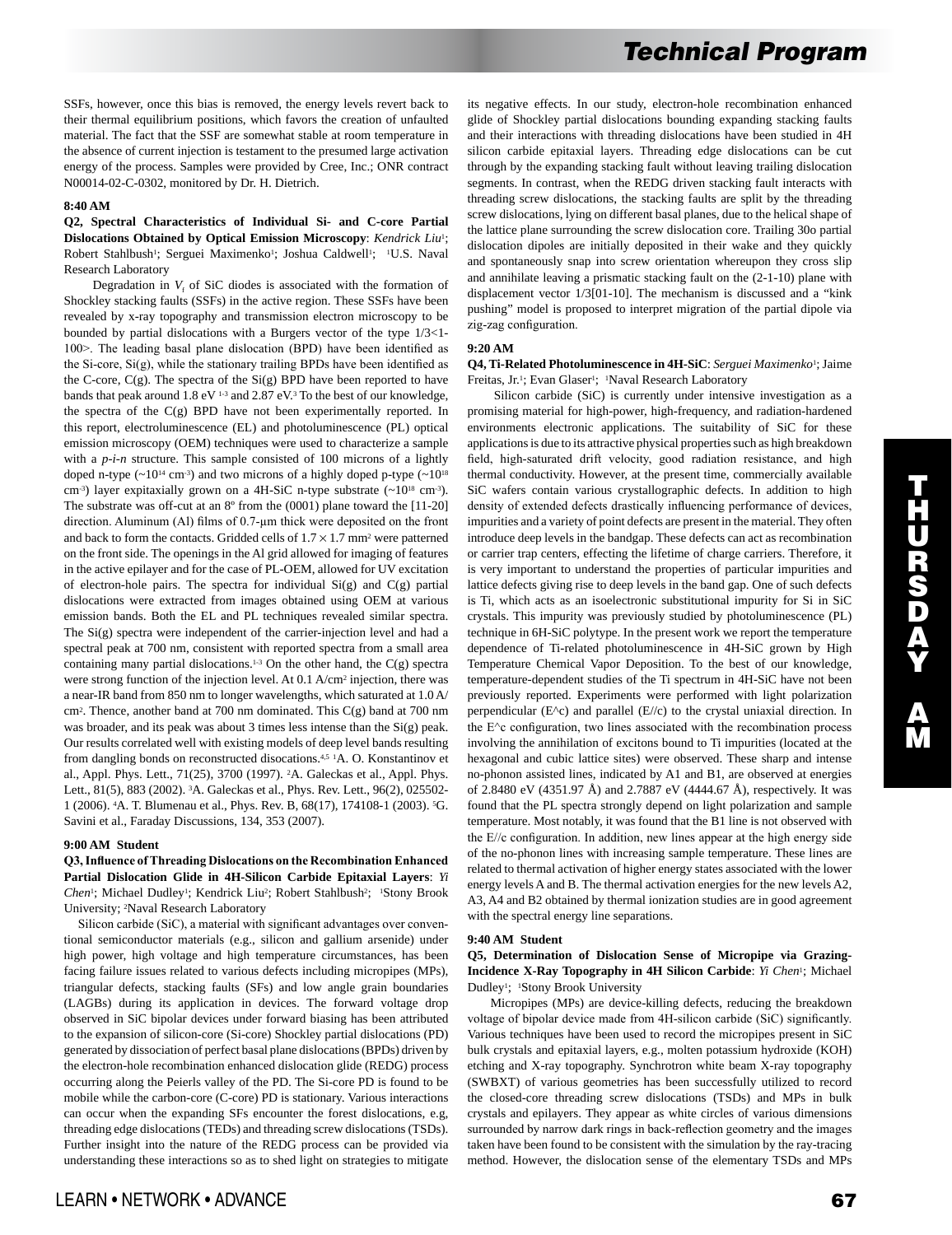SSFs, however, once this bias is removed, the energy levels revert back to their thermal equilibrium positions, which favors the creation of unfaulted material. The fact that the SSF are somewhat stable at room temperature in the absence of current injection is testament to the presumed large activation energy of the process. Samples were provided by Cree, Inc.; ONR contract N00014-02-C-0302, monitored by Dr. H. Dietrich.

# **8:40 AM**

## **Q2, Spectral Characteristics of Individual Si- and C-core Partial Dislocations Obtained by Optical Emission Microscopy**: *Kendrick Liu*1; Robert Stahlbush<sup>1</sup>; Serguei Maximenko<sup>1</sup>; Joshua Caldwell<sup>1</sup>; <sup>1</sup>U.S. Naval Research Laboratory

Degradation in  $V_f$  of SiC diodes is associated with the formation of Shockley stacking faults (SSFs) in the active region. These SSFs have been revealed by x-ray topography and transmission electron microscopy to be bounded by partial dislocations with a Burgers vector of the type 1/3<1- 100>. The leading basal plane dislocation (BPD) have been identified as the Si-core, Si(g), while the stationary trailing BPDs have been identified as the C-core, C(g). The spectra of the Si(g) BPD have been reported to have bands that peak around 1.8 eV <sup>1-3</sup> and 2.87 eV.<sup>3</sup> To the best of our knowledge, the spectra of the C(g) BPD have not been experimentally reported. In this report, electroluminescence (EL) and photoluminescence (PL) optical emission microscopy (OEM) techniques were used to characterize a sample with a  $p-i-n$  structure. This sample consisted of 100 microns of a lightly doped n-type  $({\sim}10^{14}$  cm<sup>-3</sup>) and two microns of a highly doped p-type  $({\sim}10^{18}$ cm<sup>-3</sup>) layer expitaxially grown on a 4H-SiC n-type substrate (~10<sup>18</sup> cm<sup>-3</sup>). The substrate was off-cut at an 8º from the (0001) plane toward the [11-20] direction. Aluminum (Al) films of 0.7-µm thick were deposited on the front and back to form the contacts. Gridded cells of  $1.7 \times 1.7$  mm<sup>2</sup> were patterned on the front side. The openings in the Al grid allowed for imaging of features in the active epilayer and for the case of PL-OEM, allowed for UV excitation of electron-hole pairs. The spectra for individual  $Si(g)$  and  $C(g)$  partial dislocations were extracted from images obtained using OEM at various emission bands. Both the EL and PL techniques revealed similar spectra. The Si(g) spectra were independent of the carrier-injection level and had a spectral peak at 700 nm, consistent with reported spectra from a small area containing many partial dislocations.<sup>1-3</sup> On the other hand, the  $C(g)$  spectra were strong function of the injection level. At 0.1 A/cm2 injection, there was a near-IR band from 850 nm to longer wavelengths, which saturated at 1.0 A/ cm2. Thence, another band at 700 nm dominated. This C(g) band at 700 nm was broader, and its peak was about 3 times less intense than the Si(g) peak. Our results correlated well with existing models of deep level bands resulting from dangling bonds on reconstructed disocations.4,5 1A. O. Konstantinov et al., Appl. Phys. Lett., 71(25), 3700 (1997). 2A. Galeckas et al., Appl. Phys. Lett., 81(5), 883 (2002). 3A. Galeckas et al., Phys. Rev. Lett., 96(2), 025502- 1 (2006). 4A. T. Blumenau et al., Phys. Rev. B, 68(17), 174108-1 (2003). 5G. Savini et al., Faraday Discussions, 134, 353 (2007).

# **9:00 AM Student**

**Q3, Influence of Threading Dislocations on the Recombination Enhanced Partial Dislocation Glide in 4H-Silicon Carbide Epitaxial Layers**: *Yi*  Chen<sup>1</sup>; Michael Dudley<sup>1</sup>; Kendrick Liu<sup>2</sup>; Robert Stahlbush<sup>2</sup>; <sup>1</sup>Stony Brook University; 2Naval Research Laboratory

 Silicon carbide (SiC), a material with significant advantages over conventional semiconductor materials (e.g., silicon and gallium arsenide) under high power, high voltage and high temperature circumstances, has been facing failure issues related to various defects including micropipes (MPs), triangular defects, stacking faults (SFs) and low angle grain boundaries (LAGBs) during its application in devices. The forward voltage drop observed in SiC bipolar devices under forward biasing has been attributed to the expansion of silicon-core (Si-core) Shockley partial dislocations (PD) generated by dissociation of perfect basal plane dislocations (BPDs) driven by the electron-hole recombination enhanced dislocation glide (REDG) process occurring along the Peierls valley of the PD. The Si-core PD is found to be mobile while the carbon-core (C-core) PD is stationary. Various interactions can occur when the expanding SFs encounter the forest dislocations, e.g, threading edge dislocations (TEDs) and threading screw dislocations (TSDs). Further insight into the nature of the REDG process can be provided via understanding these interactions so as to shed light on strategies to mitigate its negative effects. In our study, electron-hole recombination enhanced glide of Shockley partial dislocations bounding expanding stacking faults and their interactions with threading dislocations have been studied in 4H silicon carbide epitaxial layers. Threading edge dislocations can be cut through by the expanding stacking fault without leaving trailing dislocation segments. In contrast, when the REDG driven stacking fault interacts with threading screw dislocations, the stacking faults are split by the threading screw dislocations, lying on different basal planes, due to the helical shape of the lattice plane surrounding the screw dislocation core. Trailing 30o partial dislocation dipoles are initially deposited in their wake and they quickly and spontaneously snap into screw orientation whereupon they cross slip and annihilate leaving a prismatic stacking fault on the (2-1-10) plane with displacement vector 1/3[01-10]. The mechanism is discussed and a "kink pushing" model is proposed to interpret migration of the partial dipole via zig-zag configuration.

# **9:20 AM**

**Q4, Ti-Related Photoluminescence in 4H-SiC**: *Serguei Maximenko*1; Jaime Freitas, Jr.<sup>1</sup>; Evan Glaser<sup>1</sup>; <sup>1</sup>Naval Research Laboratory

 Silicon carbide (SiC) is currently under intensive investigation as a promising material for high-power, high-frequency, and radiation-hardened environments electronic applications. The suitability of SiC for these applications is due to its attractive physical properties such as high breakdown field, high-saturated drift velocity, good radiation resistance, and high thermal conductivity. However, at the present time, commercially available SiC wafers contain various crystallographic defects. In addition to high density of extended defects drastically influencing performance of devices, impurities and a variety of point defects are present in the material. They often introduce deep levels in the bandgap. These defects can act as recombination or carrier trap centers, effecting the lifetime of charge carriers. Therefore, it is very important to understand the properties of particular impurities and lattice defects giving rise to deep levels in the band gap. One of such defects is Ti, which acts as an isoelectronic substitutional impurity for Si in SiC crystals. This impurity was previously studied by photoluminescence (PL) technique in 6H-SiC polytype. In the present work we report the temperature dependence of Ti-related photoluminescence in 4H-SiC grown by High Temperature Chemical Vapor Deposition. To the best of our knowledge, temperature-dependent studies of the Ti spectrum in 4H-SiC have not been previously reported. Experiments were performed with light polarization perpendicular (E^c) and parallel (E//c) to the crystal uniaxial direction. In the E^c configuration, two lines associated with the recombination process involving the annihilation of excitons bound to Ti impurities (located at the hexagonal and cubic lattice sites) were observed. These sharp and intense no-phonon assisted lines, indicated by A1 and B1, are observed at energies of 2.8480 eV (4351.97 Å) and 2.7887 eV (4444.67 Å), respectively. It was found that the PL spectra strongly depend on light polarization and sample temperature. Most notably, it was found that the B1 line is not observed with the E//c configuration. In addition, new lines appear at the high energy side of the no-phonon lines with increasing sample temperature. These lines are related to thermal activation of higher energy states associated with the lower energy levels A and B. The thermal activation energies for the new levels A2, A3, A4 and B2 obtained by thermal ionization studies are in good agreement with the spectral energy line separations.

## **9:40 AM Student**

## **Q5, Determination of Dislocation Sense of Micropipe via Grazing-Incidence X-Ray Topography in 4H Silicon Carbide**: *Yi Chen*1; Michael Dudley<sup>1</sup>; <sup>1</sup>Stony Brook University

 Micropipes (MPs) are device-killing defects, reducing the breakdown voltage of bipolar device made from 4H-silicon carbide (SiC) significantly. Various techniques have been used to record the micropipes present in SiC bulk crystals and epitaxial layers, e.g., molten potassium hydroxide (KOH) etching and X-ray topography. Synchrotron white beam X-ray topography (SWBXT) of various geometries has been successfully utilized to record the closed-core threading screw dislocations (TSDs) and MPs in bulk crystals and epilayers. They appear as white circles of various dimensions surrounded by narrow dark rings in back-reflection geometry and the images taken have been found to be consistent with the simulation by the ray-tracing method. However, the dislocation sense of the elementary TSDs and MPs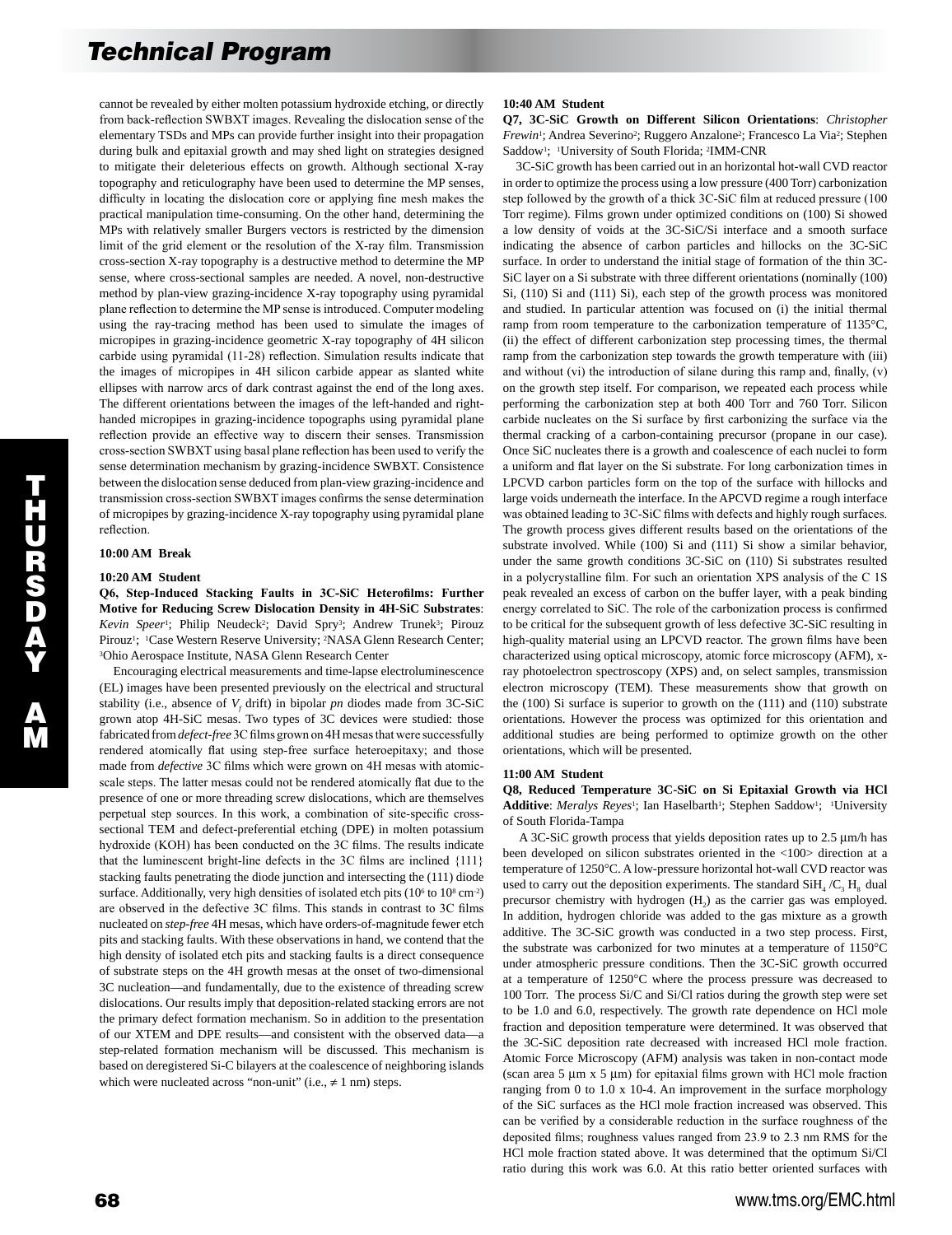cannot be revealed by either molten potassium hydroxide etching, or directly from back-reflection SWBXT images. Revealing the dislocation sense of the elementary TSDs and MPs can provide further insight into their propagation during bulk and epitaxial growth and may shed light on strategies designed to mitigate their deleterious effects on growth. Although sectional X-ray topography and reticulography have been used to determine the MP senses, difficulty in locating the dislocation core or applying fine mesh makes the practical manipulation time-consuming. On the other hand, determining the MPs with relatively smaller Burgers vectors is restricted by the dimension limit of the grid element or the resolution of the X-ray film. Transmission cross-section X-ray topography is a destructive method to determine the MP sense, where cross-sectional samples are needed. A novel, non-destructive method by plan-view grazing-incidence X-ray topography using pyramidal plane reflection to determine the MP sense is introduced. Computer modeling using the ray-tracing method has been used to simulate the images of micropipes in grazing-incidence geometric X-ray topography of 4H silicon carbide using pyramidal (11-28) reflection. Simulation results indicate that the images of micropipes in 4H silicon carbide appear as slanted white ellipses with narrow arcs of dark contrast against the end of the long axes. The different orientations between the images of the left-handed and righthanded micropipes in grazing-incidence topographs using pyramidal plane reflection provide an effective way to discern their senses. Transmission cross-section SWBXT using basal plane reflection has been used to verify the sense determination mechanism by grazing-incidence SWBXT. Consistence between the dislocation sense deduced from plan-view grazing-incidence and transmission cross-section SWBXT images confirms the sense determination of micropipes by grazing-incidence X-ray topography using pyramidal plane reflection.

## **10:00 AM Break**

### **10:20 AM Student**

**Q6, Step-Induced Stacking Faults in 3C-SiC Heterofilms: Further Motive for Reducing Screw Dislocation Density in 4H-SiC Substrates**: Kevin Speer<sup>1</sup>; Philip Neudeck<sup>2</sup>; David Spry<sup>3</sup>; Andrew Trunek<sup>3</sup>; Pirouz Pirouz<sup>1</sup>; <sup>1</sup>Case Western Reserve University; <sup>2</sup>NASA Glenn Research Center; 3Ohio Aerospace Institute, NASA Glenn Research Center

 Encouraging electrical measurements and time-lapse electroluminescence (EL) images have been presented previously on the electrical and structural stability (i.e., absence of  $V_f$  drift) in bipolar *pn* diodes made from 3C-SiC grown atop 4H-SiC mesas. Two types of 3C devices were studied: those fabricated from *defect-free* 3C films grown on 4H mesas that were successfully rendered atomically flat using step-free surface heteroepitaxy; and those made from *defective* 3C films which were grown on 4H mesas with atomicscale steps. The latter mesas could not be rendered atomically flat due to the presence of one or more threading screw dislocations, which are themselves perpetual step sources. In this work, a combination of site-specific crosssectional TEM and defect-preferential etching (DPE) in molten potassium hydroxide (KOH) has been conducted on the 3C films. The results indicate that the luminescent bright-line defects in the 3C films are inclined {111} stacking faults penetrating the diode junction and intersecting the (111) diode surface. Additionally, very high densities of isolated etch pits  $(10<sup>6</sup>$  to  $10<sup>8</sup>$  cm<sup>-2</sup>) are observed in the defective 3C films. This stands in contrast to 3C films nucleated on *step-free* 4H mesas, which have orders-of-magnitude fewer etch pits and stacking faults. With these observations in hand, we contend that the high density of isolated etch pits and stacking faults is a direct consequence of substrate steps on the 4H growth mesas at the onset of two-dimensional 3C nucleation—and fundamentally, due to the existence of threading screw dislocations. Our results imply that deposition-related stacking errors are not the primary defect formation mechanism. So in addition to the presentation of our XTEM and DPE results—and consistent with the observed data—a step-related formation mechanism will be discussed. This mechanism is based on deregistered Si-C bilayers at the coalescence of neighboring islands which were nucleated across "non-unit" (i.e.,  $\neq$  1 nm) steps.

## **10:40 AM Student**

**Q7, 3C-SiC Growth on Different Silicon Orientations**: *Christopher Frewin*<sup>1</sup>; Andrea Severino<sup>2</sup>; Ruggero Anzalone<sup>2</sup>; Francesco La Via<sup>2</sup>; Stephen Saddow1; 1University of South Florida; 2IMM-CNR

 3C-SiC growth has been carried out in an horizontal hot-wall CVD reactor in order to optimize the process using a low pressure (400 Torr) carbonization step followed by the growth of a thick 3C-SiC film at reduced pressure (100 Torr regime). Films grown under optimized conditions on (100) Si showed a low density of voids at the 3C-SiC/Si interface and a smooth surface indicating the absence of carbon particles and hillocks on the 3C-SiC surface. In order to understand the initial stage of formation of the thin 3C-SiC layer on a Si substrate with three different orientations (nominally (100) Si, (110) Si and (111) Si), each step of the growth process was monitored and studied. In particular attention was focused on (i) the initial thermal ramp from room temperature to the carbonization temperature of 1135°C, (ii) the effect of different carbonization step processing times, the thermal ramp from the carbonization step towards the growth temperature with (iii) and without (vi) the introduction of silane during this ramp and, finally, (v) on the growth step itself. For comparison, we repeated each process while performing the carbonization step at both 400 Torr and 760 Torr. Silicon carbide nucleates on the Si surface by first carbonizing the surface via the thermal cracking of a carbon-containing precursor (propane in our case). Once SiC nucleates there is a growth and coalescence of each nuclei to form a uniform and flat layer on the Si substrate. For long carbonization times in LPCVD carbon particles form on the top of the surface with hillocks and large voids underneath the interface. In the APCVD regime a rough interface was obtained leading to 3C-SiC films with defects and highly rough surfaces. The growth process gives different results based on the orientations of the substrate involved. While (100) Si and (111) Si show a similar behavior, under the same growth conditions 3C-SiC on (110) Si substrates resulted in a polycrystalline film. For such an orientation XPS analysis of the C 1S peak revealed an excess of carbon on the buffer layer, with a peak binding energy correlated to SiC. The role of the carbonization process is confirmed to be critical for the subsequent growth of less defective 3C-SiC resulting in high-quality material using an LPCVD reactor. The grown films have been characterized using optical microscopy, atomic force microscopy (AFM), xray photoelectron spectroscopy (XPS) and, on select samples, transmission electron microscopy (TEM). These measurements show that growth on the (100) Si surface is superior to growth on the (111) and (110) substrate orientations. However the process was optimized for this orientation and additional studies are being performed to optimize growth on the other orientations, which will be presented.

#### **11:00 AM Student**

**Q8, Reduced Temperature 3C-SiC on Si Epitaxial Growth via HCl**  Additive: *Meralys Reyes*<sup>1</sup>; Ian Haselbarth<sup>1</sup>; Stephen Saddow<sup>1</sup>; <sup>1</sup>University of South Florida-Tampa

 A 3C-SiC growth process that yields deposition rates up to 2.5 µm/h has been developed on silicon substrates oriented in the <100> direction at a temperature of 1250°C. A low-pressure horizontal hot-wall CVD reactor was used to carry out the deposition experiments. The standard  $SiH<sub>4</sub>/C<sub>3</sub>H<sub>8</sub>$  dual precursor chemistry with hydrogen  $(H<sub>2</sub>)$  as the carrier gas was employed. In addition, hydrogen chloride was added to the gas mixture as a growth additive. The 3C-SiC growth was conducted in a two step process. First, the substrate was carbonized for two minutes at a temperature of 1150°C under atmospheric pressure conditions. Then the 3C-SiC growth occurred at a temperature of 1250°C where the process pressure was decreased to 100 Torr. The process Si/C and Si/Cl ratios during the growth step were set to be 1.0 and 6.0, respectively. The growth rate dependence on HCl mole fraction and deposition temperature were determined. It was observed that the 3C-SiC deposition rate decreased with increased HCl mole fraction. Atomic Force Microscopy (AFM) analysis was taken in non-contact mode (scan area  $5 \mu m \times 5 \mu m$ ) for epitaxial films grown with HCl mole fraction ranging from 0 to 1.0 x 10-4. An improvement in the surface morphology of the SiC surfaces as the HCl mole fraction increased was observed. This can be verified by a considerable reduction in the surface roughness of the deposited films; roughness values ranged from 23.9 to 2.3 nm RMS for the HCl mole fraction stated above. It was determined that the optimum Si/Cl ratio during this work was 6.0. At this ratio better oriented surfaces with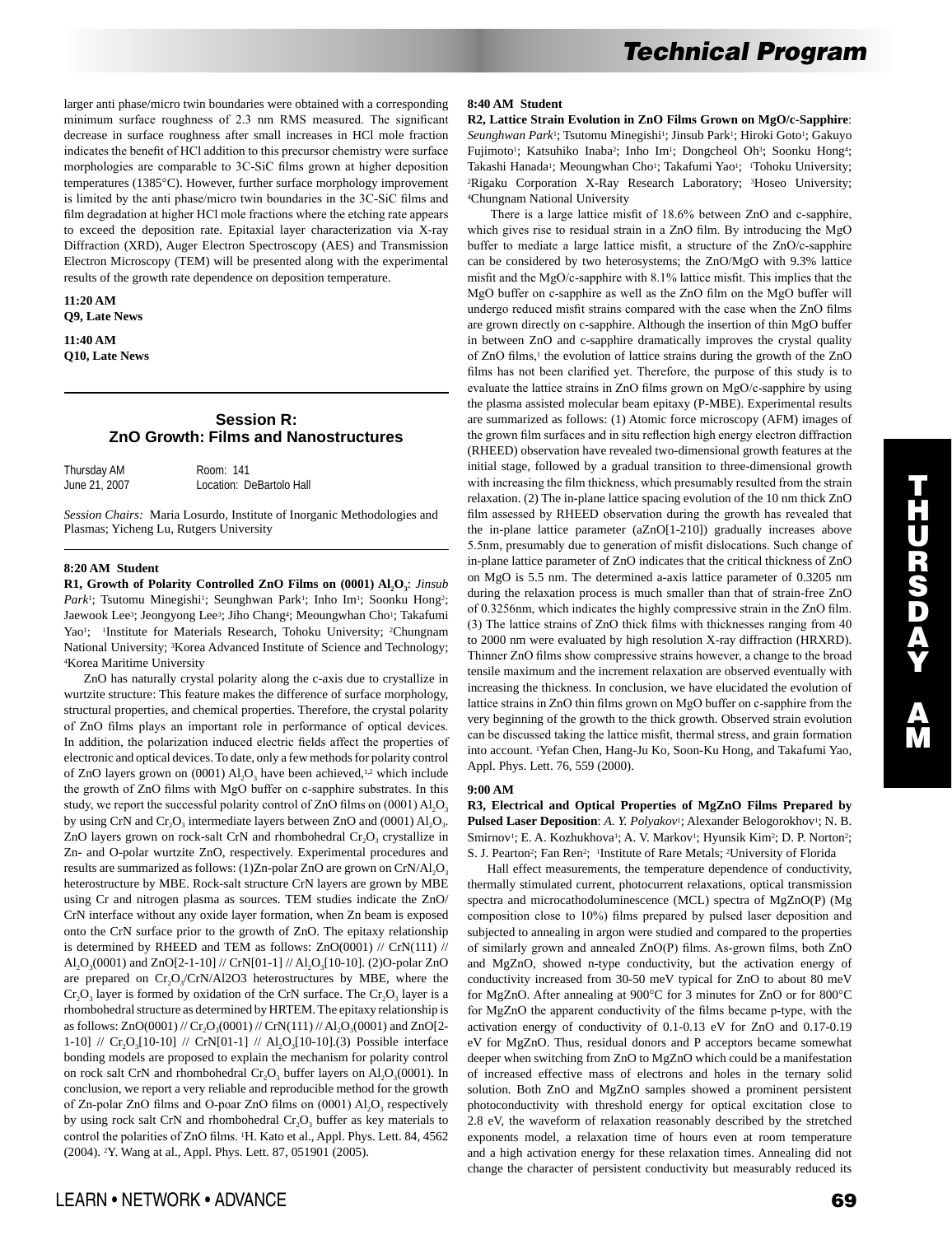larger anti phase/micro twin boundaries were obtained with a corresponding minimum surface roughness of 2.3 nm RMS measured. The significant decrease in surface roughness after small increases in HCl mole fraction indicates the benefit of HCl addition to this precursor chemistry were surface morphologies are comparable to 3C-SiC films grown at higher deposition temperatures (1385°C). However, further surface morphology improvement is limited by the anti phase/micro twin boundaries in the 3C-SiC films and film degradation at higher HCl mole fractions where the etching rate appears to exceed the deposition rate. Epitaxial layer characterization via X-ray Diffraction (XRD), Auger Electron Spectroscopy (AES) and Transmission Electron Microscopy (TEM) will be presented along with the experimental results of the growth rate dependence on deposition temperature.

**11:20 AM Q9, Late News** 

**11:40 AM Q10, Late News** 

# **Session R: ZnO Growth: Films and Nanostructures**

| Thursday AM   | Room: 141                |
|---------------|--------------------------|
| June 21, 2007 | Location: DeBartolo Hall |

*Session Chairs:* Maria Losurdo, Institute of Inorganic Methodologies and Plasmas; Yicheng Lu, Rutgers University

## **8:20 AM Student**

**R1, Growth of Polarity Controlled ZnO Films on (0001) Al, O<sub>3</sub>:** *Jinsub* Park<sup>1</sup>; Tsutomu Minegishi<sup>1</sup>; Seunghwan Park<sup>1</sup>; Inho Im<sup>1</sup>; Soonku Hong<sup>2</sup>; Jaewook Lee<sup>3</sup>; Jeongyong Lee<sup>3</sup>; Jiho Chang<sup>4</sup>; Meoungwhan Cho<sup>1</sup>; Takafumi Yao<sup>1</sup>; <sup>1</sup>Institute for Materials Research, Tohoku University; <sup>2</sup>Chungnam National University; 3Korea Advanced Institute of Science and Technology; 4Korea Maritime University

 ZnO has naturally crystal polarity along the c-axis due to crystallize in wurtzite structure: This feature makes the difference of surface morphology, structural properties, and chemical properties. Therefore, the crystal polarity of ZnO films plays an important role in performance of optical devices. In addition, the polarization induced electric fields affect the properties of electronic and optical devices. To date, only a few methods for polarity control of ZnO layers grown on  $(0001)$  Al<sub>2</sub>O<sub>3</sub> have been achieved,<sup>1,2</sup> which include the growth of ZnO films with MgO buffer on c-sapphire substrates. In this study, we report the successful polarity control of ZnO films on  $(0001)$  Al<sub>2</sub>O<sub>3</sub> by using CrN and  $Cr_2O_3$  intermediate layers between ZnO and (0001)  $Al_2O_3$ . ZnO layers grown on rock-salt CrN and rhombohedral  $Cr_2O_3$  crystallize in Zn- and O-polar wurtzite ZnO, respectively. Experimental procedures and results are summarized as follows:  $(1)$ Zn-polar ZnO are grown on CrN/Al<sub>2</sub>O<sub>3</sub> heterostructure by MBE. Rock-salt structure CrN layers are grown by MBE using Cr and nitrogen plasma as sources. TEM studies indicate the ZnO/ CrN interface without any oxide layer formation, when Zn beam is exposed onto the CrN surface prior to the growth of ZnO. The epitaxy relationship is determined by RHEED and TEM as follows: ZnO(0001) // CrN(111) // Al<sub>2</sub>O<sub>3</sub>(0001) and ZnO[2-1-10] // CrN[01-1] // Al<sub>2</sub>O<sub>3</sub>[10-10]. (2)O-polar ZnO are prepared on  $Cr_2O_3/CrN/A12O3$  heterostructures by MBE, where the  $Cr_2O_3$  layer is formed by oxidation of the CrN surface. The  $Cr_2O_3$  layer is a rhombohedral structure as determined by HRTEM. The epitaxy relationship is as follows:  $ZnO(0001)$  //  $Cr_{2}O_{3}(0001)$  //  $CrN(111)$  //  $Al_{2}O_{3}(0001)$  and  $ZnO[2-$ 1-10] //  $Cr_1O_3[10-10]$  //  $CrN[01-1]$  //  $Al_1O_3[10-10]$ .(3) Possible interface bonding models are proposed to explain the mechanism for polarity control on rock salt CrN and rhombohedral  $Cr_2O_3$  buffer layers on  $Al_2O_3(0001)$ . In conclusion, we report a very reliable and reproducible method for the growth of Zn-polar ZnO films and O-poar ZnO films on  $(0001)$  Al<sub>2</sub>O<sub>3</sub> respectively by using rock salt CrN and rhombohedral  $Cr_1O_3$  buffer as key materials to control the polarities of ZnO films. 1H. Kato et al., Appl. Phys. Lett. 84, 4562 (2004). 2Y. Wang at al., Appl. Phys. Lett. 87, 051901 (2005).

### **8:40 AM Student**

**R2, Lattice Strain Evolution in ZnO Films Grown on MgO/c-Sapphire**: Seunghwan Park<sup>1</sup>; Tsutomu Minegishi<sup>1</sup>; Jinsub Park<sup>1</sup>; Hiroki Goto<sup>1</sup>; Gakuyo Fujimoto<sup>1</sup>; Katsuhiko Inaba<sup>2</sup>; Inho Im<sup>1</sup>; Dongcheol Oh<sup>3</sup>; Soonku Hong<sup>4</sup>; Takashi Hanada<sup>1</sup>; Meoungwhan Cho<sup>1</sup>; Takafumi Yao<sup>1</sup>; <sup>1</sup>Tohoku University; 2Rigaku Corporation X-Ray Research Laboratory; 3Hoseo University; 4Chungnam National University

 There is a large lattice misfit of 18.6% between ZnO and c-sapphire, which gives rise to residual strain in a ZnO film. By introducing the MgO buffer to mediate a large lattice misfit, a structure of the ZnO/c-sapphire can be considered by two heterosystems; the ZnO/MgO with 9.3% lattice misfit and the MgO/c-sapphire with 8.1% lattice misfit. This implies that the MgO buffer on c-sapphire as well as the ZnO film on the MgO buffer will undergo reduced misfit strains compared with the case when the ZnO films are grown directly on c-sapphire. Although the insertion of thin MgO buffer in between ZnO and c-sapphire dramatically improves the crystal quality of ZnO films,<sup>1</sup> the evolution of lattice strains during the growth of the ZnO films has not been clarified yet. Therefore, the purpose of this study is to evaluate the lattice strains in ZnO films grown on MgO/c-sapphire by using the plasma assisted molecular beam epitaxy (P-MBE). Experimental results are summarized as follows: (1) Atomic force microscopy (AFM) images of the grown film surfaces and in situ reflection high energy electron diffraction (RHEED) observation have revealed two-dimensional growth features at the initial stage, followed by a gradual transition to three-dimensional growth with increasing the film thickness, which presumably resulted from the strain relaxation. (2) The in-plane lattice spacing evolution of the 10 nm thick ZnO film assessed by RHEED observation during the growth has revealed that the in-plane lattice parameter (aZnO[1-210]) gradually increases above 5.5nm, presumably due to generation of misfit dislocations. Such change of in-plane lattice parameter of ZnO indicates that the critical thickness of ZnO on MgO is 5.5 nm. The determined a-axis lattice parameter of 0.3205 nm during the relaxation process is much smaller than that of strain-free ZnO of 0.3256nm, which indicates the highly compressive strain in the ZnO film. (3) The lattice strains of ZnO thick films with thicknesses ranging from 40 to 2000 nm were evaluated by high resolution X-ray diffraction (HRXRD). Thinner ZnO films show compressive strains however, a change to the broad tensile maximum and the increment relaxation are observed eventually with increasing the thickness. In conclusion, we have elucidated the evolution of lattice strains in ZnO thin films grown on MgO buffer on c-sapphire from the very beginning of the growth to the thick growth. Observed strain evolution can be discussed taking the lattice misfit, thermal stress, and grain formation into account. 1Yefan Chen, Hang-Ju Ko, Soon-Ku Hong, and Takafumi Yao, Appl. Phys. Lett. 76, 559 (2000).

#### **9:00 AM**

**R3, Electrical and Optical Properties of MgZnO Films Prepared by**  Pulsed Laser Deposition: A. Y. Polyakov<sup>1</sup>; Alexander Belogorokhov<sup>1</sup>; N. B. Smirnov<sup>1</sup>; E. A. Kozhukhova<sup>1</sup>; A. V. Markov<sup>1</sup>; Hyunsik Kim<sup>2</sup>; D. P. Norton<sup>2</sup>; S. J. Pearton<sup>2</sup>; Fan Ren<sup>2</sup>; <sup>1</sup>Institute of Rare Metals; <sup>2</sup>University of Florida

 Hall effect measurements, the temperature dependence of conductivity, thermally stimulated current, photocurrent relaxations, optical transmission spectra and microcathodoluminescence (MCL) spectra of MgZnO(P) (Mg composition close to 10%) films prepared by pulsed laser deposition and subjected to annealing in argon were studied and compared to the properties of similarly grown and annealed ZnO(P) films. As-grown films, both ZnO and MgZnO, showed n-type conductivity, but the activation energy of conductivity increased from 30-50 meV typical for ZnO to about 80 meV for MgZnO. After annealing at 900°C for 3 minutes for ZnO or for 800°C for MgZnO the apparent conductivity of the films became p-type, with the activation energy of conductivity of 0.1-0.13 eV for ZnO and 0.17-0.19 eV for MgZnO. Thus, residual donors and P acceptors became somewhat deeper when switching from ZnO to MgZnO which could be a manifestation of increased effective mass of electrons and holes in the ternary solid solution. Both ZnO and MgZnO samples showed a prominent persistent photoconductivity with threshold energy for optical excitation close to 2.8 eV, the waveform of relaxation reasonably described by the stretched exponents model, a relaxation time of hours even at room temperature and a high activation energy for these relaxation times. Annealing did not change the character of persistent conductivity but measurably reduced its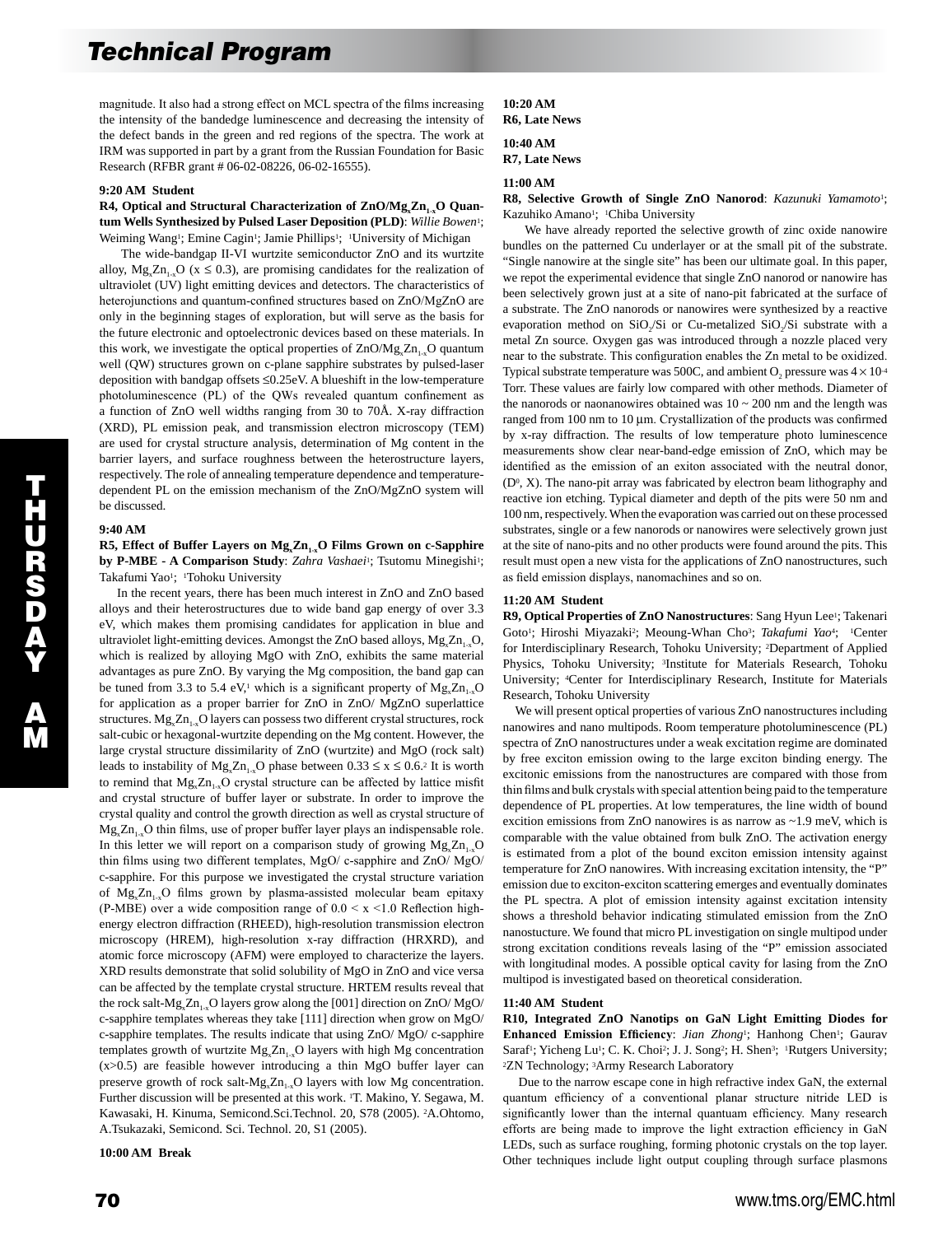magnitude. It also had a strong effect on MCL spectra of the films increasing the intensity of the bandedge luminescence and decreasing the intensity of the defect bands in the green and red regions of the spectra. The work at IRM was supported in part by a grant from the Russian Foundation for Basic Research (RFBR grant # 06-02-08226, 06-02-16555).

#### **9:20 AM Student**

## R4, Optical and Structural Characterization of ZnO/Mg<sub>x</sub>Zn<sub>1-x</sub>O Quan**tum Wells Synthesized by Pulsed Laser Deposition (PLD)**: *Willie Bowen*1; Weiming Wang<sup>1</sup>; Emine Cagin<sup>1</sup>; Jamie Phillips<sup>1</sup>; <sup>1</sup>University of Michigan

 The wide-bandgap II-VI wurtzite semiconductor ZnO and its wurtzite alloy,  $Mg_x Zn_{1-x}O$  (x  $\leq$  0.3), are promising candidates for the realization of ultraviolet (UV) light emitting devices and detectors. The characteristics of heterojunctions and quantum-confined structures based on  $ZnO/MgZnO$  are only in the beginning stages of exploration, but will serve as the basis for the future electronic and optoelectronic devices based on these materials. In this work, we investigate the optical properties of  $ZnO/Mg_xZn_{1-x}O$  quantum well (QW) structures grown on c-plane sapphire substrates by pulsed-laser deposition with bandgap offsets ≤0.25eV. A blueshift in the low-temperature photoluminescence (PL) of the QWs revealed quantum confinement as a function of ZnO well widths ranging from 30 to 70Å. X-ray diffraction (XRD), PL emission peak, and transmission electron microscopy (TEM) are used for crystal structure analysis, determination of Mg content in the barrier layers, and surface roughness between the heterostructure layers, respectively. The role of annealing temperature dependence and temperaturedependent PL on the emission mechanism of the ZnO/MgZnO system will be discussed.

#### **9:40 AM**

 $\overline{\mathbf{u}}$ H U R S D A Y

A M

### R5, Effect of Buffer Layers on  $Mg_x Zn_{1-x}O$  Films Grown on c-Sapphire **by P-MBE - A Comparison Study**: *Zahra Vashaei*<sup>1</sup>; Tsutomu Minegishi<sup>1</sup>; Takafumi Yao<sup>1</sup>: <sup>1</sup>Tohoku University

 In the recent years, there has been much interest in ZnO and ZnO based alloys and their heterostructures due to wide band gap energy of over 3.3 eV, which makes them promising candidates for application in blue and ultraviolet light-emitting devices. Amongst the ZnO based alloys,  $Mg_x Zn_{1-x}O$ , which is realized by alloying MgO with ZnO, exhibits the same material advantages as pure ZnO. By varying the Mg composition, the band gap can be tuned from 3.3 to 5.4 eV,<sup>1</sup> which is a significant property of  $Mg_{\rm g}Zn_{\rm g}$ . for application as a proper barrier for ZnO in ZnO/ MgZnO superlattice structures.  $Mg_{x}Zn_{1x}O$  layers can possess two different crystal structures, rock salt-cubic or hexagonal-wurtzite depending on the Mg content. However, the large crystal structure dissimilarity of ZnO (wurtzite) and MgO (rock salt) leads to instability of  $Mg_x Zn_{1-x}O$  phase between  $0.33 \le x \le 0.6$ <sup>2</sup> It is worth to remind that  $Mg_x Zn_{1-x}O$  crystal structure can be affected by lattice misfit and crystal structure of buffer layer or substrate. In order to improve the crystal quality and control the growth direction as well as crystal structure of  $Mg_x Zn_{1x}$ O thin films, use of proper buffer layer plays an indispensable role. In this letter we will report on a comparison study of growing  $Mg_x Zn_{1-x}O$ thin films using two different templates, MgO/ c-sapphire and ZnO/ MgO/ c-sapphire. For this purpose we investigated the crystal structure variation of  $Mg_x Zn_{1-x}O$  films grown by plasma-assisted molecular beam epitaxy (P-MBE) over a wide composition range of  $0.0 \le x \le 1.0$  Reflection highenergy electron diffraction (RHEED), high-resolution transmission electron microscopy (HREM), high-resolution x-ray diffraction (HRXRD), and atomic force microscopy (AFM) were employed to characterize the layers. XRD results demonstrate that solid solubility of MgO in ZnO and vice versa can be affected by the template crystal structure. HRTEM results reveal that the rock salt- $Mg_x Zn_{1-x}O$  layers grow along the [001] direction on ZnO/ MgO/ c-sapphire templates whereas they take [111] direction when grow on MgO/ c-sapphire templates. The results indicate that using ZnO/ MgO/ c-sapphire templates growth of wurtzite  $Mg_x Zn_{1x}O$  layers with high Mg concentration (x>0.5) are feasible however introducing a thin MgO buffer layer can preserve growth of rock salt- $Mg_x Zn_{1-x}O$  layers with low Mg concentration. Further discussion will be presented at this work. 1T. Makino, Y. Segawa, M. Kawasaki, H. Kinuma, Semicond.Sci.Technol. 20, S78 (2005). 2A.Ohtomo, A.Tsukazaki, Semicond. Sci. Technol. 20, S1 (2005).

#### **10:00 AM Break**

## **10:20 AM R6, Late News**

### **10:40 AM R7, Late News**

## **11:00 AM**

**R8, Selective Growth of Single ZnO Nanorod**: *Kazunuki Yamamoto*1; Kazuhiko Amano<sup>1</sup>; <sup>1</sup>Chiba University

 We have already reported the selective growth of zinc oxide nanowire bundles on the patterned Cu underlayer or at the small pit of the substrate. "Single nanowire at the single site" has been our ultimate goal. In this paper, we repot the experimental evidence that single ZnO nanorod or nanowire has been selectively grown just at a site of nano-pit fabricated at the surface of a substrate. The ZnO nanorods or nanowires were synthesized by a reactive evaporation method on  $SiO<sub>2</sub>/Si$  or Cu-metalized  $SiO<sub>2</sub>/Si$  substrate with a metal Zn source. Oxygen gas was introduced through a nozzle placed very near to the substrate. This configuration enables the Zn metal to be oxidized. Typical substrate temperature was 500C, and ambient  $O_2$  pressure was  $4 \times 10^{-4}$ Torr. These values are fairly low compared with other methods. Diameter of the nanorods or naonanowires obtained was  $10 \sim 200$  nm and the length was ranged from 100 nm to 10 µm. Crystallization of the products was confirmed by x-ray diffraction. The results of low temperature photo luminescence measurements show clear near-band-edge emission of ZnO, which may be identified as the emission of an exiton associated with the neutral donor,  $(D^0, X)$ . The nano-pit array was fabricated by electron beam lithography and reactive ion etching. Typical diameter and depth of the pits were 50 nm and 100 nm, respectively. When the evaporation was carried out on these processed substrates, single or a few nanorods or nanowires were selectively grown just at the site of nano-pits and no other products were found around the pits. This result must open a new vista for the applications of ZnO nanostructures, such as field emission displays, nanomachines and so on.

## **11:20 AM Student**

R9, Optical Properties of ZnO Nanostructures: Sang Hyun Lee<sup>1</sup>; Takenari Goto<sup>1</sup>; Hiroshi Miyazaki<sup>2</sup>; Meoung-Whan Cho<sup>3</sup>; *Takafumi Yao*<sup>4</sup>; <sup>1</sup>Center for Interdisciplinary Research, Tohoku University; 2Department of Applied Physics, Tohoku University; 3Institute for Materials Research, Tohoku University; 4Center for Interdisciplinary Research, Institute for Materials Research, Tohoku University

 We will present optical properties of various ZnO nanostructures including nanowires and nano multipods. Room temperature photoluminescence (PL) spectra of ZnO nanostructures under a weak excitation regime are dominated by free exciton emission owing to the large exciton binding energy. The excitonic emissions from the nanostructures are compared with those from thin films and bulk crystals with special attention being paid to the temperature dependence of PL properties. At low temperatures, the line width of bound excition emissions from ZnO nanowires is as narrow as ~1.9 meV, which is comparable with the value obtained from bulk ZnO. The activation energy is estimated from a plot of the bound exciton emission intensity against temperature for ZnO nanowires. With increasing excitation intensity, the "P" emission due to exciton-exciton scattering emerges and eventually dominates the PL spectra. A plot of emission intensity against excitation intensity shows a threshold behavior indicating stimulated emission from the ZnO nanostucture. We found that micro PL investigation on single multipod under strong excitation conditions reveals lasing of the "P" emission associated with longitudinal modes. A possible optical cavity for lasing from the ZnO multipod is investigated based on theoretical consideration.

#### **11:40 AM Student**

**R10, Integrated ZnO Nanotips on GaN Light Emitting Diodes for**  Enhanced Emission Efficiency: *Jian Zhong*<sup>1</sup>; Hanhong Chen<sup>1</sup>; Gaurav Saraf<sup>1</sup>; Yicheng Lu<sup>1</sup>; C. K. Choi<sup>2</sup>; J. J. Song<sup>2</sup>; H. Shen<sup>3</sup>; <sup>1</sup>Rutgers University; 2ZN Technology; 3Army Research Laboratory

 Due to the narrow escape cone in high refractive index GaN, the external quantum efficiency of a conventional planar structure nitride LED is significantly lower than the internal quantuam efficiency. Many research efforts are being made to improve the light extraction efficiency in GaN LEDs, such as surface roughing, forming photonic crystals on the top layer. Other techniques include light output coupling through surface plasmons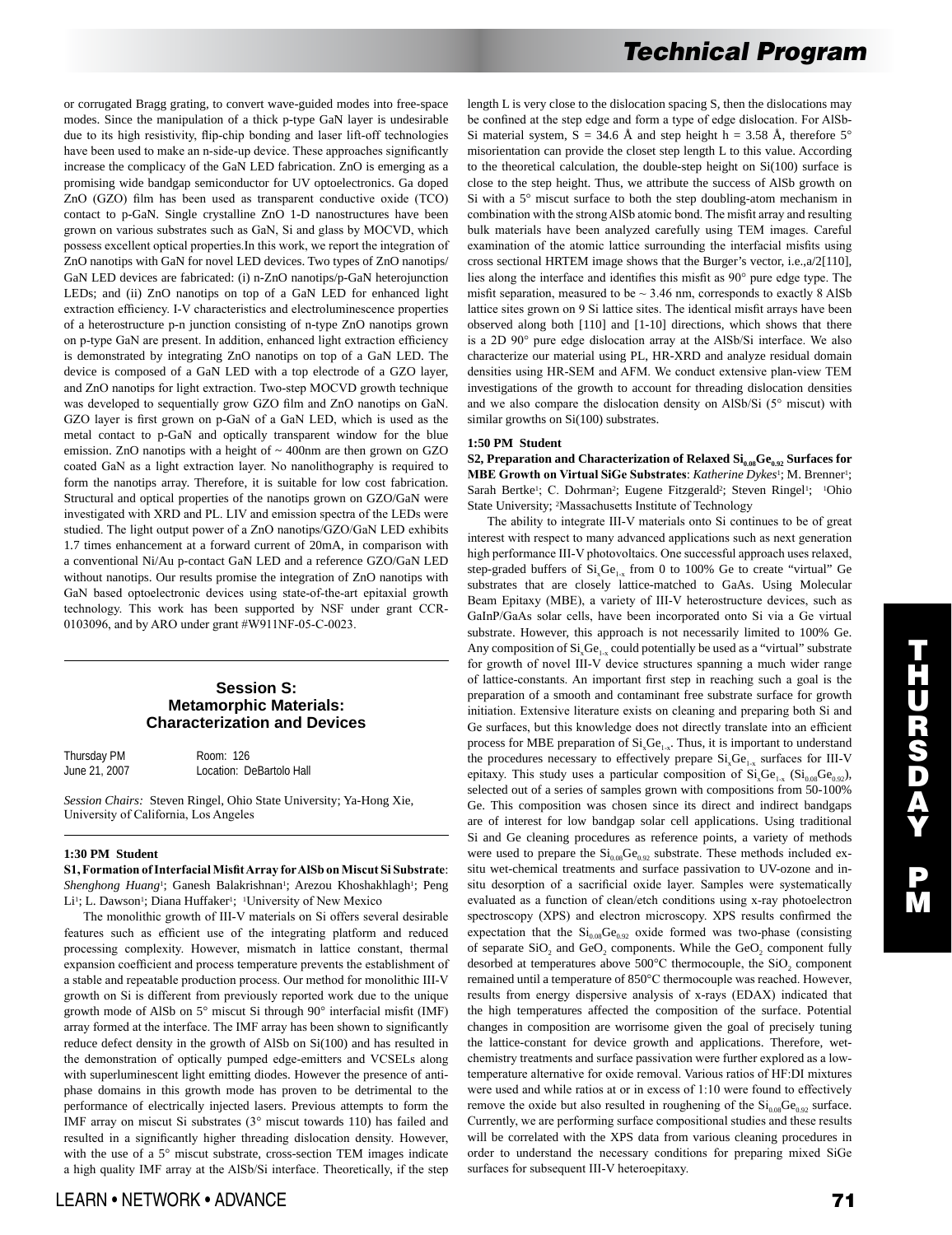or corrugated Bragg grating, to convert wave-guided modes into free-space modes. Since the manipulation of a thick p-type GaN layer is undesirable due to its high resistivity, flip-chip bonding and laser lift-off technologies have been used to make an n-side-up device. These approaches significantly increase the complicacy of the GaN LED fabrication. ZnO is emerging as a promising wide bandgap semiconductor for UV optoelectronics. Ga doped ZnO (GZO) film has been used as transparent conductive oxide (TCO) contact to p-GaN. Single crystalline ZnO 1-D nanostructures have been grown on various substrates such as GaN, Si and glass by MOCVD, which possess excellent optical properties.In this work, we report the integration of ZnO nanotips with GaN for novel LED devices. Two types of ZnO nanotips/ GaN LED devices are fabricated: (i) n-ZnO nanotips/p-GaN heterojunction LEDs; and (ii) ZnO nanotips on top of a GaN LED for enhanced light extraction efficiency. I-V characteristics and electroluminescence properties of a heterostructure p-n junction consisting of n-type ZnO nanotips grown on p-type GaN are present. In addition, enhanced light extraction efficiency is demonstrated by integrating ZnO nanotips on top of a GaN LED. The device is composed of a GaN LED with a top electrode of a GZO layer, and ZnO nanotips for light extraction. Two-step MOCVD growth technique was developed to sequentially grow GZO film and ZnO nanotips on GaN. GZO layer is first grown on p-GaN of a GaN LED, which is used as the metal contact to p-GaN and optically transparent window for the blue emission. ZnO nanotips with a height of ~ 400nm are then grown on GZO coated GaN as a light extraction layer. No nanolithography is required to form the nanotips array. Therefore, it is suitable for low cost fabrication. Structural and optical properties of the nanotips grown on GZO/GaN were investigated with XRD and PL. LIV and emission spectra of the LEDs were studied. The light output power of a ZnO nanotips/GZO/GaN LED exhibits 1.7 times enhancement at a forward current of 20mA, in comparison with a conventional Ni/Au p-contact GaN LED and a reference GZO/GaN LED without nanotips. Our results promise the integration of ZnO nanotips with GaN based optoelectronic devices using state-of-the-art epitaxial growth technology. This work has been supported by NSF under grant CCR-0103096, and by ARO under grant #W911NF-05-C-0023.

## **Session S: Metamorphic Materials: Characterization and Devices**

Thursday PM Room: 126<br>June 21, 2007 Location: D Location: DeBartolo Hall

*Session Chairs:* Steven Ringel, Ohio State University; Ya-Hong Xie, University of California, Los Angeles

## **1:30 PM Student**

**S1, Formation of Interfacial Misfit Array for AlSb on Miscut Si Substrate**: *Shenghong Huang*<sup>1</sup>; Ganesh Balakrishnan<sup>1</sup>; Arezou Khoshakhlagh<sup>1</sup>; Peng Li<sup>1</sup>; L. Dawson<sup>1</sup>; Diana Huffaker<sup>1</sup>; <sup>1</sup>University of New Mexico

 The monolithic growth of III-V materials on Si offers several desirable features such as efficient use of the integrating platform and reduced processing complexity. However, mismatch in lattice constant, thermal expansion coefficient and process temperature prevents the establishment of a stable and repeatable production process. Our method for monolithic III-V growth on Si is different from previously reported work due to the unique growth mode of AlSb on 5° miscut Si through 90° interfacial misfit (IMF) array formed at the interface. The IMF array has been shown to significantly reduce defect density in the growth of AlSb on Si(100) and has resulted in the demonstration of optically pumped edge-emitters and VCSELs along with superluminescent light emitting diodes. However the presence of antiphase domains in this growth mode has proven to be detrimental to the performance of electrically injected lasers. Previous attempts to form the IMF array on miscut Si substrates (3° miscut towards 110) has failed and resulted in a significantly higher threading dislocation density. However, with the use of a 5° miscut substrate, cross-section TEM images indicate a high quality IMF array at the AlSb/Si interface. Theoretically, if the step length L is very close to the dislocation spacing S, then the dislocations may be confined at the step edge and form a type of edge dislocation. For AlSb-Si material system,  $S = 34.6$  Å and step height h = 3.58 Å, therefore  $5^{\circ}$ misorientation can provide the closet step length L to this value. According to the theoretical calculation, the double-step height on  $Si(100)$  surface is close to the step height. Thus, we attribute the success of AlSb growth on Si with a 5° miscut surface to both the step doubling-atom mechanism in combination with the strong AlSb atomic bond. The misfit array and resulting bulk materials have been analyzed carefully using TEM images. Careful examination of the atomic lattice surrounding the interfacial misfits using cross sectional HRTEM image shows that the Burger's vector, i.e.,a/2[110], lies along the interface and identifies this misfit as 90° pure edge type. The misfit separation, measured to be  $\sim$  3.46 nm, corresponds to exactly 8 AlSb lattice sites grown on 9 Si lattice sites. The identical misfit arrays have been observed along both [110] and [1-10] directions, which shows that there is a 2D 90° pure edge dislocation array at the AlSb/Si interface. We also characterize our material using PL, HR-XRD and analyze residual domain densities using HR-SEM and AFM. We conduct extensive plan-view TEM investigations of the growth to account for threading dislocation densities and we also compare the dislocation density on AlSb/Si (5° miscut) with similar growths on Si(100) substrates.

#### **1:50 PM Student**

**S2, Preparation and Characterization of Relaxed**  $Si_{0.08}Ge_{0.92}$  **Surfaces for MBE Growth on Virtual SiGe Substrates**: *Katherine Dykes*1; M. Brenner1; Sarah Bertke<sup>1</sup>; C. Dohrman<sup>2</sup>; Eugene Fitzgerald<sup>2</sup>; Steven Ringel<sup>1</sup>; <sup>1</sup>Ohio State University; 2Massachusetts Institute of Technology

 The ability to integrate III-V materials onto Si continues to be of great interest with respect to many advanced applications such as next generation high performance III-V photovoltaics. One successful approach uses relaxed, step-graded buffers of  $Si<sub>x</sub>Ge<sub>1-x</sub>$  from 0 to 100% Ge to create "virtual" Ge substrates that are closely lattice-matched to GaAs. Using Molecular Beam Epitaxy (MBE), a variety of III-V heterostructure devices, such as GaInP/GaAs solar cells, have been incorporated onto Si via a Ge virtual substrate. However, this approach is not necessarily limited to 100% Ge. Any composition of  $Si<sub>x</sub>Ge<sub>1-x</sub>$  could potentially be used as a "virtual" substrate for growth of novel III-V device structures spanning a much wider range of lattice-constants. An important first step in reaching such a goal is the preparation of a smooth and contaminant free substrate surface for growth initiation. Extensive literature exists on cleaning and preparing both Si and Ge surfaces, but this knowledge does not directly translate into an efficient process for MBE preparation of  $Si<sub>x</sub>Ge<sub>1-x</sub>$ . Thus, it is important to understand the procedures necessary to effectively prepare  $Si<sub>x</sub>Ge<sub>1-x</sub>$  surfaces for III-V epitaxy. This study uses a particular composition of  $Si_xGe_{1-x}$  ( $Si_{0.08}Ge_{0.92}$ ), selected out of a series of samples grown with compositions from 50-100% Ge. This composition was chosen since its direct and indirect bandgaps are of interest for low bandgap solar cell applications. Using traditional Si and Ge cleaning procedures as reference points, a variety of methods were used to prepare the  $\mathrm{Si}_{0.08}\mathrm{Ge}_{0.92}$  substrate. These methods included exsitu wet-chemical treatments and surface passivation to UV-ozone and insitu desorption of a sacrificial oxide layer. Samples were systematically evaluated as a function of clean/etch conditions using x-ray photoelectron spectroscopy (XPS) and electron microscopy. XPS results confirmed the expectation that the  $Si<sub>0.08</sub>Ge<sub>0.92</sub>$  oxide formed was two-phase (consisting of separate SiO<sub>2</sub> and GeO<sub>2</sub> components. While the GeO<sub>2</sub> component fully desorbed at temperatures above  $500^{\circ}$ C thermocouple, the SiO<sub>2</sub> component remained until a temperature of 850°C thermocouple was reached. However, results from energy dispersive analysis of x-rays (EDAX) indicated that the high temperatures affected the composition of the surface. Potential changes in composition are worrisome given the goal of precisely tuning the lattice-constant for device growth and applications. Therefore, wetchemistry treatments and surface passivation were further explored as a lowtemperature alternative for oxide removal. Various ratios of HF:DI mixtures were used and while ratios at or in excess of 1:10 were found to effectively remove the oxide but also resulted in roughening of the  $Si<sub>0.08</sub>Ge<sub>0.92</sub>$  surface. Currently, we are performing surface compositional studies and these results will be correlated with the XPS data from various cleaning procedures in order to understand the necessary conditions for preparing mixed SiGe surfaces for subsequent III-V heteroepitaxy.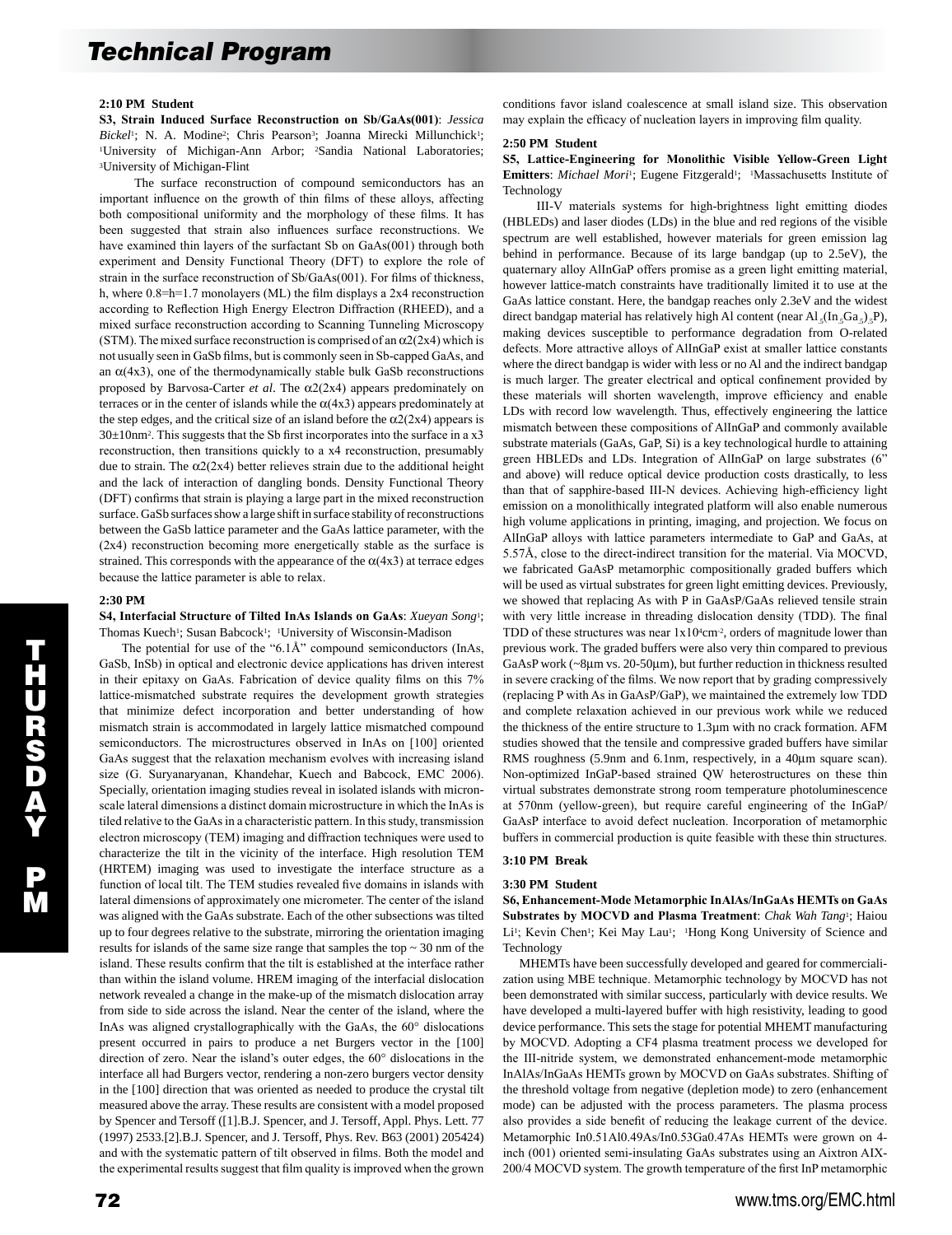## **2:10 PM Student**

**S3, Strain Induced Surface Reconstruction on Sb/GaAs(001)**: *Jessica*  Bickel<sup>1</sup>; N. A. Modine<sup>2</sup>; Chris Pearson<sup>3</sup>; Joanna Mirecki Millunchick<sup>1</sup>; <sup>1</sup>University of Michigan-Ann Arbor; <sup>2</sup>Sandia National Laboratories; 3University of Michigan-Flint

 The surface reconstruction of compound semiconductors has an important influence on the growth of thin films of these alloys, affecting both compositional uniformity and the morphology of these films. It has been suggested that strain also influences surface reconstructions. We have examined thin layers of the surfactant Sb on GaAs(001) through both experiment and Density Functional Theory (DFT) to explore the role of strain in the surface reconstruction of Sb/GaAs(001). For films of thickness, h, where 0.8=h=1.7 monolayers (ML) the film displays a 2x4 reconstruction according to Reflection High Energy Electron Diffraction (RHEED), and a mixed surface reconstruction according to Scanning Tunneling Microscopy (STM). The mixed surface reconstruction is comprised of an  $\alpha$ 2(2x4) which is not usually seen in GaSb films, but is commonly seen in Sb-capped GaAs, and an  $\alpha$ (4x3), one of the thermodynamically stable bulk GaSb reconstructions proposed by Barvosa-Carter *et al*. The α2(2x4) appears predominately on terraces or in the center of islands while the  $\alpha$ (4x3) appears predominately at the step edges, and the critical size of an island before the  $\alpha$ 2(2x4) appears is  $30±10$ nm<sup>2</sup>. This suggests that the Sb first incorporates into the surface in a x3 reconstruction, then transitions quickly to a x4 reconstruction, presumably due to strain. The  $\alpha$ 2(2x4) better relieves strain due to the additional height and the lack of interaction of dangling bonds. Density Functional Theory (DFT) confirms that strain is playing a large part in the mixed reconstruction surface. GaSb surfaces show a large shift in surface stability of reconstructions between the GaSb lattice parameter and the GaAs lattice parameter, with the (2x4) reconstruction becoming more energetically stable as the surface is strained. This corresponds with the appearance of the  $\alpha$ (4x3) at terrace edges because the lattice parameter is able to relax.

## **2:30 PM**

**S4, Interfacial Structure of Tilted InAs Islands on GaAs**: *Xueyan Song*1; Thomas Kuech<sup>1</sup>; Susan Babcock<sup>1</sup>; <sup>1</sup>University of Wisconsin-Madison

 The potential for use of the "6.1Å" compound semiconductors (InAs, GaSb, InSb) in optical and electronic device applications has driven interest in their epitaxy on GaAs. Fabrication of device quality films on this 7% lattice-mismatched substrate requires the development growth strategies that minimize defect incorporation and better understanding of how mismatch strain is accommodated in largely lattice mismatched compound semiconductors. The microstructures observed in InAs on [100] oriented GaAs suggest that the relaxation mechanism evolves with increasing island size (G. Suryanaryanan, Khandehar, Kuech and Babcock, EMC 2006). Specially, orientation imaging studies reveal in isolated islands with micronscale lateral dimensions a distinct domain microstructure in which the InAs is tiled relative to the GaAs in a characteristic pattern. In this study, transmission electron microscopy (TEM) imaging and diffraction techniques were used to characterize the tilt in the vicinity of the interface. High resolution TEM (HRTEM) imaging was used to investigate the interface structure as a function of local tilt. The TEM studies revealed five domains in islands with lateral dimensions of approximately one micrometer. The center of the island was aligned with the GaAs substrate. Each of the other subsections was tilted up to four degrees relative to the substrate, mirroring the orientation imaging results for islands of the same size range that samples the top ~ 30 nm of the island. These results confirm that the tilt is established at the interface rather than within the island volume. HREM imaging of the interfacial dislocation network revealed a change in the make-up of the mismatch dislocation array from side to side across the island. Near the center of the island, where the InAs was aligned crystallographically with the GaAs, the 60° dislocations present occurred in pairs to produce a net Burgers vector in the [100] direction of zero. Near the island's outer edges, the 60° dislocations in the interface all had Burgers vector, rendering a non-zero burgers vector density in the [100] direction that was oriented as needed to produce the crystal tilt measured above the array. These results are consistent with a model proposed by Spencer and Tersoff ([1].B.J. Spencer, and J. Tersoff, Appl. Phys. Lett. 77 (1997) 2533.[2].B.J. Spencer, and J. Tersoff, Phys. Rev. B63 (2001) 205424) and with the systematic pattern of tilt observed in films. Both the model and the experimental results suggest that film quality is improved when the grown

conditions favor island coalescence at small island size. This observation may explain the efficacy of nucleation layers in improving film quality.

#### **2:50 PM Student**

**S5, Lattice-Engineering for Monolithic Visible Yellow-Green Light Emitters**: *Michael Mori*<sup>1</sup>; Eugene Fitzgerald<sup>1</sup>; <sup>1</sup>Massachusetts Institute of Technology

 III-V materials systems for high-brightness light emitting diodes (HBLEDs) and laser diodes (LDs) in the blue and red regions of the visible spectrum are well established, however materials for green emission lag behind in performance. Because of its large bandgap (up to 2.5eV), the quaternary alloy AlInGaP offers promise as a green light emitting material, however lattice-match constraints have traditionally limited it to use at the GaAs lattice constant. Here, the bandgap reaches only 2.3eV and the widest direct bandgap material has relatively high Al content (near Al,  $(\text{In }_{5}Ga_{5})$ , P), making devices susceptible to performance degradation from O-related defects. More attractive alloys of AlInGaP exist at smaller lattice constants where the direct bandgap is wider with less or no Al and the indirect bandgap is much larger. The greater electrical and optical confinement provided by these materials will shorten wavelength, improve efficiency and enable LDs with record low wavelength. Thus, effectively engineering the lattice mismatch between these compositions of AlInGaP and commonly available substrate materials (GaAs, GaP, Si) is a key technological hurdle to attaining green HBLEDs and LDs. Integration of AlInGaP on large substrates (6" and above) will reduce optical device production costs drastically, to less than that of sapphire-based III-N devices. Achieving high-efficiency light emission on a monolithically integrated platform will also enable numerous high volume applications in printing, imaging, and projection. We focus on AlInGaP alloys with lattice parameters intermediate to GaP and GaAs, at 5.57Å, close to the direct-indirect transition for the material. Via MOCVD, we fabricated GaAsP metamorphic compositionally graded buffers which will be used as virtual substrates for green light emitting devices. Previously, we showed that replacing As with P in GaAsP/GaAs relieved tensile strain with very little increase in threading dislocation density (TDD). The final TDD of these structures was near  $1x104cm^2$ , orders of magnitude lower than previous work. The graded buffers were also very thin compared to previous GaAsP work (~8µm vs. 20-50µm), but further reduction in thickness resulted in severe cracking of the films. We now report that by grading compressively (replacing P with As in GaAsP/GaP), we maintained the extremely low TDD and complete relaxation achieved in our previous work while we reduced the thickness of the entire structure to 1.3µm with no crack formation. AFM studies showed that the tensile and compressive graded buffers have similar RMS roughness (5.9nm and 6.1nm, respectively, in a 40µm square scan). Non-optimized InGaP-based strained QW heterostructures on these thin virtual substrates demonstrate strong room temperature photoluminescence at 570nm (yellow-green), but require careful engineering of the InGaP/ GaAsP interface to avoid defect nucleation. Incorporation of metamorphic buffers in commercial production is quite feasible with these thin structures.

## **3:10 PM Break**

## **3:30 PM Student**

**S6, Enhancement-Mode Metamorphic InAlAs/InGaAs HEMTs on GaAs Substrates by MOCVD and Plasma Treatment**: *Chak Wah Tang*1; Haiou Li<sup>1</sup>; Kevin Chen<sup>1</sup>; Kei May Lau<sup>1</sup>; <sup>1</sup>Hong Kong University of Science and Technology

 MHEMTs have been successfully developed and geared for commercialization using MBE technique. Metamorphic technology by MOCVD has not been demonstrated with similar success, particularly with device results. We have developed a multi-layered buffer with high resistivity, leading to good device performance. This sets the stage for potential MHEMT manufacturing by MOCVD. Adopting a CF4 plasma treatment process we developed for the III-nitride system, we demonstrated enhancement-mode metamorphic InAlAs/InGaAs HEMTs grown by MOCVD on GaAs substrates. Shifting of the threshold voltage from negative (depletion mode) to zero (enhancement mode) can be adjusted with the process parameters. The plasma process also provides a side benefit of reducing the leakage current of the device. Metamorphic In0.51Al0.49As/In0.53Ga0.47As HEMTs were grown on 4 inch (001) oriented semi-insulating GaAs substrates using an Aixtron AIX-200/4 MOCVD system. The growth temperature of the first InP metamorphic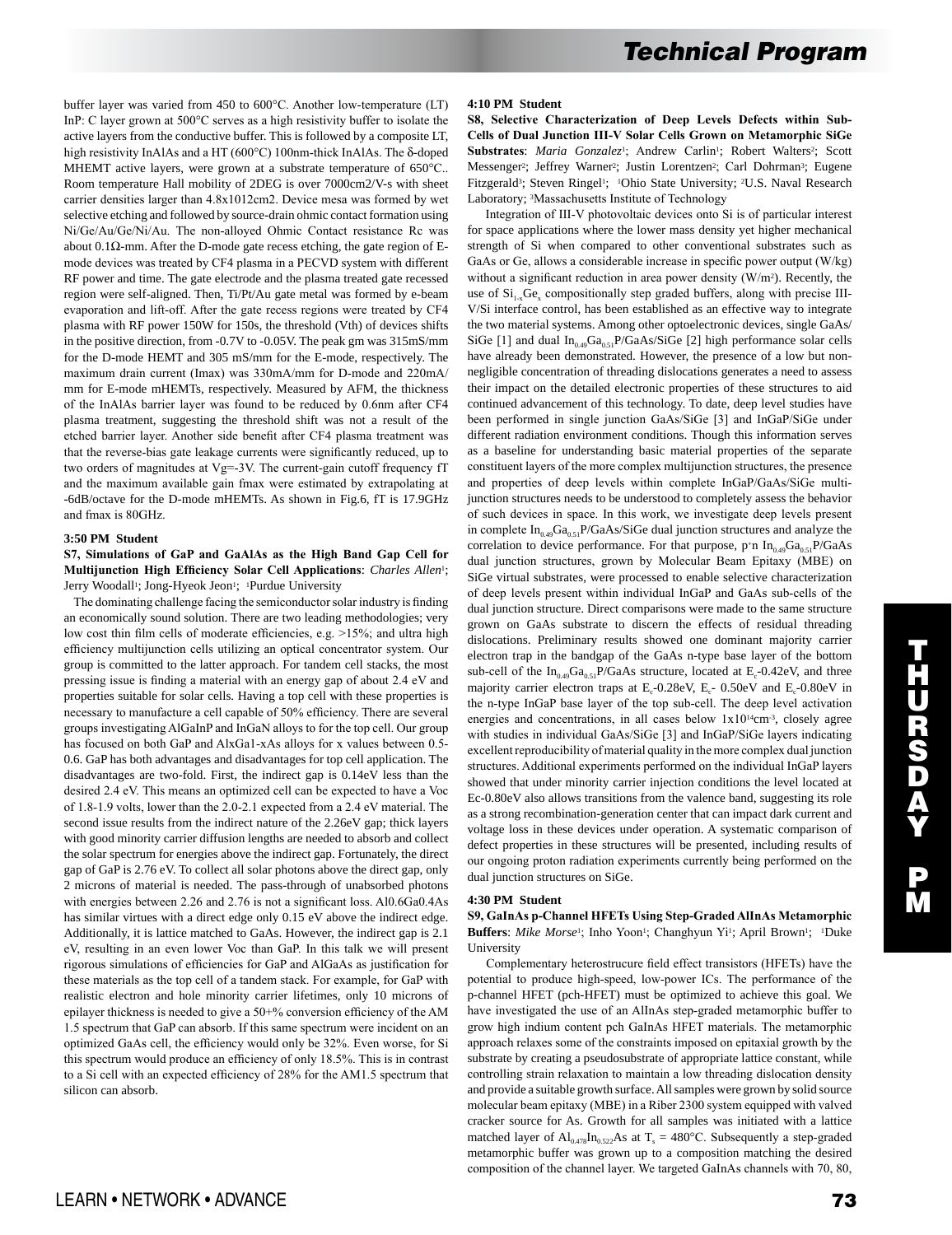buffer layer was varied from 450 to 600°C. Another low-temperature (LT) InP: C layer grown at 500°C serves as a high resistivity buffer to isolate the active layers from the conductive buffer. This is followed by a composite LT, high resistivity InAlAs and a HT (600°C) 100nm-thick InAlAs. The δ-doped MHEMT active layers, were grown at a substrate temperature of 650°C.. Room temperature Hall mobility of 2DEG is over 7000cm2/V-s with sheet carrier densities larger than 4.8x1012cm2. Device mesa was formed by wet selective etching and followed by source-drain ohmic contact formation using Ni/Ge/Au/Ge/Ni/Au. The non-alloyed Ohmic Contact resistance Rc was about 0.1 $Ω$ -mm. After the D-mode gate recess etching, the gate region of Emode devices was treated by CF4 plasma in a PECVD system with different RF power and time. The gate electrode and the plasma treated gate recessed region were self-aligned. Then, Ti/Pt/Au gate metal was formed by e-beam evaporation and lift-off. After the gate recess regions were treated by CF4 plasma with RF power 150W for 150s, the threshold (Vth) of devices shifts in the positive direction, from -0.7V to -0.05V. The peak gm was 315mS/mm for the D-mode HEMT and 305 mS/mm for the E-mode, respectively. The maximum drain current (Imax) was 330mA/mm for D-mode and 220mA/ mm for E-mode mHEMTs, respectively. Measured by AFM, the thickness of the InAlAs barrier layer was found to be reduced by 0.6nm after CF4 plasma treatment, suggesting the threshold shift was not a result of the etched barrier layer. Another side benefit after CF4 plasma treatment was that the reverse-bias gate leakage currents were significantly reduced, up to two orders of magnitudes at Vg=-3V. The current-gain cutoff frequency fT and the maximum available gain fmax were estimated by extrapolating at -6dB/octave for the D-mode mHEMTs. As shown in Fig.6, fT is 17.9GHz and fmax is 80GHz.

#### **3:50 PM Student**

**S7, Simulations of GaP and GaAlAs as the High Band Gap Cell for Multijunction High Efficiency Solar Cell Applications**: *Charles Allen*1; Jerry Woodall<sup>1</sup>; Jong-Hyeok Jeon<sup>1</sup>; <sup>1</sup>Purdue University

 The dominating challenge facing the semiconductor solar industry is finding an economically sound solution. There are two leading methodologies; very low cost thin film cells of moderate efficiencies, e.g. >15%; and ultra high efficiency multijunction cells utilizing an optical concentrator system. Our group is committed to the latter approach. For tandem cell stacks, the most pressing issue is finding a material with an energy gap of about 2.4 eV and properties suitable for solar cells. Having a top cell with these properties is necessary to manufacture a cell capable of 50% efficiency. There are several groups investigating AlGaInP and InGaN alloys to for the top cell. Our group has focused on both GaP and AlxGa1-xAs alloys for x values between 0.5- 0.6. GaP has both advantages and disadvantages for top cell application. The disadvantages are two-fold. First, the indirect gap is 0.14eV less than the desired 2.4 eV. This means an optimized cell can be expected to have a Voc of 1.8-1.9 volts, lower than the 2.0-2.1 expected from a 2.4 eV material. The second issue results from the indirect nature of the 2.26eV gap; thick layers with good minority carrier diffusion lengths are needed to absorb and collect the solar spectrum for energies above the indirect gap. Fortunately, the direct gap of GaP is 2.76 eV. To collect all solar photons above the direct gap, only 2 microns of material is needed. The pass-through of unabsorbed photons with energies between 2.26 and 2.76 is not a significant loss. Al0.6Ga0.4As has similar virtues with a direct edge only 0.15 eV above the indirect edge. Additionally, it is lattice matched to GaAs. However, the indirect gap is 2.1 eV, resulting in an even lower Voc than GaP. In this talk we will present rigorous simulations of efficiencies for GaP and AlGaAs as justification for these materials as the top cell of a tandem stack. For example, for GaP with realistic electron and hole minority carrier lifetimes, only 10 microns of epilayer thickness is needed to give a 50+% conversion efficiency of the AM 1.5 spectrum that GaP can absorb. If this same spectrum were incident on an optimized GaAs cell, the efficiency would only be 32%. Even worse, for Si this spectrum would produce an efficiency of only 18.5%. This is in contrast to a Si cell with an expected efficiency of 28% for the AM1.5 spectrum that silicon can absorb.

#### **4:10 PM Student**

**S8, Selective Characterization of Deep Levels Defects within Sub-Cells of Dual Junction III-V Solar Cells Grown on Metamorphic SiGe**  Substrates: *Maria Gonzalez<sup>1</sup>*; Andrew Carlin<sup>1</sup>; Robert Walters<sup>2</sup>; Scott Messenger<sup>2</sup>; Jeffrey Warner<sup>2</sup>; Justin Lorentzen<sup>2</sup>; Carl Dohrman<sup>3</sup>; Eugene Fitzgerald<sup>3</sup>; Steven Ringel<sup>1</sup>; <sup>1</sup>Ohio State University; <sup>2</sup>U.S. Naval Research Laboratory; 3Massachusetts Institute of Technology

 Integration of III-V photovoltaic devices onto Si is of particular interest for space applications where the lower mass density yet higher mechanical strength of Si when compared to other conventional substrates such as GaAs or Ge, allows a considerable increase in specific power output (W/kg) without a significant reduction in area power density (W/m<sup>2</sup>). Recently, the use of  $Si<sub>1x</sub>Ge<sub>x</sub>$  compositionally step graded buffers, along with precise III-V/Si interface control, has been established as an effective way to integrate the two material systems. Among other optoelectronic devices, single GaAs/ SiGe [1] and dual  $In<sub>0.49</sub>Ga<sub>0.51</sub>P/GaAs/SiGe$  [2] high performance solar cells have already been demonstrated. However, the presence of a low but nonnegligible concentration of threading dislocations generates a need to assess their impact on the detailed electronic properties of these structures to aid continued advancement of this technology. To date, deep level studies have been performed in single junction GaAs/SiGe [3] and InGaP/SiGe under different radiation environment conditions. Though this information serves as a baseline for understanding basic material properties of the separate constituent layers of the more complex multijunction structures, the presence and properties of deep levels within complete InGaP/GaAs/SiGe multijunction structures needs to be understood to completely assess the behavior of such devices in space. In this work, we investigate deep levels present in complete  $In<sub>0.49</sub>Ga<sub>0.51</sub>P/GaAs/SiGe dual junction structures and analyze the$ correlation to device performance. For that purpose, p+n  $In<sub>0.49</sub>Ga<sub>0.51</sub>P/GaAs$ dual junction structures, grown by Molecular Beam Epitaxy (MBE) on SiGe virtual substrates, were processed to enable selective characterization of deep levels present within individual InGaP and GaAs sub-cells of the dual junction structure. Direct comparisons were made to the same structure grown on GaAs substrate to discern the effects of residual threading dislocations. Preliminary results showed one dominant majority carrier electron trap in the bandgap of the GaAs n-type base layer of the bottom sub-cell of the  $In_{0.49}Ga_{0.51}P/GaAs$  structure, located at  $E_c$ -0.42eV, and three majority carrier electron traps at  $E_c$ -0.28eV,  $E_c$ -0.50eV and  $E_c$ -0.80eV in the n-type InGaP base layer of the top sub-cell. The deep level activation energies and concentrations, in all cases below  $1x10^{14}cm^{-3}$ , closely agree with studies in individual GaAs/SiGe [3] and InGaP/SiGe layers indicating excellent reproducibility of material quality in the more complex dual junction structures. Additional experiments performed on the individual InGaP layers showed that under minority carrier injection conditions the level located at Ec-0.80eV also allows transitions from the valence band, suggesting its role as a strong recombination-generation center that can impact dark current and voltage loss in these devices under operation. A systematic comparison of defect properties in these structures will be presented, including results of our ongoing proton radiation experiments currently being performed on the dual junction structures on SiGe.

#### **4:30 PM Student**

**S9, GaInAs p-Channel HFETs Using Step-Graded AlInAs Metamorphic**  Buffers: Mike Morse<sup>1</sup>; Inho Yoon<sup>1</sup>; Changhyun Yi<sup>1</sup>; April Brown<sup>1</sup>; <sup>1</sup>Duke University

 Complementary heterostrucure field effect transistors (HFETs) have the potential to produce high-speed, low-power ICs. The performance of the p-channel HFET (pch-HFET) must be optimized to achieve this goal. We have investigated the use of an AlInAs step-graded metamorphic buffer to grow high indium content pch GaInAs HFET materials. The metamorphic approach relaxes some of the constraints imposed on epitaxial growth by the substrate by creating a pseudosubstrate of appropriate lattice constant, while controlling strain relaxation to maintain a low threading dislocation density and provide a suitable growth surface. All samples were grown by solid source molecular beam epitaxy (MBE) in a Riber 2300 system equipped with valved cracker source for As. Growth for all samples was initiated with a lattice matched layer of  $Al_{0.478}In_{0.522}As$  at T<sub>s</sub> = 480°C. Subsequently a step-graded metamorphic buffer was grown up to a composition matching the desired composition of the channel layer. We targeted GaInAs channels with 70, 80,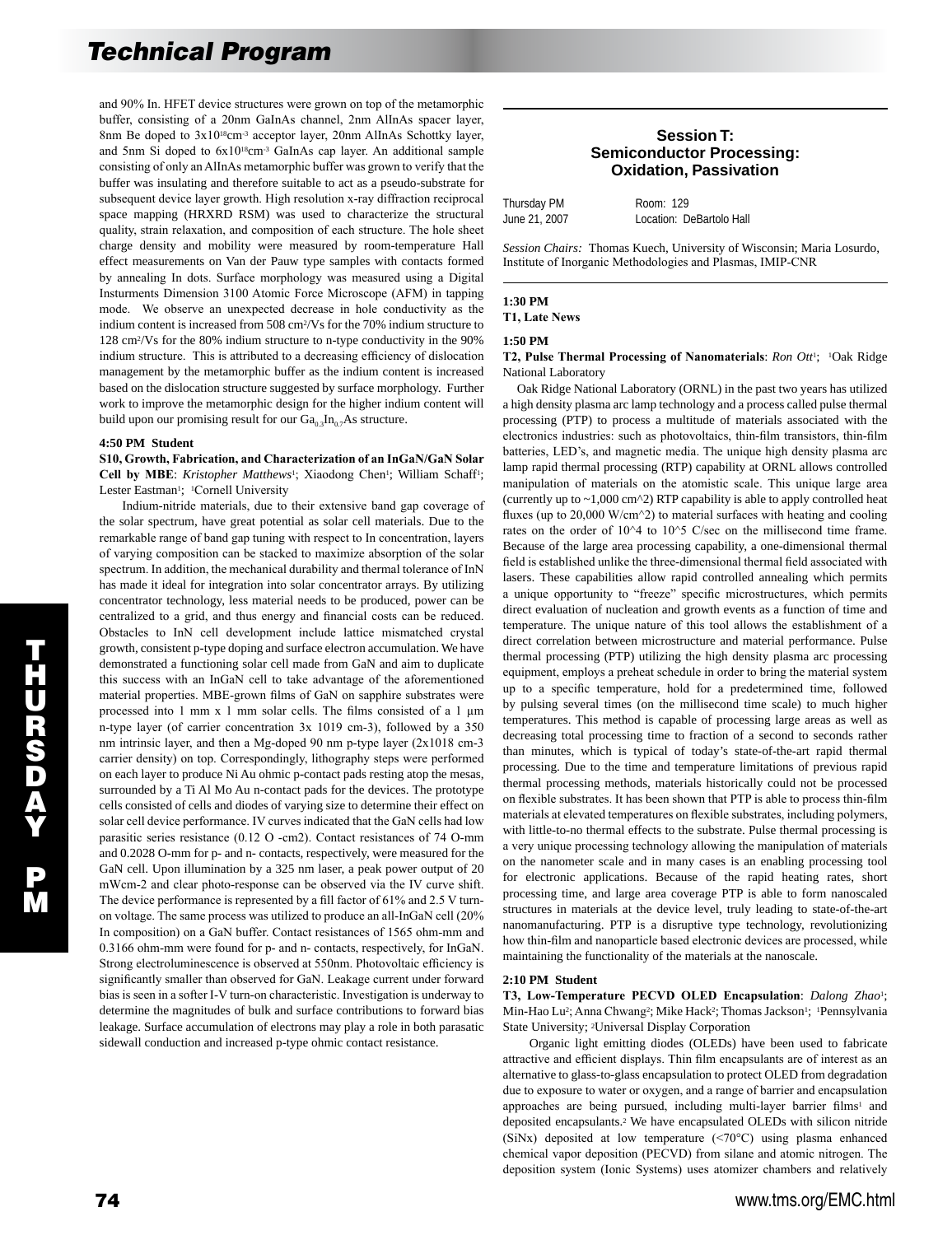and 90% In. HFET device structures were grown on top of the metamorphic buffer, consisting of a 20nm GaInAs channel, 2nm AlInAs spacer layer, 8nm Be doped to 3x10<sup>18</sup>cm<sup>-3</sup> acceptor layer, 20nm AlInAs Schottky layer, and 5nm Si doped to 6x1018cm-3 GaInAs cap layer. An additional sample consisting of only an AlInAs metamorphic buffer was grown to verify that the buffer was insulating and therefore suitable to act as a pseudo-substrate for subsequent device layer growth. High resolution x-ray diffraction reciprocal space mapping (HRXRD RSM) was used to characterize the structural quality, strain relaxation, and composition of each structure. The hole sheet charge density and mobility were measured by room-temperature Hall effect measurements on Van der Pauw type samples with contacts formed by annealing In dots. Surface morphology was measured using a Digital Insturments Dimension 3100 Atomic Force Microscope (AFM) in tapping mode. We observe an unexpected decrease in hole conductivity as the indium content is increased from 508 cm2/Vs for the 70% indium structure to 128 cm2/Vs for the 80% indium structure to n-type conductivity in the 90% indium structure. This is attributed to a decreasing efficiency of dislocation management by the metamorphic buffer as the indium content is increased based on the dislocation structure suggested by surface morphology. Further work to improve the metamorphic design for the higher indium content will build upon our promising result for our  $Ga_{0.3}In_{0.7}As$  structure.

## **4:50 PM Student**

**S10, Growth, Fabrication, and Characterization of an InGaN/GaN Solar**  Cell by MBE: *Kristopher Matthews<sup>1</sup>*; Xiaodong Chen<sup>1</sup>; William Schaff<sup>1</sup>; Lester Eastman<sup>1</sup>; <sup>1</sup>Cornell University

 Indium-nitride materials, due to their extensive band gap coverage of the solar spectrum, have great potential as solar cell materials. Due to the remarkable range of band gap tuning with respect to In concentration, layers of varying composition can be stacked to maximize absorption of the solar spectrum. In addition, the mechanical durability and thermal tolerance of InN has made it ideal for integration into solar concentrator arrays. By utilizing concentrator technology, less material needs to be produced, power can be centralized to a grid, and thus energy and financial costs can be reduced. Obstacles to InN cell development include lattice mismatched crystal growth, consistent p-type doping and surface electron accumulation. We have demonstrated a functioning solar cell made from GaN and aim to duplicate this success with an InGaN cell to take advantage of the aforementioned material properties. MBE-grown films of GaN on sapphire substrates were processed into 1 mm x 1 mm solar cells. The films consisted of a 1 µm n-type layer (of carrier concentration 3x 1019 cm-3), followed by a 350 nm intrinsic layer, and then a Mg-doped 90 nm p-type layer (2x1018 cm-3 carrier density) on top. Correspondingly, lithography steps were performed on each layer to produce Ni Au ohmic p-contact pads resting atop the mesas, surrounded by a Ti Al Mo Au n-contact pads for the devices. The prototype cells consisted of cells and diodes of varying size to determine their effect on solar cell device performance. IV curves indicated that the GaN cells had low parasitic series resistance (0.12 O -cm2). Contact resistances of 74 O-mm and 0.2028 O-mm for p- and n- contacts, respectively, were measured for the GaN cell. Upon illumination by a 325 nm laser, a peak power output of 20 mWcm-2 and clear photo-response can be observed via the IV curve shift. The device performance is represented by a fill factor of 61% and 2.5 V turnon voltage. The same process was utilized to produce an all-InGaN cell (20% In composition) on a GaN buffer. Contact resistances of 1565 ohm-mm and 0.3166 ohm-mm were found for p- and n- contacts, respectively, for InGaN. Strong electroluminescence is observed at 550nm. Photovoltaic efficiency is significantly smaller than observed for GaN. Leakage current under forward bias is seen in a softer I-V turn-on characteristic. Investigation is underway to determine the magnitudes of bulk and surface contributions to forward bias leakage. Surface accumulation of electrons may play a role in both parasatic sidewall conduction and increased p-type ohmic contact resistance.

## **Session T: Semiconductor Processing: Oxidation, Passivation**

| Thursday PM   | Room: 129                |
|---------------|--------------------------|
| June 21, 2007 | Location: DeBartolo Hall |

*Session Chairs:* Thomas Kuech, University of Wisconsin; Maria Losurdo, Institute of Inorganic Methodologies and Plasmas, IMIP-CNR

#### **1:30 PM**

**T1, Late News**

### **1:50 PM**

**T2, Pulse Thermal Processing of Nanomaterials**: *Ron Ott*1; 1Oak Ridge National Laboratory

 Oak Ridge National Laboratory (ORNL) in the past two years has utilized a high density plasma arc lamp technology and a process called pulse thermal processing (PTP) to process a multitude of materials associated with the electronics industries: such as photovoltaics, thin-film transistors, thin-film batteries, LED's, and magnetic media. The unique high density plasma arc lamp rapid thermal processing (RTP) capability at ORNL allows controlled manipulation of materials on the atomistic scale. This unique large area (currently up to  $\sim$ 1,000 cm^2) RTP capability is able to apply controlled heat fluxes (up to 20,000 W/cm^2) to material surfaces with heating and cooling rates on the order of 10^4 to 10^5 C/sec on the millisecond time frame. Because of the large area processing capability, a one-dimensional thermal field is established unlike the three-dimensional thermal field associated with lasers. These capabilities allow rapid controlled annealing which permits a unique opportunity to "freeze" specific microstructures, which permits direct evaluation of nucleation and growth events as a function of time and temperature. The unique nature of this tool allows the establishment of a direct correlation between microstructure and material performance. Pulse thermal processing (PTP) utilizing the high density plasma arc processing equipment, employs a preheat schedule in order to bring the material system up to a specific temperature, hold for a predetermined time, followed by pulsing several times (on the millisecond time scale) to much higher temperatures. This method is capable of processing large areas as well as decreasing total processing time to fraction of a second to seconds rather than minutes, which is typical of today's state-of-the-art rapid thermal processing. Due to the time and temperature limitations of previous rapid thermal processing methods, materials historically could not be processed on flexible substrates. It has been shown that PTP is able to process thin-film materials at elevated temperatures on flexible substrates, including polymers, with little-to-no thermal effects to the substrate. Pulse thermal processing is a very unique processing technology allowing the manipulation of materials on the nanometer scale and in many cases is an enabling processing tool for electronic applications. Because of the rapid heating rates, short processing time, and large area coverage PTP is able to form nanoscaled structures in materials at the device level, truly leading to state-of-the-art nanomanufacturing. PTP is a disruptive type technology, revolutionizing how thin-film and nanoparticle based electronic devices are processed, while maintaining the functionality of the materials at the nanoscale.

#### **2:10 PM Student**

**T3, Low-Temperature PECVD OLED Encapsulation**: *Dalong Zhao*1; Min-Hao Lu<sup>2</sup>; Anna Chwang<sup>2</sup>; Mike Hack<sup>2</sup>; Thomas Jackson<sup>1</sup>; <sup>1</sup>Pennsylvania State University; 2Universal Display Corporation

 Organic light emitting diodes (OLEDs) have been used to fabricate attractive and efficient displays. Thin film encapsulants are of interest as an alternative to glass-to-glass encapsulation to protect OLED from degradation due to exposure to water or oxygen, and a range of barrier and encapsulation approaches are being pursued, including multi-layer barrier films<sup>1</sup> and deposited encapsulants.2 We have encapsulated OLEDs with silicon nitride (SiNx) deposited at low temperature (<70°C) using plasma enhanced chemical vapor deposition (PECVD) from silane and atomic nitrogen. The deposition system (Ionic Systems) uses atomizer chambers and relatively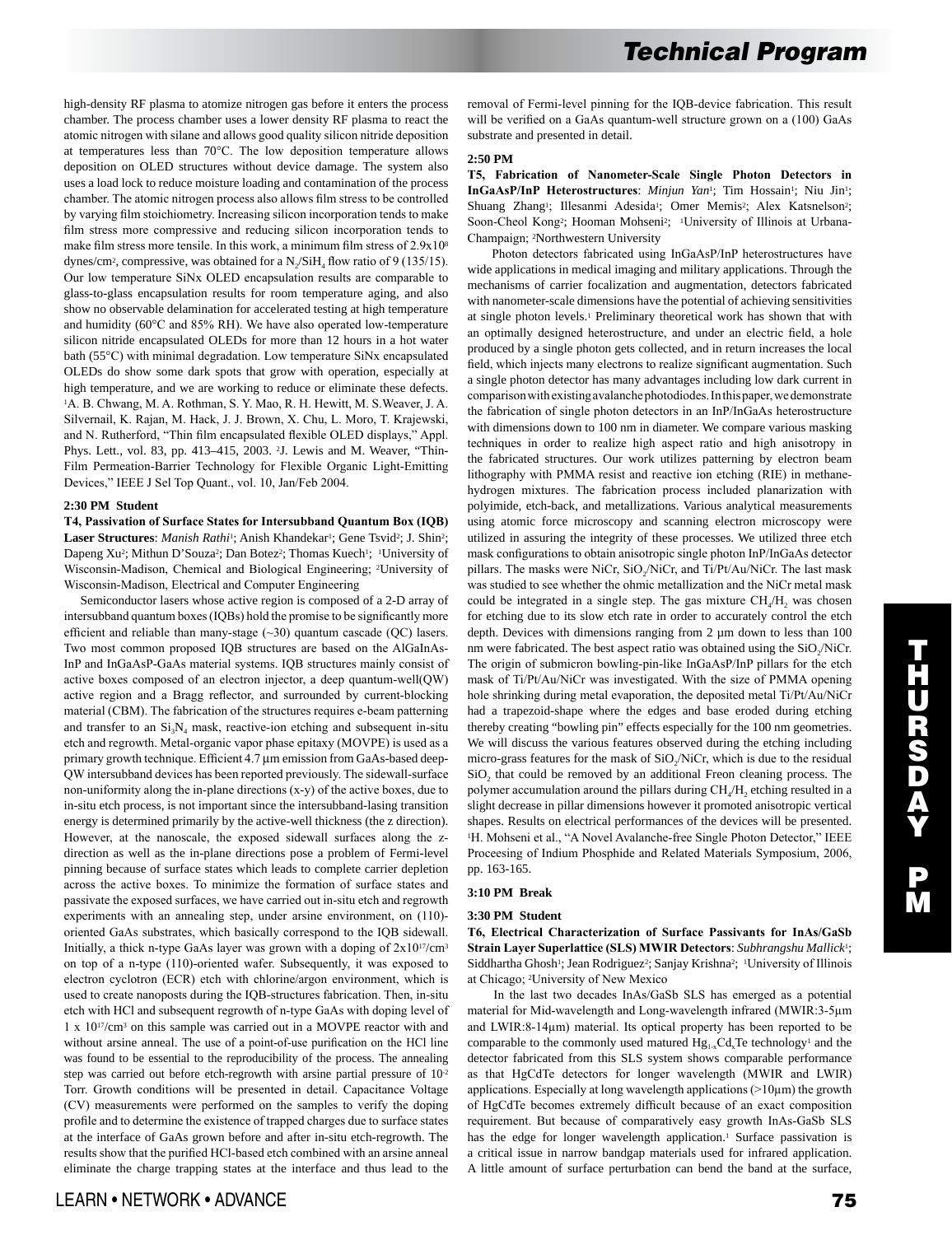high-density RF plasma to atomize nitrogen gas before it enters the process chamber. The process chamber uses a lower density RF plasma to react the atomic nitrogen with silane and allows good quality silicon nitride deposition at temperatures less than 70°C. The low deposition temperature allows deposition on OLED structures without device damage. The system also uses a load lock to reduce moisture loading and contamination of the process chamber. The atomic nitrogen process also allows film stress to be controlled by varying film stoichiometry. Increasing silicon incorporation tends to make film stress more compressive and reducing silicon incorporation tends to make film stress more tensile. In this work, a minimum film stress of 2.9x10<sup>8</sup> dynes/cm<sup>2</sup>, compressive, was obtained for a  $N_2/SiH_4$  flow ratio of 9 (135/15). Our low temperature SiNx OLED encapsulation results are comparable to glass-to-glass encapsulation results for room temperature aging, and also show no observable delamination for accelerated testing at high temperature and humidity (60°C and 85% RH). We have also operated low-temperature silicon nitride encapsulated OLEDs for more than 12 hours in a hot water bath (55°C) with minimal degradation. Low temperature SiNx encapsulated OLEDs do show some dark spots that grow with operation, especially at high temperature, and we are working to reduce or eliminate these defects. <sup>1</sup>A. B. Chwang, M. A. Rothman, S. Y. Mao, R. H. Hewitt, M. S.Weaver, J. A. Silvernail, K. Rajan, M. Hack, J. J. Brown, X. Chu, L. Moro, T. Krajewski, and N. Rutherford, "Thin film encapsulated flexible OLED displays," Appl. Phys. Lett., vol. 83, pp. 413–415, 2003. 2J. Lewis and M. Weaver, "Thin-Film Permeation-Barrier Technology for Flexible Organic Light-Emitting Devices," IEEE J Sel Top Quant., vol. 10, Jan/Feb 2004.

## **2:30 PM Student**

**T4, Passivation of Surface States for Intersubband Quantum Box (IQB)**  Laser Structures: *Manish Rathi*<sup>1</sup>; Anish Khandekar<sup>1</sup>; Gene Tsvid<sup>2</sup>; J. Shin<sup>2</sup>; Dapeng Xu<sup>2</sup>; Mithun D'Souza<sup>2</sup>; Dan Botez<sup>2</sup>; Thomas Kuech<sup>1</sup>; <sup>1</sup>University of Wisconsin-Madison, Chemical and Biological Engineering; 2University of Wisconsin-Madison, Electrical and Computer Engineering

 Semiconductor lasers whose active region is composed of a 2-D array of intersubband quantum boxes (IQBs) hold the promise to be significantly more efficient and reliable than many-stage (~30) quantum cascade (QC) lasers. Two most common proposed IQB structures are based on the AlGaInAs-InP and InGaAsP-GaAs material systems. IQB structures mainly consist of active boxes composed of an electron injector, a deep quantum-well(QW) active region and a Bragg reflector, and surrounded by current-blocking material (CBM). The fabrication of the structures requires e-beam patterning and transfer to an  $Si_3N_4$  mask, reactive-ion etching and subsequent in-situ etch and regrowth. Metal-organic vapor phase epitaxy (MOVPE) is used as a primary growth technique. Efficient 4.7 µm emission from GaAs-based deep-QW intersubband devices has been reported previously. The sidewall-surface non-uniformity along the in-plane directions (x-y) of the active boxes, due to in-situ etch process, is not important since the intersubband-lasing transition energy is determined primarily by the active-well thickness (the z direction). However, at the nanoscale, the exposed sidewall surfaces along the zdirection as well as the in-plane directions pose a problem of Fermi-level pinning because of surface states which leads to complete carrier depletion across the active boxes. To minimize the formation of surface states and passivate the exposed surfaces, we have carried out in-situ etch and regrowth experiments with an annealing step, under arsine environment, on (110)oriented GaAs substrates, which basically correspond to the IQB sidewall. Initially, a thick n-type GaAs layer was grown with a doping of 2x1017/cm3 on top of a n-type (110)-oriented wafer. Subsequently, it was exposed to electron cyclotron (ECR) etch with chlorine/argon environment, which is used to create nanoposts during the IQB-structures fabrication. Then, in-situ etch with HCl and subsequent regrowth of n-type GaAs with doping level of 1 x 1017/cm3 on this sample was carried out in a MOVPE reactor with and without arsine anneal. The use of a point-of-use purification on the HCl line was found to be essential to the reproducibility of the process. The annealing step was carried out before etch-regrowth with arsine partial pressure of  $10<sup>2</sup>$ Torr. Growth conditions will be presented in detail. Capacitance Voltage (CV) measurements were performed on the samples to verify the doping profile and to determine the existence of trapped charges due to surface states at the interface of GaAs grown before and after in-situ etch-regrowth. The results show that the purified HCl-based etch combined with an arsine anneal eliminate the charge trapping states at the interface and thus lead to the removal of Fermi-level pinning for the IQB-device fabrication. This result will be verified on a GaAs quantum-well structure grown on a (100) GaAs substrate and presented in detail.

#### **2:50 PM**

**T5, Fabrication of Nanometer-Scale Single Photon Detectors in**  InGaAsP/InP Heterostructures: Minjun Yan<sup>1</sup>; Tim Hossain<sup>1</sup>; Niu Jin<sup>1</sup>; Shuang Zhang<sup>1</sup>; Illesanmi Adesida<sup>1</sup>; Omer Memis<sup>2</sup>; Alex Katsnelson<sup>2</sup>; Soon-Cheol Kong<sup>2</sup>; Hooman Mohseni<sup>2</sup>; <sup>1</sup>University of Illinois at Urbana-Champaign; 2Northwestern University

 Photon detectors fabricated using InGaAsP/InP heterostructures have wide applications in medical imaging and military applications. Through the mechanisms of carrier focalization and augmentation, detectors fabricated with nanometer-scale dimensions have the potential of achieving sensitivities at single photon levels.1 Preliminary theoretical work has shown that with an optimally designed heterostructure, and under an electric field, a hole produced by a single photon gets collected, and in return increases the local field, which injects many electrons to realize significant augmentation. Such a single photon detector has many advantages including low dark current in comparison with existing avalanche photodiodes. In this paper, we demonstrate the fabrication of single photon detectors in an InP/InGaAs heterostructure with dimensions down to 100 nm in diameter. We compare various masking techniques in order to realize high aspect ratio and high anisotropy in the fabricated structures. Our work utilizes patterning by electron beam lithography with PMMA resist and reactive ion etching (RIE) in methanehydrogen mixtures. The fabrication process included planarization with polyimide, etch-back, and metallizations. Various analytical measurements using atomic force microscopy and scanning electron microscopy were utilized in assuring the integrity of these processes. We utilized three etch mask configurations to obtain anisotropic single photon InP/InGaAs detector pillars. The masks were NiCr, SiO<sub>2</sub>/NiCr, and Ti/Pt/Au/NiCr. The last mask was studied to see whether the ohmic metallization and the NiCr metal mask could be integrated in a single step. The gas mixture  $CH<sub>a</sub>/H<sub>2</sub>$  was chosen for etching due to its slow etch rate in order to accurately control the etch depth. Devices with dimensions ranging from 2  $\mu$ m down to less than 100 nm were fabricated. The best aspect ratio was obtained using the  $SiO<sub>2</sub>/NiCr$ . The origin of submicron bowling-pin-like InGaAsP/InP pillars for the etch mask of Ti/Pt/Au/NiCr was investigated. With the size of PMMA opening hole shrinking during metal evaporation, the deposited metal Ti/Pt/Au/NiCr had a trapezoid-shape where the edges and base eroded during etching thereby creating "bowling pin" effects especially for the 100 nm geometries. We will discuss the various features observed during the etching including micro-grass features for the mask of SiO<sub>2</sub>/NiCr, which is due to the residual SiO<sub>2</sub> that could be removed by an additional Freon cleaning process. The polymer accumulation around the pillars during  $CH<sub>4</sub>/H$ , etching resulted in a slight decrease in pillar dimensions however it promoted anisotropic vertical shapes. Results on electrical performances of the devices will be presented. <sup>1</sup>H. Mohseni et al., "A Novel Avalanche-free Single Photon Detector," IEEE Proceesing of Indium Phosphide and Related Materials Symposium, 2006, pp. 163-165.

# **3:10 PM Break**

### **3:30 PM Student**

**T6, Electrical Characterization of Surface Passivants for InAs/GaSb Strain Layer Superlattice (SLS) MWIR Detectors**: *Subhrangshu Mallick*1; Siddhartha Ghosh<sup>1</sup>; Jean Rodriguez<sup>2</sup>; Sanjay Krishna<sup>2</sup>; <sup>1</sup>University of Illinois at Chicago; 2University of New Mexico

 In the last two decades InAs/GaSb SLS has emerged as a potential material for Mid-wavelength and Long-wavelength infrared (MWIR:3-5µm and LWIR:8-14µm) material. Its optical property has been reported to be comparable to the commonly used matured  $Hg_{1,x}Cd_{x}Te$  technology<sup>1</sup> and the detector fabricated from this SLS system shows comparable performance as that HgCdTe detectors for longer wavelength (MWIR and LWIR) applications. Especially at long wavelength applications  $(>10µm)$  the growth of HgCdTe becomes extremely difficult because of an exact composition requirement. But because of comparatively easy growth InAs-GaSb SLS has the edge for longer wavelength application.<sup>1</sup> Surface passivation is a critical issue in narrow bandgap materials used for infrared application. A little amount of surface perturbation can bend the band at the surface,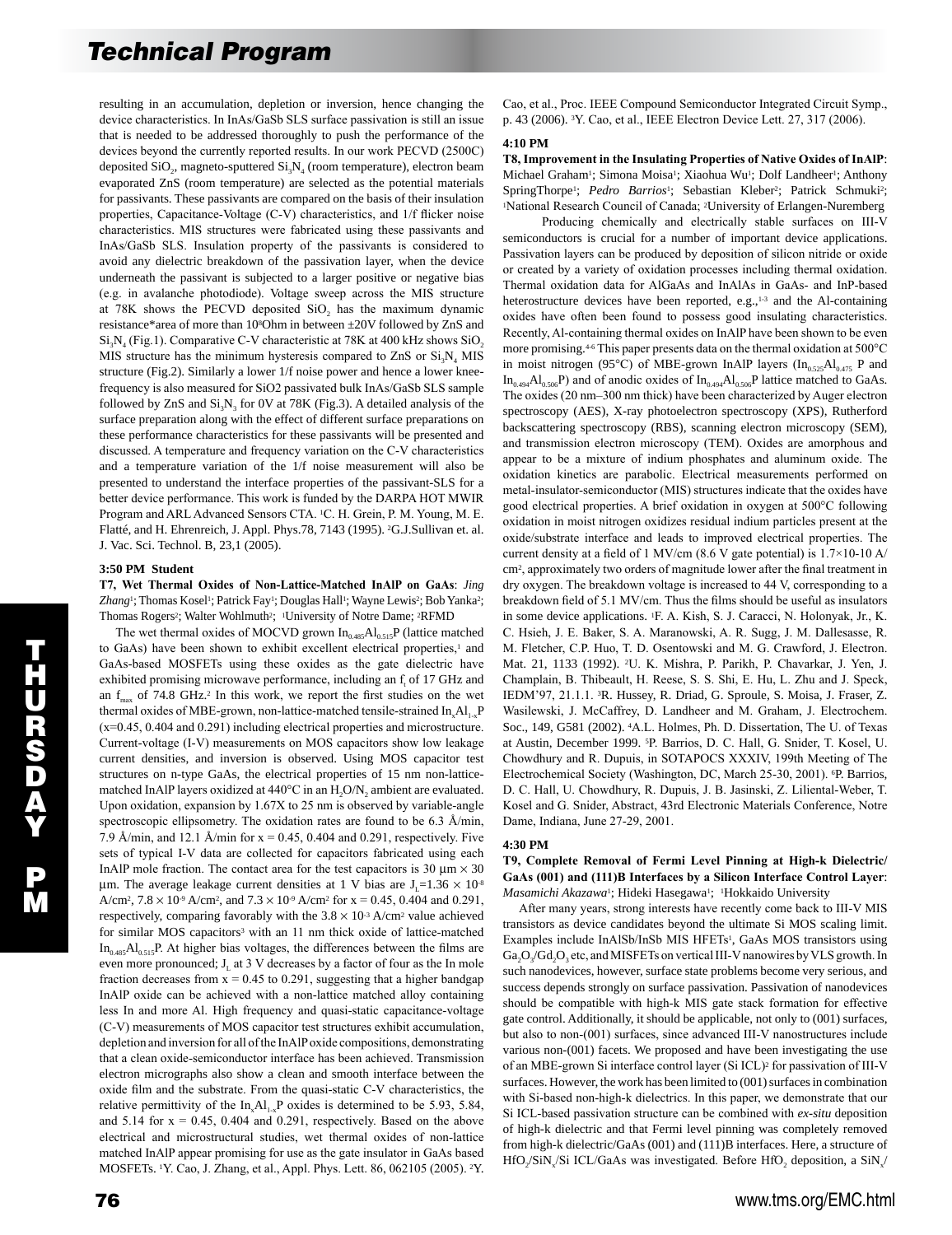resulting in an accumulation, depletion or inversion, hence changing the device characteristics. In InAs/GaSb SLS surface passivation is still an issue that is needed to be addressed thoroughly to push the performance of the devices beyond the currently reported results. In our work PECVD (2500C) deposited  $SiO_2$ , magneto-sputtered  $Si_3N_4$  (room temperature), electron beam evaporated ZnS (room temperature) are selected as the potential materials for passivants. These passivants are compared on the basis of their insulation properties, Capacitance-Voltage (C-V) characteristics, and 1/f flicker noise characteristics. MIS structures were fabricated using these passivants and InAs/GaSb SLS. Insulation property of the passivants is considered to avoid any dielectric breakdown of the passivation layer, when the device underneath the passivant is subjected to a larger positive or negative bias (e.g. in avalanche photodiode). Voltage sweep across the MIS structure at 78K shows the PECVD deposited SiO, has the maximum dynamic resistance\*area of more than 108Ohm in between ±20V followed by ZnS and  $Si<sub>3</sub>N<sub>4</sub>$  (Fig.1). Comparative C-V characteristic at 78K at 400 kHz shows SiO<sub>2</sub> MIS structure has the minimum hysteresis compared to ZnS or  $Si_3N_4$  MIS structure (Fig.2). Similarly a lower 1/f noise power and hence a lower kneefrequency is also measured for SiO2 passivated bulk InAs/GaSb SLS sample followed by  $ZnS$  and  $Si<sub>3</sub>N<sub>3</sub>$  for 0V at 78K (Fig.3). A detailed analysis of the surface preparation along with the effect of different surface preparations on these performance characteristics for these passivants will be presented and discussed. A temperature and frequency variation on the C-V characteristics and a temperature variation of the 1/f noise measurement will also be presented to understand the interface properties of the passivant-SLS for a better device performance. This work is funded by the DARPA HOT MWIR Program and ARL Advanced Sensors CTA. 1C. H. Grein, P. M. Young, M. E. Flatté, and H. Ehrenreich, J. Appl. Phys.78, 7143 (1995). 2G.J.Sullivan et. al. J. Vac. Sci. Technol. B, 23,1 (2005).

## **3:50 PM Student**

**T7, Wet Thermal Oxides of Non-Lattice-Matched InAlP on GaAs**: *Jing*  Zhang<sup>1</sup>; Thomas Kosel<sup>1</sup>; Patrick Fay<sup>1</sup>; Douglas Hall<sup>1</sup>; Wayne Lewis<sup>2</sup>; Bob Yanka<sup>2</sup>; Thomas Rogers<sup>2</sup>; Walter Wohlmuth<sup>2</sup>; <sup>1</sup>University of Notre Dame; <sup>2</sup>RFMD

The wet thermal oxides of MOCVD grown  $In<sub>0.485</sub>Al<sub>0.515</sub>P$  (lattice matched to GaAs) have been shown to exhibit excellent electrical properties,<sup>1</sup> and GaAs-based MOSFETs using these oxides as the gate dielectric have exhibited promising microwave performance, including an  $f<sub>t</sub>$  of 17 GHz and an  $f_{\text{max}}$  of 74.8 GHz.<sup>2</sup> In this work, we report the first studies on the wet thermal oxides of MBE-grown, non-lattice-matched tensile-strained  $In_xAl_{1-x}P$ (x=0.45, 0.404 and 0.291) including electrical properties and microstructure. Current-voltage (I-V) measurements on MOS capacitors show low leakage current densities, and inversion is observed. Using MOS capacitor test structures on n-type GaAs, the electrical properties of 15 nm non-latticematched InAlP layers oxidized at  $440^{\circ}$ C in an H<sub>2</sub>O/N<sub>2</sub> ambient are evaluated. Upon oxidation, expansion by 1.67X to 25 nm is observed by variable-angle spectroscopic ellipsometry. The oxidation rates are found to be 6.3 Å/min, 7.9 Å/min, and 12.1 Å/min for  $x = 0.45$ , 0.404 and 0.291, respectively. Five sets of typical I-V data are collected for capacitors fabricated using each InAlP mole fraction. The contact area for the test capacitors is 30  $\mu$ m  $\times$  30 µm. The average leakage current densities at 1 V bias are  $J_1=1.36 \times 10^{-8}$ A/cm<sup>2</sup>,  $7.8 \times 10^{-9}$  A/cm<sup>2</sup>, and  $7.3 \times 10^{-9}$  A/cm<sup>2</sup> for x = 0.45, 0.404 and 0.291, respectively, comparing favorably with the  $3.8 \times 10^{3}$  A/cm<sup>2</sup> value achieved for similar MOS capacitors<sup>3</sup> with an 11 nm thick oxide of lattice-matched  $In<sub>0.485</sub>Al<sub>0.515</sub>P$ . At higher bias voltages, the differences between the films are even more pronounced;  $J<sub>L</sub>$  at 3 V decreases by a factor of four as the In mole fraction decreases from  $x = 0.45$  to 0.291, suggesting that a higher bandgap InAlP oxide can be achieved with a non-lattice matched alloy containing less In and more Al. High frequency and quasi-static capacitance-voltage (C-V) measurements of MOS capacitor test structures exhibit accumulation, depletion and inversion for all of the InAlP oxide compositions, demonstrating that a clean oxide-semiconductor interface has been achieved. Transmission electron micrographs also show a clean and smooth interface between the oxide film and the substrate. From the quasi-static C-V characteristics, the relative permittivity of the  $In_xAl_{1,x}P$  oxides is determined to be 5.93, 5.84, and  $5.14$  for  $x = 0.45$ , 0.404 and 0.291, respectively. Based on the above electrical and microstructural studies, wet thermal oxides of non-lattice matched InAlP appear promising for use as the gate insulator in GaAs based MOSFETs. 1Y. Cao, J. Zhang, et al., Appl. Phys. Lett. 86, 062105 (2005). 2Y.

#### **4:10 PM**

**T8, Improvement in the Insulating Properties of Native Oxides of InAlP**: Michael Graham<sup>1</sup>; Simona Moisa<sup>1</sup>; Xiaohua Wu<sup>1</sup>; Dolf Landheer<sup>1</sup>; Anthony SpringThorpe<sup>1</sup>; *Pedro Barrios<sup>1</sup>*; Sebastian Kleber<sup>2</sup>; Patrick Schmuki<sup>2</sup>; <sup>1</sup>National Research Council of Canada; 2University of Erlangen-Nuremberg

 Producing chemically and electrically stable surfaces on III-V semiconductors is crucial for a number of important device applications. Passivation layers can be produced by deposition of silicon nitride or oxide or created by a variety of oxidation processes including thermal oxidation. Thermal oxidation data for AlGaAs and InAlAs in GaAs- and InP-based heterostructure devices have been reported, e.g.,<sup>1-3</sup> and the Al-containing oxides have often been found to possess good insulating characteristics. Recently, Al-containing thermal oxides on InAlP have been shown to be even more promising.4-6 This paper presents data on the thermal oxidation at 500°C in moist nitrogen (95°C) of MBE-grown InAlP layers ( $In<sub>0.525</sub>Al<sub>0.475</sub>$  P and  $In<sub>0.494</sub>Al<sub>0.506</sub>P)$  and of anodic oxides of  $In<sub>0.494</sub>Al<sub>0.506</sub>P$  lattice matched to GaAs. The oxides (20 nm–300 nm thick) have been characterized by Auger electron spectroscopy (AES), X-ray photoelectron spectroscopy (XPS), Rutherford backscattering spectroscopy (RBS), scanning electron microscopy (SEM), and transmission electron microscopy (TEM). Oxides are amorphous and appear to be a mixture of indium phosphates and aluminum oxide. The oxidation kinetics are parabolic. Electrical measurements performed on metal-insulator-semiconductor (MIS) structures indicate that the oxides have good electrical properties. A brief oxidation in oxygen at 500°C following oxidation in moist nitrogen oxidizes residual indium particles present at the oxide/substrate interface and leads to improved electrical properties. The current density at a field of 1 MV/cm (8.6 V gate potential) is 1.7×10-10 A/ cm2, approximately two orders of magnitude lower after the final treatment in dry oxygen. The breakdown voltage is increased to 44 V, corresponding to a breakdown field of 5.1 MV/cm. Thus the films should be useful as insulators in some device applications. 1F. A. Kish, S. J. Caracci, N. Holonyak, Jr., K. C. Hsieh, J. E. Baker, S. A. Maranowski, A. R. Sugg, J. M. Dallesasse, R. M. Fletcher, C.P. Huo, T. D. Osentowski and M. G. Crawford, J. Electron. Mat. 21, 1133 (1992). 2U. K. Mishra, P. Parikh, P. Chavarkar, J. Yen, J. Champlain, B. Thibeault, H. Reese, S. S. Shi, E. Hu, L. Zhu and J. Speck, IEDM'97, 21.1.1. 3R. Hussey, R. Driad, G. Sproule, S. Moisa, J. Fraser, Z. Wasilewski, J. McCaffrey, D. Landheer and M. Graham, J. Electrochem. Soc., 149, G581 (2002). 4A.L. Holmes, Ph. D. Dissertation, The U. of Texas at Austin, December 1999. 5P. Barrios, D. C. Hall, G. Snider, T. Kosel, U. Chowdhury and R. Dupuis, in SOTAPOCS XXXIV, 199th Meeting of The Electrochemical Society (Washington, DC, March 25-30, 2001). 6P. Barrios, D. C. Hall, U. Chowdhury, R. Dupuis, J. B. Jasinski, Z. Liliental-Weber, T. Kosel and G. Snider, Abstract, 43rd Electronic Materials Conference, Notre Dame, Indiana, June 27-29, 2001.

#### **4:30 PM**

## **T9, Complete Removal of Fermi Level Pinning at High-k Dielectric/ GaAs (001) and (111)B Interfaces by a Silicon Interface Control Layer**: *Masamichi Akazawa*1; Hideki Hasegawa1; 1Hokkaido University

 After many years, strong interests have recently come back to III-V MIS transistors as device candidates beyond the ultimate Si MOS scaling limit. Examples include InAlSb/InSb MIS HFETs1, GaAs MOS transistors using Ga<sub>2</sub>O<sub>2</sub>/Gd<sub>2</sub>O<sub>2</sub> etc, and MISFETs on vertical III-V nanowires by VLS growth. In such nanodevices, however, surface state problems become very serious, and success depends strongly on surface passivation. Passivation of nanodevices should be compatible with high-k MIS gate stack formation for effective gate control. Additionally, it should be applicable, not only to (001) surfaces, but also to non-(001) surfaces, since advanced III-V nanostructures include various non-(001) facets. We proposed and have been investigating the use of an MBE-grown Si interface control layer (Si ICL)2 for passivation of III-V surfaces. However, the work has been limited to (001) surfaces in combination with Si-based non-high-k dielectrics. In this paper, we demonstrate that our Si ICL-based passivation structure can be combined with *ex-situ* deposition of high-k dielectric and that Fermi level pinning was completely removed from high-k dielectric/GaAs (001) and (111)B interfaces. Here, a structure of HfO<sub>2</sub>/SiN<sub>2</sub>/Si ICL/GaAs was investigated. Before HfO<sub>2</sub> deposition, a SiN<sub>2</sub>/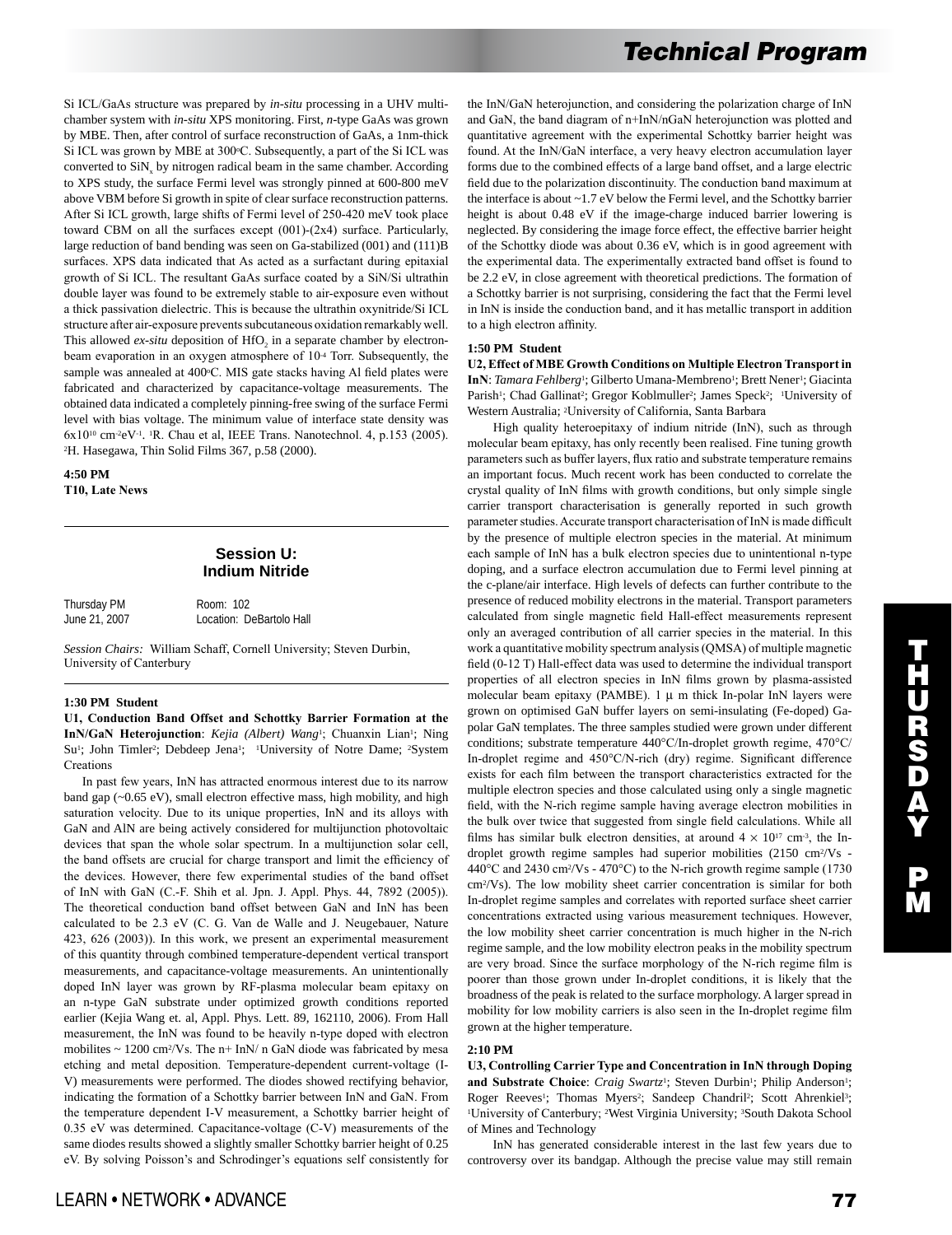Si ICL/GaAs structure was prepared by *in-situ* processing in a UHV multichamber system with *in-situ* XPS monitoring. First, *n*-type GaAs was grown by MBE. Then, after control of surface reconstruction of GaAs, a 1nm-thick Si ICL was grown by MBE at 300°C. Subsequently, a part of the Si ICL was converted to  $\text{SiN}_x$  by nitrogen radical beam in the same chamber. According to XPS study, the surface Fermi level was strongly pinned at 600-800 meV above VBM before Si growth in spite of clear surface reconstruction patterns. After Si ICL growth, large shifts of Fermi level of 250-420 meV took place toward CBM on all the surfaces except (001)-(2x4) surface. Particularly, large reduction of band bending was seen on Ga-stabilized (001) and (111)B surfaces. XPS data indicated that As acted as a surfactant during epitaxial growth of Si ICL. The resultant GaAs surface coated by a SiN/Si ultrathin double layer was found to be extremely stable to air-exposure even without a thick passivation dielectric. This is because the ultrathin oxynitride/Si ICL structure after air-exposure prevents subcutaneous oxidation remarkably well. This allowed *ex-situ* deposition of HfO<sub>2</sub> in a separate chamber by electronbeam evaporation in an oxygen atmosphere of 10<sup>4</sup> Torr. Subsequently, the sample was annealed at 400°C. MIS gate stacks having Al field plates were fabricated and characterized by capacitance-voltage measurements. The obtained data indicated a completely pinning-free swing of the surface Fermi level with bias voltage. The minimum value of interface state density was  $6x10^{10}$  cm<sup>-2</sup>eV<sup>-1</sup>. <sup>1</sup>R. Chau et al, IEEE Trans. Nanotechnol. 4, p.153 (2005). 2H. Hasegawa, Thin Solid Films 367, p.58 (2000).

**4:50 PM T10, Late News** 

## **Session U: Indium Nitride**

| Thursday PM   | Room: 102                |
|---------------|--------------------------|
| June 21, 2007 | Location: DeBartolo Hall |

*Session Chairs:* William Schaff, Cornell University; Steven Durbin, University of Canterbury

### **1:30 PM Student**

**U1, Conduction Band Offset and Schottky Barrier Formation at the**  InN/GaN Heterojunction: *Kejia (Albert) Wang*<sup>1</sup>; Chuanxin Lian<sup>1</sup>; Ning Su<sup>1</sup>; John Timler<sup>2</sup>; Debdeep Jena<sup>1</sup>; <sup>1</sup>University of Notre Dame; <sup>2</sup>System Creations

 In past few years, InN has attracted enormous interest due to its narrow band gap (~0.65 eV), small electron effective mass, high mobility, and high saturation velocity. Due to its unique properties, InN and its alloys with GaN and AlN are being actively considered for multijunction photovoltaic devices that span the whole solar spectrum. In a multijunction solar cell, the band offsets are crucial for charge transport and limit the efficiency of the devices. However, there few experimental studies of the band offset of InN with GaN (C.-F. Shih et al. Jpn. J. Appl. Phys. 44, 7892 (2005)). The theoretical conduction band offset between GaN and InN has been calculated to be 2.3 eV (C. G. Van de Walle and J. Neugebauer, Nature 423, 626 (2003)). In this work, we present an experimental measurement of this quantity through combined temperature-dependent vertical transport measurements, and capacitance-voltage measurements. An unintentionally doped InN layer was grown by RF-plasma molecular beam epitaxy on an n-type GaN substrate under optimized growth conditions reported earlier (Kejia Wang et. al, Appl. Phys. Lett. 89, 162110, 2006). From Hall measurement, the InN was found to be heavily n-type doped with electron mobilites  $\sim 1200$  cm<sup>2</sup>/Vs. The n+ InN/ n GaN diode was fabricated by mesa etching and metal deposition. Temperature-dependent current-voltage (I-V) measurements were performed. The diodes showed rectifying behavior, indicating the formation of a Schottky barrier between InN and GaN. From the temperature dependent I-V measurement, a Schottky barrier height of 0.35 eV was determined. Capacitance-voltage (C-V) measurements of the same diodes results showed a slightly smaller Schottky barrier height of 0.25 eV. By solving Poisson's and Schrodinger's equations self consistently for the InN/GaN heterojunction, and considering the polarization charge of InN and GaN, the band diagram of n+InN/nGaN heterojunction was plotted and quantitative agreement with the experimental Schottky barrier height was found. At the InN/GaN interface, a very heavy electron accumulation layer forms due to the combined effects of a large band offset, and a large electric field due to the polarization discontinuity. The conduction band maximum at the interface is about ~1.7 eV below the Fermi level, and the Schottky barrier height is about 0.48 eV if the image-charge induced barrier lowering is neglected. By considering the image force effect, the effective barrier height of the Schottky diode was about 0.36 eV, which is in good agreement with the experimental data. The experimentally extracted band offset is found to be 2.2 eV, in close agreement with theoretical predictions. The formation of a Schottky barrier is not surprising, considering the fact that the Fermi level in InN is inside the conduction band, and it has metallic transport in addition to a high electron affinity.

### **1:50 PM Student**

**U2, Effect of MBE Growth Conditions on Multiple Electron Transport in**  InN: *Tamara Fehlberg*<sup>1</sup>; Gilberto Umana-Membreno<sup>1</sup>; Brett Nener<sup>1</sup>; Giacinta Parish<sup>1</sup>; Chad Gallinat<sup>2</sup>; Gregor Koblmuller<sup>2</sup>; James Speck<sup>2</sup>; <sup>1</sup>University of Western Australia; 2University of California, Santa Barbara

High quality heteroepitaxy of indium nitride (InN), such as through molecular beam epitaxy, has only recently been realised. Fine tuning growth parameters such as buffer layers, flux ratio and substrate temperature remains an important focus. Much recent work has been conducted to correlate the crystal quality of InN films with growth conditions, but only simple single carrier transport characterisation is generally reported in such growth parameter studies. Accurate transport characterisation of InN is made difficult by the presence of multiple electron species in the material. At minimum each sample of InN has a bulk electron species due to unintentional n-type doping, and a surface electron accumulation due to Fermi level pinning at the c-plane/air interface. High levels of defects can further contribute to the presence of reduced mobility electrons in the material. Transport parameters calculated from single magnetic field Hall-effect measurements represent only an averaged contribution of all carrier species in the material. In this work a quantitative mobility spectrum analysis (QMSA) of multiple magnetic field (0-12 T) Hall-effect data was used to determine the individual transport properties of all electron species in InN films grown by plasma-assisted molecular beam epitaxy (PAMBE).  $1 \mu$  m thick In-polar InN layers were grown on optimised GaN buffer layers on semi-insulating (Fe-doped) Gapolar GaN templates. The three samples studied were grown under different conditions; substrate temperature 440°C/In-droplet growth regime, 470°C/ In-droplet regime and 450°C/N-rich (dry) regime. Significant difference exists for each film between the transport characteristics extracted for the multiple electron species and those calculated using only a single magnetic field, with the N-rich regime sample having average electron mobilities in the bulk over twice that suggested from single field calculations. While all films has similar bulk electron densities, at around  $4 \times 10^{17}$  cm<sup>-3</sup>, the Indroplet growth regime samples had superior mobilities (2150 cm<sup>2</sup>/Vs -440 $^{\circ}$ C and 2430 cm<sup>2</sup>/Vs - 470 $^{\circ}$ C) to the N-rich growth regime sample (1730 cm2/Vs). The low mobility sheet carrier concentration is similar for both In-droplet regime samples and correlates with reported surface sheet carrier concentrations extracted using various measurement techniques. However, the low mobility sheet carrier concentration is much higher in the N-rich regime sample, and the low mobility electron peaks in the mobility spectrum are very broad. Since the surface morphology of the N-rich regime film is poorer than those grown under In-droplet conditions, it is likely that the broadness of the peak is related to the surface morphology. A larger spread in mobility for low mobility carriers is also seen in the In-droplet regime film grown at the higher temperature.

## **2:10 PM**

**U3, Controlling Carrier Type and Concentration in InN through Doping**  and Substrate Choice: Craig Swartz<sup>1</sup>; Steven Durbin<sup>1</sup>; Philip Anderson<sup>1</sup>; Roger Reeves<sup>1</sup>; Thomas Myers<sup>2</sup>; Sandeep Chandril<sup>2</sup>; Scott Ahrenkiel<sup>3</sup>; <sup>1</sup>University of Canterbury; <sup>2</sup>West Virginia University; <sup>3</sup>South Dakota School of Mines and Technology

 InN has generated considerable interest in the last few years due to controversy over its bandgap. Although the precise value may still remain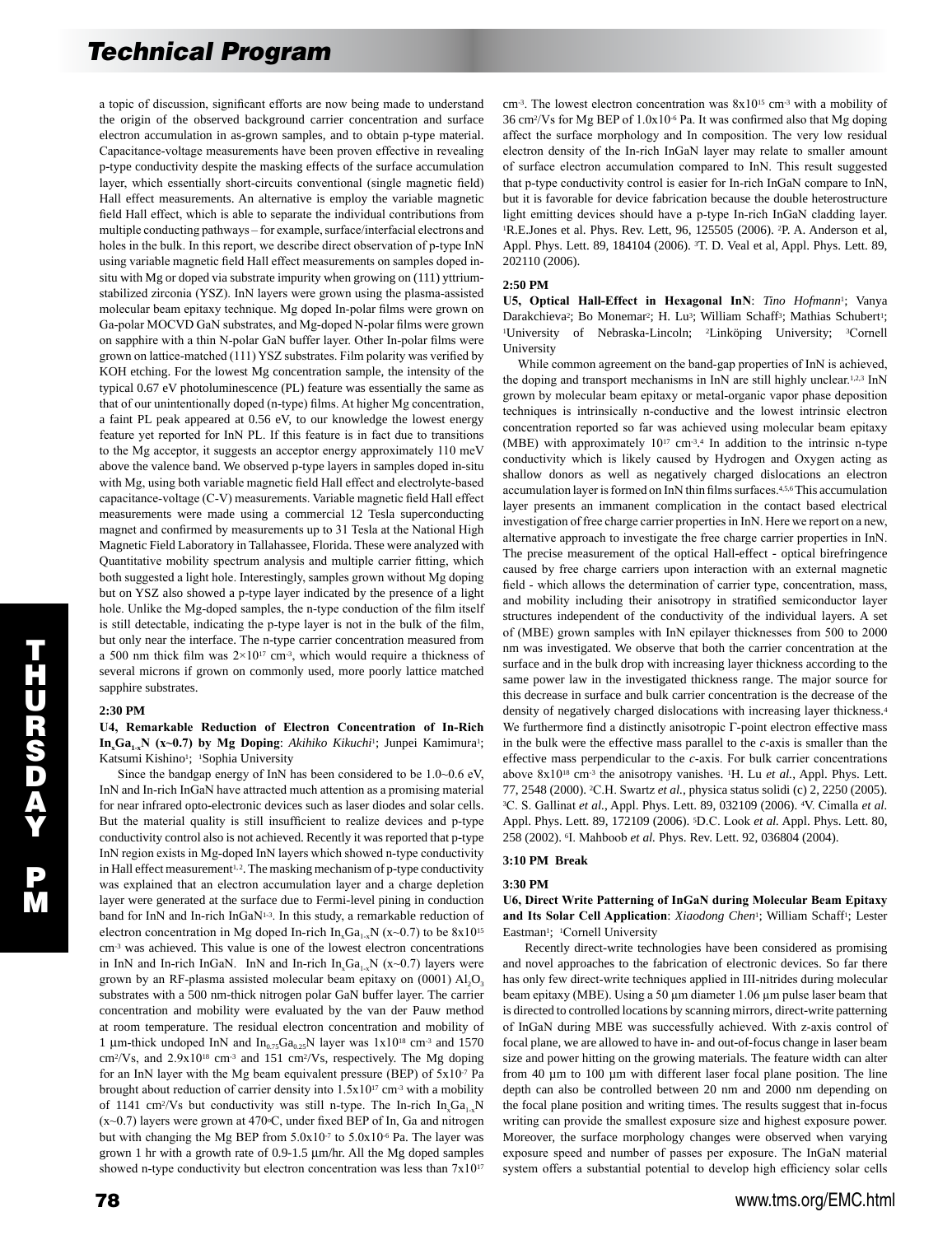a topic of discussion, significant efforts are now being made to understand the origin of the observed background carrier concentration and surface electron accumulation in as-grown samples, and to obtain p-type material. Capacitance-voltage measurements have been proven effective in revealing p-type conductivity despite the masking effects of the surface accumulation layer, which essentially short-circuits conventional (single magnetic field) Hall effect measurements. An alternative is employ the variable magnetic field Hall effect, which is able to separate the individual contributions from multiple conducting pathways – for example, surface/interfacial electrons and holes in the bulk. In this report, we describe direct observation of p-type InN using variable magnetic field Hall effect measurements on samples doped insitu with Mg or doped via substrate impurity when growing on (111) yttriumstabilized zirconia (YSZ). InN layers were grown using the plasma-assisted molecular beam epitaxy technique. Mg doped In-polar films were grown on Ga-polar MOCVD GaN substrates, and Mg-doped N-polar films were grown on sapphire with a thin N-polar GaN buffer layer. Other In-polar films were grown on lattice-matched (111) YSZ substrates. Film polarity was verified by KOH etching. For the lowest Mg concentration sample, the intensity of the typical 0.67 eV photoluminescence (PL) feature was essentially the same as that of our unintentionally doped (n-type) films. At higher Mg concentration, a faint PL peak appeared at 0.56 eV, to our knowledge the lowest energy feature yet reported for InN PL. If this feature is in fact due to transitions to the Mg acceptor, it suggests an acceptor energy approximately 110 meV above the valence band. We observed p-type layers in samples doped in-situ with Mg, using both variable magnetic field Hall effect and electrolyte-based capacitance-voltage (C-V) measurements. Variable magnetic field Hall effect measurements were made using a commercial 12 Tesla superconducting magnet and confirmed by measurements up to 31 Tesla at the National High Magnetic Field Laboratory in Tallahassee, Florida. These were analyzed with Quantitative mobility spectrum analysis and multiple carrier fitting, which both suggested a light hole. Interestingly, samples grown without Mg doping but on YSZ also showed a p-type layer indicated by the presence of a light hole. Unlike the Mg-doped samples, the n-type conduction of the film itself is still detectable, indicating the p-type layer is not in the bulk of the film, but only near the interface. The n-type carrier concentration measured from a 500 nm thick film was  $2 \times 10^{17}$  cm<sup>-3</sup>, which would require a thickness of several microns if grown on commonly used, more poorly lattice matched sapphire substrates.

## **2:30 PM**

**U4, Remarkable Reduction of Electron Concentration of In-Rich In<sub>x</sub>Ga<sub>1-x</sub>N** (x~0.7) by Mg Doping: *Akihiko Kikuchi*<sup>1</sup>; Junpei Kamimura<sup>1</sup>; Katsumi Kishino<sup>1</sup>; <sup>1</sup>Sophia University

 Since the bandgap energy of InN has been considered to be 1.0~0.6 eV, InN and In-rich InGaN have attracted much attention as a promising material for near infrared opto-electronic devices such as laser diodes and solar cells. But the material quality is still insufficient to realize devices and p-type conductivity control also is not achieved. Recently it was reported that p-type InN region exists in Mg-doped InN layers which showed n-type conductivity in Hall effect measurement<sup>1,2</sup>. The masking mechanism of p-type conductivity was explained that an electron accumulation layer and a charge depletion layer were generated at the surface due to Fermi-level pining in conduction band for InN and In-rich InGaN<sup>1-3</sup>. In this study, a remarkable reduction of electron concentration in Mg doped In-rich  $In_xGa_{1-x}N(x-0.7)$  to be  $8x10^{15}$ cm-3 was achieved. This value is one of the lowest electron concentrations in InN and In-rich InGaN. InN and In-rich  $In_xGa_{1-x}N$  (x~0.7) layers were grown by an RF-plasma assisted molecular beam epitaxy on  $(0001)$  Al<sub>2</sub>O<sub>3</sub> substrates with a 500 nm-thick nitrogen polar GaN buffer layer. The carrier concentration and mobility were evaluated by the van der Pauw method at room temperature. The residual electron concentration and mobility of 1 µm-thick undoped InN and  $In_{0.75}Ga_{0.25}N$  layer was  $1x10^{18}$  cm<sup>-3</sup> and 1570  $\text{cm}^2/\text{Vs}$ , and  $2.9 \times 10^{18} \text{ cm}^3$  and 151 cm<sup>2</sup>/Vs, respectively. The Mg doping for an InN layer with the Mg beam equivalent pressure (BEP) of  $5x10^{-7}$  Pa brought about reduction of carrier density into 1.5x1017 cm-3 with a mobility of 1141 cm<sup>2</sup>/Vs but conductivity was still n-type. The In-rich  $In_xGa_{1-x}N$  $(x~0.7)$  layers were grown at 470 $\degree$ C, under fixed BEP of In, Ga and nitrogen but with changing the Mg BEP from 5.0x10-7 to 5.0x10-6 Pa. The layer was grown 1 hr with a growth rate of 0.9-1.5 µm/hr. All the Mg doped samples showed n-type conductivity but electron concentration was less than  $7x10^{17}$ 

cm<sup>-3</sup>. The lowest electron concentration was  $8x10^{15}$  cm<sup>-3</sup> with a mobility of 36 cm2/Vs for Mg BEP of 1.0x10-6 Pa. It was confirmed also that Mg doping affect the surface morphology and In composition. The very low residual electron density of the In-rich InGaN layer may relate to smaller amount of surface electron accumulation compared to InN. This result suggested that p-type conductivity control is easier for In-rich InGaN compare to InN, but it is favorable for device fabrication because the double heterostructure light emitting devices should have a p-type In-rich InGaN cladding layer. <sup>1</sup>R.E.Jones et al. Phys. Rev. Lett, 96, 125505 (2006). <sup>2</sup>P. A. Anderson et al, Appl. Phys. Lett. 89, 184104 (2006). 3T. D. Veal et al, Appl. Phys. Lett. 89, 202110 (2006).

#### **2:50 PM**

**U5, Optical Hall-Effect in Hexagonal InN**: *Tino Hofmann*1; Vanya Darakchieva<sup>2</sup>; Bo Monemar<sup>2</sup>; H. Lu<sup>3</sup>; William Schaff<sup>3</sup>; Mathias Schubert<sup>1</sup>; <sup>1</sup>University of Nebraska-Lincoln; <sup>2</sup>Linköping University; <sup>3</sup>Cornell University

 While common agreement on the band-gap properties of InN is achieved, the doping and transport mechanisms in InN are still highly unclear.<sup>1,2,3</sup> InN grown by molecular beam epitaxy or metal-organic vapor phase deposition techniques is intrinsically n-conductive and the lowest intrinsic electron concentration reported so far was achieved using molecular beam epitaxy (MBE) with approximately  $10^{17}$  cm<sup>-3.4</sup> In addition to the intrinsic n-type conductivity which is likely caused by Hydrogen and Oxygen acting as shallow donors as well as negatively charged dislocations an electron accumulation layer is formed on InN thin films surfaces.4,5,6 This accumulation layer presents an immanent complication in the contact based electrical investigation of free charge carrier properties in InN. Here we report on a new, alternative approach to investigate the free charge carrier properties in InN. The precise measurement of the optical Hall-effect - optical birefringence caused by free charge carriers upon interaction with an external magnetic field - which allows the determination of carrier type, concentration, mass, and mobility including their anisotropy in stratified semiconductor layer structures independent of the conductivity of the individual layers. A set of (MBE) grown samples with InN epilayer thicknesses from 500 to 2000 nm was investigated. We observe that both the carrier concentration at the surface and in the bulk drop with increasing layer thickness according to the same power law in the investigated thickness range. The major source for this decrease in surface and bulk carrier concentration is the decrease of the density of negatively charged dislocations with increasing layer thickness.4 We furthermore find a distinctly anisotropic Γ-point electron effective mass in the bulk were the effective mass parallel to the *c*-axis is smaller than the effective mass perpendicular to the *c*-axis. For bulk carrier concentrations above 8x1018 cm-3 the anisotropy vanishes. 1H. Lu *et al.*, Appl. Phys. Lett. 77, 2548 (2000). 2C.H. Swartz *et al.*, physica status solidi (c) 2, 2250 (2005). <sup>3</sup>C. S. Gallinat *et al.*, Appl. Phys. Lett. 89, 032109 (2006). 4V. Cimalla *et al.* Appl. Phys. Lett. 89, 172109 (2006). 5D.C. Look *et al.* Appl. Phys. Lett. 80, 258 (2002). 6I. Mahboob *et al.* Phys. Rev. Lett. 92, 036804 (2004).

#### **3:10 PM Break**

#### **3:30 PM**

## **U6, Direct Write Patterning of InGaN during Molecular Beam Epitaxy**  and Its Solar Cell Application: *Xiaodong Chen<sup>1</sup>*; William Schaff<sup>1</sup>; Lester Eastman<sup>1</sup>; <sup>1</sup>Cornell University

 Recently direct-write technologies have been considered as promising and novel approaches to the fabrication of electronic devices. So far there has only few direct-write techniques applied in III-nitrides during molecular beam epitaxy (MBE). Using a 50 µm diameter 1.06 µm pulse laser beam that is directed to controlled locations by scanning mirrors, direct-write patterning of InGaN during MBE was successfully achieved. With z-axis control of focal plane, we are allowed to have in- and out-of-focus change in laser beam size and power hitting on the growing materials. The feature width can alter from 40 µm to 100 µm with different laser focal plane position. The line depth can also be controlled between 20 nm and 2000 nm depending on the focal plane position and writing times. The results suggest that in-focus writing can provide the smallest exposure size and highest exposure power. Moreover, the surface morphology changes were observed when varying exposure speed and number of passes per exposure. The InGaN material system offers a substantial potential to develop high efficiency solar cells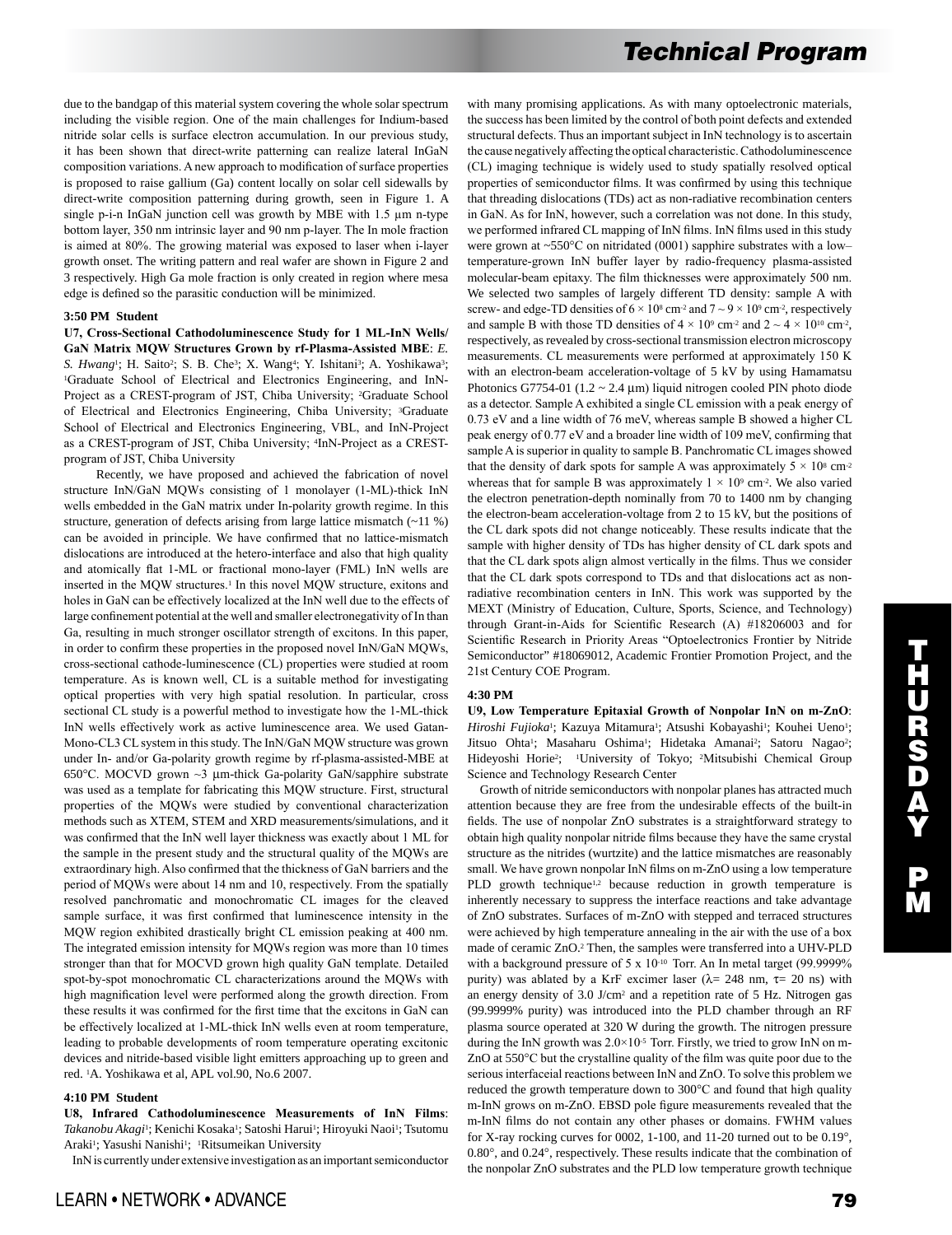due to the bandgap of this material system covering the whole solar spectrum including the visible region. One of the main challenges for Indium-based nitride solar cells is surface electron accumulation. In our previous study, it has been shown that direct-write patterning can realize lateral InGaN composition variations. A new approach to modification of surface properties is proposed to raise gallium (Ga) content locally on solar cell sidewalls by direct-write composition patterning during growth, seen in Figure 1. A single p-i-n InGaN junction cell was growth by MBE with 1.5 µm n-type bottom layer, 350 nm intrinsic layer and 90 nm p-layer. The In mole fraction is aimed at 80%. The growing material was exposed to laser when i-layer growth onset. The writing pattern and real wafer are shown in Figure 2 and 3 respectively. High Ga mole fraction is only created in region where mesa edge is defined so the parasitic conduction will be minimized.

## **3:50 PM Student**

**U7, Cross-Sectional Cathodoluminescence Study for 1 ML-InN Wells/ GaN Matrix MQW Structures Grown by rf-Plasma-Assisted MBE**: *E.*  S. Hwang<sup>1</sup>; H. Saito<sup>2</sup>; S. B. Che<sup>3</sup>; X. Wang<sup>4</sup>; Y. Ishitani<sup>3</sup>; A. Yoshikawa<sup>3</sup>; 1Graduate School of Electrical and Electronics Engineering, and InN-Project as a CREST-program of JST, Chiba University; <sup>2</sup>Graduate School of Electrical and Electronics Engineering, Chiba University; 3Graduate School of Electrical and Electronics Engineering, VBL, and InN-Project as a CREST-program of JST, Chiba University; 4InN-Project as a CRESTprogram of JST, Chiba University

 Recently, we have proposed and achieved the fabrication of novel structure InN/GaN MQWs consisting of 1 monolayer (1-ML)-thick InN wells embedded in the GaN matrix under In-polarity growth regime. In this structure, generation of defects arising from large lattice mismatch (~11 %) can be avoided in principle. We have confirmed that no lattice-mismatch dislocations are introduced at the hetero-interface and also that high quality and atomically flat 1-ML or fractional mono-layer (FML) InN wells are inserted in the MQW structures.<sup>1</sup> In this novel MQW structure, exitons and holes in GaN can be effectively localized at the InN well due to the effects of large confinement potential at the well and smaller electronegativity of In than Ga, resulting in much stronger oscillator strength of excitons. In this paper, in order to confirm these properties in the proposed novel InN/GaN MQWs, cross-sectional cathode-luminescence (CL) properties were studied at room temperature. As is known well, CL is a suitable method for investigating optical properties with very high spatial resolution. In particular, cross sectional CL study is a powerful method to investigate how the 1-ML-thick InN wells effectively work as active luminescence area. We used Gatan-Mono-CL3 CL system in this study. The InN/GaN MQW structure was grown under In- and/or Ga-polarity growth regime by rf-plasma-assisted-MBE at 650°C. MOCVD grown ~3 µm-thick Ga-polarity GaN/sapphire substrate was used as a template for fabricating this MQW structure. First, structural properties of the MQWs were studied by conventional characterization methods such as XTEM, STEM and XRD measurements/simulations, and it was confirmed that the InN well layer thickness was exactly about 1 ML for the sample in the present study and the structural quality of the MQWs are extraordinary high. Also confirmed that the thickness of GaN barriers and the period of MQWs were about 14 nm and 10, respectively. From the spatially resolved panchromatic and monochromatic CL images for the cleaved sample surface, it was first confirmed that luminescence intensity in the MQW region exhibited drastically bright CL emission peaking at 400 nm. The integrated emission intensity for MQWs region was more than 10 times stronger than that for MOCVD grown high quality GaN template. Detailed spot-by-spot monochromatic CL characterizations around the MQWs with high magnification level were performed along the growth direction. From these results it was confirmed for the first time that the excitons in GaN can be effectively localized at 1-ML-thick InN wells even at room temperature, leading to probable developments of room temperature operating excitonic devices and nitride-based visible light emitters approaching up to green and red. 1A. Yoshikawa et al, APL vol.90, No.6 2007.

## **4:10 PM Student**

**U8, Infrared Cathodoluminescence Measurements of InN Films**: *Takanobu Akagi*1; Kenichi Kosaka1; Satoshi Harui1; Hiroyuki Naoi1; Tsutomu Araki<sup>1</sup>; Yasushi Nanishi<sup>1</sup>; <sup>1</sup>Ritsumeikan University

InN is currently under extensive investigation as an important semiconductor

with many promising applications. As with many optoelectronic materials, the success has been limited by the control of both point defects and extended structural defects. Thus an important subject in InN technology is to ascertain the cause negatively affecting the optical characteristic. Cathodoluminescence (CL) imaging technique is widely used to study spatially resolved optical properties of semiconductor films. It was confirmed by using this technique that threading dislocations (TDs) act as non-radiative recombination centers in GaN. As for InN, however, such a correlation was not done. In this study, we performed infrared CL mapping of InN films. InN films used in this study were grown at ~550°C on nitridated (0001) sapphire substrates with a lowtemperature-grown InN buffer layer by radio-frequency plasma-assisted molecular-beam epitaxy. The film thicknesses were approximately 500 nm. We selected two samples of largely different TD density: sample A with screw- and edge-TD densities of  $6 \times 10^8$  cm<sup>-2</sup> and  $7 \sim 9 \times 10^9$  cm<sup>-2</sup>, respectively and sample B with those TD densities of  $4 \times 10^9$  cm<sup>-2</sup> and  $2 \sim 4 \times 10^{10}$  cm<sup>-2</sup>, respectively, as revealed by cross-sectional transmission electron microscopy measurements. CL measurements were performed at approximately 150 K with an electron-beam acceleration-voltage of 5 kV by using Hamamatsu Photonics G7754-01 ( $1.2 \sim 2.4 \mu m$ ) liquid nitrogen cooled PIN photo diode as a detector. Sample A exhibited a single CL emission with a peak energy of 0.73 eV and a line width of 76 meV, whereas sample B showed a higher CL peak energy of 0.77 eV and a broader line width of 109 meV, confirming that sample A is superior in quality to sample B. Panchromatic CL images showed that the density of dark spots for sample A was approximately  $5 \times 10^8$  cm<sup>-2</sup> whereas that for sample B was approximately  $1 \times 10^9$  cm<sup>-2</sup>. We also varied the electron penetration-depth nominally from 70 to 1400 nm by changing the electron-beam acceleration-voltage from 2 to 15 kV, but the positions of the CL dark spots did not change noticeably. These results indicate that the sample with higher density of TDs has higher density of CL dark spots and that the CL dark spots align almost vertically in the films. Thus we consider that the CL dark spots correspond to TDs and that dislocations act as nonradiative recombination centers in InN. This work was supported by the MEXT (Ministry of Education, Culture, Sports, Science, and Technology) through Grant-in-Aids for Scientific Research (A) #18206003 and for Scientific Research in Priority Areas "Optoelectronics Frontier by Nitride Semiconductor" #18069012, Academic Frontier Promotion Project, and the 21st Century COE Program.

#### **4:30 PM**

**U9, Low Temperature Epitaxial Growth of Nonpolar InN on m-ZnO**: *Hiroshi Fujioka*<sup>1</sup>; Kazuya Mitamura<sup>1</sup>; Atsushi Kobayashi<sup>1</sup>; Kouhei Ueno<sup>1</sup>; Jitsuo Ohta<sup>1</sup>; Masaharu Oshima<sup>1</sup>; Hidetaka Amanai<sup>2</sup>; Satoru Nagao<sup>2</sup>; Hideyoshi Horie<sup>2</sup>; <sup>1</sup>University of Tokyo; <sup>2</sup>Mitsubishi Chemical Group Science and Technology Research Center

 Growth of nitride semiconductors with nonpolar planes has attracted much attention because they are free from the undesirable effects of the built-in fields. The use of nonpolar ZnO substrates is a straightforward strategy to obtain high quality nonpolar nitride films because they have the same crystal structure as the nitrides (wurtzite) and the lattice mismatches are reasonably small. We have grown nonpolar InN films on m-ZnO using a low temperature PLD growth technique<sup>1,2</sup> because reduction in growth temperature is inherently necessary to suppress the interface reactions and take advantage of ZnO substrates. Surfaces of m-ZnO with stepped and terraced structures were achieved by high temperature annealing in the air with the use of a box made of ceramic ZnO.2 Then, the samples were transferred into a UHV-PLD with a background pressure of 5 x 10<sup>-10</sup> Torr. An In metal target (99.9999%) purity) was ablated by a KrF excimer laser ( $\lambda$  = 248 nm,  $\tau$  = 20 ns) with an energy density of 3.0 J/cm2 and a repetition rate of 5 Hz. Nitrogen gas (99.9999% purity) was introduced into the PLD chamber through an RF plasma source operated at 320 W during the growth. The nitrogen pressure during the InN growth was  $2.0 \times 10^{-5}$  Torr. Firstly, we tried to grow InN on m-ZnO at 550°C but the crystalline quality of the film was quite poor due to the serious interfaceial reactions between InN and ZnO. To solve this problem we reduced the growth temperature down to 300°C and found that high quality m-InN grows on m-ZnO. EBSD pole figure measurements revealed that the m-InN films do not contain any other phases or domains. FWHM values for X-ray rocking curves for 0002, 1-100, and 11-20 turned out to be 0.19°, 0.80°, and 0.24°, respectively. These results indicate that the combination of the nonpolar ZnO substrates and the PLD low temperature growth technique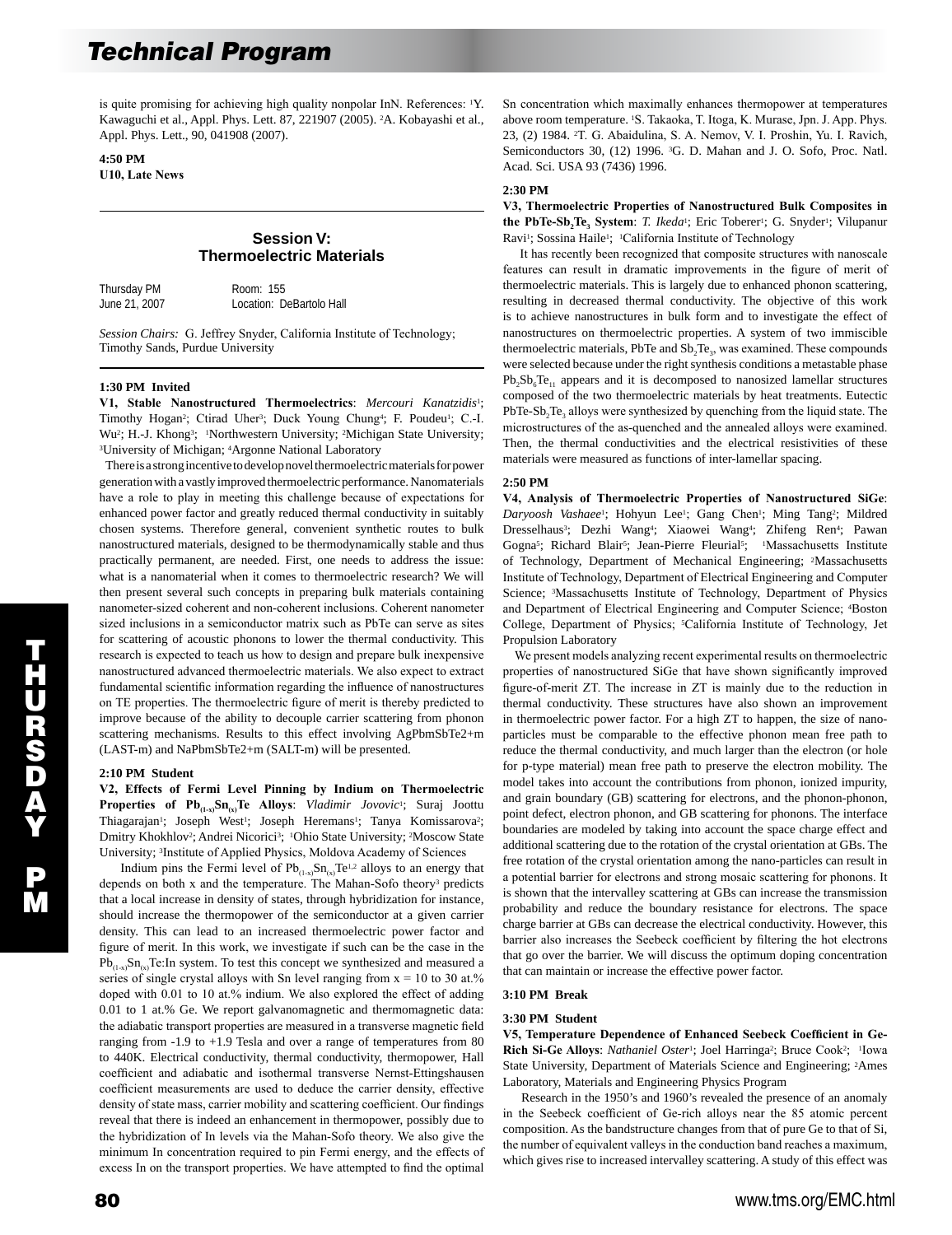is quite promising for achieving high quality nonpolar InN. References: 1Y. Kawaguchi et al., Appl. Phys. Lett. 87, 221907 (2005). 2A. Kobayashi et al., Appl. Phys. Lett., 90, 041908 (2007).

**4:50 PM U10, Late News** 

# **Session V: Thermoelectric Materials**

Thursday PM Room: 155

June 21, 2007 Location: DeBartolo Hall

*Session Chairs:* G. Jeffrey Snyder, California Institute of Technology; Timothy Sands, Purdue University

## **1:30 PM Invited**

**V1, Stable Nanostructured Thermoelectrics**: *Mercouri Kanatzidis*1; Timothy Hogan<sup>2</sup>; Ctirad Uher<sup>3</sup>; Duck Young Chung<sup>4</sup>; F. Poudeu<sup>1</sup>; C.-I. Wu<sup>2</sup>; H.-J. Khong<sup>3</sup>; <sup>1</sup>Northwestern University; <sup>2</sup>Michigan State University; 3University of Michigan; 4Argonne National Laboratory

 There is a strong incentive to develop novel thermoelectric materials for power generation with a vastly improved thermoelectric performance. Nanomaterials have a role to play in meeting this challenge because of expectations for enhanced power factor and greatly reduced thermal conductivity in suitably chosen systems. Therefore general, convenient synthetic routes to bulk nanostructured materials, designed to be thermodynamically stable and thus practically permanent, are needed. First, one needs to address the issue: what is a nanomaterial when it comes to thermoelectric research? We will then present several such concepts in preparing bulk materials containing nanometer-sized coherent and non-coherent inclusions. Coherent nanometer sized inclusions in a semiconductor matrix such as PbTe can serve as sites for scattering of acoustic phonons to lower the thermal conductivity. This research is expected to teach us how to design and prepare bulk inexpensive nanostructured advanced thermoelectric materials. We also expect to extract fundamental scientific information regarding the influence of nanostructures on TE properties. The thermoelectric figure of merit is thereby predicted to improve because of the ability to decouple carrier scattering from phonon scattering mechanisms. Results to this effect involving AgPbmSbTe2+m (LAST-m) and NaPbmSbTe2+m (SALT-m) will be presented.

#### **2:10 PM Student**

**V2, Effects of Fermi Level Pinning by Indium on Thermoelectric**  Properties of Pb<sub>(1-x)</sub>Sn<sub>(x)</sub>Te Alloys: *Vladimir Jovovic*<sup>1</sup>; Suraj Joottu Thiagarajan<sup>1</sup>; Joseph West<sup>1</sup>; Joseph Heremans<sup>1</sup>; Tanya Komissarova<sup>2</sup>; Dmitry Khokhlov2; Andrei Nicorici3; 1Ohio State University; 2Moscow State University; 3Institute of Applied Physics, Moldova Academy of Sciences

Indium pins the Fermi level of  $Pb_{(1-x)}Sn_{(x)}Te^{1,2}$  alloys to an energy that depends on both x and the temperature. The Mahan-Sofo theory<sup>3</sup> predicts that a local increase in density of states, through hybridization for instance, should increase the thermopower of the semiconductor at a given carrier density. This can lead to an increased thermoelectric power factor and figure of merit. In this work, we investigate if such can be the case in the  $Pb_{(1,x)}Sn_{(x)}Te$ : In system. To test this concept we synthesized and measured a series of single crystal alloys with Sn level ranging from  $x = 10$  to 30 at.% doped with 0.01 to 10 at.% indium. We also explored the effect of adding 0.01 to 1 at.% Ge. We report galvanomagnetic and thermomagnetic data: the adiabatic transport properties are measured in a transverse magnetic field ranging from -1.9 to +1.9 Tesla and over a range of temperatures from 80 to 440K. Electrical conductivity, thermal conductivity, thermopower, Hall coefficient and adiabatic and isothermal transverse Nernst-Ettingshausen coefficient measurements are used to deduce the carrier density, effective density of state mass, carrier mobility and scattering coefficient. Our findings reveal that there is indeed an enhancement in thermopower, possibly due to the hybridization of In levels via the Mahan-Sofo theory. We also give the minimum In concentration required to pin Fermi energy, and the effects of excess In on the transport properties. We have attempted to find the optimal Sn concentration which maximally enhances thermopower at temperatures above room temperature. 1S. Takaoka, T. Itoga, K. Murase, Jpn. J. App. Phys. 23, (2) 1984. 2T. G. Abaidulina, S. A. Nemov, V. I. Proshin, Yu. I. Ravich, Semiconductors 30, (12) 1996. 3G. D. Mahan and J. O. Sofo, Proc. Natl. Acad. Sci. USA 93 (7436) 1996.

#### **2:30 PM**

**V3, Thermoelectric Properties of Nanostructured Bulk Composites in the PbTe-Sb<sub>2</sub>Te<sub>3</sub>** System: *T. Ikeda<sup>1</sup>*; Eric Toberer<sup>1</sup>; G. Snyder<sup>1</sup>; Vilupanur Ravi<sup>1</sup>; Sossina Haile<sup>1</sup>; <sup>1</sup>California Institute of Technology

 It has recently been recognized that composite structures with nanoscale features can result in dramatic improvements in the figure of merit of thermoelectric materials. This is largely due to enhanced phonon scattering, resulting in decreased thermal conductivity. The objective of this work is to achieve nanostructures in bulk form and to investigate the effect of nanostructures on thermoelectric properties. A system of two immiscible thermoelectric materials, PbTe and  $Sb<sub>2</sub>Te<sub>3</sub>$ , was examined. These compounds were selected because under the right synthesis conditions a metastable phase  $Pb_2Sb_6Te_{11}$  appears and it is decomposed to nanosized lamellar structures composed of the two thermoelectric materials by heat treatments. Eutectic  $PbTe-Sb<sub>3</sub>$ Te<sub>3</sub> alloys were synthesized by quenching from the liquid state. The microstructures of the as-quenched and the annealed alloys were examined. Then, the thermal conductivities and the electrical resistivities of these materials were measured as functions of inter-lamellar spacing.

## **2:50 PM**

**V4, Analysis of Thermoelectric Properties of Nanostructured SiGe**: Daryoosh Vashaee<sup>1</sup>; Hohyun Lee<sup>1</sup>; Gang Chen<sup>1</sup>; Ming Tang<sup>2</sup>; Mildred Dresselhaus<sup>3</sup>; Dezhi Wang<sup>4</sup>; Xiaowei Wang<sup>4</sup>; Zhifeng Ren<sup>4</sup>; Pawan Gogna<sup>5</sup>; Richard Blair<sup>5</sup>; Jean-Pierre Fleurial<sup>5</sup>; <sup>1</sup>Massachusetts Institute of Technology, Department of Mechanical Engineering; 2Massachusetts Institute of Technology, Department of Electrical Engineering and Computer Science; 3Massachusetts Institute of Technology, Department of Physics and Department of Electrical Engineering and Computer Science; 4Boston College, Department of Physics; 5California Institute of Technology, Jet Propulsion Laboratory

 We present models analyzing recent experimental results on thermoelectric properties of nanostructured SiGe that have shown significantly improved figure-of-merit ZT. The increase in ZT is mainly due to the reduction in thermal conductivity. These structures have also shown an improvement in thermoelectric power factor. For a high ZT to happen, the size of nanoparticles must be comparable to the effective phonon mean free path to reduce the thermal conductivity, and much larger than the electron (or hole for p-type material) mean free path to preserve the electron mobility. The model takes into account the contributions from phonon, ionized impurity, and grain boundary (GB) scattering for electrons, and the phonon-phonon, point defect, electron phonon, and GB scattering for phonons. The interface boundaries are modeled by taking into account the space charge effect and additional scattering due to the rotation of the crystal orientation at GBs. The free rotation of the crystal orientation among the nano-particles can result in a potential barrier for electrons and strong mosaic scattering for phonons. It is shown that the intervalley scattering at GBs can increase the transmission probability and reduce the boundary resistance for electrons. The space charge barrier at GBs can decrease the electrical conductivity. However, this barrier also increases the Seebeck coefficient by filtering the hot electrons that go over the barrier. We will discuss the optimum doping concentration that can maintain or increase the effective power factor.

## **3:10 PM Break**

#### **3:30 PM Student**

**V5, Temperature Dependence of Enhanced Seebeck Coefficient in Ge-Rich Si-Ge Alloys**: *Nathaniel Oster<sup>1</sup>*; Joel Harringa<sup>2</sup>; Bruce Cook<sup>2</sup>; <sup>1</sup>Iowa State University, Department of Materials Science and Engineering; 2Ames Laboratory, Materials and Engineering Physics Program

 Research in the 1950's and 1960's revealed the presence of an anomaly in the Seebeck coefficient of Ge-rich alloys near the 85 atomic percent composition. As the bandstructure changes from that of pure Ge to that of Si, the number of equivalent valleys in the conduction band reaches a maximum, which gives rise to increased intervalley scattering. A study of this effect was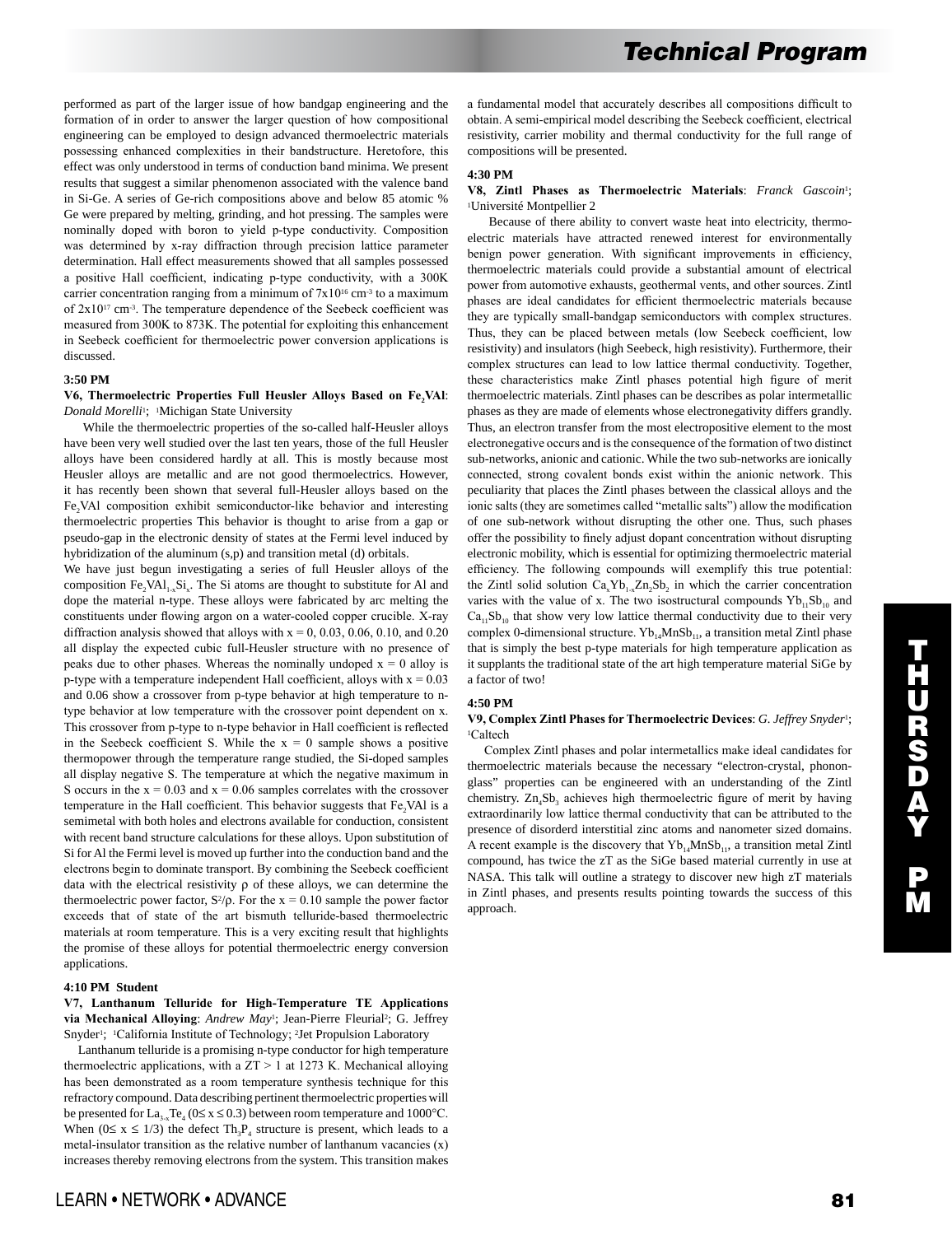performed as part of the larger issue of how bandgap engineering and the formation of in order to answer the larger question of how compositional engineering can be employed to design advanced thermoelectric materials possessing enhanced complexities in their bandstructure. Heretofore, this effect was only understood in terms of conduction band minima. We present results that suggest a similar phenomenon associated with the valence band in Si-Ge. A series of Ge-rich compositions above and below 85 atomic % Ge were prepared by melting, grinding, and hot pressing. The samples were nominally doped with boron to yield p-type conductivity. Composition was determined by x-ray diffraction through precision lattice parameter determination. Hall effect measurements showed that all samples possessed a positive Hall coefficient, indicating p-type conductivity, with a 300K carrier concentration ranging from a minimum of  $7x10^{16}$  cm<sup>-3</sup> to a maximum of 2x1017 cm-3. The temperature dependence of the Seebeck coefficient was measured from 300K to 873K. The potential for exploiting this enhancement in Seebeck coefficient for thermoelectric power conversion applications is discussed.

## **3:50 PM**

## **V6, Thermoelectric Properties Full Heusler Alloys Based on Fe2VAl**: *Donald Morelli*1; 1Michigan State University

 While the thermoelectric properties of the so-called half-Heusler alloys have been very well studied over the last ten years, those of the full Heusler alloys have been considered hardly at all. This is mostly because most Heusler alloys are metallic and are not good thermoelectrics. However, it has recently been shown that several full-Heusler alloys based on the Fe<sub>2</sub>VAl composition exhibit semiconductor-like behavior and interesting thermoelectric properties This behavior is thought to arise from a gap or pseudo-gap in the electronic density of states at the Fermi level induced by hybridization of the aluminum (s,p) and transition metal (d) orbitals.

We have just begun investigating a series of full Heusler alloys of the composition  $Fe<sub>2</sub>VAL<sub>1-x</sub>Si<sub>x</sub>$ . The Si atoms are thought to substitute for Al and dope the material n-type. These alloys were fabricated by arc melting the constituents under flowing argon on a water-cooled copper crucible. X-ray diffraction analysis showed that alloys with  $x = 0$ , 0.03, 0.06, 0.10, and 0.20 all display the expected cubic full-Heusler structure with no presence of peaks due to other phases. Whereas the nominally undoped  $x = 0$  alloy is p-type with a temperature independent Hall coefficient, alloys with  $x = 0.03$ and 0.06 show a crossover from p-type behavior at high temperature to ntype behavior at low temperature with the crossover point dependent on x. This crossover from p-type to n-type behavior in Hall coefficient is reflected in the Seebeck coefficient S. While the  $x = 0$  sample shows a positive thermopower through the temperature range studied, the Si-doped samples all display negative S. The temperature at which the negative maximum in S occurs in the  $x = 0.03$  and  $x = 0.06$  samples correlates with the crossover temperature in the Hall coefficient. This behavior suggests that Fe<sub>2</sub>VAl is a semimetal with both holes and electrons available for conduction, consistent with recent band structure calculations for these alloys. Upon substitution of Si for Al the Fermi level is moved up further into the conduction band and the electrons begin to dominate transport. By combining the Seebeck coefficient data with the electrical resistivity  $\rho$  of these alloys, we can determine the thermoelectric power factor,  $S^2/\rho$ . For the x = 0.10 sample the power factor exceeds that of state of the art bismuth telluride-based thermoelectric materials at room temperature. This is a very exciting result that highlights the promise of these alloys for potential thermoelectric energy conversion applications.

## **4:10 PM Student**

## **V7, Lanthanum Telluride for High-Temperature TE Applications**  via Mechanical Alloying: *Andrew May*<sup>1</sup>; Jean-Pierre Fleurial<sup>2</sup>; G. Jeffrey Snyder<sup>1</sup>; <sup>1</sup>California Institute of Technology; <sup>2</sup>Jet Propulsion Laboratory

 Lanthanum telluride is a promising n-type conductor for high temperature thermoelectric applications, with a  $ZT > 1$  at 1273 K. Mechanical alloying has been demonstrated as a room temperature synthesis technique for this refractory compound. Data describing pertinent thermoelectric properties will be presented for  $La_{3-x}Te_4$  ( $0 \le x \le 0.3$ ) between room temperature and 1000°C. When ( $0 \le x \le 1/3$ ) the defect Th<sub>3</sub>P<sub>4</sub> structure is present, which leads to a metal-insulator transition as the relative number of lanthanum vacancies (x) increases thereby removing electrons from the system. This transition makes a fundamental model that accurately describes all compositions difficult to obtain. A semi-empirical model describing the Seebeck coefficient, electrical resistivity, carrier mobility and thermal conductivity for the full range of compositions will be presented.

## **4:30 PM**

### **V8, Zintl Phases as Thermoelectric Materials**: *Franck Gascoin*1; 1Université Montpellier 2

 Because of there ability to convert waste heat into electricity, thermoelectric materials have attracted renewed interest for environmentally benign power generation. With significant improvements in efficiency, thermoelectric materials could provide a substantial amount of electrical power from automotive exhausts, geothermal vents, and other sources. Zintl phases are ideal candidates for efficient thermoelectric materials because they are typically small-bandgap semiconductors with complex structures. Thus, they can be placed between metals (low Seebeck coefficient, low resistivity) and insulators (high Seebeck, high resistivity). Furthermore, their complex structures can lead to low lattice thermal conductivity. Together, these characteristics make Zintl phases potential high figure of merit thermoelectric materials. Zintl phases can be describes as polar intermetallic phases as they are made of elements whose electronegativity differs grandly. Thus, an electron transfer from the most electropositive element to the most electronegative occurs and is the consequence of the formation of two distinct sub-networks, anionic and cationic. While the two sub-networks are ionically connected, strong covalent bonds exist within the anionic network. This peculiarity that places the Zintl phases between the classical alloys and the ionic salts (they are sometimes called "metallic salts") allow the modification of one sub-network without disrupting the other one. Thus, such phases offer the possibility to finely adjust dopant concentration without disrupting electronic mobility, which is essential for optimizing thermoelectric material efficiency. The following compounds will exemplify this true potential: the Zintl solid solution  $Ca_xYb_{1-x}Zn_2Sb_2$  in which the carrier concentration varies with the value of x. The two isostructural compounds  $Yb_{11}Sb_{10}$  and  $Ca<sub>11</sub>sb<sub>10</sub>$  that show very low lattice thermal conductivity due to their very complex 0-dimensional structure.  $Yb_{14}MnSb_{11}$ , a transition metal Zintl phase that is simply the best p-type materials for high temperature application as it supplants the traditional state of the art high temperature material SiGe by a factor of two!

#### **4:50 PM**

#### **V9, Complex Zintl Phases for Thermoelectric Devices**: *G. Jeffrey Snyder*1; <sup>1</sup>Caltech

 Complex Zintl phases and polar intermetallics make ideal candidates for thermoelectric materials because the necessary "electron-crystal, phononglass" properties can be engineered with an understanding of the Zintl chemistry.  $Zn_4Sb_3$  achieves high thermoelectric figure of merit by having extraordinarily low lattice thermal conductivity that can be attributed to the presence of disorderd interstitial zinc atoms and nanometer sized domains. A recent example is the discovery that  $Yb_{14}MnSb_{11}$ , a transition metal Zintl compound, has twice the zT as the SiGe based material currently in use at NASA. This talk will outline a strategy to discover new high zT materials in Zintl phases, and presents results pointing towards the success of this approach.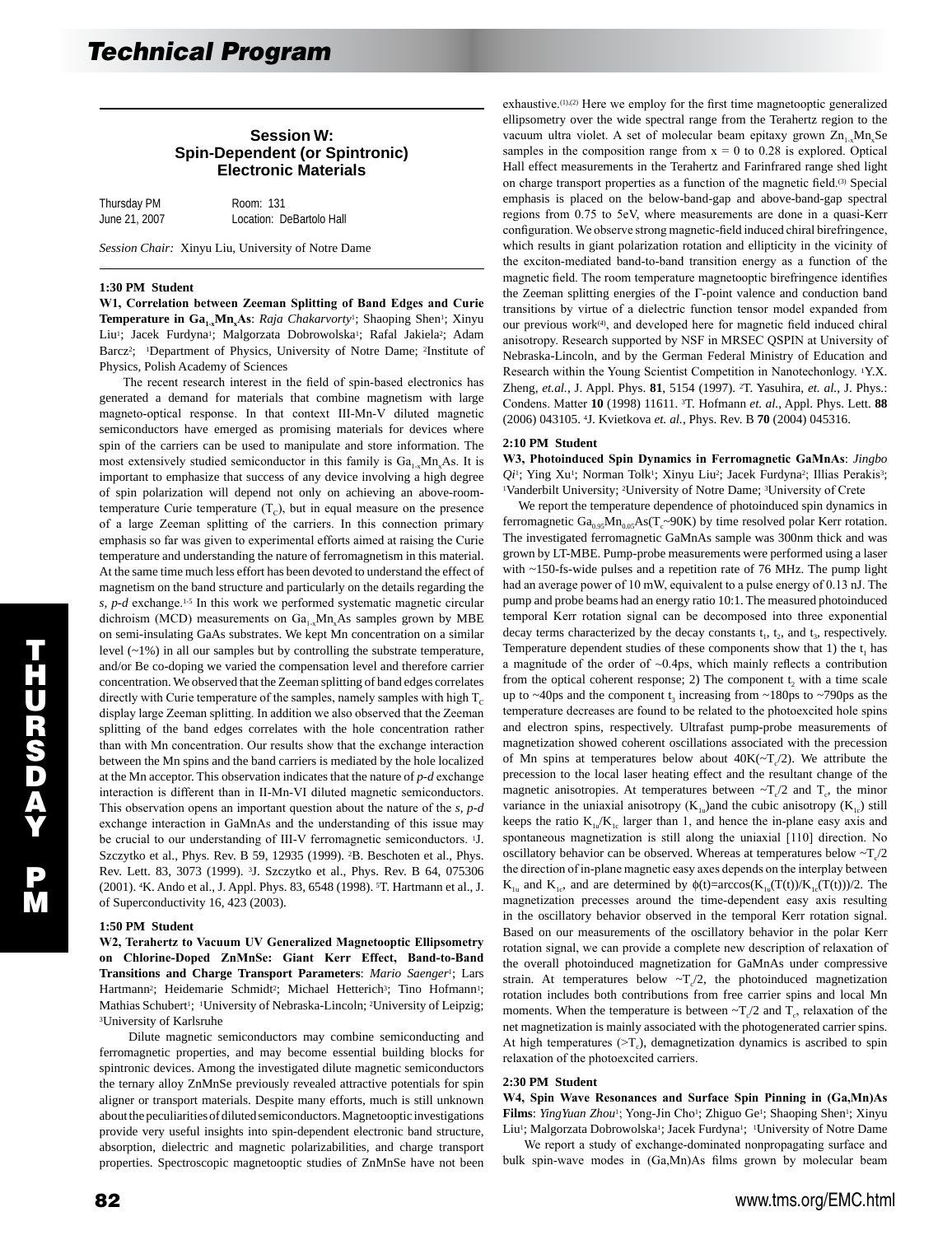## **Session W: Spin-Dependent (or Spintronic) Electronic Materials**

| Thursday PM   | Room: 131                |
|---------------|--------------------------|
| June 21, 2007 | Location: DeBartolo Hall |

*Session Chair:* Xinyu Liu, University of Notre Dame

#### **1:30 PM Student**

**W1, Correlation between Zeeman Splitting of Band Edges and Curie Temperature in Ga<sub>1x</sub>Mn<sub>x</sub>As**: *Raja Chakarvorty*<sup>1</sup>; Shaoping Shen<sup>1</sup>; Xinyu Liu<sup>1</sup>; Jacek Furdyna<sup>1</sup>; Malgorzata Dobrowolska<sup>1</sup>; Rafal Jakiela<sup>2</sup>; Adam Barcz<sup>2</sup>; <sup>1</sup>Department of Physics, University of Notre Dame; <sup>2</sup>Institute of Physics, Polish Academy of Sciences

 The recent research interest in the field of spin-based electronics has generated a demand for materials that combine magnetism with large magneto-optical response. In that context III-Mn-V diluted magnetic semiconductors have emerged as promising materials for devices where spin of the carriers can be used to manipulate and store information. The most extensively studied semiconductor in this family is  $Ga_{1-x}Mn_xAs$ . It is important to emphasize that success of any device involving a high degree of spin polarization will depend not only on achieving an above-roomtemperature Curie temperature  $(T_c)$ , but in equal measure on the presence of a large Zeeman splitting of the carriers. In this connection primary emphasis so far was given to experimental efforts aimed at raising the Curie temperature and understanding the nature of ferromagnetism in this material. At the same time much less effort has been devoted to understand the effect of magnetism on the band structure and particularly on the details regarding the *s, p-d* exchange.<sup>1-5</sup> In this work we performed systematic magnetic circular dichroism (MCD) measurements on  $Ga_{1-x}Mn_xAs$  samples grown by MBE on semi-insulating GaAs substrates. We kept Mn concentration on a similar level (~1%) in all our samples but by controlling the substrate temperature, and/or Be co-doping we varied the compensation level and therefore carrier concentration. We observed that the Zeeman splitting of band edges correlates directly with Curie temperature of the samples, namely samples with high  $T_c$ display large Zeeman splitting. In addition we also observed that the Zeeman splitting of the band edges correlates with the hole concentration rather than with Mn concentration. Our results show that the exchange interaction between the Mn spins and the band carriers is mediated by the hole localized at the Mn acceptor. This observation indicates that the nature of *p-d* exchange interaction is different than in II-Mn-VI diluted magnetic semiconductors. This observation opens an important question about the nature of the *s, p-d* exchange interaction in GaMnAs and the understanding of this issue may be crucial to our understanding of III-V ferromagnetic semiconductors. <sup>1</sup>J. Szczytko et al., Phys. Rev. B 59, 12935 (1999). 2B. Beschoten et al., Phys. Rev. Lett. 83, 3073 (1999). 3J. Szczytko et al., Phys. Rev. B 64, 075306 (2001). 4K. Ando et al., J. Appl. Phys. 83, 6548 (1998). 5T. Hartmann et al., J. of Superconductivity 16, 423 (2003).

## **1:50 PM Student**

**W2, Terahertz to Vacuum UV Generalized Magnetooptic Ellipsometry on Chlorine-Doped ZnMnSe: Giant Kerr Effect, Band-to-Band Transitions and Charge Transport Parameters**: *Mario Saenger*1; Lars Hartmann<sup>2</sup>; Heidemarie Schmidt<sup>2</sup>; Michael Hetterich<sup>3</sup>; Tino Hofmann<sup>1</sup>; Mathias Schubert<sup>1</sup>; <sup>1</sup>University of Nebraska-Lincoln; <sup>2</sup>University of Leipzig; 3University of Karlsruhe

 Dilute magnetic semiconductors may combine semiconducting and ferromagnetic properties, and may become essential building blocks for spintronic devices. Among the investigated dilute magnetic semiconductors the ternary alloy ZnMnSe previously revealed attractive potentials for spin aligner or transport materials. Despite many efforts, much is still unknown about the peculiarities of diluted semiconductors. Magnetooptic investigations provide very useful insights into spin-dependent electronic band structure, absorption, dielectric and magnetic polarizabilities, and charge transport properties. Spectroscopic magnetooptic studies of ZnMnSe have not been

ellipsometry over the wide spectral range from the Terahertz region to the vacuum ultra violet. A set of molecular beam epitaxy grown  $\text{Zn}_{1-x}\text{Mn}_x\text{Se}$ samples in the composition range from  $x = 0$  to 0.28 is explored. Optical Hall effect measurements in the Terahertz and Farinfrared range shed light on charge transport properties as a function of the magnetic field.(3) Special emphasis is placed on the below-band-gap and above-band-gap spectral regions from 0.75 to 5eV, where measurements are done in a quasi-Kerr configuration. We observe strong magnetic-field induced chiral birefringence, which results in giant polarization rotation and ellipticity in the vicinity of the exciton-mediated band-to-band transition energy as a function of the magnetic field. The room temperature magnetooptic birefringence identifies the Zeeman splitting energies of the Γ-point valence and conduction band transitions by virtue of a dielectric function tensor model expanded from our previous work<sup>(4)</sup>, and developed here for magnetic field induced chiral anisotropy. Research supported by NSF in MRSEC QSPIN at University of Nebraska-Lincoln, and by the German Federal Ministry of Education and Research within the Young Scientist Competition in Nanotechonlogy. 1Y.X. Zheng, *et.al.*, J. Appl. Phys. **81**, 5154 (1997). 2T. Yasuhira, *et. al.*, J. Phys.: Condens. Matter **10** (1998) 11611. 3T. Hofmann *et. al.*, Appl. Phys. Lett. **88** (2006) 043105. 4J. Kvietkova *et. al.*, Phys. Rev. B **70** (2004) 045316.

exhaustive.(1),(2) Here we employ for the first time magnetooptic generalized

#### **2:10 PM Student**

**W3, Photoinduced Spin Dynamics in Ferromagnetic GaMnAs**: *Jingbo Qi*1; Ying Xu1; Norman Tolk1; Xinyu Liu2; Jacek Furdyna2; Illias Perakis3; 1Vanderbilt University; 2University of Notre Dame; 3University of Crete

 We report the temperature dependence of photoinduced spin dynamics in ferromagnetic  $Ga_{0.95}Mn_{0.05}As(T_{c} \sim 90K)$  by time resolved polar Kerr rotation. The investigated ferromagnetic GaMnAs sample was 300nm thick and was grown by LT-MBE. Pump-probe measurements were performed using a laser with ~150-fs-wide pulses and a repetition rate of 76 MHz. The pump light had an average power of 10 mW, equivalent to a pulse energy of 0.13 nJ. The pump and probe beams had an energy ratio 10:1. The measured photoinduced temporal Kerr rotation signal can be decomposed into three exponential decay terms characterized by the decay constants  $t_1$ ,  $t_2$ , and  $t_3$ , respectively. Temperature dependent studies of these components show that 1) the  $t_1$  has a magnitude of the order of ~0.4ps, which mainly reflects a contribution from the optical coherent response; 2) The component  $t<sub>2</sub>$  with a time scale up to  $\sim$ 40ps and the component t<sub>3</sub> increasing from  $\sim$ 180ps to  $\sim$ 790ps as the temperature decreases are found to be related to the photoexcited hole spins and electron spins, respectively. Ultrafast pump-probe measurements of magnetization showed coherent oscillations associated with the precession of Mn spins at temperatures below about  $40K(-T_c/2)$ . We attribute the precession to the local laser heating effect and the resultant change of the magnetic anisotropies. At temperatures between  $\sim T_c/2$  and  $T_c$ , the minor variance in the uniaxial anisotropy  $(K_{1u})$ and the cubic anisotropy  $(K_{1c})$  still keeps the ratio  $K_{1u}/K_{1c}$  larger than 1, and hence the in-plane easy axis and spontaneous magnetization is still along the uniaxial [110] direction. No oscillatory behavior can be observed. Whereas at temperatures below  $\sim T_c/2$ the direction of in-plane magnetic easy axes depends on the interplay between  $K_{1u}$  and  $K_{1c}$ , and are determined by  $\phi(t)=arccos(K_{1u}(T(t))/K_{1c}(T(t))/2)$ . The magnetization precesses around the time-dependent easy axis resulting in the oscillatory behavior observed in the temporal Kerr rotation signal. Based on our measurements of the oscillatory behavior in the polar Kerr rotation signal, we can provide a complete new description of relaxation of the overall photoinduced magnetization for GaMnAs under compressive strain. At temperatures below  $-T_c/2$ , the photoinduced magnetization rotation includes both contributions from free carrier spins and local Mn moments. When the temperature is between  $\neg T_c/2$  and  $T_c$ , relaxation of the net magnetization is mainly associated with the photogenerated carrier spins. At high temperatures  $(>\Upsilon_c)$ , demagnetization dynamics is ascribed to spin relaxation of the photoexcited carriers.

#### **2:30 PM Student**

**W4, Spin Wave Resonances and Surface Spin Pinning in (Ga,Mn)As**  Films: *YingYuan Zhou*<sup>1</sup>; Yong-Jin Cho<sup>1</sup>; Zhiguo Ge<sup>1</sup>; Shaoping Shen<sup>1</sup>; Xinyu Liu<sup>1</sup>; Malgorzata Dobrowolska<sup>1</sup>; Jacek Furdyna<sup>1</sup>; <sup>1</sup>University of Notre Dame

 We report a study of exchange-dominated nonpropagating surface and bulk spin-wave modes in (Ga,Mn)As films grown by molecular beam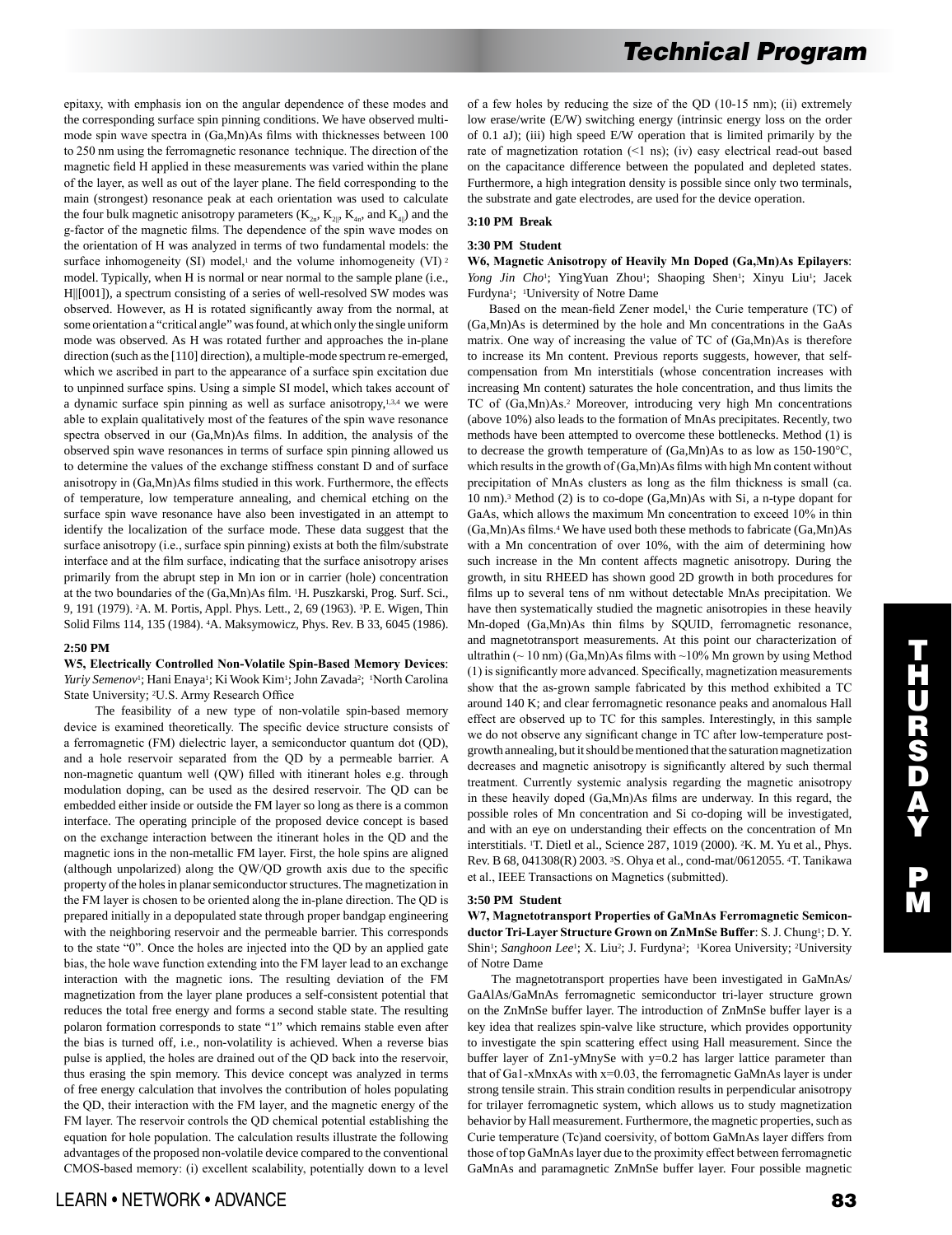epitaxy, with emphasis ion on the angular dependence of these modes and the corresponding surface spin pinning conditions. We have observed multimode spin wave spectra in (Ga,Mn)As films with thicknesses between 100 to 250 nm using the ferromagnetic resonance technique. The direction of the magnetic field H applied in these measurements was varied within the plane of the layer, as well as out of the layer plane. The field corresponding to the main (strongest) resonance peak at each orientation was used to calculate the four bulk magnetic anisotropy parameters  $(K_{2n}, K_{2n}, K_{4n})$ , and  $K_{4n}$ ) and the g-factor of the magnetic films. The dependence of the spin wave modes on the orientation of H was analyzed in terms of two fundamental models: the surface inhomogeneity (SI) model, $1$  and the volume inhomogeneity (VI)  $2$ model. Typically, when H is normal or near normal to the sample plane (i.e., H||[001]), a spectrum consisting of a series of well-resolved SW modes was observed. However, as H is rotated significantly away from the normal, at some orientation a "critical angle" was found, at which only the single uniform mode was observed. As H was rotated further and approaches the in-plane direction (such as the [110] direction), a multiple-mode spectrum re-emerged, which we ascribed in part to the appearance of a surface spin excitation due to unpinned surface spins. Using a simple SI model, which takes account of a dynamic surface spin pinning as well as surface anisotropy,<sup>1,3,4</sup> we were able to explain qualitatively most of the features of the spin wave resonance spectra observed in our (Ga,Mn)As films. In addition, the analysis of the observed spin wave resonances in terms of surface spin pinning allowed us to determine the values of the exchange stiffness constant D and of surface anisotropy in (Ga,Mn)As films studied in this work. Furthermore, the effects of temperature, low temperature annealing, and chemical etching on the surface spin wave resonance have also been investigated in an attempt to identify the localization of the surface mode. These data suggest that the surface anisotropy (i.e., surface spin pinning) exists at both the film/substrate interface and at the film surface, indicating that the surface anisotropy arises primarily from the abrupt step in Mn ion or in carrier (hole) concentration at the two boundaries of the (Ga,Mn)As film. 1H. Puszkarski, Prog. Surf. Sci., 9, 191 (1979). 2A. M. Portis, Appl. Phys. Lett., 2, 69 (1963). 3P. E. Wigen, Thin Solid Films 114, 135 (1984). 4A. Maksymowicz, Phys. Rev. B 33, 6045 (1986).

## **2:50 PM**

## **W5, Electrically Controlled Non-Volatile Spin-Based Memory Devices**: *Yuriy Semenov*1; Hani Enaya1; Ki Wook Kim1; John Zavada2; 1North Carolina State University; 2U.S. Army Research Office

 The feasibility of a new type of non-volatile spin-based memory device is examined theoretically. The specific device structure consists of a ferromagnetic (FM) dielectric layer, a semiconductor quantum dot (QD), and a hole reservoir separated from the QD by a permeable barrier. A non-magnetic quantum well (QW) filled with itinerant holes e.g. through modulation doping, can be used as the desired reservoir. The QD can be embedded either inside or outside the FM layer so long as there is a common interface. The operating principle of the proposed device concept is based on the exchange interaction between the itinerant holes in the QD and the magnetic ions in the non-metallic FM layer. First, the hole spins are aligned (although unpolarized) along the QW/QD growth axis due to the specific property of the holes in planar semiconductor structures. The magnetization in the FM layer is chosen to be oriented along the in-plane direction. The QD is prepared initially in a depopulated state through proper bandgap engineering with the neighboring reservoir and the permeable barrier. This corresponds to the state "0". Once the holes are injected into the QD by an applied gate bias, the hole wave function extending into the FM layer lead to an exchange interaction with the magnetic ions. The resulting deviation of the FM magnetization from the layer plane produces a self-consistent potential that reduces the total free energy and forms a second stable state. The resulting polaron formation corresponds to state "1" which remains stable even after the bias is turned off, i.e., non-volatility is achieved. When a reverse bias pulse is applied, the holes are drained out of the QD back into the reservoir, thus erasing the spin memory. This device concept was analyzed in terms of free energy calculation that involves the contribution of holes populating the QD, their interaction with the FM layer, and the magnetic energy of the FM layer. The reservoir controls the QD chemical potential establishing the equation for hole population. The calculation results illustrate the following advantages of the proposed non-volatile device compared to the conventional CMOS-based memory: (i) excellent scalability, potentially down to a level of a few holes by reducing the size of the QD (10-15 nm); (ii) extremely low erase/write (E/W) switching energy (intrinsic energy loss on the order of 0.1 aJ); (iii) high speed E/W operation that is limited primarily by the rate of magnetization rotation (<1 ns); (iv) easy electrical read-out based on the capacitance difference between the populated and depleted states. Furthermore, a high integration density is possible since only two terminals, the substrate and gate electrodes, are used for the device operation.

# **3:10 PM Break**

#### **3:30 PM Student**

**W6, Magnetic Anisotropy of Heavily Mn Doped (Ga,Mn)As Epilayers**: *Yong Jin Cho<sup>1</sup>*; YingYuan Zhou<sup>1</sup>; Shaoping Shen<sup>1</sup>; Xinyu Liu<sup>1</sup>; Jacek Furdyna1; 1University of Notre Dame

Based on the mean-field Zener model,<sup>1</sup> the Curie temperature (TC) of (Ga,Mn)As is determined by the hole and Mn concentrations in the GaAs matrix. One way of increasing the value of TC of (Ga,Mn)As is therefore to increase its Mn content. Previous reports suggests, however, that selfcompensation from Mn interstitials (whose concentration increases with increasing Mn content) saturates the hole concentration, and thus limits the TC of (Ga,Mn)As.2 Moreover, introducing very high Mn concentrations (above 10%) also leads to the formation of MnAs precipitates. Recently, two methods have been attempted to overcome these bottlenecks. Method (1) is to decrease the growth temperature of (Ga,Mn)As to as low as 150-190°C, which results in the growth of (Ga,Mn)As films with high Mn content without precipitation of MnAs clusters as long as the film thickness is small (ca. 10 nm).3 Method (2) is to co-dope (Ga,Mn)As with Si, a n-type dopant for GaAs, which allows the maximum Mn concentration to exceed 10% in thin (Ga,Mn)As films.4 We have used both these methods to fabricate (Ga,Mn)As with a Mn concentration of over 10%, with the aim of determining how such increase in the Mn content affects magnetic anisotropy. During the growth, in situ RHEED has shown good 2D growth in both procedures for films up to several tens of nm without detectable MnAs precipitation. We have then systematically studied the magnetic anisotropies in these heavily Mn-doped (Ga,Mn)As thin films by SQUID, ferromagnetic resonance, and magnetotransport measurements. At this point our characterization of ultrathin ( $\sim$  10 nm) (Ga,Mn)As films with  $\sim$  10% Mn grown by using Method (1) is significantly more advanced. Specifically, magnetization measurements show that the as-grown sample fabricated by this method exhibited a TC around 140 K; and clear ferromagnetic resonance peaks and anomalous Hall effect are observed up to TC for this samples. Interestingly, in this sample we do not observe any significant change in TC after low-temperature postgrowth annealing, but it should be mentioned that the saturation magnetization decreases and magnetic anisotropy is significantly altered by such thermal treatment. Currently systemic analysis regarding the magnetic anisotropy in these heavily doped (Ga,Mn)As films are underway. In this regard, the possible roles of Mn concentration and Si co-doping will be investigated, and with an eye on understanding their effects on the concentration of Mn interstitials. 1T. Dietl et al., Science 287, 1019 (2000). 2K. M. Yu et al., Phys. Rev. B 68, 041308(R) 2003. 3S. Ohya et al., cond-mat/0612055. 4T. Tanikawa et al., IEEE Transactions on Magnetics (submitted).

#### **3:50 PM Student**

**W7, Magnetotransport Properties of GaMnAs Ferromagnetic Semiconductor Tri-Layer Structure Grown on ZnMnSe Buffer**: S. J. Chung1; D. Y. Shin<sup>1</sup>; *Sanghoon Lee<sup>1</sup>*; X. Liu<sup>2</sup>; J. Furdyna<sup>2</sup>; <sup>1</sup>Korea University; <sup>2</sup>University of Notre Dame

 The magnetotransport properties have been investigated in GaMnAs/ GaAlAs/GaMnAs ferromagnetic semiconductor tri-layer structure grown on the ZnMnSe buffer layer. The introduction of ZnMnSe buffer layer is a key idea that realizes spin-valve like structure, which provides opportunity to investigate the spin scattering effect using Hall measurement. Since the buffer layer of Zn1-yMnySe with y=0.2 has larger lattice parameter than that of Ga1-xMnxAs with x=0.03, the ferromagnetic GaMnAs layer is under strong tensile strain. This strain condition results in perpendicular anisotropy for trilayer ferromagnetic system, which allows us to study magnetization behavior by Hall measurement. Furthermore, the magnetic properties, such as Curie temperature (Tc)and coersivity, of bottom GaMnAs layer differs from those of top GaMnAs layer due to the proximity effect between ferromagnetic GaMnAs and paramagnetic ZnMnSe buffer layer. Four possible magnetic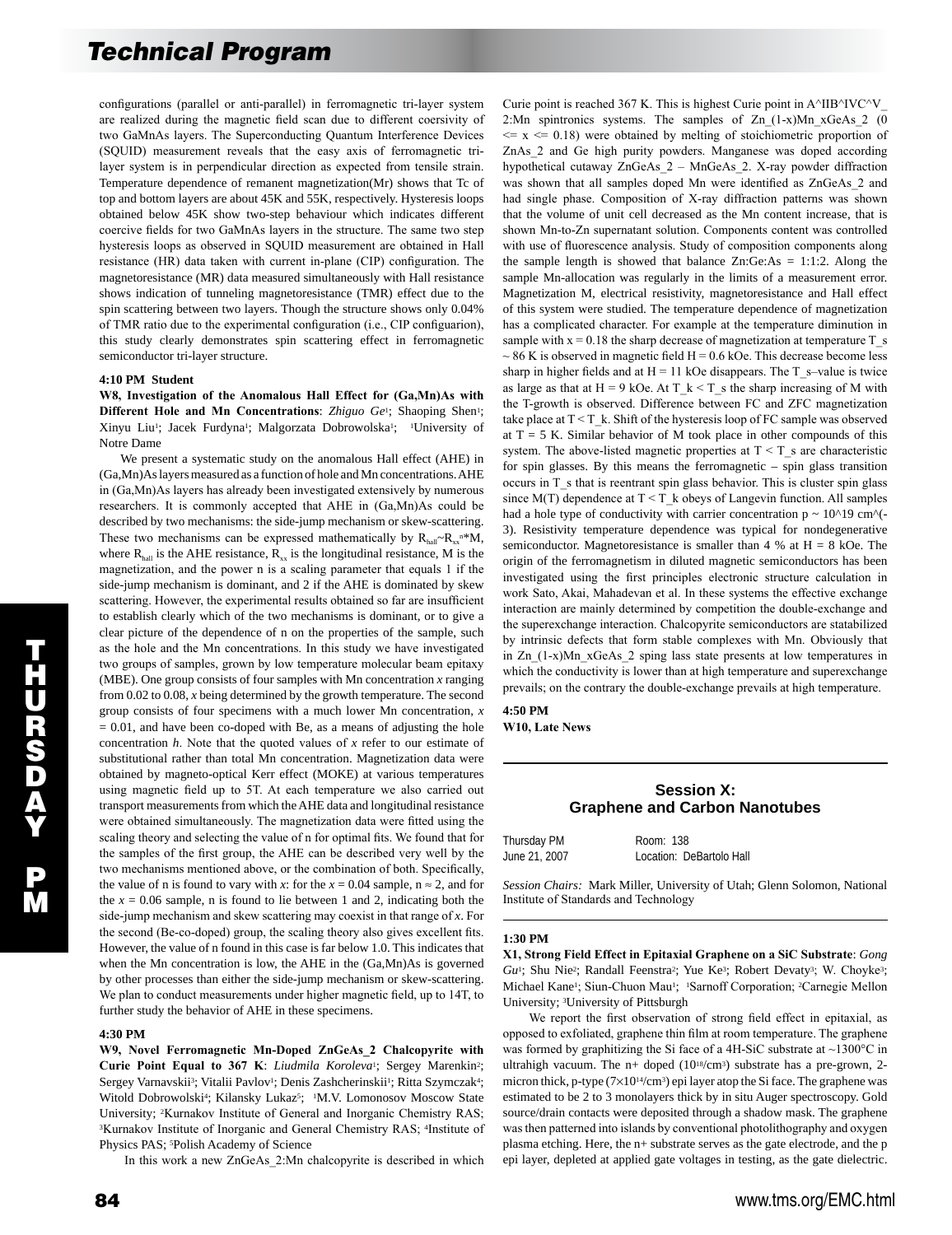configurations (parallel or anti-parallel) in ferromagnetic tri-layer system are realized during the magnetic field scan due to different coersivity of two GaMnAs layers. The Superconducting Quantum Interference Devices (SQUID) measurement reveals that the easy axis of ferromagnetic trilayer system is in perpendicular direction as expected from tensile strain. Temperature dependence of remanent magnetization(Mr) shows that Tc of top and bottom layers are about 45K and 55K, respectively. Hysteresis loops obtained below 45K show two-step behaviour which indicates different coercive fields for two GaMnAs layers in the structure. The same two step hysteresis loops as observed in SQUID measurement are obtained in Hall resistance (HR) data taken with current in-plane (CIP) configuration. The magnetoresistance (MR) data measured simultaneously with Hall resistance shows indication of tunneling magnetoresistance (TMR) effect due to the spin scattering between two layers. Though the structure shows only 0.04% of TMR ratio due to the experimental configuration (i.e., CIP configuarion), this study clearly demonstrates spin scattering effect in ferromagnetic semiconductor tri-layer structure.

## **4:10 PM Student**

**W8, Investigation of the Anomalous Hall Effect for (Ga,Mn)As with Different Hole and Mn Concentrations:** *Zhiguo Ge<sup>1</sup>; Shaoping Shen<sup>1</sup>;* Xinyu Liu<sup>1</sup>; Jacek Furdyna<sup>1</sup>; Malgorzata Dobrowolska<sup>1</sup>; <sup>1</sup>University of Notre Dame

 We present a systematic study on the anomalous Hall effect (AHE) in (Ga,Mn)As layers measured as a function of hole and Mn concentrations. AHE in (Ga,Mn)As layers has already been investigated extensively by numerous researchers. It is commonly accepted that AHE in (Ga,Mn)As could be described by two mechanisms: the side-jump mechanism or skew-scattering. These two mechanisms can be expressed mathematically by  $R_{\text{half}}-R_{xx}$ <sup>n\*</sup>M, where  $R_{\text{half}}$  is the AHE resistance,  $R_{xx}$  is the longitudinal resistance, M is the magnetization, and the power n is a scaling parameter that equals 1 if the side-jump mechanism is dominant, and 2 if the AHE is dominated by skew scattering. However, the experimental results obtained so far are insufficient to establish clearly which of the two mechanisms is dominant, or to give a clear picture of the dependence of n on the properties of the sample, such as the hole and the Mn concentrations. In this study we have investigated two groups of samples, grown by low temperature molecular beam epitaxy (MBE). One group consists of four samples with Mn concentration *x* ranging from 0.02 to 0.08, *x* being determined by the growth temperature. The second group consists of four specimens with a much lower Mn concentration, *x*  $= 0.01$ , and have been co-doped with Be, as a means of adjusting the hole concentration *h*. Note that the quoted values of *x* refer to our estimate of substitutional rather than total Mn concentration. Magnetization data were obtained by magneto-optical Kerr effect (MOKE) at various temperatures using magnetic field up to 5T. At each temperature we also carried out transport measurements from which the AHE data and longitudinal resistance were obtained simultaneously. The magnetization data were fitted using the scaling theory and selecting the value of n for optimal fits. We found that for the samples of the first group, the AHE can be described very well by the two mechanisms mentioned above, or the combination of both. Specifically, the value of n is found to vary with *x*: for the  $x = 0.04$  sample,  $n \approx 2$ , and for the  $x = 0.06$  sample, n is found to lie between 1 and 2, indicating both the side-jump mechanism and skew scattering may coexist in that range of *x*. For the second (Be-co-doped) group, the scaling theory also gives excellent fits. However, the value of n found in this case is far below 1.0. This indicates that when the Mn concentration is low, the AHE in the (Ga,Mn)As is governed by other processes than either the side-jump mechanism or skew-scattering. We plan to conduct measurements under higher magnetic field, up to 14T, to further study the behavior of AHE in these specimens.

#### **4:30 PM**

**W9, Novel Ferromagnetic Mn-Doped ZnGeAs\_2 Chalcopyrite with Curie Point Equal to 367 K**: *Liudmila Koroleva*1; Sergey Marenkin2; Sergey Varnavskii<sup>3</sup>; Vitalii Pavlov<sup>1</sup>; Denis Zashcherinskii<sup>1</sup>; Ritta Szymczak<sup>4</sup>; Witold Dobrowolski<sup>4</sup>; Kilansky Lukaz<sup>5</sup>; <sup>1</sup>M.V. Lomonosov Moscow State University; 2Kurnakov Institute of General and Inorganic Chemistry RAS; <sup>3</sup>Kurnakov Institute of Inorganic and General Chemistry RAS; <sup>4</sup>Institute of Physics PAS; 5Polish Academy of Science

In this work a new ZnGeAs\_2:Mn chalcopyrite is described in which

 $\overline{\mathbf{u}}$ H U R S D A Y P M

 $\epsilon = x \epsilon = 0.18$ ) were obtained by melting of stoichiometric proportion of ZnAs\_2 and Ge high purity powders. Manganese was doped according hypothetical cutaway ZnGeAs\_2 – MnGeAs\_2. X-ray powder diffraction was shown that all samples doped Mn were identified as ZnGeAs\_2 and had single phase. Composition of X-ray diffraction patterns was shown that the volume of unit cell decreased as the Mn content increase, that is shown Mn-to-Zn supernatant solution. Components content was controlled with use of fluorescence analysis. Study of composition components along the sample length is showed that balance  $Zn:Ge:As = 1:1:2$ . Along the sample Mn-allocation was regularly in the limits of a measurement error. Magnetization M, electrical resistivity, magnetoresistance and Hall effect of this system were studied. The temperature dependence of magnetization has a complicated character. For example at the temperature diminution in sample with  $x = 0.18$  the sharp decrease of magnetization at temperature T\_s  $\sim$  86 K is observed in magnetic field H = 0.6 kOe. This decrease become less sharp in higher fields and at  $H = 11$  kOe disappears. The T\_s-value is twice as large as that at  $H = 9$  kOe. At  $T_k < T_s$  the sharp increasing of M with the T-growth is observed. Difference between FC and ZFC magnetization take place at  $T \leq T_{\mathsf{L}}$ . Shift of the hysteresis loop of FC sample was observed at  $T = 5$  K. Similar behavior of M took place in other compounds of this system. The above-listed magnetic properties at  $T < T_s$  are characteristic for spin glasses. By this means the ferromagnetic – spin glass transition  $occurs$  in T  $s$  that is reentrant spin glass behavior. This is cluster spin glass since  $M(T)$  dependence at  $T \leq T$  k obeys of Langevin function. All samples had a hole type of conductivity with carrier concentration  $p \sim 10^2/9$  cm<sup>^</sup>(-3). Resistivity temperature dependence was typical for nondegenerative semiconductor. Magnetoresistance is smaller than 4 % at  $H = 8$  kOe. The origin of the ferromagnetism in diluted magnetic semiconductors has been investigated using the first principles electronic structure calculation in work Sato, Akai, Mahadevan et al. In these systems the effective exchange interaction are mainly determined by competition the double-exchange and the superexchange interaction. Chalcopyrite semiconductors are statabilized by intrinsic defects that form stable complexes with Mn. Obviously that in Zn\_(1-x)Mn\_xGeAs\_2 sping lass state presents at low temperatures in which the conductivity is lower than at high temperature and superexchange prevails; on the contrary the double-exchange prevails at high temperature.

Curie point is reached 367 K. This is highest Curie point in A $\triangle$ IIB $\triangle$ IVC $\triangle$ V 2:Mn spintronics systems. The samples of Zn\_(1-x)Mn\_xGeAs\_2 (0

## **4:50 PM**

**W10, Late News** 

## **Session X: Graphene and Carbon Nanotubes**

| Thursday PM   | Room: 138                |
|---------------|--------------------------|
| June 21, 2007 | Location: DeBartolo Hall |

*Session Chairs:* Mark Miller, University of Utah; Glenn Solomon, National Institute of Standards and Technology

#### **1:30 PM**

**X1, Strong Field Effect in Epitaxial Graphene on a SiC Substrate**: *Gong Gu*<sup>1</sup>; Shu Nie<sup>2</sup>; Randall Feenstra<sup>2</sup>; Yue Ke<sup>3</sup>; Robert Devaty<sup>3</sup>; W. Choyke<sup>3</sup>; Michael Kane<sup>1</sup>; Siun-Chuon Mau<sup>1</sup>; <sup>1</sup>Sarnoff Corporation; <sup>2</sup>Carnegie Mellon University; 3University of Pittsburgh

 We report the first observation of strong field effect in epitaxial, as opposed to exfoliated, graphene thin film at room temperature. The graphene was formed by graphitizing the Si face of a 4H-SiC substrate at  $\sim$ 1300 $\degree$ C in ultrahigh vacuum. The n+ doped  $(10^{18}/cm^3)$  substrate has a pre-grown, 2micron thick, p-type  $(7\times10^{14}/\text{cm}^3)$  epi layer atop the Si face. The graphene was estimated to be 2 to 3 monolayers thick by in situ Auger spectroscopy. Gold source/drain contacts were deposited through a shadow mask. The graphene was then patterned into islands by conventional photolithography and oxygen plasma etching. Here, the n+ substrate serves as the gate electrode, and the p epi layer, depleted at applied gate voltages in testing, as the gate dielectric.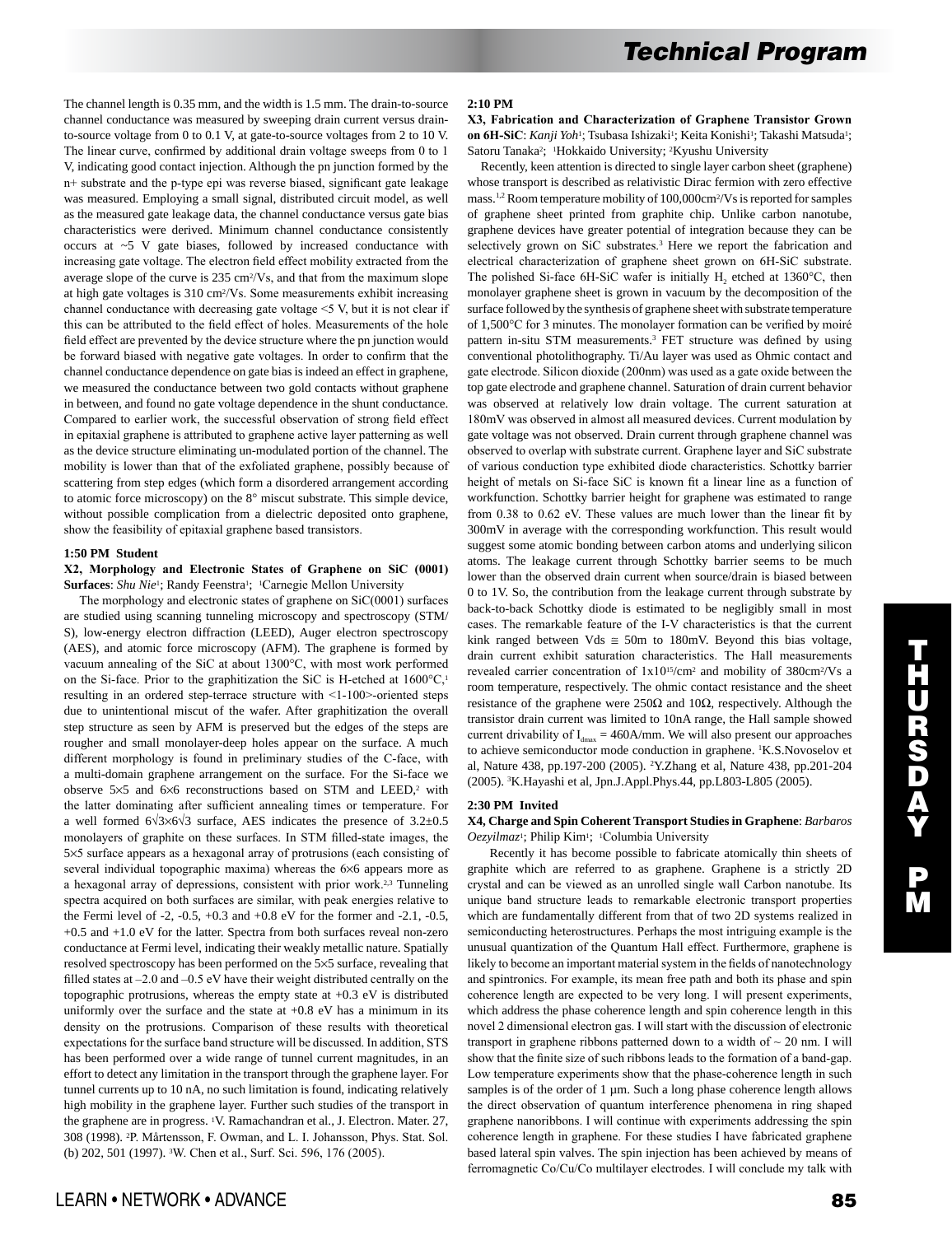The channel length is 0.35 mm, and the width is 1.5 mm. The drain-to-source channel conductance was measured by sweeping drain current versus drainto-source voltage from 0 to 0.1 V, at gate-to-source voltages from 2 to 10 V. The linear curve, confirmed by additional drain voltage sweeps from 0 to 1 V, indicating good contact injection. Although the pn junction formed by the n+ substrate and the p-type epi was reverse biased, significant gate leakage was measured. Employing a small signal, distributed circuit model, as well as the measured gate leakage data, the channel conductance versus gate bias characteristics were derived. Minimum channel conductance consistently occurs at ~5 V gate biases, followed by increased conductance with increasing gate voltage. The electron field effect mobility extracted from the average slope of the curve is 235 cm2/Vs, and that from the maximum slope at high gate voltages is 310 cm2/Vs. Some measurements exhibit increasing channel conductance with decreasing gate voltage <5 V, but it is not clear if this can be attributed to the field effect of holes. Measurements of the hole field effect are prevented by the device structure where the pn junction would be forward biased with negative gate voltages. In order to confirm that the channel conductance dependence on gate bias is indeed an effect in graphene, we measured the conductance between two gold contacts without graphene in between, and found no gate voltage dependence in the shunt conductance. Compared to earlier work, the successful observation of strong field effect in epitaxial graphene is attributed to graphene active layer patterning as well as the device structure eliminating un-modulated portion of the channel. The mobility is lower than that of the exfoliated graphene, possibly because of scattering from step edges (which form a disordered arrangement according to atomic force microscopy) on the 8° miscut substrate. This simple device, without possible complication from a dielectric deposited onto graphene, show the feasibility of epitaxial graphene based transistors.

#### **1:50 PM Student**

## **X2, Morphology and Electronic States of Graphene on SiC (0001)**  Surfaces: *Shu Nie<sup>1</sup>*; Randy Feenstra<sup>1</sup>; <sup>1</sup>Carnegie Mellon University

 The morphology and electronic states of graphene on SiC(0001) surfaces are studied using scanning tunneling microscopy and spectroscopy (STM/ S), low-energy electron diffraction (LEED), Auger electron spectroscopy (AES), and atomic force microscopy (AFM). The graphene is formed by vacuum annealing of the SiC at about 1300°C, with most work performed on the Si-face. Prior to the graphitization the SiC is H-etched at  $1600^{\circ}C$ ,<sup>1</sup> resulting in an ordered step-terrace structure with <1-100>-oriented steps due to unintentional miscut of the wafer. After graphitization the overall step structure as seen by AFM is preserved but the edges of the steps are rougher and small monolayer-deep holes appear on the surface. A much different morphology is found in preliminary studies of the C-face, with a multi-domain graphene arrangement on the surface. For the Si-face we observe  $5\times5$  and  $6\times6$  reconstructions based on STM and LEED,<sup>2</sup> with the latter dominating after sufficient annealing times or temperature. For a well formed 6√3×6√3 surface, AES indicates the presence of 3.2±0.5 monolayers of graphite on these surfaces. In STM filled-state images, the 5×5 surface appears as a hexagonal array of protrusions (each consisting of several individual topographic maxima) whereas the 6×6 appears more as a hexagonal array of depressions, consistent with prior work.2,3 Tunneling spectra acquired on both surfaces are similar, with peak energies relative to the Fermi level of -2,  $-0.5$ ,  $+0.3$  and  $+0.8$  eV for the former and  $-2.1$ ,  $-0.5$ , +0.5 and +1.0 eV for the latter. Spectra from both surfaces reveal non-zero conductance at Fermi level, indicating their weakly metallic nature. Spatially resolved spectroscopy has been performed on the 5×5 surface, revealing that filled states at –2.0 and –0.5 eV have their weight distributed centrally on the topographic protrusions, whereas the empty state at +0.3 eV is distributed uniformly over the surface and the state at  $+0.8$  eV has a minimum in its density on the protrusions. Comparison of these results with theoretical expectations for the surface band structure will be discussed. In addition, STS has been performed over a wide range of tunnel current magnitudes, in an effort to detect any limitation in the transport through the graphene layer. For tunnel currents up to 10 nA, no such limitation is found, indicating relatively high mobility in the graphene layer. Further such studies of the transport in the graphene are in progress. <sup>1</sup>V. Ramachandran et al., J. Electron. Mater. 27, 308 (1998). 2P. Mårtensson, F. Owman, and L. I. Johansson, Phys. Stat. Sol. (b) 202, 501 (1997). 3W. Chen et al., Surf. Sci. 596, 176 (2005).

**X3, Fabrication and Characterization of Graphene Transistor Grown on 6H-SiC**: *Kanji Yoh*<sup>1</sup>; Tsubasa Ishizaki<sup>1</sup>; Keita Konishi<sup>1</sup>; Takashi Matsuda<sup>1</sup>; Satoru Tanaka<sup>2</sup>; <sup>1</sup>Hokkaido University; <sup>2</sup>Kyushu University

 Recently, keen attention is directed to single layer carbon sheet (graphene) whose transport is described as relativistic Dirac fermion with zero effective mass.1,2 Room temperature mobility of 100,000cm2/Vs is reported for samples of graphene sheet printed from graphite chip. Unlike carbon nanotube, graphene devices have greater potential of integration because they can be selectively grown on SiC substrates.<sup>3</sup> Here we report the fabrication and electrical characterization of graphene sheet grown on 6H-SiC substrate. The polished Si-face 6H-SiC wafer is initially  $H_2$  etched at 1360 $^{\circ}$ C, then monolayer graphene sheet is grown in vacuum by the decomposition of the surface followed by the synthesis of graphene sheet with substrate temperature of 1,500°C for 3 minutes. The monolayer formation can be verified by moiré pattern in-situ STM measurements.3 FET structure was defined by using conventional photolithography. Ti/Au layer was used as Ohmic contact and gate electrode. Silicon dioxide (200nm) was used as a gate oxide between the top gate electrode and graphene channel. Saturation of drain current behavior was observed at relatively low drain voltage. The current saturation at 180mV was observed in almost all measured devices. Current modulation by gate voltage was not observed. Drain current through graphene channel was observed to overlap with substrate current. Graphene layer and SiC substrate of various conduction type exhibited diode characteristics. Schottky barrier height of metals on Si-face SiC is known fit a linear line as a function of workfunction. Schottky barrier height for graphene was estimated to range from 0.38 to 0.62 eV. These values are much lower than the linear fit by 300mV in average with the corresponding workfunction. This result would suggest some atomic bonding between carbon atoms and underlying silicon atoms. The leakage current through Schottky barrier seems to be much lower than the observed drain current when source/drain is biased between 0 to 1V. So, the contribution from the leakage current through substrate by back-to-back Schottky diode is estimated to be negligibly small in most cases. The remarkable feature of the I-V characteristics is that the current kink ranged between Vds  $\approx$  50m to 180mV. Beyond this bias voltage, drain current exhibit saturation characteristics. The Hall measurements revealed carrier concentration of 1x1015/cm2 and mobility of 380cm2/Vs a room temperature, respectively. The ohmic contact resistance and the sheet resistance of the graphene were 250Ω and 10Ω, respectively. Although the transistor drain current was limited to 10nA range, the Hall sample showed current drivability of  $I_{dmax} = 460$ A/mm. We will also present our approaches to achieve semiconductor mode conduction in graphene. 1 K.S.Novoselov et al, Nature 438, pp.197-200 (2005). 2 Y.Zhang et al, Nature 438, pp.201-204 (2005). 3 K.Hayashi et al, Jpn.J.Appl.Phys.44, pp.L803-L805 (2005).

## **2:30 PM Invited**

## **X4, Charge and Spin Coherent Transport Studies in Graphene**: *Barbaros Oezyilmaz*1; Philip Kim1; 1Columbia University

 Recently it has become possible to fabricate atomically thin sheets of graphite which are referred to as graphene. Graphene is a strictly 2D crystal and can be viewed as an unrolled single wall Carbon nanotube. Its unique band structure leads to remarkable electronic transport properties which are fundamentally different from that of two 2D systems realized in semiconducting heterostructures. Perhaps the most intriguing example is the unusual quantization of the Quantum Hall effect. Furthermore, graphene is likely to become an important material system in the fields of nanotechnology and spintronics. For example, its mean free path and both its phase and spin coherence length are expected to be very long. I will present experiments, which address the phase coherence length and spin coherence length in this novel 2 dimensional electron gas. I will start with the discussion of electronic transport in graphene ribbons patterned down to a width of  $\sim$  20 nm. I will show that the finite size of such ribbons leads to the formation of a band-gap. Low temperature experiments show that the phase-coherence length in such samples is of the order of 1 µm. Such a long phase coherence length allows the direct observation of quantum interference phenomena in ring shaped graphene nanoribbons. I will continue with experiments addressing the spin coherence length in graphene. For these studies I have fabricated graphene based lateral spin valves. The spin injection has been achieved by means of ferromagnetic Co/Cu/Co multilayer electrodes. I will conclude my talk with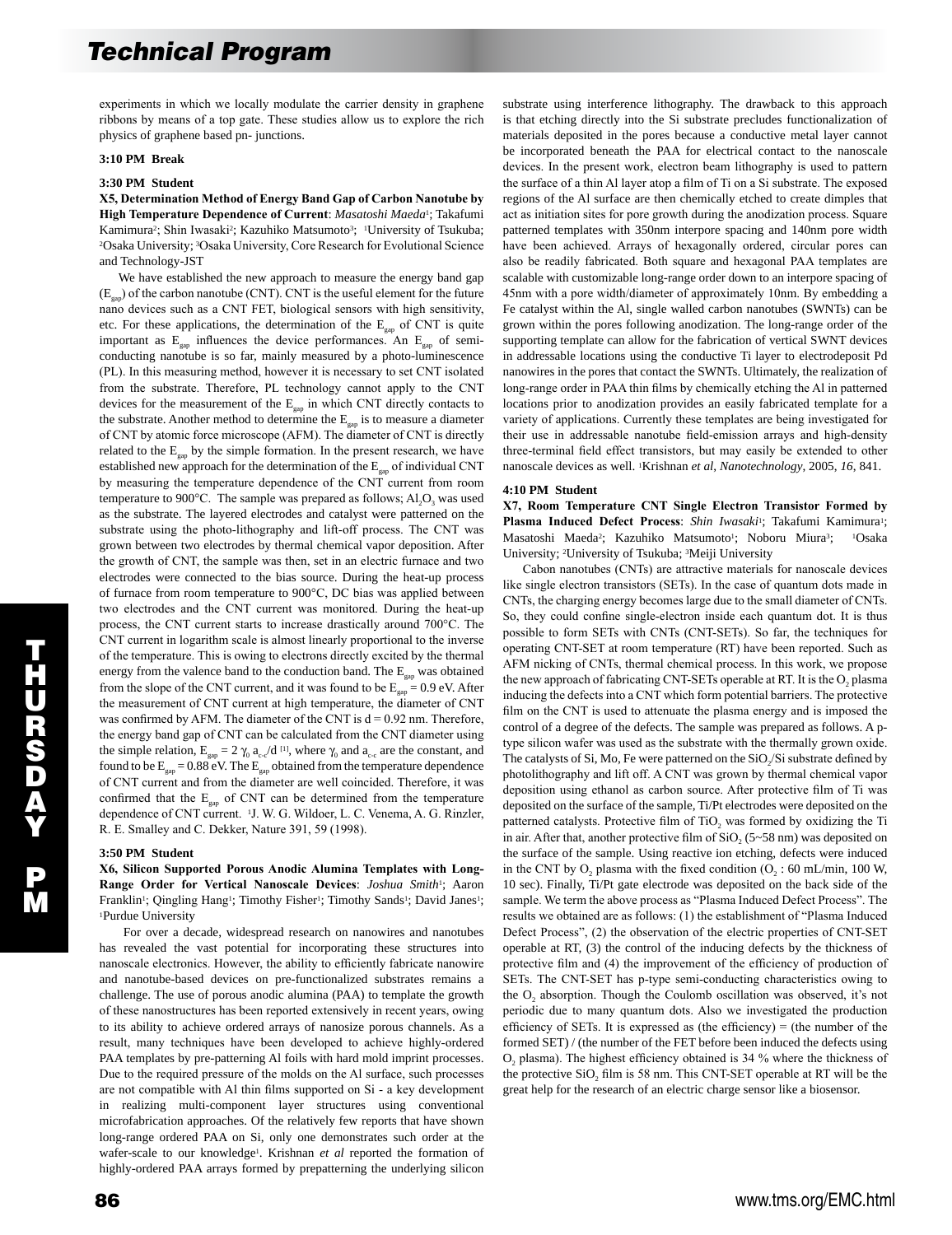experiments in which we locally modulate the carrier density in graphene ribbons by means of a top gate. These studies allow us to explore the rich physics of graphene based pn- junctions.

## **3:10 PM Break**

#### **3:30 PM Student**

**X5, Determination Method of Energy Band Gap of Carbon Nanotube by High Temperature Dependence of Current**: *Masatoshi Maeda*1; Takafumi Kamimura<sup>2</sup>; Shin Iwasaki<sup>2</sup>; Kazuhiko Matsumoto<sup>3</sup>; <sup>1</sup>University of Tsukuba; 2Osaka University; 3Osaka University, Core Research for Evolutional Science and Technology-JST

 We have established the new approach to measure the energy band gap  $(E_{\text{can}})$  of the carbon nanotube (CNT). CNT is the useful element for the future nano devices such as a CNT FET, biological sensors with high sensitivity, etc. For these applications, the determination of the  $E_{\text{gap}}$  of CNT is quite important as  $E_{\text{cap}}$  influences the device performances. An  $E_{\text{cap}}$  of semiconducting nanotube is so far, mainly measured by a photo-luminescence (PL). In this measuring method, however it is necessary to set CNT isolated from the substrate. Therefore, PL technology cannot apply to the CNT devices for the measurement of the  $E_{\text{gap}}$  in which CNT directly contacts to the substrate. Another method to determine the  $E_{\text{gap}}$  is to measure a diameter of CNT by atomic force microscope (AFM). The diameter of CNT is directly related to the  $E_{\text{gap}}$  by the simple formation. In the present research, we have established new approach for the determination of the  $E_{\text{gap}}$  of individual CNT by measuring the temperature dependence of the CNT current from room temperature to 900 $^{\circ}$ C. The sample was prepared as follows; Al<sub>2</sub>O<sub>3</sub> was used as the substrate. The layered electrodes and catalyst were patterned on the substrate using the photo-lithography and lift-off process. The CNT was grown between two electrodes by thermal chemical vapor deposition. After the growth of CNT, the sample was then, set in an electric furnace and two electrodes were connected to the bias source. During the heat-up process of furnace from room temperature to 900°C, DC bias was applied between two electrodes and the CNT current was monitored. During the heat-up process, the CNT current starts to increase drastically around 700°C. The CNT current in logarithm scale is almost linearly proportional to the inverse of the temperature. This is owing to electrons directly excited by the thermal energy from the valence band to the conduction band. The  $E_{\text{gap}}$  was obtained from the slope of the CNT current, and it was found to be  $E_{\text{can}} = 0.9 \text{ eV}$ . After the measurement of CNT current at high temperature, the diameter of CNT was confirmed by AFM. The diameter of the CNT is  $d = 0.92$  nm. Therefore, the energy band gap of CNT can be calculated from the CNT diameter using the simple relation,  $E_{gap} = 2 \gamma_0 a_{c} d^{[1]}$ , where  $\gamma_0$  and  $a_{c}$  are the constant, and found to be  $E_{\text{gap}} = 0.88 \text{ eV}$ . The  $E_{\text{gap}}$  obtained from the temperature dependence of CNT current and from the diameter are well coincided. Therefore, it was confirmed that the  $E_{gap}$  of CNT can be determined from the temperature dependence of CNT current. 1J. W. G. Wildoer, L. C. Venema, A. G. Rinzler, R. E. Smalley and C. Dekker, Nature 391, 59 (1998).

#### **3:50 PM Student**

**X6, Silicon Supported Porous Anodic Alumina Templates with Long-Range Order for Vertical Nanoscale Devices**: *Joshua Smith*1; Aaron Franklin<sup>1</sup>; Qingling Hang<sup>1</sup>; Timothy Fisher<sup>1</sup>; Timothy Sands<sup>1</sup>; David Janes<sup>1</sup>; 1Purdue University

 For over a decade, widespread research on nanowires and nanotubes has revealed the vast potential for incorporating these structures into nanoscale electronics. However, the ability to efficiently fabricate nanowire and nanotube-based devices on pre-functionalized substrates remains a challenge. The use of porous anodic alumina (PAA) to template the growth of these nanostructures has been reported extensively in recent years, owing to its ability to achieve ordered arrays of nanosize porous channels. As a result, many techniques have been developed to achieve highly-ordered PAA templates by pre-patterning Al foils with hard mold imprint processes. Due to the required pressure of the molds on the Al surface, such processes are not compatible with Al thin films supported on Si - a key development in realizing multi-component layer structures using conventional microfabrication approaches. Of the relatively few reports that have shown long-range ordered PAA on Si, only one demonstrates such order at the wafer-scale to our knowledge1. Krishnan *et al* reported the formation of highly-ordered PAA arrays formed by prepatterning the underlying silicon substrate using interference lithography. The drawback to this approach is that etching directly into the Si substrate precludes functionalization of materials deposited in the pores because a conductive metal layer cannot be incorporated beneath the PAA for electrical contact to the nanoscale devices. In the present work, electron beam lithography is used to pattern the surface of a thin Al layer atop a film of Ti on a Si substrate. The exposed regions of the Al surface are then chemically etched to create dimples that act as initiation sites for pore growth during the anodization process. Square patterned templates with 350nm interpore spacing and 140nm pore width have been achieved. Arrays of hexagonally ordered, circular pores can also be readily fabricated. Both square and hexagonal PAA templates are scalable with customizable long-range order down to an interpore spacing of 45nm with a pore width/diameter of approximately 10nm. By embedding a Fe catalyst within the Al, single walled carbon nanotubes (SWNTs) can be grown within the pores following anodization. The long-range order of the supporting template can allow for the fabrication of vertical SWNT devices in addressable locations using the conductive Ti layer to electrodeposit Pd nanowires in the pores that contact the SWNTs. Ultimately, the realization of long-range order in PAA thin films by chemically etching the Al in patterned locations prior to anodization provides an easily fabricated template for a variety of applications. Currently these templates are being investigated for their use in addressable nanotube field-emission arrays and high-density three-terminal field effect transistors, but may easily be extended to other nanoscale devices as well. 1Krishnan *et al*, *Nanotechnology*, 2005, *16*, 841.

#### **4:10 PM Student**

**X7, Room Temperature CNT Single Electron Transistor Formed by Plasma Induced Defect Process**: *Shin Iwasaki*1; Takafumi Kamimura1; Masatoshi Maeda<sup>2</sup>; Kazuhiko Matsumoto<sup>1</sup>; Noboru Miura<sup>3</sup>; <sup>1</sup>Osaka University; 2University of Tsukuba; 3Meiji University

 Cabon nanotubes (CNTs) are attractive materials for nanoscale devices like single electron transistors (SETs). In the case of quantum dots made in CNTs, the charging energy becomes large due to the small diameter of CNTs. So, they could confine single-electron inside each quantum dot. It is thus possible to form SETs with CNTs (CNT-SETs). So far, the techniques for operating CNT-SET at room temperature (RT) have been reported. Such as AFM nicking of CNTs, thermal chemical process. In this work, we propose the new approach of fabricating CNT-SETs operable at RT. It is the O<sub>2</sub> plasma inducing the defects into a CNT which form potential barriers. The protective film on the CNT is used to attenuate the plasma energy and is imposed the control of a degree of the defects. The sample was prepared as follows. A ptype silicon wafer was used as the substrate with the thermally grown oxide. The catalysts of Si, Mo, Fe were patterned on the SiO<sub>2</sub>/Si substrate defined by photolithography and lift off. A CNT was grown by thermal chemical vapor deposition using ethanol as carbon source. After protective film of Ti was deposited on the surface of the sample, Ti/Pt electrodes were deposited on the patterned catalysts. Protective film of  $TiO<sub>2</sub>$  was formed by oxidizing the Ti in air. After that, another protective film of  $SiO<sub>2</sub>$  (5~58 nm) was deposited on the surface of the sample. Using reactive ion etching, defects were induced in the CNT by O<sub>2</sub> plasma with the fixed condition  $(O_2 : 60 \text{ mL/min}, 100 \text{ W},$ 10 sec). Finally, Ti/Pt gate electrode was deposited on the back side of the sample. We term the above process as "Plasma Induced Defect Process". The results we obtained are as follows: (1) the establishment of "Plasma Induced Defect Process", (2) the observation of the electric properties of CNT-SET operable at RT, (3) the control of the inducing defects by the thickness of protective film and (4) the improvement of the efficiency of production of SETs. The CNT-SET has p-type semi-conducting characteristics owing to the O<sub>2</sub> absorption. Though the Coulomb oscillation was observed, it's not periodic due to many quantum dots. Also we investigated the production efficiency of SETs. It is expressed as (the efficiency) = (the number of the formed SET) / (the number of the FET before been induced the defects using O2 plasma). The highest efficiency obtained is 34 % where the thickness of the protective SiO, film is 58 nm. This CNT-SET operable at RT will be the great help for the research of an electric charge sensor like a biosensor.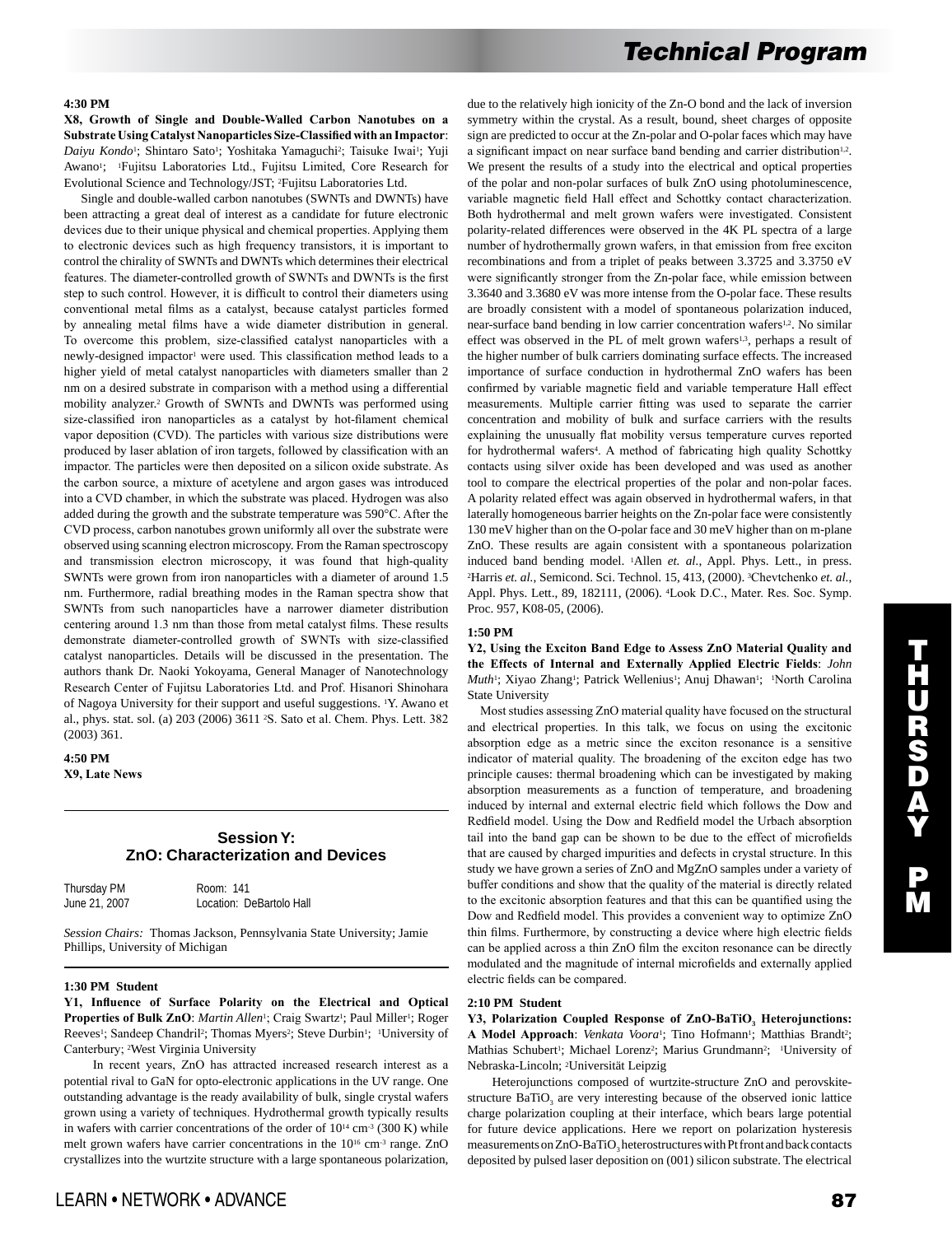## **4:30 PM**

**X8, Growth of Single and Double-Walled Carbon Nanotubes on a Substrate Using Catalyst Nanoparticles Size-Classified with an Impactor**: Daiyu Kondo<sup>1</sup>; Shintaro Sato<sup>1</sup>; Yoshitaka Yamaguchi<sup>2</sup>; Taisuke Iwai<sup>1</sup>; Yuji Awano<sup>1</sup>; <sup>1</sup>Fujitsu Laboratories Ltd., Fujitsu Limited, Core Research for Evolutional Science and Technology/JST; 2Fujitsu Laboratories Ltd.

 Single and double-walled carbon nanotubes (SWNTs and DWNTs) have been attracting a great deal of interest as a candidate for future electronic devices due to their unique physical and chemical properties. Applying them to electronic devices such as high frequency transistors, it is important to control the chirality of SWNTs and DWNTs which determines their electrical features. The diameter-controlled growth of SWNTs and DWNTs is the first step to such control. However, it is difficult to control their diameters using conventional metal films as a catalyst, because catalyst particles formed by annealing metal films have a wide diameter distribution in general. To overcome this problem, size-classified catalyst nanoparticles with a newly-designed impactor<sup>1</sup> were used. This classification method leads to a higher yield of metal catalyst nanoparticles with diameters smaller than 2 nm on a desired substrate in comparison with a method using a differential mobility analyzer.2 Growth of SWNTs and DWNTs was performed using size-classified iron nanoparticles as a catalyst by hot-filament chemical vapor deposition (CVD). The particles with various size distributions were produced by laser ablation of iron targets, followed by classification with an impactor. The particles were then deposited on a silicon oxide substrate. As the carbon source, a mixture of acetylene and argon gases was introduced into a CVD chamber, in which the substrate was placed. Hydrogen was also added during the growth and the substrate temperature was 590°C. After the CVD process, carbon nanotubes grown uniformly all over the substrate were observed using scanning electron microscopy. From the Raman spectroscopy and transmission electron microscopy, it was found that high-quality SWNTs were grown from iron nanoparticles with a diameter of around 1.5 nm. Furthermore, radial breathing modes in the Raman spectra show that SWNTs from such nanoparticles have a narrower diameter distribution centering around 1.3 nm than those from metal catalyst films. These results demonstrate diameter-controlled growth of SWNTs with size-classified catalyst nanoparticles. Details will be discussed in the presentation. The authors thank Dr. Naoki Yokoyama, General Manager of Nanotechnology Research Center of Fujitsu Laboratories Ltd. and Prof. Hisanori Shinohara of Nagoya University for their support and useful suggestions. 1Y. Awano et al., phys. stat. sol. (a) 203 (2006) 3611 2S. Sato et al. Chem. Phys. Lett. 382 (2003) 361.

# **4:50 PM X9, Late News**

# **Session Y: ZnO: Characterization and Devices**

| Thursday PM   | Room: 141                |
|---------------|--------------------------|
| June 21, 2007 | Location: DeBartolo Hall |

*Session Chairs:* Thomas Jackson, Pennsylvania State University; Jamie Phillips, University of Michigan

#### **1:30 PM Student**

**Y1, Influence of Surface Polarity on the Electrical and Optical**  Properties of Bulk ZnO: *Martin Allen<sup>1</sup>*; Craig Swartz<sup>1</sup>; Paul Miller<sup>1</sup>; Roger Reeves<sup>1</sup>; Sandeep Chandril<sup>2</sup>; Thomas Myers<sup>2</sup>; Steve Durbin<sup>1</sup>; <sup>1</sup>University of Canterbury; 2West Virginia University

 In recent years, ZnO has attracted increased research interest as a potential rival to GaN for opto-electronic applications in the UV range. One outstanding advantage is the ready availability of bulk, single crystal wafers grown using a variety of techniques. Hydrothermal growth typically results in wafers with carrier concentrations of the order of  $10^{14}$  cm<sup>-3</sup> (300 K) while melt grown wafers have carrier concentrations in the 1016 cm-3 range. ZnO crystallizes into the wurtzite structure with a large spontaneous polarization, due to the relatively high ionicity of the Zn-O bond and the lack of inversion symmetry within the crystal. As a result, bound, sheet charges of opposite sign are predicted to occur at the Zn-polar and O-polar faces which may have a significant impact on near surface band bending and carrier distribution<sup>1,2</sup>. We present the results of a study into the electrical and optical properties of the polar and non-polar surfaces of bulk ZnO using photoluminescence, variable magnetic field Hall effect and Schottky contact characterization. Both hydrothermal and melt grown wafers were investigated. Consistent polarity-related differences were observed in the 4K PL spectra of a large number of hydrothermally grown wafers, in that emission from free exciton recombinations and from a triplet of peaks between 3.3725 and 3.3750 eV were significantly stronger from the Zn-polar face, while emission between 3.3640 and 3.3680 eV was more intense from the O-polar face. These results are broadly consistent with a model of spontaneous polarization induced, near-surface band bending in low carrier concentration wafers<sup>1,2</sup>. No similar effect was observed in the PL of melt grown wafers<sup>1,3</sup>, perhaps a result of the higher number of bulk carriers dominating surface effects. The increased importance of surface conduction in hydrothermal ZnO wafers has been confirmed by variable magnetic field and variable temperature Hall effect measurements. Multiple carrier fitting was used to separate the carrier concentration and mobility of bulk and surface carriers with the results explaining the unusually flat mobility versus temperature curves reported for hydrothermal wafers<sup>4</sup>. A method of fabricating high quality Schottky contacts using silver oxide has been developed and was used as another tool to compare the electrical properties of the polar and non-polar faces. A polarity related effect was again observed in hydrothermal wafers, in that laterally homogeneous barrier heights on the Zn-polar face were consistently 130 meV higher than on the O-polar face and 30 meV higher than on m-plane ZnO. These results are again consistent with a spontaneous polarization induced band bending model. 1Allen *et. al.*, Appl. Phys. Lett., in press. 2Harris *et. al.*, Semicond. Sci. Technol. 15, 413, (2000). 3Chevtchenko *et. al.*, Appl. Phys. Lett., 89, 182111, (2006). 4Look D.C., Mater. Res. Soc. Symp. Proc. 957, K08-05, (2006).

#### **1:50 PM**

## **Y2, Using the Exciton Band Edge to Assess ZnO Material Quality and the Effects of Internal and Externally Applied Electric Fields**: *John Muth*<sup>1</sup>; Xiyao Zhang<sup>1</sup>; Patrick Wellenius<sup>1</sup>; Anuj Dhawan<sup>1</sup>; <sup>1</sup>North Carolina State University

 Most studies assessing ZnO material quality have focused on the structural and electrical properties. In this talk, we focus on using the excitonic absorption edge as a metric since the exciton resonance is a sensitive indicator of material quality. The broadening of the exciton edge has two principle causes: thermal broadening which can be investigated by making absorption measurements as a function of temperature, and broadening induced by internal and external electric field which follows the Dow and Redfield model. Using the Dow and Redfield model the Urbach absorption tail into the band gap can be shown to be due to the effect of microfields that are caused by charged impurities and defects in crystal structure. In this study we have grown a series of ZnO and MgZnO samples under a variety of buffer conditions and show that the quality of the material is directly related to the excitonic absorption features and that this can be quantified using the Dow and Redfield model. This provides a convenient way to optimize ZnO thin films. Furthermore, by constructing a device where high electric fields can be applied across a thin ZnO film the exciton resonance can be directly modulated and the magnitude of internal microfields and externally applied electric fields can be compared.

#### **2:10 PM Student**

**Y3, Polarization Coupled Response of ZnO-BaTiO3 Heterojunctions:**  A Model Approach: *Venkata Voora*<sup>1</sup>; Tino Hofmann<sup>1</sup>; Matthias Brandt<sup>2</sup>; Mathias Schubert<sup>1</sup>; Michael Lorenz<sup>2</sup>; Marius Grundmann<sup>2</sup>; <sup>1</sup>University of Nebraska-Lincoln; 2Universität Leipzig

 Heterojunctions composed of wurtzite-structure ZnO and perovskitestructure  $BaTiO<sub>3</sub>$  are very interesting because of the observed ionic lattice charge polarization coupling at their interface, which bears large potential for future device applications. Here we report on polarization hysteresis measurements on ZnO-BaTiO<sub>2</sub> heterostructures with Pt front and back contacts deposited by pulsed laser deposition on (001) silicon substrate. The electrical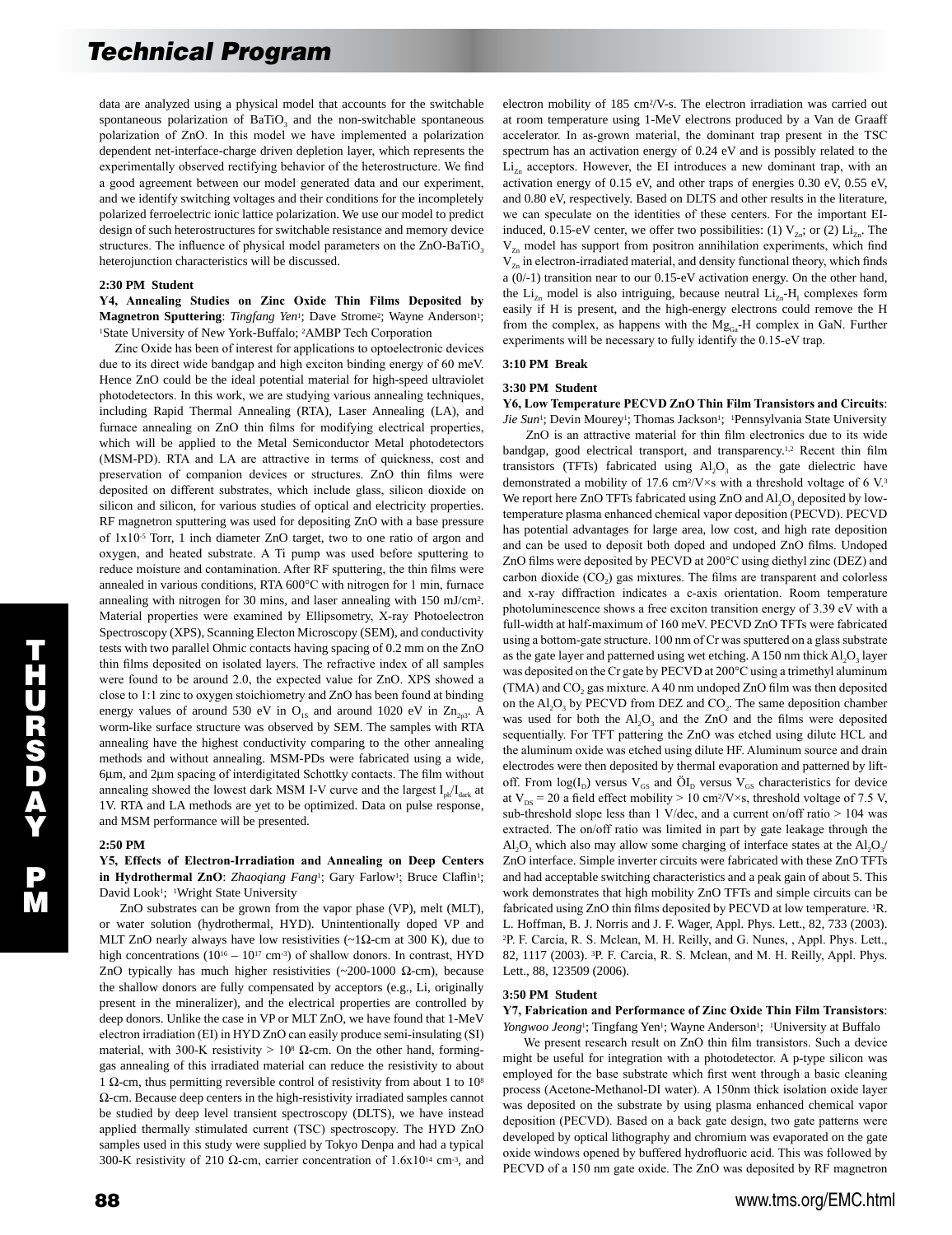data are analyzed using a physical model that accounts for the switchable spontaneous polarization of  $BaTiO<sub>3</sub>$  and the non-switchable spontaneous polarization of ZnO. In this model we have implemented a polarization dependent net-interface-charge driven depletion layer, which represents the experimentally observed rectifying behavior of the heterostructure. We find a good agreement between our model generated data and our experiment, and we identify switching voltages and their conditions for the incompletely polarized ferroelectric ionic lattice polarization. We use our model to predict design of such heterostructures for switchable resistance and memory device structures. The influence of physical model parameters on the  $ZnO-BaTiO<sub>3</sub>$ heterojunction characteristics will be discussed.

## **2:30 PM Student**

**Y4, Annealing Studies on Zinc Oxide Thin Films Deposited by Magnetron Sputtering**: *Tingfang Yen*<sup>1</sup>; Dave Strome<sup>2</sup>; Wayne Anderson<sup>1</sup>; 1State University of New York-Buffalo; 2AMBP Tech Corporation

 Zinc Oxide has been of interest for applications to optoelectronic devices due to its direct wide bandgap and high exciton binding energy of 60 meV. Hence ZnO could be the ideal potential material for high-speed ultraviolet photodetectors. In this work, we are studying various annealing techniques, including Rapid Thermal Annealing (RTA), Laser Annealing (LA), and furnace annealing on ZnO thin films for modifying electrical properties, which will be applied to the Metal Semiconductor Metal photodetectors (MSM-PD). RTA and LA are attractive in terms of quickness, cost and preservation of companion devices or structures. ZnO thin films were deposited on different substrates, which include glass, silicon dioxide on silicon and silicon, for various studies of optical and electricity properties. RF magnetron sputtering was used for depositing ZnO with a base pressure of 1x10-5 Torr, 1 inch diameter ZnO target, two to one ratio of argon and oxygen, and heated substrate. A Ti pump was used before sputtering to reduce moisture and contamination. After RF sputtering, the thin films were annealed in various conditions, RTA 600°C with nitrogen for 1 min, furnace annealing with nitrogen for 30 mins, and laser annealing with 150 mJ/cm2. Material properties were examined by Ellipsometry, X-ray Photoelectron Spectroscopy (XPS), Scanning Electon Microscopy (SEM), and conductivity tests with two parallel Ohmic contacts having spacing of 0.2 mm on the ZnO thin films deposited on isolated layers. The refractive index of all samples were found to be around 2.0, the expected value for ZnO. XPS showed a close to 1:1 zinc to oxygen stoichiometry and ZnO has been found at binding energy values of around 530 eV in  $O_{1s}$  and around 1020 eV in  $Zn_{2n3}$ . A worm-like surface structure was observed by SEM. The samples with RTA annealing have the highest conductivity comparing to the other annealing methods and without annealing. MSM-PDs were fabricated using a wide, 6µm, and 2µm spacing of interdigitated Schottky contacts. The film without annealing showed the lowest dark MSM I-V curve and the largest  $I_{ph}/I_{dark}$  at 1V. RTA and LA methods are yet to be optimized. Data on pulse response, and MSM performance will be presented.

## **2:50 PM**

## **Y5, Effects of Electron-Irradiation and Annealing on Deep Centers**  in Hydrothermal ZnO: *Zhaoqiang Fang*<sup>1</sup>; Gary Farlow<sup>1</sup>; Bruce Claflin<sup>1</sup>; David Look<sup>1</sup>; <sup>1</sup>Wright State University

 ZnO substrates can be grown from the vapor phase (VP), melt (MLT), or water solution (hydrothermal, HYD). Unintentionally doped VP and MLT ZnO nearly always have low resistivities ( $\sim$ 1 $\Omega$ -cm at 300 K), due to high concentrations ( $10^{16} - 10^{17}$  cm<sup>-3</sup>) of shallow donors. In contrast, HYD ZnO typically has much higher resistivities (~200-1000  $\Omega$ -cm), because the shallow donors are fully compensated by acceptors (e.g., Li, originally present in the mineralizer), and the electrical properties are controlled by deep donors. Unlike the case in VP or MLT ZnO, we have found that 1-MeV electron irradiation (EI) in HYD ZnO can easily produce semi-insulating (SI) material, with 300-K resistivity >  $10<sup>8</sup>$  Ω-cm. On the other hand, forminggas annealing of this irradiated material can reduce the resistivity to about 1 Ω-cm, thus permitting reversible control of resistivity from about 1 to 108 Ω-cm. Because deep centers in the high-resistivity irradiated samples cannot be studied by deep level transient spectroscopy (DLTS), we have instead applied thermally stimulated current (TSC) spectroscopy. The HYD ZnO samples used in this study were supplied by Tokyo Denpa and had a typical 300-K resistivity of 210  $\Omega$ -cm, carrier concentration of 1.6x10<sup>14</sup> cm<sup>-3</sup>, and electron mobility of 185 cm2/V-s. The electron irradiation was carried out at room temperature using 1-MeV electrons produced by a Van de Graaff accelerator. In as-grown material, the dominant trap present in the TSC spectrum has an activation energy of 0.24 eV and is possibly related to the  $Li_{Zn}$  acceptors. However, the EI introduces a new dominant trap, with an activation energy of 0.15 eV, and other traps of energies 0.30 eV, 0.55 eV, and 0.80 eV, respectively. Based on DLTS and other results in the literature, we can speculate on the identities of these centers. For the important EIinduced, 0.15-eV center, we offer two possibilities: (1)  $V_{7n}$ ; or (2)  $Li_{7n}$ . The  $V_{Zn}$  model has support from positron annihilation experiments, which find  $V_{Zn}$  in electron-irradiated material, and density functional theory, which finds a (0/-1) transition near to our 0.15-eV activation energy. On the other hand, the  $Li_{Zn}$  model is also intriguing, because neutral  $Li_{Zn}$ - $H_1$  complexes form easily if H is present, and the high-energy electrons could remove the H from the complex, as happens with the  $Mg_{Ga}$ -H complex in GaN. Further experiments will be necessary to fully identify the 0.15-eV trap.

### **3:10 PM Break**

#### **3:30 PM Student**

**Y6, Low Temperature PECVD ZnO Thin Film Transistors and Circuits**: Jie Sun<sup>1</sup>; Devin Mourey<sup>1</sup>; Thomas Jackson<sup>1</sup>; <sup>1</sup>Pennsylvania State University

 ZnO is an attractive material for thin film electronics due to its wide bandgap, good electrical transport, and transparency.<sup>1,2</sup> Recent thin film transistors (TFTs) fabricated using  $AI<sub>2</sub>O<sub>3</sub>$  as the gate dielectric have demonstrated a mobility of 17.6 cm<sup>2</sup>/V $\times$ s with a threshold voltage of 6 V.<sup>3</sup> We report here ZnO TFTs fabricated using ZnO and  $AI_1O_3$  deposited by lowtemperature plasma enhanced chemical vapor deposition (PECVD). PECVD has potential advantages for large area, low cost, and high rate deposition and can be used to deposit both doped and undoped ZnO films. Undoped ZnO films were deposited by PECVD at 200°C using diethyl zinc (DEZ) and carbon dioxide  $(CO<sub>2</sub>)$  gas mixtures. The films are transparent and colorless and x-ray diffraction indicates a c-axis orientation. Room temperature photoluminescence shows a free exciton transition energy of 3.39 eV with a full-width at half-maximum of 160 meV. PECVD ZnO TFTs were fabricated using a bottom-gate structure. 100 nm of Cr was sputtered on a glass substrate as the gate layer and patterned using wet etching. A 150 nm thick  $Al_2O_3$  layer was deposited on the Cr gate by PECVD at 200°C using a trimethyl aluminum (TMA) and CO<sub>2</sub> gas mixture. A 40 nm undoped ZnO film was then deposited on the  $AI_2O_3$  by PECVD from DEZ and  $CO_2$ . The same deposition chamber was used for both the  $AI_2O_3$  and the ZnO and the films were deposited sequentially. For TFT pattering the ZnO was etched using dilute HCL and the aluminum oxide was etched using dilute HF. Aluminum source and drain electrodes were then deposited by thermal evaporation and patterned by liftoff. From  $log(I_D)$  versus  $V_{GS}$  and  $\ddot{O}I_D$  versus  $V_{GS}$  characteristics for device at  $V_{DS}$  = 20 a field effect mobility > 10 cm<sup>2</sup>/V×s, threshold voltage of 7.5 V, sub-threshold slope less than 1 V/dec, and a current on/off ratio > 104 was extracted. The on/off ratio was limited in part by gate leakage through the Al<sub>2</sub>O<sub>3</sub> which also may allow some charging of interface states at the Al<sub>2</sub>O<sub>3</sub>/ ZnO interface. Simple inverter circuits were fabricated with these ZnO TFTs and had acceptable switching characteristics and a peak gain of about 5. This work demonstrates that high mobility ZnO TFTs and simple circuits can be fabricated using ZnO thin films deposited by PECVD at low temperature. 1R. L. Hoffman, B. J. Norris and J. F. Wager, Appl. Phys. Lett., 82, 733 (2003). <sup>2</sup>P. F. Carcia, R. S. Mclean, M. H. Reilly, and G. Nunes, , Appl. Phys. Lett., 82, 1117 (2003). 3P. F. Carcia, R. S. Mclean, and M. H. Reilly, Appl. Phys. Lett., 88, 123509 (2006).

#### **3:50 PM Student**

**Y7, Fabrication and Performance of Zinc Oxide Thin Film Transistors**: *Yongwoo Jeong*<sup>1</sup>; Tingfang Yen<sup>1</sup>; Wayne Anderson<sup>1</sup>; <sup>1</sup>University at Buffalo

 We present research result on ZnO thin film transistors. Such a device might be useful for integration with a photodetector. A p-type silicon was employed for the base substrate which first went through a basic cleaning process (Acetone-Methanol-DI water). A 150nm thick isolation oxide layer was deposited on the substrate by using plasma enhanced chemical vapor deposition (PECVD). Based on a back gate design, two gate patterns were developed by optical lithography and chromium was evaporated on the gate oxide windows opened by buffered hydrofluoric acid. This was followed by PECVD of a 150 nm gate oxide. The ZnO was deposited by RF magnetron